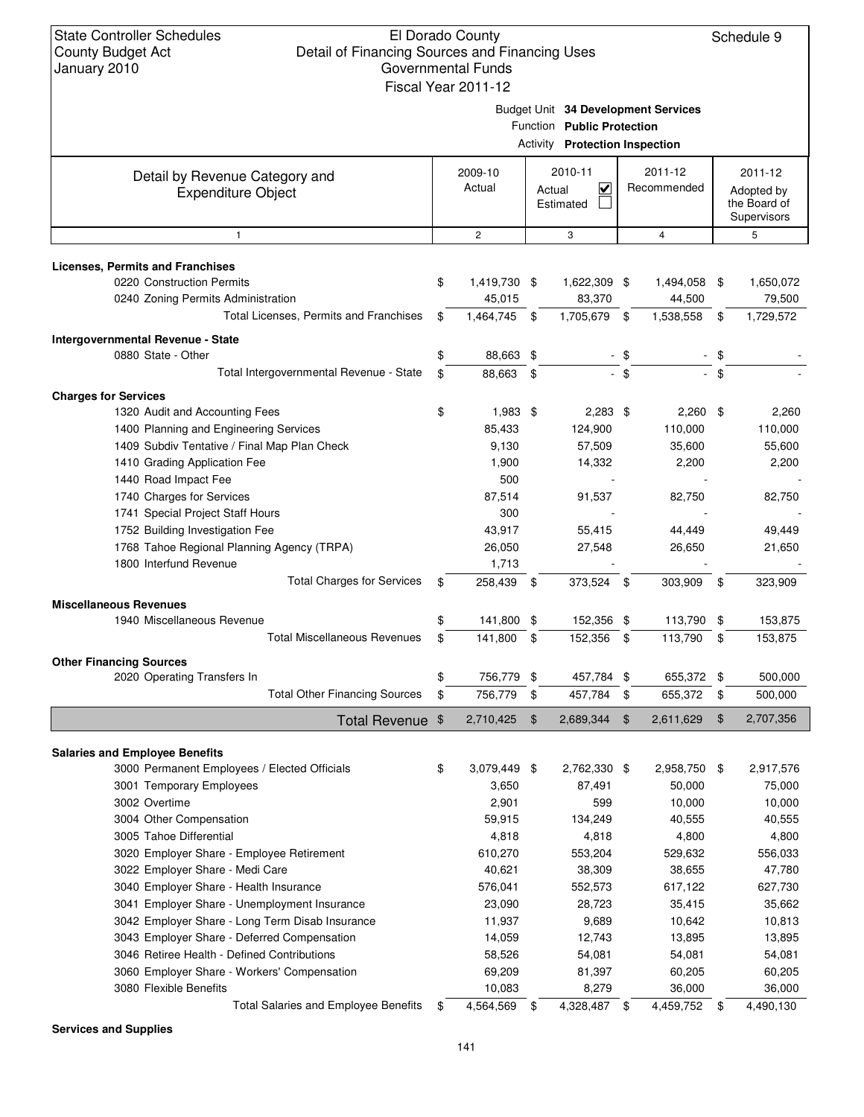Schedule 9

Budget Unit **34 Development Services**

|                                                                      |                    |                                | Function Public Protection            |               |                                                                                     |               |                  |  |
|----------------------------------------------------------------------|--------------------|--------------------------------|---------------------------------------|---------------|-------------------------------------------------------------------------------------|---------------|------------------|--|
|                                                                      |                    |                                | <b>Activity Protection Inspection</b> |               |                                                                                     |               |                  |  |
| Detail by Revenue Category and<br><b>Expenditure Object</b>          | 2009-10<br>Actual  | 2010-11<br>Actual<br>Estimated |                                       |               | 2011-12<br>2011-12<br>V<br>Recommended<br>Adopted by<br>the Board of<br>Supervisors |               |                  |  |
| $\mathbf{1}$                                                         | $\overline{2}$     |                                | 3                                     |               | $\overline{4}$                                                                      |               | 5                |  |
|                                                                      |                    |                                |                                       |               |                                                                                     |               |                  |  |
| <b>Licenses, Permits and Franchises</b><br>0220 Construction Permits | \$<br>1,419,730 \$ |                                | 1,622,309 \$                          |               | 1,494,058 \$                                                                        |               | 1,650,072        |  |
| 0240 Zoning Permits Administration                                   | 45,015             |                                | 83,370                                |               | 44,500                                                                              |               | 79,500           |  |
| Total Licenses, Permits and Franchises                               | \$<br>1,464,745    | \$                             | 1,705,679                             | -\$           | 1,538,558                                                                           | \$            | 1,729,572        |  |
|                                                                      |                    |                                |                                       |               |                                                                                     |               |                  |  |
| Intergovernmental Revenue - State<br>0880 State - Other              |                    |                                |                                       |               |                                                                                     |               |                  |  |
| Total Intergovernmental Revenue - State                              | \$<br>88,663 \$    |                                |                                       | $-$ \$        |                                                                                     | $\mathbf{s}$  |                  |  |
|                                                                      | \$<br>88,663       | \$                             |                                       |               |                                                                                     |               |                  |  |
| <b>Charges for Services</b>                                          |                    |                                |                                       |               |                                                                                     |               |                  |  |
| 1320 Audit and Accounting Fees                                       | \$<br>$1,983$ \$   |                                | $2,283$ \$                            |               | $2,260$ \$                                                                          |               | 2,260            |  |
| 1400 Planning and Engineering Services                               | 85,433             |                                | 124,900                               |               | 110,000                                                                             |               | 110,000          |  |
| 1409 Subdiv Tentative / Final Map Plan Check                         | 9,130              |                                | 57,509                                |               | 35,600                                                                              |               | 55,600           |  |
| 1410 Grading Application Fee                                         | 1,900              |                                | 14,332                                |               | 2,200                                                                               |               | 2,200            |  |
| 1440 Road Impact Fee                                                 | 500                |                                |                                       |               |                                                                                     |               |                  |  |
| 1740 Charges for Services                                            | 87,514             |                                | 91,537                                |               | 82,750                                                                              |               | 82,750           |  |
| 1741 Special Project Staff Hours                                     | 300                |                                |                                       |               |                                                                                     |               |                  |  |
| 1752 Building Investigation Fee                                      | 43,917             |                                | 55,415                                |               | 44,449                                                                              |               | 49,449           |  |
| 1768 Tahoe Regional Planning Agency (TRPA)                           | 26,050             |                                | 27,548                                |               | 26,650                                                                              |               | 21,650           |  |
| 1800 Interfund Revenue                                               | 1,713              |                                |                                       |               |                                                                                     |               |                  |  |
| <b>Total Charges for Services</b>                                    | \$<br>258,439      | - \$                           | 373,524 \$                            |               | 303,909                                                                             | - \$          | 323,909          |  |
| <b>Miscellaneous Revenues</b>                                        |                    |                                |                                       |               |                                                                                     |               |                  |  |
| 1940 Miscellaneous Revenue                                           | \$<br>141,800 \$   |                                | 152,356 \$                            |               | 113,790                                                                             | \$            | 153,875          |  |
| <b>Total Miscellaneous Revenues</b>                                  | \$<br>141,800      | \$                             | 152,356                               | \$            | 113,790                                                                             | \$            | 153,875          |  |
| <b>Other Financing Sources</b>                                       |                    |                                |                                       |               |                                                                                     |               |                  |  |
| 2020 Operating Transfers In                                          | \$<br>756,779 \$   |                                | 457,784 \$                            |               | 655,372                                                                             | \$            | 500,000          |  |
| <b>Total Other Financing Sources</b>                                 | \$<br>756,779      | \$                             | 457,784                               | \$            | 655,372                                                                             | - \$          | 500,000          |  |
| Total Revenue \$                                                     | 2,710,425          | $\mathfrak{F}$                 | 2,689,344                             | $\mathbf{\$}$ | 2,611,629                                                                           | $\frac{1}{2}$ | 2,707,356        |  |
|                                                                      |                    |                                |                                       |               |                                                                                     |               |                  |  |
| <b>Salaries and Employee Benefits</b>                                |                    |                                |                                       |               |                                                                                     |               |                  |  |
| 3000 Permanent Employees / Elected Officials                         | \$<br>3,079,449 \$ |                                | 2,762,330 \$                          |               | 2,958,750 \$                                                                        |               | 2,917,576        |  |
| 3001 Temporary Employees<br>3002 Overtime                            | 3,650<br>2,901     |                                | 87,491<br>599                         |               | 50,000<br>10,000                                                                    |               | 75,000<br>10,000 |  |
|                                                                      |                    |                                |                                       |               |                                                                                     |               |                  |  |
| 3004 Other Compensation<br>3005 Tahoe Differential                   | 59,915<br>4,818    |                                | 134,249<br>4,818                      |               | 40,555<br>4,800                                                                     |               | 40,555<br>4,800  |  |
| 3020 Employer Share - Employee Retirement                            | 610,270            |                                | 553,204                               |               | 529,632                                                                             |               | 556,033          |  |
| 3022 Employer Share - Medi Care                                      | 40,621             |                                | 38,309                                |               | 38,655                                                                              |               | 47,780           |  |
| 3040 Employer Share - Health Insurance                               | 576,041            |                                | 552,573                               |               | 617,122                                                                             |               | 627,730          |  |
| 3041 Employer Share - Unemployment Insurance                         | 23,090             |                                | 28,723                                |               | 35,415                                                                              |               | 35,662           |  |
| 3042 Employer Share - Long Term Disab Insurance                      | 11,937             |                                | 9,689                                 |               | 10,642                                                                              |               | 10,813           |  |
| 3043 Employer Share - Deferred Compensation                          | 14,059             |                                | 12,743                                |               | 13,895                                                                              |               | 13,895           |  |
| 3046 Retiree Health - Defined Contributions                          | 58,526             |                                | 54,081                                |               | 54,081                                                                              |               | 54,081           |  |
| 3060 Employer Share - Workers' Compensation                          | 69,209             |                                | 81,397                                |               | 60,205                                                                              |               | 60,205           |  |
| 3080 Flexible Benefits                                               | 10,083             |                                | 8,279                                 |               | 36,000                                                                              |               | 36,000           |  |
| <b>Total Salaries and Employee Benefits</b>                          | \$<br>4,564,569    | \$                             | 4,328,487 \$                          |               | 4,459,752                                                                           |               | 4,490,130        |  |
|                                                                      |                    |                                |                                       |               |                                                                                     | - \$          |                  |  |

**Services and Supplies**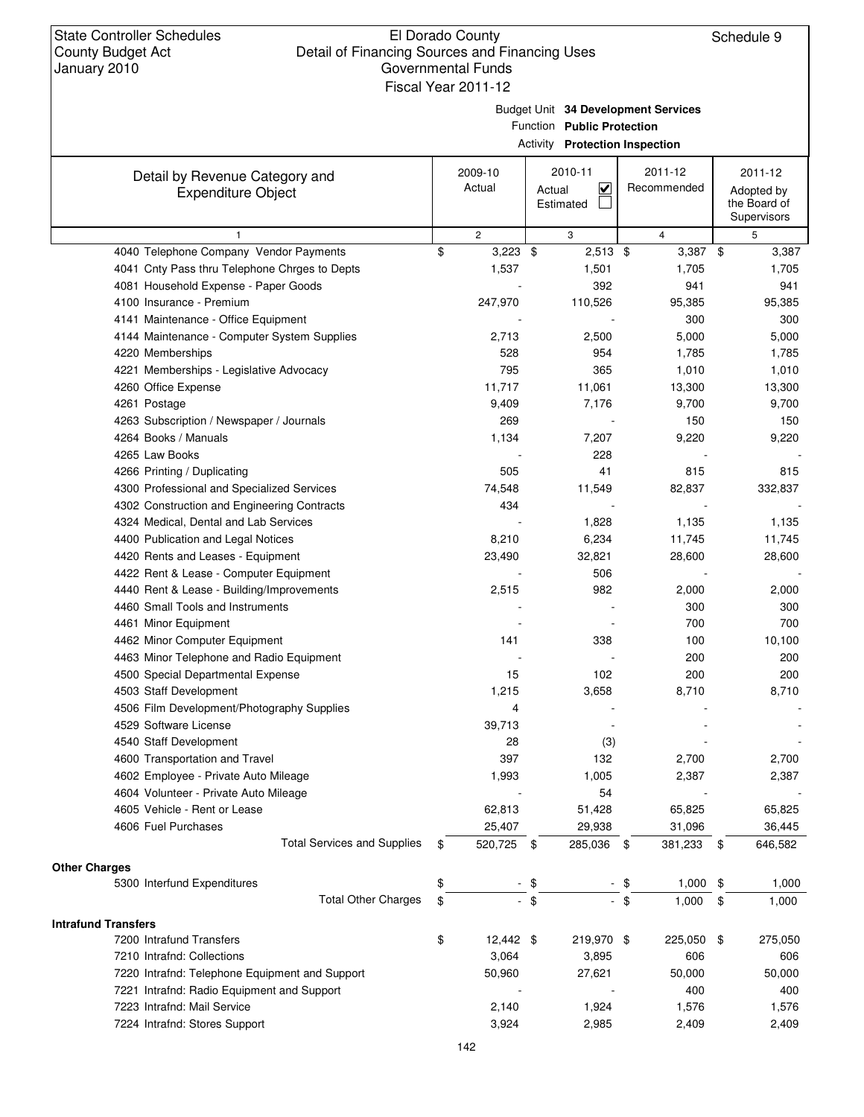Τ

Budget Unit **34 Development Services**

Activity **Protection Inspection**

Τ

Function **Public Protection**

Τ

| Detail by Revenue Category and                         | 2009-10                            | 2010-11            | 2011-12       | 2011-12                     |
|--------------------------------------------------------|------------------------------------|--------------------|---------------|-----------------------------|
| <b>Expenditure Object</b>                              | Actual                             | K<br>Actual        | Recommended   | Adopted by                  |
|                                                        |                                    | Estimated          |               | the Board of<br>Supervisors |
|                                                        |                                    |                    |               |                             |
| $\mathbf{1}$<br>4040 Telephone Company Vendor Payments | \$<br>$\overline{2}$<br>$3,223$ \$ | 3<br>$2,513$ \$    | 4<br>3,387 \$ | 5                           |
| 4041 Cnty Pass thru Telephone Chrges to Depts          | 1,537                              | 1,501              | 1,705         | 3,387<br>1,705              |
| 4081 Household Expense - Paper Goods                   |                                    | 392                | 941           | 941                         |
| 4100 Insurance - Premium                               | 247,970                            | 110,526            | 95,385        | 95,385                      |
| 4141 Maintenance - Office Equipment                    |                                    |                    | 300           | 300                         |
|                                                        |                                    |                    |               |                             |
| 4144 Maintenance - Computer System Supplies            | 2,713<br>528                       | 2,500<br>954       | 5,000         | 5,000                       |
| 4220 Memberships                                       | 795                                | 365                | 1,785         | 1,785                       |
| 4221 Memberships - Legislative Advocacy                |                                    |                    | 1,010         | 1,010                       |
| 4260 Office Expense                                    | 11,717                             | 11,061             | 13,300        | 13,300                      |
| 4261 Postage                                           | 9,409                              | 7,176              | 9,700         | 9,700                       |
| 4263 Subscription / Newspaper / Journals               | 269                                |                    | 150           | 150                         |
| 4264 Books / Manuals                                   | 1,134                              | 7,207              | 9,220         | 9,220                       |
| 4265 Law Books                                         |                                    | 228                |               |                             |
| 4266 Printing / Duplicating                            | 505                                | 41                 | 815           | 815                         |
| 4300 Professional and Specialized Services             | 74,548                             | 11,549             | 82,837        | 332,837                     |
| 4302 Construction and Engineering Contracts            | 434                                |                    |               |                             |
| 4324 Medical, Dental and Lab Services                  |                                    | 1,828              | 1,135         | 1,135                       |
| 4400 Publication and Legal Notices                     | 8,210                              | 6,234              | 11,745        | 11,745                      |
| 4420 Rents and Leases - Equipment                      | 23,490                             | 32,821             | 28,600        | 28,600                      |
| 4422 Rent & Lease - Computer Equipment                 |                                    | 506                |               |                             |
| 4440 Rent & Lease - Building/Improvements              | 2,515                              | 982                | 2,000         | 2,000                       |
| 4460 Small Tools and Instruments                       |                                    |                    | 300           | 300                         |
| 4461 Minor Equipment                                   |                                    |                    | 700           | 700                         |
| 4462 Minor Computer Equipment                          | 141                                | 338                | 100           | 10,100                      |
| 4463 Minor Telephone and Radio Equipment               |                                    |                    | 200           | 200                         |
| 4500 Special Departmental Expense                      | 15                                 | 102                | 200           | 200                         |
| 4503 Staff Development                                 | 1,215                              | 3,658              | 8,710         | 8,710                       |
| 4506 Film Development/Photography Supplies             | 4                                  |                    |               |                             |
| 4529 Software License                                  | 39,713                             |                    |               |                             |
| 4540 Staff Development                                 | 28                                 | (3)                |               |                             |
| 4600 Transportation and Travel                         | 397                                | 132                | 2,700         | 2,700                       |
| 4602 Employee - Private Auto Mileage                   | 1,993                              | 1,005              | 2,387         | 2,387                       |
| 4604 Volunteer - Private Auto Mileage                  |                                    | 54                 |               |                             |
| 4605 Vehicle - Rent or Lease                           | 62,813                             | 51,428             | 65,825        | 65,825                      |
| 4606 Fuel Purchases                                    | 25,407                             | 29,938             | 31,096        | 36,445                      |
| <b>Total Services and Supplies</b>                     | \$<br>520,725                      | 285,036 \$<br>- \$ | 381,233       | 646,582<br>-\$              |
| <b>Other Charges</b>                                   |                                    |                    |               |                             |
| 5300 Interfund Expenditures                            | \$                                 | \$                 | 1,000<br>\$   | 1,000<br>-\$                |
| <b>Total Other Charges</b>                             | \$                                 | $-$ \$             | - \$<br>1,000 | \$<br>1,000                 |
| <b>Intrafund Transfers</b>                             |                                    |                    |               |                             |
| 7200 Intrafund Transfers                               | \$<br>12,442 \$                    | 219,970 \$         | 225,050 \$    | 275,050                     |
| 7210 Intrafnd: Collections                             | 3,064                              | 3,895              | 606           | 606                         |
| 7220 Intrafnd: Telephone Equipment and Support         | 50,960                             | 27,621             | 50,000        | 50,000                      |
| 7221 Intrafnd: Radio Equipment and Support             |                                    |                    | 400           | 400                         |
| 7223 Intrafnd: Mail Service                            | 2,140                              | 1,924              | 1,576         | 1,576                       |
| 7224 Intrafnd: Stores Support                          | 3,924                              | 2,985              | 2,409         | 2,409                       |
|                                                        |                                    |                    |               |                             |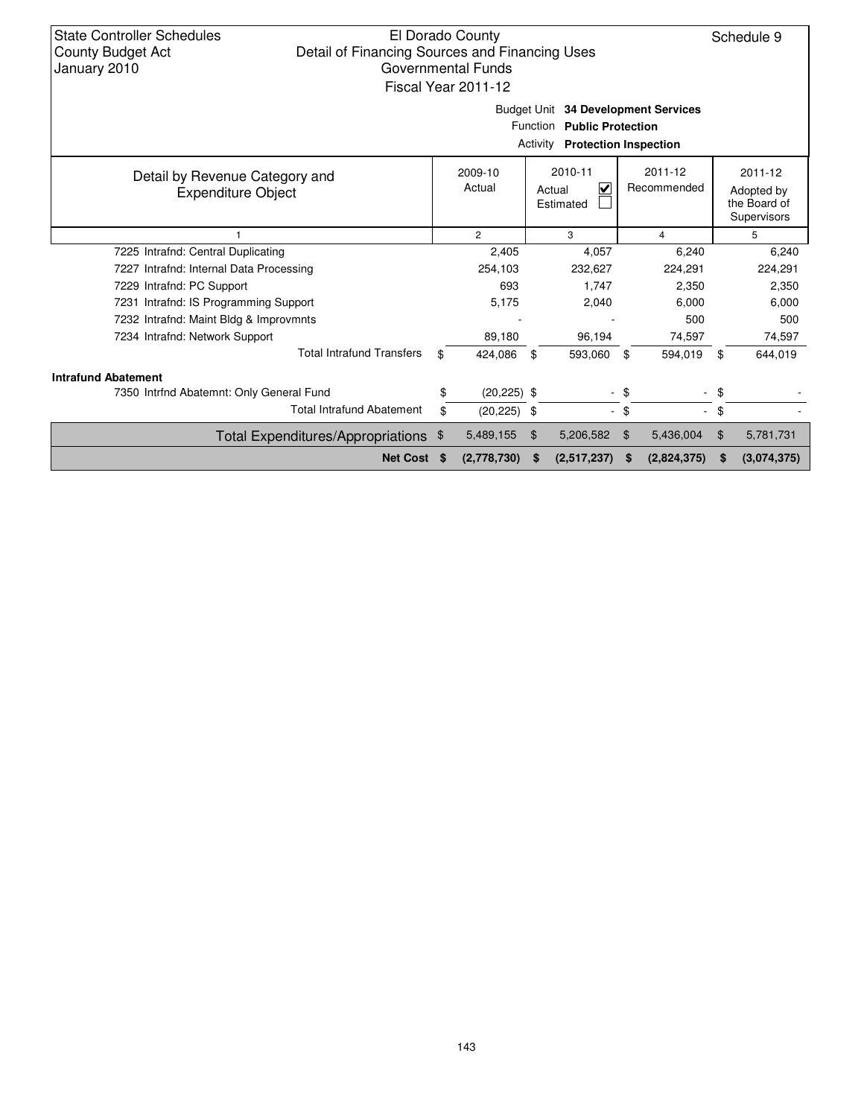| <b>State Controller Schedules</b><br><b>County Budget Act</b><br>January 2010                                 | El Dorado County<br>Detail of Financing Sources and Financing Uses<br>Governmental Funds<br>Fiscal Year 2011-12 |    |                   |     |                                                |                |                        |        |                                                      |  |  |
|---------------------------------------------------------------------------------------------------------------|-----------------------------------------------------------------------------------------------------------------|----|-------------------|-----|------------------------------------------------|----------------|------------------------|--------|------------------------------------------------------|--|--|
| Budget Unit 34 Development Services<br>Function Public Protection<br>Activity<br><b>Protection Inspection</b> |                                                                                                                 |    |                   |     |                                                |                |                        |        |                                                      |  |  |
| Detail by Revenue Category and<br><b>Expenditure Object</b>                                                   |                                                                                                                 |    | 2009-10<br>Actual |     | 2010-11<br>$\checkmark$<br>Actual<br>Estimated |                | 2011-12<br>Recommended |        | 2011-12<br>Adopted by<br>the Board of<br>Supervisors |  |  |
|                                                                                                               |                                                                                                                 |    | $\overline{2}$    |     | 3                                              |                | $\overline{4}$         |        | 5                                                    |  |  |
| 7225 Intrafnd: Central Duplicating                                                                            |                                                                                                                 |    | 2,405             |     | 4,057                                          |                | 6,240                  |        | 6,240                                                |  |  |
| 7227 Intrafnd: Internal Data Processing                                                                       |                                                                                                                 |    | 254,103           |     | 232,627                                        |                | 224,291                |        | 224,291                                              |  |  |
| 7229 Intrafnd: PC Support                                                                                     |                                                                                                                 |    | 693               |     | 1.747                                          |                | 2,350                  |        | 2,350                                                |  |  |
| 7231 Intrafnd: IS Programming Support                                                                         |                                                                                                                 |    | 5,175             |     | 2,040                                          |                | 6,000                  |        | 6,000                                                |  |  |
| 7232 Intrafnd: Maint Bldg & Improvmnts                                                                        |                                                                                                                 |    |                   |     |                                                |                | 500                    |        | 500                                                  |  |  |
| 7234 Intrafnd: Network Support                                                                                |                                                                                                                 |    | 89,180            |     | 96,194                                         |                | 74,597                 |        | 74,597                                               |  |  |
|                                                                                                               | <b>Total Intrafund Transfers</b>                                                                                | \$ | 424,086           | -\$ | 593,060                                        | \$             | 594,019                | \$     | 644,019                                              |  |  |
| <b>Intrafund Abatement</b>                                                                                    |                                                                                                                 |    |                   |     |                                                |                |                        |        |                                                      |  |  |
| 7350 Intrfnd Abatemnt: Only General Fund                                                                      |                                                                                                                 | \$ | $(20, 225)$ \$    |     | ۰                                              | -\$            |                        | - \$   |                                                      |  |  |
|                                                                                                               | <b>Total Intrafund Abatement</b>                                                                                | \$ | $(20, 225)$ \$    |     |                                                | $-$ \$         |                        | $-$ \$ |                                                      |  |  |
|                                                                                                               | Total Expenditures/Appropriations \$                                                                            |    | 5,489,155         | \$  | 5,206,582                                      | $\mathfrak{F}$ | 5,436,004              | \$     | 5,781,731                                            |  |  |
|                                                                                                               | Net Cost \$                                                                                                     |    | (2,778,730)       | S   | (2,517,237)                                    | S              | (2,824,375)            | \$     | (3,074,375)                                          |  |  |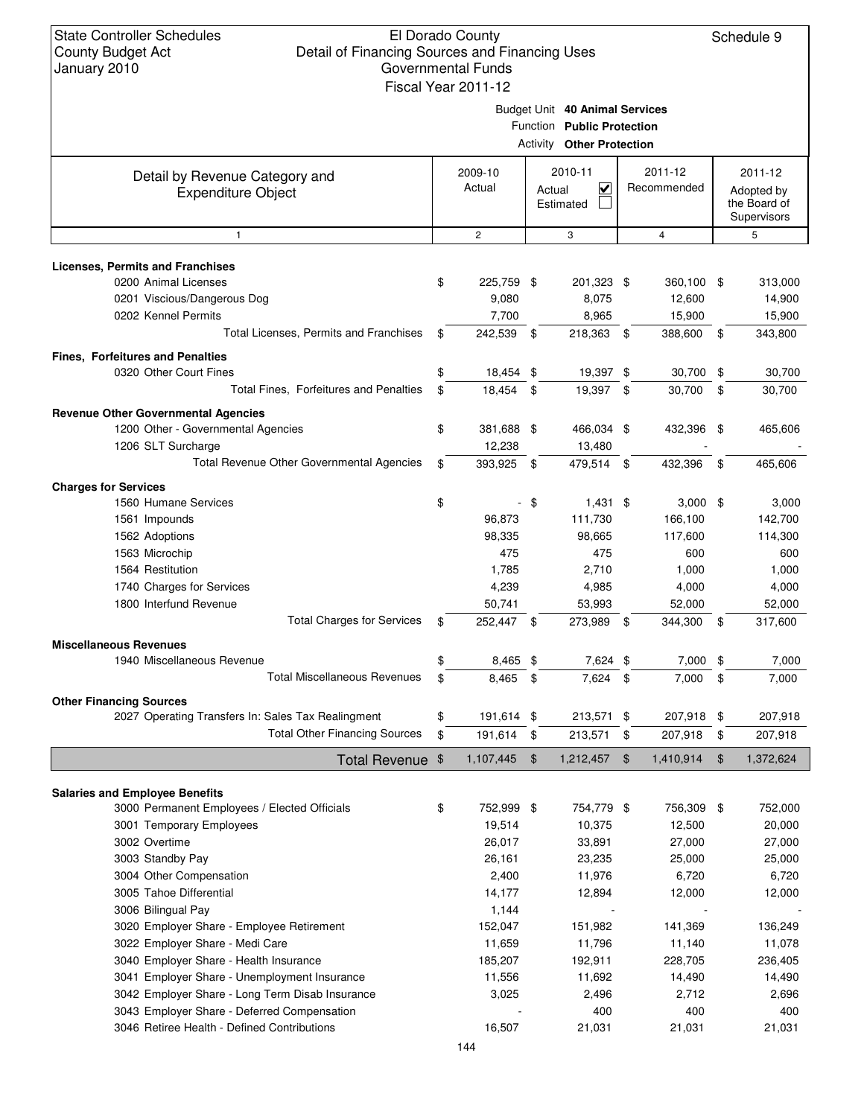|                                                             | Budget Unit 40 Animal Services<br>Function Public Protection<br><b>Activity Other Protection</b> |      |                                            |     |                        |      |                                                      |  |  |  |
|-------------------------------------------------------------|--------------------------------------------------------------------------------------------------|------|--------------------------------------------|-----|------------------------|------|------------------------------------------------------|--|--|--|
| Detail by Revenue Category and<br><b>Expenditure Object</b> | 2009-10<br>Actual                                                                                |      | 2010-11<br><u>V</u><br>Actual<br>Estimated |     | 2011-12<br>Recommended |      | 2011-12<br>Adopted by<br>the Board of<br>Supervisors |  |  |  |
| $\mathbf{1}$                                                | $\overline{c}$                                                                                   |      | 3                                          |     | 4                      |      | 5                                                    |  |  |  |
| <b>Licenses, Permits and Franchises</b>                     |                                                                                                  |      |                                            |     |                        |      |                                                      |  |  |  |
| 0200 Animal Licenses                                        | \$<br>225,759 \$                                                                                 |      | 201,323 \$                                 |     | 360,100 \$             |      | 313,000                                              |  |  |  |
| 0201 Viscious/Dangerous Dog                                 | 9,080                                                                                            |      | 8,075                                      |     | 12,600                 |      | 14,900                                               |  |  |  |
| 0202 Kennel Permits                                         | 7,700                                                                                            |      | 8,965                                      |     | 15,900                 |      | 15,900                                               |  |  |  |
| Total Licenses, Permits and Franchises                      | \$<br>242,539                                                                                    | -\$  | 218,363 \$                                 |     | 388,600                | \$   | 343,800                                              |  |  |  |
| <b>Fines, Forfeitures and Penalties</b>                     |                                                                                                  |      |                                            |     |                        |      |                                                      |  |  |  |
| 0320 Other Court Fines                                      | \$<br>18,454 \$                                                                                  |      | 19,397 \$                                  |     | 30,700                 | \$   | 30,700                                               |  |  |  |
| Total Fines, Forfeitures and Penalties                      | \$<br>18,454                                                                                     | -\$  | 19,397                                     | \$  | 30.700                 | \$   | 30,700                                               |  |  |  |
| <b>Revenue Other Governmental Agencies</b>                  |                                                                                                  |      |                                            |     |                        |      |                                                      |  |  |  |
| 1200 Other - Governmental Agencies                          | \$<br>381,688 \$                                                                                 |      | 466,034 \$                                 |     | 432,396 \$             |      | 465,606                                              |  |  |  |
| 1206 SLT Surcharge                                          | 12,238                                                                                           |      | 13,480                                     |     |                        |      |                                                      |  |  |  |
| Total Revenue Other Governmental Agencies                   | \$<br>393,925 \$                                                                                 |      | 479,514 \$                                 |     | 432,396                | \$   | 465,606                                              |  |  |  |
|                                                             |                                                                                                  |      |                                            |     |                        |      |                                                      |  |  |  |
| <b>Charges for Services</b><br>1560 Humane Services         |                                                                                                  |      |                                            |     |                        |      |                                                      |  |  |  |
|                                                             | \$<br>96,873                                                                                     | - \$ | $1,431$ \$<br>111,730                      |     | $3,000$ \$<br>166,100  |      | 3,000<br>142,700                                     |  |  |  |
| 1561 Impounds                                               | 98,335                                                                                           |      | 98,665                                     |     |                        |      |                                                      |  |  |  |
| 1562 Adoptions                                              | 475                                                                                              |      | 475                                        |     | 117,600<br>600         |      | 114,300                                              |  |  |  |
| 1563 Microchip<br>1564 Restitution                          | 1,785                                                                                            |      | 2,710                                      |     |                        |      | 600                                                  |  |  |  |
| 1740 Charges for Services                                   | 4,239                                                                                            |      | 4,985                                      |     | 1,000<br>4,000         |      | 1,000<br>4,000                                       |  |  |  |
| 1800 Interfund Revenue                                      | 50,741                                                                                           |      | 53,993                                     |     | 52,000                 |      | 52,000                                               |  |  |  |
| <b>Total Charges for Services</b>                           | \$<br>252,447 \$                                                                                 |      | 273,989                                    | -\$ | 344,300                | - \$ | 317,600                                              |  |  |  |
|                                                             |                                                                                                  |      |                                            |     |                        |      |                                                      |  |  |  |
| <b>Miscellaneous Revenues</b><br>1940 Miscellaneous Revenue | \$<br>8,465 \$                                                                                   |      | 7,624 \$                                   |     | 7,000                  | \$   | 7,000                                                |  |  |  |
| <b>Total Miscellaneous Revenues</b>                         | \$<br>8,465                                                                                      | \$   | 7,624 \$                                   |     | 7,000                  | \$   | 7,000                                                |  |  |  |
|                                                             |                                                                                                  |      |                                            |     |                        |      |                                                      |  |  |  |
| <b>Other Financing Sources</b>                              |                                                                                                  |      |                                            |     |                        |      |                                                      |  |  |  |
| 2027 Operating Transfers In: Sales Tax Realingment          | \$<br>191,614 \$                                                                                 |      | 213,571 \$                                 |     | 207,918 \$             |      | 207,918                                              |  |  |  |
| <b>Total Other Financing Sources</b>                        | \$<br>191,614 \$                                                                                 |      | 213,571                                    | \$  | 207,918                | \$   | 207,918                                              |  |  |  |
| Total Revenue \$                                            | 1,107,445                                                                                        | \$   | 1,212,457                                  | -\$ | 1,410,914              | \$   | 1,372,624                                            |  |  |  |
| <b>Salaries and Employee Benefits</b>                       |                                                                                                  |      |                                            |     |                        |      |                                                      |  |  |  |
| 3000 Permanent Employees / Elected Officials                | \$<br>752,999 \$                                                                                 |      | 754,779 \$                                 |     | 756,309                | \$   | 752,000                                              |  |  |  |
| 3001 Temporary Employees                                    | 19,514                                                                                           |      | 10,375                                     |     | 12,500                 |      | 20,000                                               |  |  |  |
| 3002 Overtime                                               | 26,017                                                                                           |      | 33,891                                     |     | 27,000                 |      | 27,000                                               |  |  |  |
| 3003 Standby Pay                                            | 26,161                                                                                           |      | 23,235                                     |     | 25,000                 |      | 25,000                                               |  |  |  |
| 3004 Other Compensation                                     | 2,400                                                                                            |      | 11,976                                     |     | 6,720                  |      | 6,720                                                |  |  |  |
| 3005 Tahoe Differential                                     | 14,177                                                                                           |      | 12,894                                     |     | 12,000                 |      | 12,000                                               |  |  |  |
| 3006 Bilingual Pay                                          | 1,144                                                                                            |      |                                            |     |                        |      |                                                      |  |  |  |
| 3020 Employer Share - Employee Retirement                   | 152,047                                                                                          |      | 151,982                                    |     | 141,369                |      | 136,249                                              |  |  |  |
| 3022 Employer Share - Medi Care                             | 11,659                                                                                           |      | 11,796                                     |     | 11,140                 |      | 11,078                                               |  |  |  |
| 3040 Employer Share - Health Insurance                      | 185,207                                                                                          |      | 192,911                                    |     | 228,705                |      | 236,405                                              |  |  |  |
| 3041 Employer Share - Unemployment Insurance                | 11,556                                                                                           |      | 11,692                                     |     | 14,490                 |      | 14,490                                               |  |  |  |
| 3042 Employer Share - Long Term Disab Insurance             | 3,025                                                                                            |      | 2,496                                      |     | 2,712                  |      | 2,696                                                |  |  |  |
| 3043 Employer Share - Deferred Compensation                 |                                                                                                  |      | 400                                        |     | 400                    |      | 400                                                  |  |  |  |
| 3046 Retiree Health - Defined Contributions                 | 16,507                                                                                           |      | 21,031                                     |     | 21,031                 |      | 21,031                                               |  |  |  |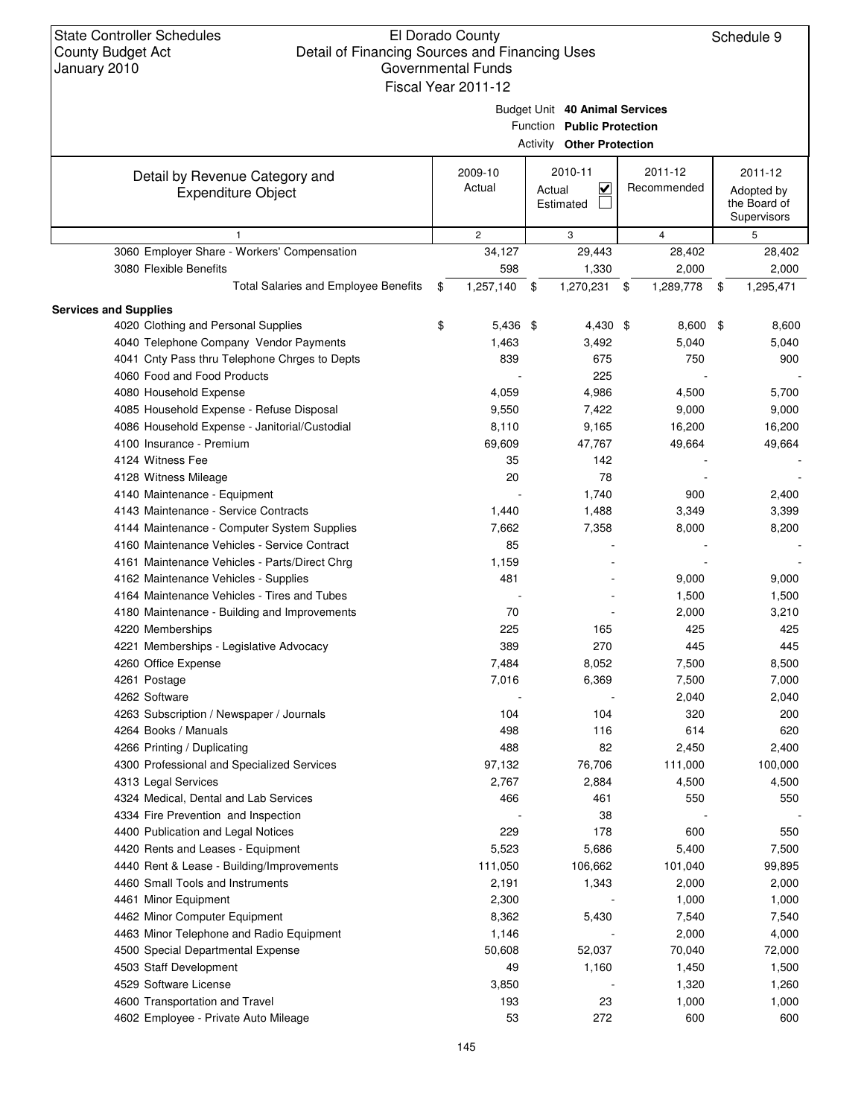|                                               |                 | Budget Unit 40 Animal Services<br>Function Public Protection<br><b>Activity Other Protection</b> |                 |                                           |
|-----------------------------------------------|-----------------|--------------------------------------------------------------------------------------------------|-----------------|-------------------------------------------|
| Detail by Revenue Category and                | 2009-10         | 2010-11                                                                                          | 2011-12         | 2011-12                                   |
| <b>Expenditure Object</b>                     | Actual          | $\overline{\mathbf{v}}$<br>Actual<br>Estimated                                                   | Recommended     | Adopted by<br>the Board of<br>Supervisors |
| $\mathbf{1}$                                  | $\mathbf{2}$    | 3                                                                                                | $\overline{4}$  | 5                                         |
| 3060 Employer Share - Workers' Compensation   | 34,127          | 29,443                                                                                           | 28,402          | 28,402                                    |
| 3080 Flexible Benefits                        | 598             | 1,330                                                                                            | 2,000           | 2,000                                     |
| <b>Total Salaries and Employee Benefits</b>   | \$<br>1,257,140 | 1,270,231<br>\$                                                                                  | 1,289,778<br>\$ | \$<br>1,295,471                           |
| <b>Services and Supplies</b>                  |                 |                                                                                                  |                 |                                           |
| 4020 Clothing and Personal Supplies           | \$<br>5,436 \$  | 4,430 \$                                                                                         | $8,600$ \$      | 8,600                                     |
| 4040 Telephone Company Vendor Payments        | 1,463           | 3,492                                                                                            | 5,040           | 5,040                                     |
| 4041 Cnty Pass thru Telephone Chrges to Depts | 839             | 675                                                                                              | 750             | 900                                       |
| 4060 Food and Food Products                   |                 | 225                                                                                              |                 |                                           |
| 4080 Household Expense                        | 4,059           | 4,986                                                                                            | 4,500           | 5,700                                     |
| 4085 Household Expense - Refuse Disposal      | 9,550           | 7,422                                                                                            | 9,000           | 9,000                                     |
| 4086 Household Expense - Janitorial/Custodial | 8,110           | 9,165                                                                                            | 16,200          | 16,200                                    |
| 4100 Insurance - Premium                      | 69,609          | 47,767                                                                                           | 49,664          | 49,664                                    |
| 4124 Witness Fee                              | 35              | 142                                                                                              |                 |                                           |
| 4128 Witness Mileage                          | 20              | 78                                                                                               |                 |                                           |
| 4140 Maintenance - Equipment                  |                 | 1,740                                                                                            | 900             | 2,400                                     |
| 4143 Maintenance - Service Contracts          | 1,440           | 1,488                                                                                            | 3,349           | 3,399                                     |
| 4144 Maintenance - Computer System Supplies   | 7,662           | 7,358                                                                                            | 8,000           | 8,200                                     |
| 4160 Maintenance Vehicles - Service Contract  | 85              |                                                                                                  |                 |                                           |
| 4161 Maintenance Vehicles - Parts/Direct Chrg | 1,159           |                                                                                                  |                 |                                           |
| 4162 Maintenance Vehicles - Supplies          | 481             |                                                                                                  | 9,000           | 9,000                                     |
| 4164 Maintenance Vehicles - Tires and Tubes   |                 |                                                                                                  | 1,500           | 1,500                                     |
| 4180 Maintenance - Building and Improvements  | 70              |                                                                                                  | 2,000           | 3,210                                     |
| 4220 Memberships                              | 225             | 165                                                                                              | 425             | 425                                       |
| 4221 Memberships - Legislative Advocacy       | 389             | 270                                                                                              | 445             | 445                                       |
| 4260 Office Expense                           | 7,484           | 8,052                                                                                            | 7,500           | 8,500                                     |
| 4261 Postage                                  | 7,016           | 6,369                                                                                            | 7,500           | 7,000                                     |
| 4262 Software                                 |                 |                                                                                                  | 2,040           | 2,040                                     |
| 4263 Subscription / Newspaper / Journals      | 104             | 104                                                                                              | 320             | 200                                       |
| 4264 Books / Manuals                          | 498             | 116                                                                                              | 614             | 620                                       |
| 4266 Printing / Duplicating                   | 488             | 82                                                                                               | 2,450           | 2,400                                     |
| 4300 Professional and Specialized Services    | 97,132          | 76,706                                                                                           | 111,000         | 100,000                                   |
| 4313 Legal Services                           | 2,767           | 2,884                                                                                            | 4,500           | 4,500                                     |
| 4324 Medical, Dental and Lab Services         | 466             | 461                                                                                              | 550             | 550                                       |
| 4334 Fire Prevention and Inspection           |                 | 38                                                                                               |                 |                                           |
| 4400 Publication and Legal Notices            | 229             | 178                                                                                              | 600             | 550                                       |
| 4420 Rents and Leases - Equipment             | 5,523           | 5,686                                                                                            | 5,400           | 7,500                                     |
| 4440 Rent & Lease - Building/Improvements     | 111,050         | 106,662                                                                                          | 101,040         | 99,895                                    |
| 4460 Small Tools and Instruments              | 2,191           | 1,343                                                                                            | 2,000           | 2,000                                     |
| 4461 Minor Equipment                          | 2,300           |                                                                                                  | 1,000           | 1,000                                     |
| 4462 Minor Computer Equipment                 | 8,362           | 5,430                                                                                            | 7,540           | 7,540                                     |
| 4463 Minor Telephone and Radio Equipment      | 1,146           |                                                                                                  | 2,000           | 4,000                                     |
| 4500 Special Departmental Expense             | 50,608          | 52,037                                                                                           | 70,040          | 72,000                                    |
| 4503 Staff Development                        | 49              | 1,160                                                                                            | 1,450           | 1,500                                     |
| 4529 Software License                         | 3,850           |                                                                                                  | 1,320           | 1,260                                     |
| 4600 Transportation and Travel                | 193             | 23                                                                                               | 1,000           | 1,000                                     |
| 4602 Employee - Private Auto Mileage          | 53              | 272                                                                                              | 600             | 600                                       |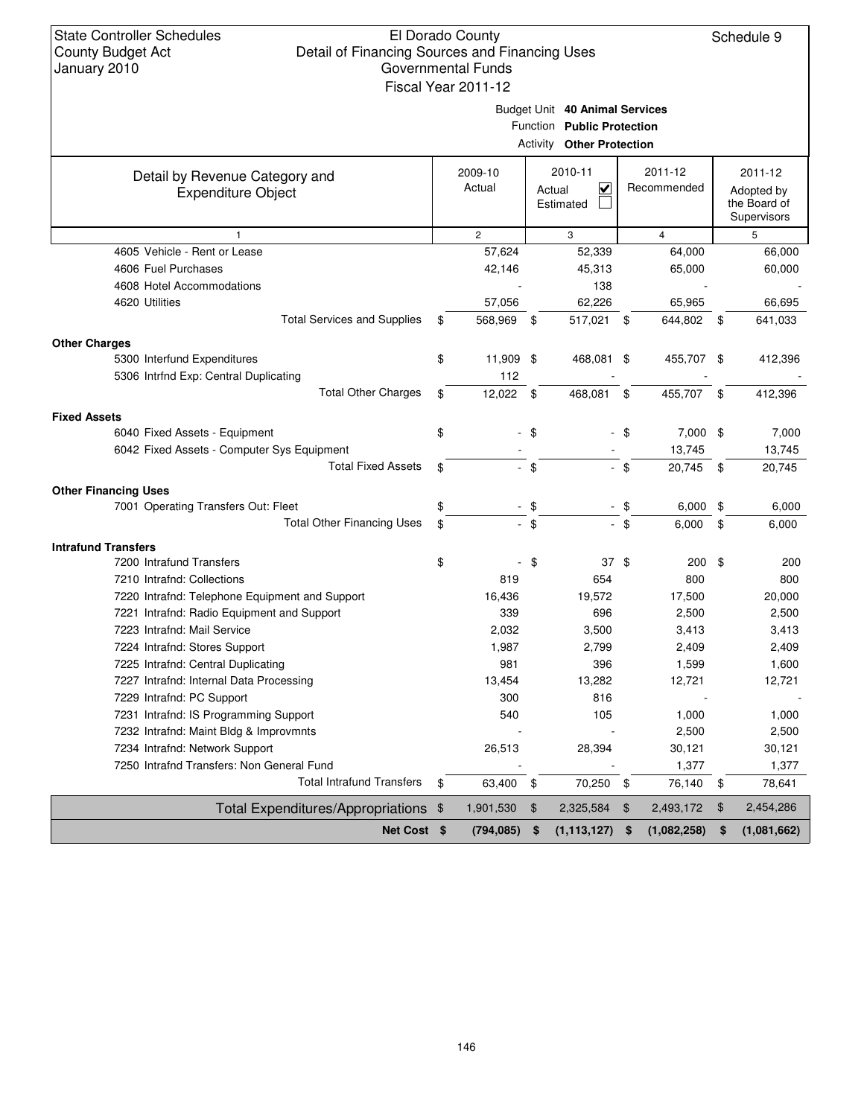|                                                |               |                |        | Budget Unit 40 Animal Services<br>Function Public Protection<br><b>Activity Other Protection</b> |        |                |                                           |
|------------------------------------------------|---------------|----------------|--------|--------------------------------------------------------------------------------------------------|--------|----------------|-------------------------------------------|
| Detail by Revenue Category and                 |               | 2009-10        |        | 2010-11                                                                                          |        | 2011-12        | 2011-12                                   |
| <b>Expenditure Object</b>                      |               | Actual         |        | $\overline{\mathsf{v}}$<br>Actual<br>Estimated                                                   |        | Recommended    | Adopted by<br>the Board of<br>Supervisors |
| 1                                              |               | $\overline{2}$ |        | 3                                                                                                |        | $\overline{4}$ | 5                                         |
| 4605 Vehicle - Rent or Lease                   |               | 57,624         |        | 52,339                                                                                           |        | 64,000         | 66,000                                    |
| 4606 Fuel Purchases                            |               | 42,146         |        | 45,313                                                                                           |        | 65,000         | 60,000                                    |
| 4608 Hotel Accommodations                      |               |                |        | 138                                                                                              |        |                |                                           |
| 4620 Utilities                                 |               | 57,056         |        | 62,226                                                                                           |        | 65,965         | 66,695                                    |
| <b>Total Services and Supplies</b>             | \$            | 568,969        | - \$   | 517,021                                                                                          | - \$   | 644,802 \$     | 641,033                                   |
| <b>Other Charges</b>                           |               |                |        |                                                                                                  |        |                |                                           |
| 5300 Interfund Expenditures                    | \$            | 11,909 \$      |        | 468,081 \$                                                                                       |        | 455,707 \$     | 412,396                                   |
| 5306 Intrfnd Exp: Central Duplicating          |               | 112            |        |                                                                                                  |        |                |                                           |
| <b>Total Other Charges</b>                     | \$            | 12,022         | \$     | 468,081                                                                                          | \$     | 455,707        | \$<br>412,396                             |
| <b>Fixed Assets</b>                            |               |                |        |                                                                                                  |        |                |                                           |
| 6040 Fixed Assets - Equipment                  | \$            |                | - \$   |                                                                                                  | - \$   | $7,000$ \$     | 7,000                                     |
| 6042 Fixed Assets - Computer Sys Equipment     |               |                |        |                                                                                                  |        | 13,745         | 13,745                                    |
| <b>Total Fixed Assets</b>                      | \$            |                | $-$ \$ |                                                                                                  | - \$   | 20,745         | \$<br>20,745                              |
| <b>Other Financing Uses</b>                    |               |                |        |                                                                                                  |        |                |                                           |
| 7001 Operating Transfers Out: Fleet            | \$            |                | - \$   |                                                                                                  | \$     | 6,000          | \$<br>6,000                               |
| <b>Total Other Financing Uses</b>              | \$            |                | $-$ \$ |                                                                                                  | $-$ \$ | 6,000          | \$<br>6,000                               |
| <b>Intrafund Transfers</b>                     |               |                |        |                                                                                                  |        |                |                                           |
| 7200 Intrafund Transfers                       | \$            |                | \$     | 37S                                                                                              |        | 200            | \$<br>200                                 |
| 7210 Intrafnd: Collections                     |               | 819            |        | 654                                                                                              |        | 800            | 800                                       |
| 7220 Intrafnd: Telephone Equipment and Support |               | 16,436         |        | 19,572                                                                                           |        | 17,500         | 20,000                                    |
| 7221 Intrafnd: Radio Equipment and Support     |               | 339            |        | 696                                                                                              |        | 2,500          | 2,500                                     |
| 7223 Intrafnd: Mail Service                    |               | 2,032          |        | 3,500                                                                                            |        | 3,413          | 3,413                                     |
| 7224 Intrafnd: Stores Support                  |               | 1,987          |        | 2,799                                                                                            |        | 2,409          | 2,409                                     |
| 7225 Intrafnd: Central Duplicating             |               | 981            |        | 396                                                                                              |        | 1,599          | 1,600                                     |
| 7227 Intrafnd: Internal Data Processing        |               | 13,454         |        | 13,282                                                                                           |        | 12,721         | 12,721                                    |
| 7229 Intrafnd: PC Support                      |               | 300            |        | 816                                                                                              |        |                |                                           |
| 7231 Intrafnd: IS Programming Support          |               | 540            |        | 105                                                                                              |        | 1,000          | 1,000                                     |
| 7232 Intrafnd: Maint Bldg & Improvmnts         |               |                |        |                                                                                                  |        | 2,500          | 2,500                                     |
| 7234 Intrafnd: Network Support                 |               | 26,513         |        | 28,394                                                                                           |        | 30,121         | 30,121                                    |
| 7250 Intrafnd Transfers: Non General Fund      |               |                |        |                                                                                                  |        | 1,377          | 1,377                                     |
| <b>Total Intrafund Transfers</b>               | \$            | 63,400         | \$     | 70,250 \$                                                                                        |        | 76,140         | \$<br>78,641                              |
| <b>Total Expenditures/Appropriations</b>       | $\frac{1}{2}$ | 1,901,530      | \$     | 2,325,584                                                                                        | \$     | 2,493,172      | \$<br>2,454,286                           |
| Net Cost \$                                    |               | (794, 085)     | \$     | (1, 113, 127)                                                                                    | \$     | (1,082,258)    | \$<br>(1,081,662)                         |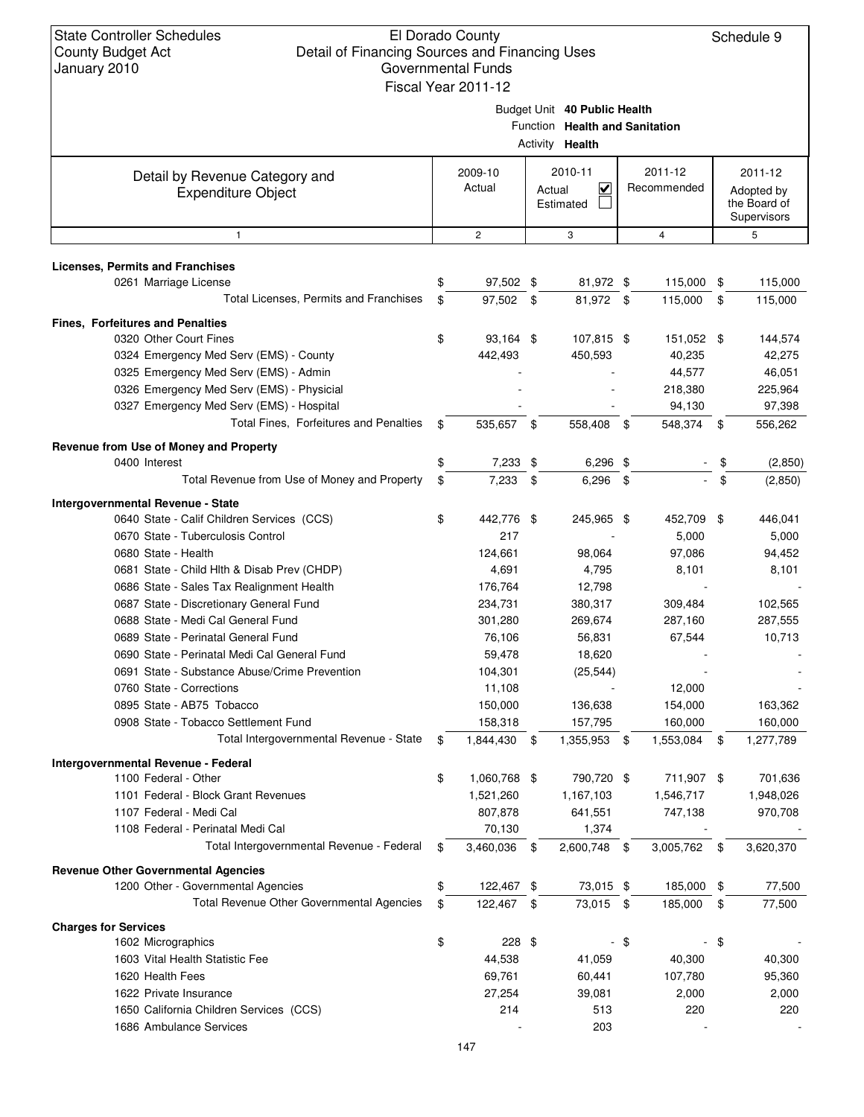| anaany = 0 r 0                                |                               | Fiscal Year 2011-12 |    |                                                                |      |              |    |              |
|-----------------------------------------------|-------------------------------|---------------------|----|----------------------------------------------------------------|------|--------------|----|--------------|
|                                               |                               |                     |    |                                                                |      |              |    |              |
|                                               |                               |                     |    | Budget Unit 40 Public Health<br>Function Health and Sanitation |      |              |    |              |
|                                               |                               |                     |    | Activity <b>Health</b>                                         |      |              |    |              |
| Detail by Revenue Category and                | 2010-11<br>2011-12<br>2009-10 |                     |    |                                                                |      |              |    | 2011-12      |
| <b>Expenditure Object</b>                     |                               | Actual              |    | $\checkmark$<br>Actual                                         |      | Recommended  |    | Adopted by   |
|                                               |                               |                     |    | Estimated                                                      |      |              |    | the Board of |
|                                               |                               |                     |    |                                                                |      |              |    | Supervisors  |
| $\mathbf{1}$                                  |                               | $\mathbf{2}$        |    | 3                                                              |      | 4            |    | 5            |
| <b>Licenses, Permits and Franchises</b>       |                               |                     |    |                                                                |      |              |    |              |
| 0261 Marriage License                         | \$                            | 97,502 \$           |    | 81,972 \$                                                      |      | 115,000 \$   |    | 115,000      |
| Total Licenses, Permits and Franchises        | \$                            | 97,502 \$           |    | 81,972 \$                                                      |      | 115,000      | \$ | 115,000      |
| <b>Fines, Forfeitures and Penalties</b>       |                               |                     |    |                                                                |      |              |    |              |
| 0320 Other Court Fines                        | \$                            | 93,164 \$           |    | 107,815 \$                                                     |      | 151,052 \$   |    | 144,574      |
| 0324 Emergency Med Serv (EMS) - County        |                               | 442,493             |    | 450,593                                                        |      | 40,235       |    | 42,275       |
| 0325 Emergency Med Serv (EMS) - Admin         |                               |                     |    |                                                                |      | 44,577       |    | 46,051       |
| 0326 Emergency Med Serv (EMS) - Physicial     |                               |                     |    |                                                                |      | 218,380      |    | 225,964      |
| 0327 Emergency Med Serv (EMS) - Hospital      |                               |                     |    |                                                                |      | 94,130       |    | 97,398       |
| Total Fines, Forfeitures and Penalties        | \$                            | 535,657 \$          |    | 558,408                                                        | \$   | 548,374      | \$ | 556,262      |
| Revenue from Use of Money and Property        |                               |                     |    |                                                                |      |              |    |              |
| 0400 Interest                                 | \$                            | 7,233 \$            |    | $6,296$ \$                                                     |      |              | \$ | (2,850)      |
| Total Revenue from Use of Money and Property  | \$                            | 7,233               | \$ | $6,296$ \$                                                     |      |              | \$ | (2,850)      |
| Intergovernmental Revenue - State             |                               |                     |    |                                                                |      |              |    |              |
| 0640 State - Calif Children Services (CCS)    | \$                            | 442,776 \$          |    | 245,965 \$                                                     |      | 452,709 \$   |    | 446,041      |
| 0670 State - Tuberculosis Control             |                               | 217                 |    |                                                                |      | 5,000        |    | 5,000        |
| 0680 State - Health                           |                               | 124,661             |    | 98,064                                                         |      | 97,086       |    | 94,452       |
| 0681 State - Child Hlth & Disab Prev (CHDP)   |                               | 4,691               |    | 4,795                                                          |      | 8,101        |    | 8,101        |
| 0686 State - Sales Tax Realignment Health     |                               | 176,764             |    | 12,798                                                         |      |              |    |              |
| 0687 State - Discretionary General Fund       |                               | 234,731             |    | 380,317                                                        |      | 309,484      |    | 102,565      |
| 0688 State - Medi Cal General Fund            |                               | 301,280             |    | 269,674                                                        |      | 287,160      |    | 287,555      |
| 0689 State - Perinatal General Fund           |                               | 76,106              |    | 56,831                                                         |      | 67,544       |    | 10,713       |
| 0690 State - Perinatal Medi Cal General Fund  |                               | 59,478              |    | 18,620                                                         |      |              |    |              |
| 0691 State - Substance Abuse/Crime Prevention |                               | 104,301             |    | (25, 544)                                                      |      |              |    |              |
| 0760 State - Corrections                      |                               | 11,108              |    |                                                                |      | 12,000       |    |              |
| 0895 State - AB75 Tobacco                     |                               | 150,000             |    | 136,638                                                        |      | 154,000      |    | 163,362      |
| 0908 State - Tobacco Settlement Fund          |                               | 158,318             |    | 157,795                                                        |      | 160,000      |    | 160,000      |
| Total Intergovernmental Revenue - State       | \$                            | 1,844,430           | \$ | 1,355,953 \$                                                   |      | 1,553,084    | \$ | 1,277,789    |
| Intergovernmental Revenue - Federal           |                               |                     |    |                                                                |      |              |    |              |
| 1100 Federal - Other                          | \$                            | 1,060,768 \$        |    | 790,720 \$                                                     |      | 711,907 \$   |    | 701,636      |
| 1101 Federal - Block Grant Revenues           |                               | 1,521,260           |    | 1,167,103                                                      |      | 1,546,717    |    | 1,948,026    |
| 1107 Federal - Medi Cal                       |                               | 807,878             |    | 641,551                                                        |      | 747,138      |    | 970,708      |
| 1108 Federal - Perinatal Medi Cal             |                               | 70,130              |    | 1,374                                                          |      |              |    |              |
| Total Intergovernmental Revenue - Federal     | \$                            | 3,460,036           | \$ | 2,600,748                                                      | \$   | 3,005,762 \$ |    | 3,620,370    |
| <b>Revenue Other Governmental Agencies</b>    |                               |                     |    |                                                                |      |              |    |              |
| 1200 Other - Governmental Agencies            | \$                            | 122,467 \$          |    | 73,015 \$                                                      |      | 185,000 \$   |    | 77,500       |
| Total Revenue Other Governmental Agencies     | \$                            | 122,467             | \$ | 73,015 \$                                                      |      | 185,000      | \$ | 77,500       |
| <b>Charges for Services</b>                   |                               |                     |    |                                                                |      |              |    |              |
| 1602 Micrographics                            | \$                            | $228$ \$            |    |                                                                | - \$ |              | \$ |              |
| 1603 Vital Health Statistic Fee               |                               | 44,538              |    | 41,059                                                         |      | 40,300       |    | 40,300       |
| 1620 Health Fees                              |                               | 69,761              |    | 60,441                                                         |      | 107,780      |    | 95,360       |
| 1622 Private Insurance                        |                               | 27,254              |    | 39,081                                                         |      | 2,000        |    | 2,000        |
| 1650 California Children Services (CCS)       |                               | 214                 |    | 513                                                            |      | 220          |    | 220          |
| 1686 Ambulance Services                       |                               |                     |    | 203                                                            |      |              |    |              |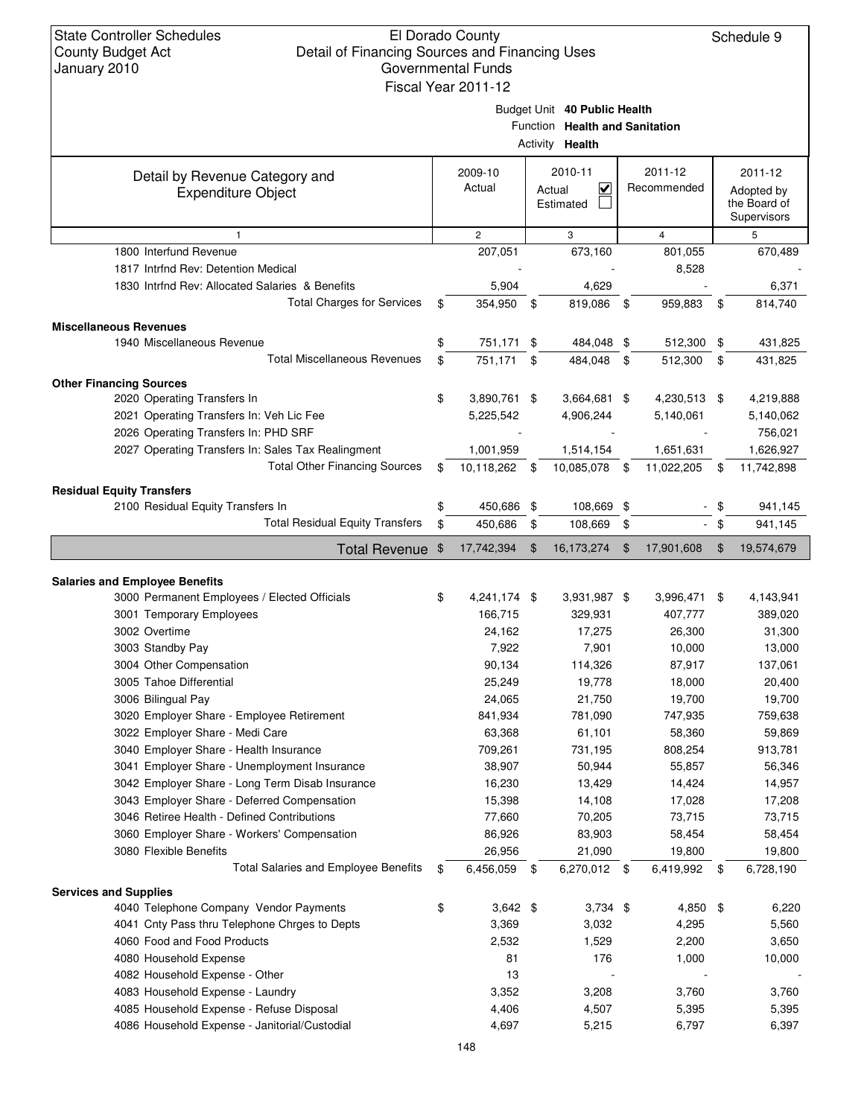| January 2010                                       | Governmental Funds  |                |                                   |      |              |        |              |
|----------------------------------------------------|---------------------|----------------|-----------------------------------|------|--------------|--------|--------------|
|                                                    | Fiscal Year 2011-12 |                |                                   |      |              |        |              |
|                                                    |                     |                | Budget Unit 40 Public Health      |      |              |        |              |
|                                                    |                     |                | Function Health and Sanitation    |      |              |        |              |
|                                                    |                     |                | Activity Health                   |      |              |        |              |
| Detail by Revenue Category and                     | 2009-10             |                | 2010-11                           |      | 2011-12      |        | 2011-12      |
| <b>Expenditure Object</b>                          | Actual              |                | $\overline{\mathbf{v}}$<br>Actual |      | Recommended  |        | Adopted by   |
|                                                    |                     |                | Estimated                         |      |              |        | the Board of |
|                                                    |                     |                |                                   |      |              |        | Supervisors  |
| $\mathbf{1}$                                       | $\mathbf{2}$        |                | 3                                 |      | 4            |        | 5            |
| 1800 Interfund Revenue                             | 207,051             |                | 673,160                           |      | 801,055      |        | 670,489      |
| 1817 Intrfnd Rev: Detention Medical                |                     |                |                                   |      | 8,528        |        |              |
| 1830 Intrind Rev: Allocated Salaries & Benefits    | 5,904               |                | 4,629                             |      |              |        | 6,371        |
| <b>Total Charges for Services</b>                  | \$<br>354,950 \$    |                | 819,086                           | - \$ | 959,883      | \$     | 814,740      |
| <b>Miscellaneous Revenues</b>                      |                     |                |                                   |      |              |        |              |
| 1940 Miscellaneous Revenue                         | \$<br>751,171 \$    |                | 484,048 \$                        |      | 512,300 \$   |        | 431,825      |
| <b>Total Miscellaneous Revenues</b>                | \$<br>751,171 \$    |                | 484,048                           | \$   | 512,300      | \$     | 431,825      |
| <b>Other Financing Sources</b>                     |                     |                |                                   |      |              |        |              |
| 2020 Operating Transfers In                        | \$<br>3,890,761 \$  |                | 3,664,681 \$                      |      | 4,230,513 \$ |        | 4,219,888    |
| 2021 Operating Transfers In: Veh Lic Fee           | 5,225,542           |                | 4,906,244                         |      | 5,140,061    |        | 5,140,062    |
| 2026 Operating Transfers In: PHD SRF               |                     |                |                                   |      |              |        | 756,021      |
| 2027 Operating Transfers In: Sales Tax Realingment | 1,001,959           |                | 1,514,154                         |      | 1,651,631    |        | 1,626,927    |
| <b>Total Other Financing Sources</b>               | \$<br>10,118,262 \$ |                | 10,085,078 \$                     |      | 11,022,205   | \$     | 11,742,898   |
|                                                    |                     |                |                                   |      |              |        |              |
| <b>Residual Equity Transfers</b>                   |                     |                |                                   |      |              |        |              |
| 2100 Residual Equity Transfers In                  | \$<br>450,686 \$    |                | 108,669 \$                        |      |              | \$     | 941,145      |
| <b>Total Residual Equity Transfers</b>             | \$<br>450,686       | - \$           | 108,669                           | \$   |              | $-$ \$ | 941,145      |
| Total Revenue \$                                   | 17,742,394          | $\mathfrak{F}$ | 16,173,274 \$                     |      | 17,901,608   | \$     | 19,574,679   |
|                                                    |                     |                |                                   |      |              |        |              |
| <b>Salaries and Employee Benefits</b>              |                     |                |                                   |      |              |        |              |
| 3000 Permanent Employees / Elected Officials       | \$<br>4,241,174 \$  |                | 3,931,987 \$                      |      | 3,996,471 \$ |        | 4,143,941    |
| 3001 Temporary Employees                           | 166,715             |                | 329,931                           |      | 407,777      |        | 389,020      |
| 3002 Overtime                                      | 24,162              |                | 17,275                            |      | 26,300       |        | 31,300       |
| 3003 Standby Pay                                   | 7,922               |                | 7,901                             |      | 10,000       |        | 13,000       |
| 3004 Other Compensation                            | 90,134              |                | 114,326                           |      | 87,917       |        | 137,061      |
| 3005 Tahoe Differential                            | 25,249              |                | 19,778                            |      | 18,000       |        | 20,400       |
| 3006 Bilingual Pay                                 | 24,065              |                | 21,750                            |      | 19,700       |        | 19,700       |
| 3020 Employer Share - Employee Retirement          | 841,934             |                | 781,090                           |      | 747,935      |        | 759,638      |
| 3022 Employer Share - Medi Care                    | 63,368              |                | 61,101                            |      | 58,360       |        | 59,869       |
| 3040 Employer Share - Health Insurance             | 709,261             |                | 731,195                           |      | 808,254      |        | 913,781      |
| 3041 Employer Share - Unemployment Insurance       | 38,907              |                | 50,944                            |      | 55,857       |        | 56,346       |
| 3042 Employer Share - Long Term Disab Insurance    | 16,230              |                | 13,429                            |      | 14,424       |        | 14,957       |
| 3043 Employer Share - Deferred Compensation        | 15,398              |                | 14,108                            |      | 17,028       |        | 17,208       |
| 3046 Retiree Health - Defined Contributions        | 77,660              |                | 70,205                            |      | 73,715       |        | 73,715       |
| 3060 Employer Share - Workers' Compensation        | 86,926              |                | 83,903                            |      | 58,454       |        | 58,454       |
| 3080 Flexible Benefits                             | 26,956              |                | 21,090                            |      | 19,800       |        | 19,800       |
| <b>Total Salaries and Employee Benefits</b>        | \$<br>6,456,059     | - \$           | 6,270,012 \$                      |      | 6,419,992    | - \$   | 6,728,190    |
| <b>Services and Supplies</b>                       |                     |                |                                   |      |              |        |              |
| 4040 Telephone Company Vendor Payments             | \$<br>$3,642$ \$    |                | $3,734$ \$                        |      | $4,850$ \$   |        | 6,220        |
| 4041 Cnty Pass thru Telephone Chrges to Depts      | 3,369               |                | 3,032                             |      | 4,295        |        | 5,560        |
| 4060 Food and Food Products                        | 2,532               |                | 1,529                             |      | 2,200        |        | 3,650        |
| 4080 Household Expense                             | 81                  |                | 176                               |      | 1,000        |        | 10,000       |
| 4082 Household Expense - Other                     | 13                  |                |                                   |      |              |        |              |
| 4083 Household Expense - Laundry                   | 3,352               |                | 3,208                             |      | 3,760        |        | 3,760        |
| 4085 Household Expense - Refuse Disposal           | 4,406               |                | 4,507                             |      | 5,395        |        | 5,395        |
| 4086 Household Expense - Janitorial/Custodial      | 4,697               |                | 5,215                             |      | 6,797        |        | 6,397        |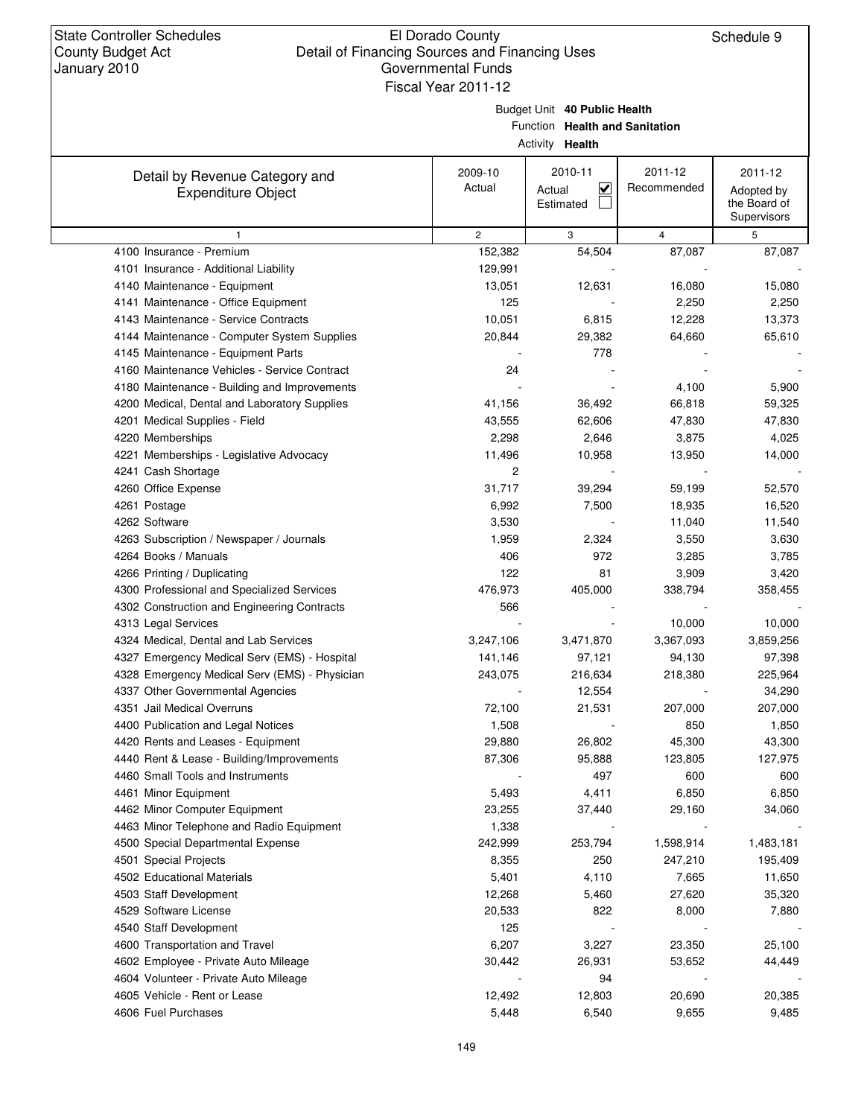Budget Unit **40 Public Health**

Function **Health and Sanitation**

|                                                             |                   | Activity Health                                           |                        |                                                      |
|-------------------------------------------------------------|-------------------|-----------------------------------------------------------|------------------------|------------------------------------------------------|
| Detail by Revenue Category and<br><b>Expenditure Object</b> | 2009-10<br>Actual | 2010-11<br>$\overline{\mathbf{v}}$<br>Actual<br>Estimated | 2011-12<br>Recommended | 2011-12<br>Adopted by<br>the Board of<br>Supervisors |
| 1                                                           | $\overline{c}$    | 3                                                         | 4                      | 5                                                    |
| 4100 Insurance - Premium                                    | 152,382           | 54,504                                                    | 87,087                 | 87,087                                               |
| 4101 Insurance - Additional Liability                       | 129,991           |                                                           |                        |                                                      |
| 4140 Maintenance - Equipment                                | 13,051            | 12,631                                                    | 16,080                 | 15,080                                               |
| 4141 Maintenance - Office Equipment                         | 125               |                                                           | 2,250                  | 2,250                                                |
| 4143 Maintenance - Service Contracts                        | 10,051            | 6,815                                                     | 12,228                 | 13,373                                               |
| 4144 Maintenance - Computer System Supplies                 | 20,844            | 29,382                                                    | 64,660                 | 65,610                                               |
| 4145 Maintenance - Equipment Parts                          |                   | 778                                                       |                        |                                                      |
| 4160 Maintenance Vehicles - Service Contract                | 24                |                                                           |                        |                                                      |
| 4180 Maintenance - Building and Improvements                |                   |                                                           | 4,100                  | 5,900                                                |
| 4200 Medical, Dental and Laboratory Supplies                | 41,156            | 36,492                                                    | 66,818                 | 59,325                                               |
| 4201 Medical Supplies - Field                               | 43,555            | 62,606                                                    | 47,830                 | 47,830                                               |
| 4220 Memberships                                            | 2,298             | 2,646                                                     | 3,875                  | 4,025                                                |
| 4221 Memberships - Legislative Advocacy                     | 11,496            | 10,958                                                    | 13,950                 | 14,000                                               |
| 4241 Cash Shortage                                          | 2                 |                                                           |                        |                                                      |
| 4260 Office Expense                                         | 31,717            | 39,294                                                    | 59,199                 | 52,570                                               |
| 4261 Postage                                                | 6,992             | 7,500                                                     | 18,935                 | 16,520                                               |
| 4262 Software                                               | 3,530             |                                                           | 11,040                 | 11,540                                               |
| 4263 Subscription / Newspaper / Journals                    | 1,959             | 2,324                                                     | 3,550                  | 3,630                                                |
| 4264 Books / Manuals                                        | 406               | 972                                                       | 3,285                  | 3,785                                                |
| 4266 Printing / Duplicating                                 | 122               | 81                                                        | 3,909                  | 3,420                                                |
| 4300 Professional and Specialized Services                  | 476,973           | 405,000                                                   | 338,794                | 358,455                                              |
| 4302 Construction and Engineering Contracts                 | 566               |                                                           |                        |                                                      |
| 4313 Legal Services                                         |                   |                                                           | 10,000                 | 10,000                                               |
| 4324 Medical, Dental and Lab Services                       | 3,247,106         | 3,471,870                                                 | 3,367,093              | 3,859,256                                            |
| 4327 Emergency Medical Serv (EMS) - Hospital                | 141,146           | 97,121                                                    | 94,130                 | 97,398                                               |
| 4328 Emergency Medical Serv (EMS) - Physician               | 243,075           | 216,634                                                   | 218,380                | 225,964                                              |
| 4337 Other Governmental Agencies                            |                   | 12,554                                                    |                        | 34,290                                               |
| 4351 Jail Medical Overruns                                  | 72,100            | 21,531                                                    | 207,000                | 207,000                                              |
| 4400 Publication and Legal Notices                          | 1,508             |                                                           | 850                    | 1,850                                                |
| 4420 Rents and Leases - Equipment                           | 29,880            | 26,802                                                    | 45,300                 | 43,300                                               |
| 4440 Rent & Lease - Building/Improvements                   | 87,306            | 95,888                                                    | 123,805                | 127,975                                              |
| 4460 Small Tools and Instruments                            |                   | 497                                                       | 600                    | 600                                                  |
| 4461 Minor Equipment                                        | 5,493             | 4,411                                                     | 6,850                  | 6,850                                                |
| 4462 Minor Computer Equipment                               | 23,255            | 37,440                                                    | 29,160                 | 34,060                                               |
| 4463 Minor Telephone and Radio Equipment                    | 1,338             |                                                           |                        |                                                      |
| 4500 Special Departmental Expense                           | 242,999           | 253,794                                                   | 1,598,914              | 1,483,181                                            |
| 4501 Special Projects                                       | 8,355             | 250                                                       | 247,210                | 195,409                                              |
| 4502 Educational Materials                                  | 5,401             | 4,110                                                     | 7,665                  | 11,650                                               |
| 4503 Staff Development                                      | 12,268            | 5,460                                                     | 27,620                 | 35,320                                               |
| 4529 Software License                                       | 20,533            | 822                                                       | 8,000                  | 7,880                                                |
| 4540 Staff Development                                      | 125               |                                                           |                        |                                                      |
| 4600 Transportation and Travel                              | 6,207             | 3,227                                                     | 23,350                 | 25,100                                               |
| 4602 Employee - Private Auto Mileage                        | 30,442            | 26,931                                                    | 53,652                 | 44,449                                               |
| 4604 Volunteer - Private Auto Mileage                       |                   | 94                                                        |                        |                                                      |
| 4605 Vehicle - Rent or Lease                                | 12,492            | 12,803                                                    | 20,690                 | 20,385                                               |
| 4606 Fuel Purchases                                         | 5,448             | 6,540                                                     | 9,655                  | 9,485                                                |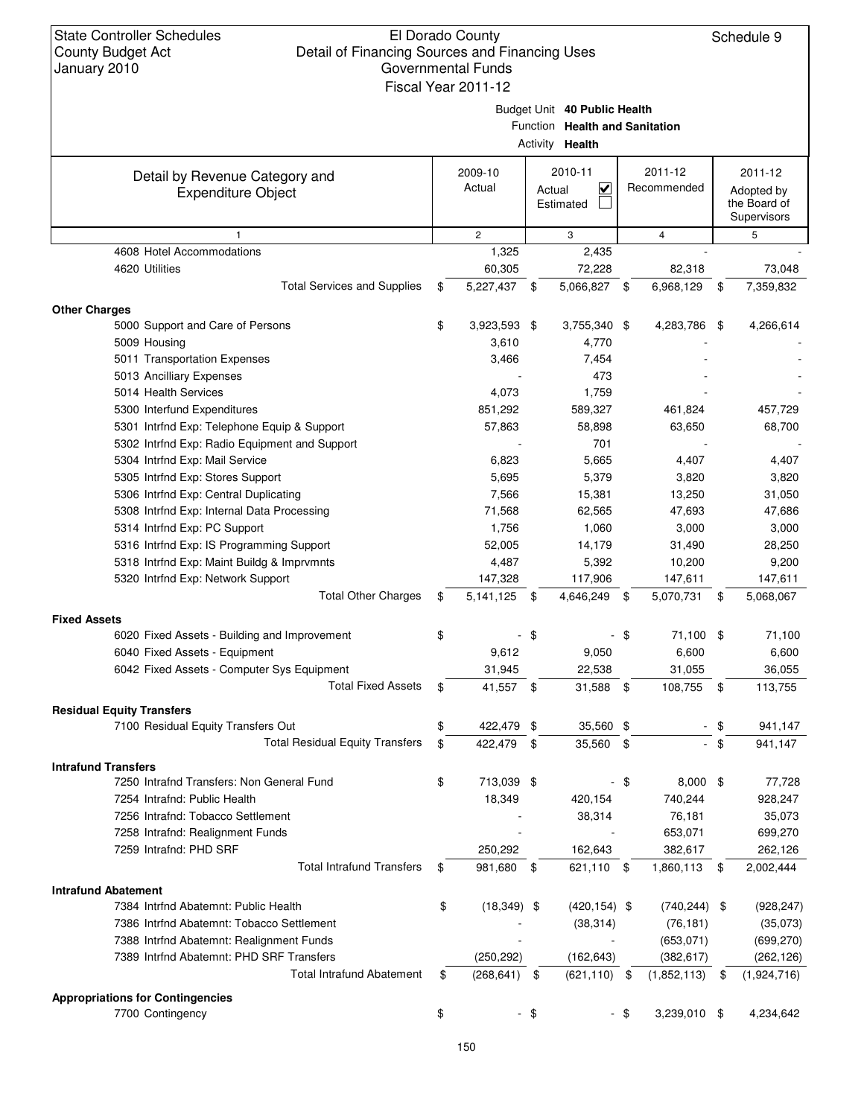### El Dorado County Detail of Financing Sources and Financing Uses Governmental Funds

| January ZUTU                                               | QUVCHILICHIAL LUHUS<br>Fiscal Year 2011-12 |        |                                                                                   |               |                 |        |                             |
|------------------------------------------------------------|--------------------------------------------|--------|-----------------------------------------------------------------------------------|---------------|-----------------|--------|-----------------------------|
|                                                            |                                            |        | Budget Unit 40 Public Health<br>Function Health and Sanitation<br>Activity Health |               |                 |        |                             |
| Detail by Revenue Category and                             | 2009-10                                    |        | 2010-11                                                                           |               | 2011-12         |        | 2011-12                     |
| <b>Expenditure Object</b>                                  | Actual                                     |        | $\overline{\mathsf{v}}$<br>Actual                                                 |               | Recommended     |        | Adopted by                  |
|                                                            |                                            |        | Estimated                                                                         |               |                 |        | the Board of<br>Supervisors |
| 1                                                          | $\overline{2}$                             |        | 3                                                                                 |               | 4               |        | 5                           |
| 4608 Hotel Accommodations                                  | 1,325                                      |        | 2,435                                                                             |               |                 |        |                             |
| 4620 Utilities                                             | 60,305                                     |        | 72,228                                                                            |               | 82,318          |        | 73,048                      |
| <b>Total Services and Supplies</b>                         | \$<br>5,227,437 \$                         |        | 5,066,827                                                                         | - \$          | 6,968,129       | \$     | 7,359,832                   |
| <b>Other Charges</b>                                       |                                            |        |                                                                                   |               |                 |        |                             |
| 5000 Support and Care of Persons                           | \$<br>3,923,593 \$                         |        | 3,755,340 \$                                                                      |               | 4,283,786 \$    |        | 4,266,614                   |
| 5009 Housing                                               | 3,610                                      |        | 4,770                                                                             |               |                 |        |                             |
| 5011 Transportation Expenses                               | 3,466                                      |        | 7,454                                                                             |               |                 |        |                             |
| 5013 Ancilliary Expenses                                   |                                            |        | 473                                                                               |               |                 |        |                             |
| 5014 Health Services                                       | 4,073                                      |        | 1,759                                                                             |               |                 |        |                             |
| 5300 Interfund Expenditures                                | 851,292                                    |        | 589,327                                                                           |               | 461,824         |        | 457,729                     |
| 5301 Intrfnd Exp: Telephone Equip & Support                | 57,863                                     |        | 58,898                                                                            |               | 63,650          |        | 68,700                      |
| 5302 Intrfnd Exp: Radio Equipment and Support              |                                            |        | 701                                                                               |               |                 |        |                             |
| 5304 Intrfnd Exp: Mail Service                             | 6,823                                      |        | 5,665                                                                             |               | 4,407           |        | 4,407                       |
| 5305 Intrfnd Exp: Stores Support                           | 5,695                                      |        | 5,379                                                                             |               | 3,820           |        | 3,820                       |
| 5306 Intrfnd Exp: Central Duplicating                      | 7,566                                      |        | 15,381                                                                            |               | 13,250          |        | 31,050                      |
| 5308 Intrfnd Exp: Internal Data Processing                 | 71,568                                     |        | 62,565                                                                            |               | 47,693          |        | 47,686                      |
| 5314 Intrfnd Exp: PC Support                               | 1,756                                      |        | 1,060                                                                             |               | 3,000           |        | 3,000                       |
| 5316 Intrfnd Exp: IS Programming Support                   | 52,005                                     |        | 14,179                                                                            |               | 31,490          |        | 28,250                      |
| 5318 Intrfnd Exp: Maint Buildg & Imprvmnts                 | 4,487                                      |        | 5,392                                                                             |               | 10,200          |        | 9,200                       |
| 5320 Intrfnd Exp: Network Support                          | 147,328                                    |        | 117,906                                                                           |               | 147,611         |        | 147,611                     |
| <b>Total Other Charges</b>                                 | \$<br>5, 141, 125 \$                       |        | 4,646,249                                                                         | \$            | 5,070,731       | \$     | 5,068,067                   |
| <b>Fixed Assets</b>                                        |                                            |        |                                                                                   |               |                 |        |                             |
| 6020 Fixed Assets - Building and Improvement               | \$                                         | -\$    |                                                                                   | \$            | 71,100 \$       |        | 71,100                      |
| 6040 Fixed Assets - Equipment                              | 9,612                                      |        | 9,050                                                                             |               | 6,600           |        | 6,600                       |
| 6042 Fixed Assets - Computer Sys Equipment                 | 31,945                                     |        | 22,538                                                                            |               | 31,055          |        | 36,055                      |
| <b>Total Fixed Assets</b>                                  | \$<br>41,557 \$                            |        | 31,588                                                                            | - \$          | 108,755 \$      |        | 113,755                     |
| <b>Residual Equity Transfers</b>                           |                                            |        |                                                                                   |               |                 |        |                             |
| 7100 Residual Equity Transfers Out                         | \$<br>422,479 \$                           |        | 35,560 \$                                                                         |               |                 | \$     | 941,147                     |
| <b>Total Residual Equity Transfers</b>                     | \$<br>422,479 \$                           |        | 35,560                                                                            | $\frac{1}{2}$ |                 | $-$ \$ | 941,147                     |
| <b>Intrafund Transfers</b>                                 |                                            |        |                                                                                   |               |                 |        |                             |
| 7250 Intrafnd Transfers: Non General Fund                  | \$<br>713,039 \$                           |        |                                                                                   | - \$          | 8,000           | \$     | 77,728                      |
| 7254 Intrafnd: Public Health                               | 18,349                                     |        | 420,154                                                                           |               | 740,244         |        | 928,247                     |
| 7256 Intrafnd: Tobacco Settlement                          |                                            |        | 38,314                                                                            |               | 76,181          |        | 35,073                      |
| 7258 Intrafnd: Realignment Funds                           |                                            |        |                                                                                   |               | 653,071         |        | 699,270                     |
| 7259 Intrafnd: PHD SRF<br><b>Total Intrafund Transfers</b> | 250,292                                    |        | 162,643                                                                           |               | 382,617         |        | 262,126                     |
|                                                            | \$<br>981,680 \$                           |        | 621,110 \$                                                                        |               | 1,860,113       | - \$   | 2,002,444                   |
| <b>Intrafund Abatement</b>                                 |                                            |        |                                                                                   |               |                 |        |                             |
| 7384 Intrfnd Abatemnt: Public Health                       | \$<br>$(18,349)$ \$                        |        | $(420, 154)$ \$                                                                   |               | $(740, 244)$ \$ |        | (928, 247)                  |
| 7386 Intrfnd Abatemnt: Tobacco Settlement                  |                                            |        | (38, 314)                                                                         |               | (76, 181)       |        | (35,073)                    |
| 7388 Intrfnd Abatemnt: Realignment Funds                   |                                            |        |                                                                                   |               | (653, 071)      |        | (699, 270)                  |
| 7389 Intrind Abatemnt: PHD SRF Transfers                   | (250, 292)                                 |        | (162, 643)                                                                        |               | (382, 617)      |        | (262, 126)                  |
| <b>Total Intrafund Abatement</b>                           | \$<br>(268, 641)                           | \$     | $(621, 110)$ \$                                                                   |               | (1,852,113)     | \$     | (1,924,716)                 |
| <b>Appropriations for Contingencies</b>                    |                                            |        |                                                                                   |               |                 |        |                             |
| 7700 Contingency                                           | \$                                         | $-$ \$ |                                                                                   | - \$          | 3,239,010 \$    |        | 4,234,642                   |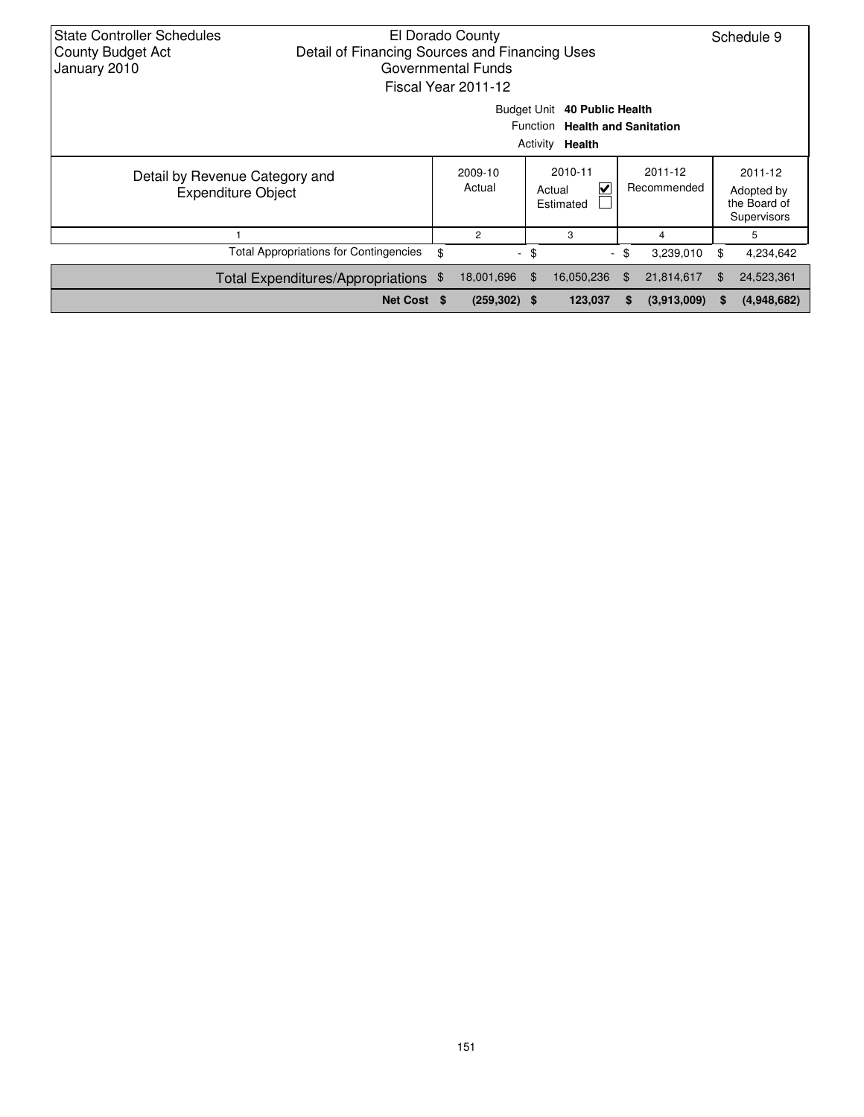| <b>State Controller Schedules</b><br>El Dorado County<br>Detail of Financing Sources and Financing Uses<br><b>County Budget Act</b><br>January 2010<br>Governmental Funds<br>Fiscal Year 2011-12 |                                               |    |                          |    |                                     |                        |             |    | Schedule 9                                           |  |
|--------------------------------------------------------------------------------------------------------------------------------------------------------------------------------------------------|-----------------------------------------------|----|--------------------------|----|-------------------------------------|------------------------|-------------|----|------------------------------------------------------|--|
| Budget Unit 40 Public Health<br>Function Health and Sanitation<br>Activity <b>Health</b>                                                                                                         |                                               |    |                          |    |                                     |                        |             |    |                                                      |  |
| Detail by Revenue Category and<br><b>Expenditure Object</b>                                                                                                                                      |                                               |    | 2009-10<br>Actual        |    | 2010-11<br>V<br>Actual<br>Estimated | 2011-12<br>Recommended |             |    | 2011-12<br>Adopted by<br>the Board of<br>Supervisors |  |
|                                                                                                                                                                                                  |                                               |    | $\overline{2}$           |    | 3                                   |                        | 4           |    | 5                                                    |  |
|                                                                                                                                                                                                  | <b>Total Appropriations for Contingencies</b> | \$ | $\overline{\phantom{a}}$ | \$ | $\overline{\phantom{a}}$            | \$                     | 3,239,010   | \$ | 4,234,642                                            |  |
|                                                                                                                                                                                                  | Total Expenditures/Appropriations \$          |    | 18,001,696               | \$ | 16,050,236                          | \$                     | 21,814,617  | \$ | 24,523,361                                           |  |
|                                                                                                                                                                                                  | Net Cost \$                                   |    | $(259, 302)$ \$          |    | 123,037                             | S.                     | (3,913,009) | S  | (4,948,682)                                          |  |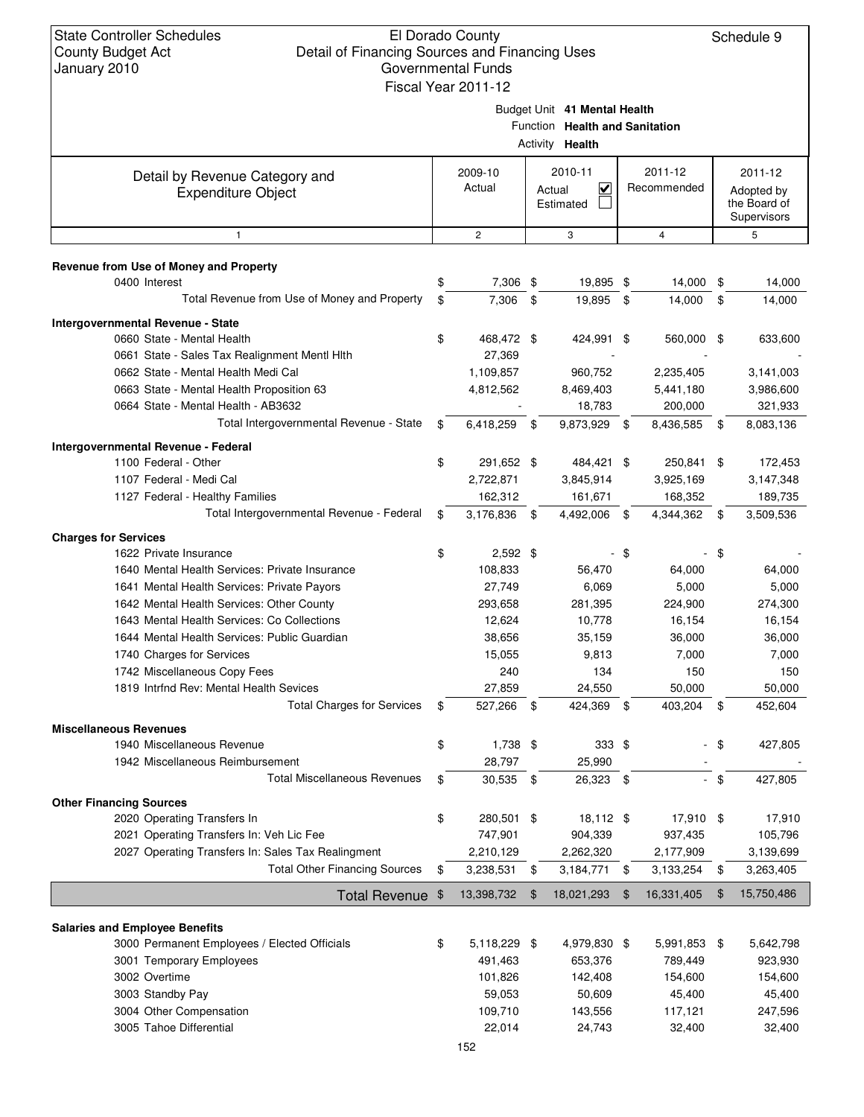|                                                    | Fiscal Year 2011-12 |                                   |                |                |        |              |
|----------------------------------------------------|---------------------|-----------------------------------|----------------|----------------|--------|--------------|
|                                                    |                     | Budget Unit 41 Mental Health      |                |                |        |              |
|                                                    |                     | Function Health and Sanitation    |                |                |        |              |
|                                                    |                     | Activity Health                   |                |                |        |              |
|                                                    | 2009-10             | 2010-11                           |                | 2011-12        |        | 2011-12      |
| Detail by Revenue Category and                     | Actual              | $\overline{\checkmark}$<br>Actual |                | Recommended    |        | Adopted by   |
| <b>Expenditure Object</b>                          |                     | Estimated                         |                |                |        | the Board of |
|                                                    |                     |                                   |                |                |        | Supervisors  |
| $\mathbf{1}$                                       | $\overline{2}$      | 3                                 |                | $\overline{4}$ |        | 5            |
| Revenue from Use of Money and Property             |                     |                                   |                |                |        |              |
| 0400 Interest                                      | \$<br>7,306 \$      | 19,895 \$                         |                | 14,000 \$      |        | 14,000       |
| Total Revenue from Use of Money and Property       | \$<br>7,306         | \$<br>19,895                      | - \$           | 14,000         | \$     | 14,000       |
| Intergovernmental Revenue - State                  |                     |                                   |                |                |        |              |
| 0660 State - Mental Health                         | \$<br>468,472 \$    | 424,991 \$                        |                | 560,000 \$     |        | 633,600      |
| 0661 State - Sales Tax Realignment Mentl Hlth      | 27.369              |                                   |                |                |        |              |
| 0662 State - Mental Health Medi Cal                | 1,109,857           | 960,752                           |                | 2,235,405      |        | 3,141,003    |
| 0663 State - Mental Health Proposition 63          | 4,812,562           | 8,469,403                         |                | 5,441,180      |        | 3,986,600    |
| 0664 State - Mental Health - AB3632                |                     | 18,783                            |                | 200,000        |        | 321,933      |
| Total Intergovernmental Revenue - State            | \$<br>6,418,259     | \$<br>9,873,929                   | \$             | 8,436,585      | - \$   | 8,083,136    |
| Intergovernmental Revenue - Federal                |                     |                                   |                |                |        |              |
| 1100 Federal - Other                               | \$<br>291,652 \$    | 484,421 \$                        |                | 250,841 \$     |        | 172,453      |
| 1107 Federal - Medi Cal                            | 2,722,871           | 3,845,914                         |                | 3,925,169      |        | 3,147,348    |
| 1127 Federal - Healthy Families                    | 162,312             | 161,671                           |                | 168,352        |        | 189,735      |
| Total Intergovernmental Revenue - Federal          | \$<br>3,176,836     | \$<br>4,492,006                   | \$             | 4,344,362      | \$     | 3,509,536    |
| <b>Charges for Services</b>                        |                     |                                   |                |                |        |              |
| 1622 Private Insurance                             | \$<br>$2,592$ \$    |                                   | -\$            |                | \$     |              |
| 1640 Mental Health Services: Private Insurance     | 108,833             | 56,470                            |                | 64,000         |        | 64,000       |
| 1641 Mental Health Services: Private Payors        | 27,749              | 6,069                             |                | 5,000          |        | 5,000        |
| 1642 Mental Health Services: Other County          | 293,658             | 281,395                           |                | 224,900        |        | 274,300      |
| 1643 Mental Health Services: Co Collections        | 12,624              | 10,778                            |                | 16,154         |        | 16,154       |
| 1644 Mental Health Services: Public Guardian       | 38,656              | 35,159                            |                | 36,000         |        | 36,000       |
| 1740 Charges for Services                          | 15,055              | 9,813                             |                | 7,000          |        | 7,000        |
| 1742 Miscellaneous Copy Fees                       | 240                 | 134                               |                | 150            |        | 150          |
| 1819 Intrfnd Rev: Mental Health Sevices            | 27,859              | 24,550                            |                | 50,000         |        | 50,000       |
| <b>Total Charges for Services</b>                  | 527,266             | 424,369                           |                | 403,204        |        | 452,604      |
| <b>Miscellaneous Revenues</b>                      |                     |                                   |                |                |        |              |
| 1940 Miscellaneous Revenue                         | \$<br>$1,738$ \$    | $333$ \$                          |                |                | \$     | 427,805      |
| 1942 Miscellaneous Reimbursement                   | 28,797              | 25,990                            |                |                |        |              |
| <b>Total Miscellaneous Revenues</b>                | \$<br>30,535 \$     | 26,323 \$                         |                |                | $-$ \$ | 427,805      |
| <b>Other Financing Sources</b>                     |                     |                                   |                |                |        |              |
| 2020 Operating Transfers In                        | \$<br>280,501 \$    | 18,112 \$                         |                | 17,910 \$      |        | 17,910       |
| 2021 Operating Transfers In: Veh Lic Fee           | 747,901             | 904,339                           |                | 937,435        |        | 105,796      |
| 2027 Operating Transfers In: Sales Tax Realingment | 2,210,129           | 2,262,320                         |                | 2,177,909      |        | 3,139,699    |
| <b>Total Other Financing Sources</b>               | \$<br>3,238,531     | \$<br>3,184,771                   | \$             | 3,133,254      | \$     | 3,263,405    |
| <b>Total Revenue</b>                               | \$<br>13,398,732    | \$<br>18,021,293                  | $\mathfrak{F}$ | 16,331,405     | \$     | 15,750,486   |
| <b>Salaries and Employee Benefits</b>              |                     |                                   |                |                |        |              |
| 3000 Permanent Employees / Elected Officials       | \$<br>5,118,229 \$  | 4,979,830 \$                      |                | 5,991,853 \$   |        | 5,642,798    |
| 3001 Temporary Employees                           | 491,463             | 653,376                           |                | 789,449        |        | 923,930      |
| 3002 Overtime                                      | 101,826             | 142,408                           |                | 154,600        |        | 154,600      |
| 3003 Standby Pay                                   | 59,053              | 50,609                            |                | 45,400         |        | 45,400       |
| 3004 Other Compensation                            | 109,710             | 143,556                           |                | 117,121        |        | 247,596      |
| 3005 Tahoe Differential                            | 22,014              | 24,743                            |                | 32,400         |        | 32,400       |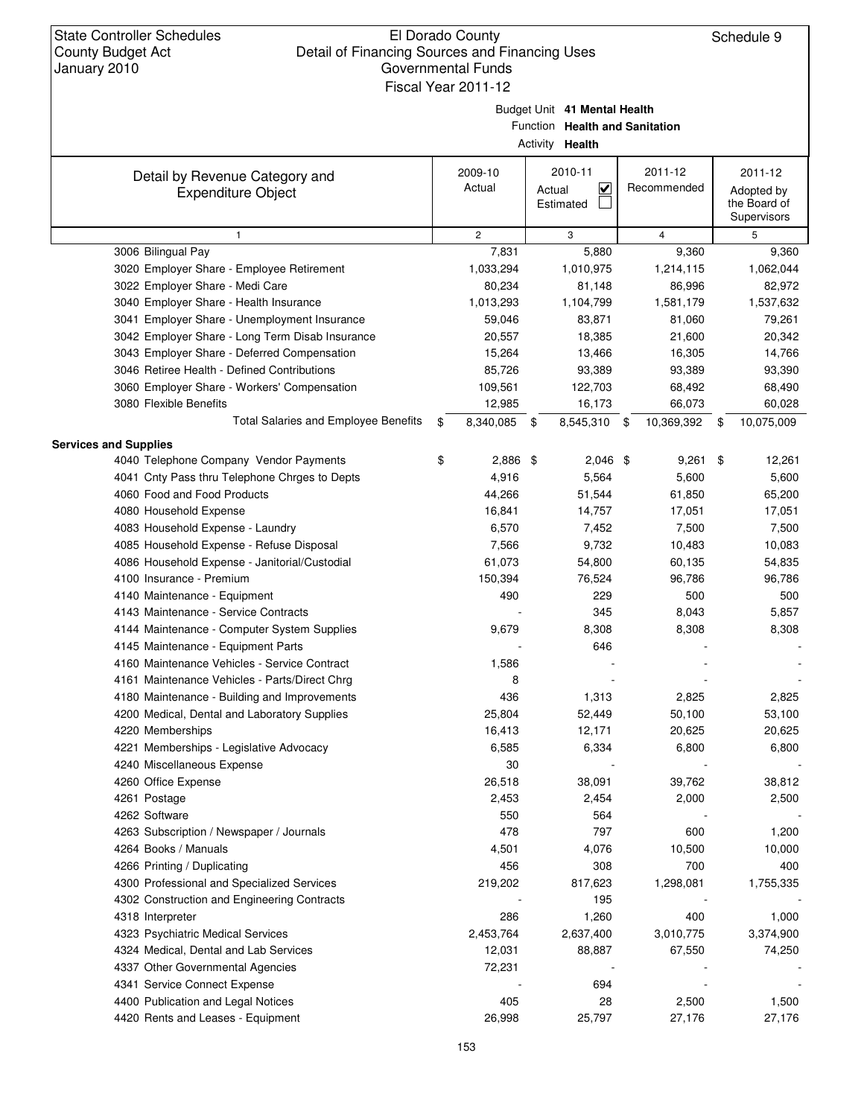Budget Unit **41 Mental Health**

Function **Health and Sanitation**

|                                                             |                    | Activity Health                                           |                        |                                                      |
|-------------------------------------------------------------|--------------------|-----------------------------------------------------------|------------------------|------------------------------------------------------|
| Detail by Revenue Category and<br><b>Expenditure Object</b> | 2009-10<br>Actual  | 2010-11<br>$\overline{\mathbf{v}}$<br>Actual<br>Estimated | 2011-12<br>Recommended | 2011-12<br>Adopted by<br>the Board of<br>Supervisors |
| $\mathbf{1}$                                                | $\overline{c}$     | 3                                                         | $\overline{4}$         | 5                                                    |
| 3006 Bilingual Pay                                          | 7,831              | 5,880                                                     | 9,360                  | 9,360                                                |
| 3020 Employer Share - Employee Retirement                   | 1,033,294          | 1,010,975                                                 | 1,214,115              | 1,062,044                                            |
| 3022 Employer Share - Medi Care                             | 80,234             | 81,148                                                    | 86,996                 | 82,972                                               |
| 3040 Employer Share - Health Insurance                      | 1,013,293          | 1,104,799                                                 | 1,581,179              | 1,537,632                                            |
| 3041 Employer Share - Unemployment Insurance                | 59,046             | 83,871                                                    | 81,060                 | 79,261                                               |
| 3042 Employer Share - Long Term Disab Insurance             | 20,557             | 18,385                                                    | 21,600                 | 20,342                                               |
| 3043 Employer Share - Deferred Compensation                 | 15,264             | 13,466                                                    | 16,305                 | 14,766                                               |
| 3046 Retiree Health - Defined Contributions                 | 85,726             | 93,389                                                    | 93,389                 | 93,390                                               |
| 3060 Employer Share - Workers' Compensation                 | 109,561            | 122,703                                                   | 68,492                 | 68,490                                               |
| 3080 Flexible Benefits                                      | 12,985             | 16,173                                                    | 66,073                 | 60,028                                               |
| Total Salaries and Employee Benefits                        | \$<br>8,340,085 \$ | 8,545,310 \$                                              | 10,369,392             | \$<br>10,075,009                                     |
| <b>Services and Supplies</b>                                |                    |                                                           |                        |                                                      |
| 4040 Telephone Company Vendor Payments                      | \$<br>2,886 \$     | $2,046$ \$                                                | $9,261$ \$             | 12,261                                               |
| 4041 Cnty Pass thru Telephone Chrges to Depts               | 4,916              | 5,564                                                     | 5,600                  | 5,600                                                |
| 4060 Food and Food Products                                 | 44,266             | 51,544                                                    | 61,850                 | 65,200                                               |
| 4080 Household Expense                                      | 16,841             | 14,757                                                    | 17,051                 | 17,051                                               |
| 4083 Household Expense - Laundry                            | 6,570              | 7,452                                                     | 7,500                  | 7,500                                                |
| 4085 Household Expense - Refuse Disposal                    | 7,566              | 9,732                                                     | 10,483                 | 10,083                                               |
| 4086 Household Expense - Janitorial/Custodial               | 61,073             | 54,800                                                    | 60,135                 | 54,835                                               |
| 4100 Insurance - Premium                                    | 150,394            | 76,524                                                    | 96,786                 | 96,786                                               |
| 4140 Maintenance - Equipment                                | 490                | 229                                                       | 500                    | 500                                                  |
| 4143 Maintenance - Service Contracts                        |                    | 345                                                       | 8,043                  | 5,857                                                |
| 4144 Maintenance - Computer System Supplies                 | 9,679              | 8,308                                                     | 8,308                  | 8,308                                                |
| 4145 Maintenance - Equipment Parts                          |                    | 646                                                       |                        |                                                      |
| 4160 Maintenance Vehicles - Service Contract                | 1,586              |                                                           |                        |                                                      |
| 4161 Maintenance Vehicles - Parts/Direct Chrg               | 8                  |                                                           |                        |                                                      |
| 4180 Maintenance - Building and Improvements                | 436                | 1,313                                                     | 2,825                  | 2,825                                                |
| 4200 Medical, Dental and Laboratory Supplies                | 25,804             | 52,449                                                    | 50,100                 | 53,100                                               |
| 4220 Memberships                                            | 16,413             | 12,171                                                    | 20,625                 | 20,625                                               |
| 4221 Memberships - Legislative Advocacy                     | 6,585              | 6,334                                                     | 6,800                  | 6,800                                                |
| 4240 Miscellaneous Expense                                  | 30                 |                                                           |                        |                                                      |
| 4260 Office Expense                                         | 26,518             | 38,091                                                    | 39,762                 | 38,812                                               |
| 4261 Postage                                                | 2,453              | 2,454                                                     | 2,000                  | 2,500                                                |
| 4262 Software                                               | 550                | 564                                                       |                        |                                                      |
| 4263 Subscription / Newspaper / Journals                    | 478                | 797                                                       | 600                    | 1,200                                                |
| 4264 Books / Manuals                                        | 4,501              | 4,076                                                     | 10,500                 | 10,000                                               |
| 4266 Printing / Duplicating                                 | 456                | 308                                                       | 700                    | 400                                                  |
| 4300 Professional and Specialized Services                  | 219,202            | 817,623                                                   | 1,298,081              | 1,755,335                                            |
| 4302 Construction and Engineering Contracts                 |                    | 195                                                       |                        |                                                      |
| 4318 Interpreter                                            | 286                | 1,260                                                     | 400                    | 1,000                                                |
| 4323 Psychiatric Medical Services                           | 2,453,764          | 2,637,400                                                 | 3,010,775              | 3,374,900                                            |
| 4324 Medical, Dental and Lab Services                       | 12,031             | 88,887                                                    | 67,550                 | 74,250                                               |
| 4337 Other Governmental Agencies                            | 72,231             |                                                           |                        |                                                      |
| 4341 Service Connect Expense                                |                    | 694                                                       |                        |                                                      |
| 4400 Publication and Legal Notices                          | 405                | 28                                                        | 2,500                  | 1,500                                                |
| 4420 Rents and Leases - Equipment                           | 26,998             | 25,797                                                    | 27,176                 | 27,176                                               |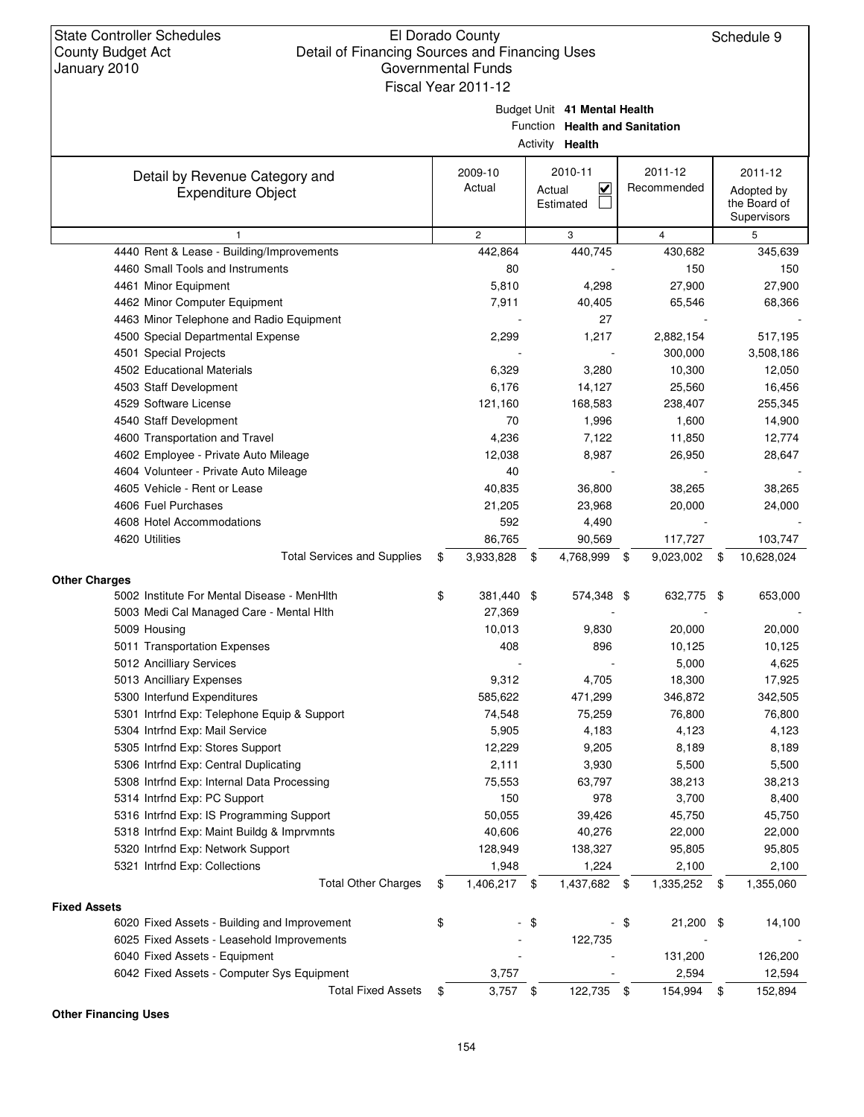Budget Unit **41 Mental Health**

Function **Health and Sanitation**

Activity **Health**

|                                              |                    | <b>ACTIVITY Health</b>            |                     |                  |
|----------------------------------------------|--------------------|-----------------------------------|---------------------|------------------|
| Detail by Revenue Category and               | 2009-10            | 2010-11                           | 2011-12             | 2011-12          |
| <b>Expenditure Object</b>                    | Actual             | $\overline{\mathbf{v}}$<br>Actual | Recommended         | Adopted by       |
|                                              |                    | Estimated                         |                     | the Board of     |
|                                              |                    |                                   |                     | Supervisors      |
| $\mathbf{1}$                                 | $\overline{c}$     | 3                                 | $\overline{4}$      | 5                |
| 4440 Rent & Lease - Building/Improvements    | 442,864            | 440,745                           | 430,682             | 345,639          |
| 4460 Small Tools and Instruments             | 80                 |                                   | 150                 | 150              |
| 4461 Minor Equipment                         | 5,810              | 4,298                             | 27,900              | 27,900           |
| 4462 Minor Computer Equipment                | 7,911              | 40,405                            | 65,546              | 68,366           |
| 4463 Minor Telephone and Radio Equipment     |                    | 27                                |                     |                  |
| 4500 Special Departmental Expense            | 2,299              | 1,217                             | 2,882,154           | 517,195          |
| 4501 Special Projects                        |                    |                                   | 300,000             | 3,508,186        |
| 4502 Educational Materials                   | 6,329              | 3,280                             | 10,300              | 12,050           |
| 4503 Staff Development                       | 6,176              | 14,127                            | 25,560              | 16,456           |
| 4529 Software License                        | 121,160            | 168,583                           | 238,407             | 255,345          |
| 4540 Staff Development                       | 70                 | 1,996                             | 1,600               | 14,900           |
| 4600 Transportation and Travel               | 4,236              | 7,122                             | 11,850              | 12,774           |
| 4602 Employee - Private Auto Mileage         | 12,038             | 8,987                             | 26,950              | 28,647           |
| 4604 Volunteer - Private Auto Mileage        | 40                 |                                   |                     |                  |
| 4605 Vehicle - Rent or Lease                 | 40,835             | 36,800                            | 38,265              | 38,265           |
| 4606 Fuel Purchases                          | 21,205             | 23,968                            | 20,000              | 24,000           |
| 4608 Hotel Accommodations                    | 592                | 4,490                             |                     |                  |
| 4620 Utilities                               | 86,765             | 90,569                            | 117,727             | 103,747          |
| <b>Total Services and Supplies</b>           | \$<br>3,933,828    | \$<br>4,768,999                   | \$<br>9,023,002     | \$<br>10,628,024 |
| <b>Other Charges</b>                         |                    |                                   |                     |                  |
| 5002 Institute For Mental Disease - MenHith  | \$<br>381,440 \$   | 574,348 \$                        | 632,775 \$          | 653,000          |
| 5003 Medi Cal Managed Care - Mental Hith     | 27,369             |                                   |                     |                  |
| 5009 Housing                                 | 10,013             | 9,830                             | 20,000              | 20,000           |
| 5011 Transportation Expenses                 | 408                | 896                               | 10,125              | 10,125           |
| 5012 Ancilliary Services                     |                    |                                   | 5,000               | 4,625            |
| 5013 Ancilliary Expenses                     | 9,312              | 4,705                             | 18,300              | 17,925           |
| 5300 Interfund Expenditures                  | 585,622            | 471,299                           | 346,872             | 342,505          |
| 5301 Intrfnd Exp: Telephone Equip & Support  | 74,548             | 75,259                            | 76,800              | 76,800           |
| 5304 Intrfnd Exp: Mail Service               | 5,905              | 4,183                             | 4,123               | 4,123            |
| 5305 Intrfnd Exp: Stores Support             | 12,229             | 9,205                             | 8,189               | 8,189            |
| 5306 Intrfnd Exp: Central Duplicating        | 2,111              | 3,930                             | 5,500               | 5,500            |
| 5308 Intrfnd Exp: Internal Data Processing   | 75,553             | 63,797                            | 38,213              | 38,213           |
| 5314 Intrfnd Exp: PC Support                 | 150                | 978                               | 3,700               | 8,400            |
| 5316 Intrfnd Exp: IS Programming Support     | 50,055             | 39,426                            | 45,750              | 45,750           |
| 5318 Intrfnd Exp: Maint Buildg & Imprvmnts   | 40,606             | 40,276                            | 22,000              | 22,000           |
| 5320 Intrfnd Exp: Network Support            | 128,949            | 138,327                           | 95,805              | 95,805           |
| 5321 Intrfnd Exp: Collections                | 1,948              | 1,224                             | 2,100               | 2,100            |
| <b>Total Other Charges</b>                   | \$<br>1,406,217 \$ | 1,437,682                         | 1,335,252<br>\$     | \$<br>1,355,060  |
|                                              |                    |                                   |                     |                  |
| <b>Fixed Assets</b>                          |                    |                                   |                     |                  |
| 6020 Fixed Assets - Building and Improvement | \$                 | $-$ \$                            | - \$<br>$21,200$ \$ | 14,100           |
| 6025 Fixed Assets - Leasehold Improvements   |                    | 122,735                           |                     |                  |
| 6040 Fixed Assets - Equipment                |                    |                                   | 131,200             | 126,200          |
| 6042 Fixed Assets - Computer Sys Equipment   | 3,757              |                                   | 2,594               | 12,594           |
| <b>Total Fixed Assets</b>                    | \$<br>$3,757$ \$   | 122,735 \$                        | 154,994             | \$<br>152,894    |

**Other Financing Uses**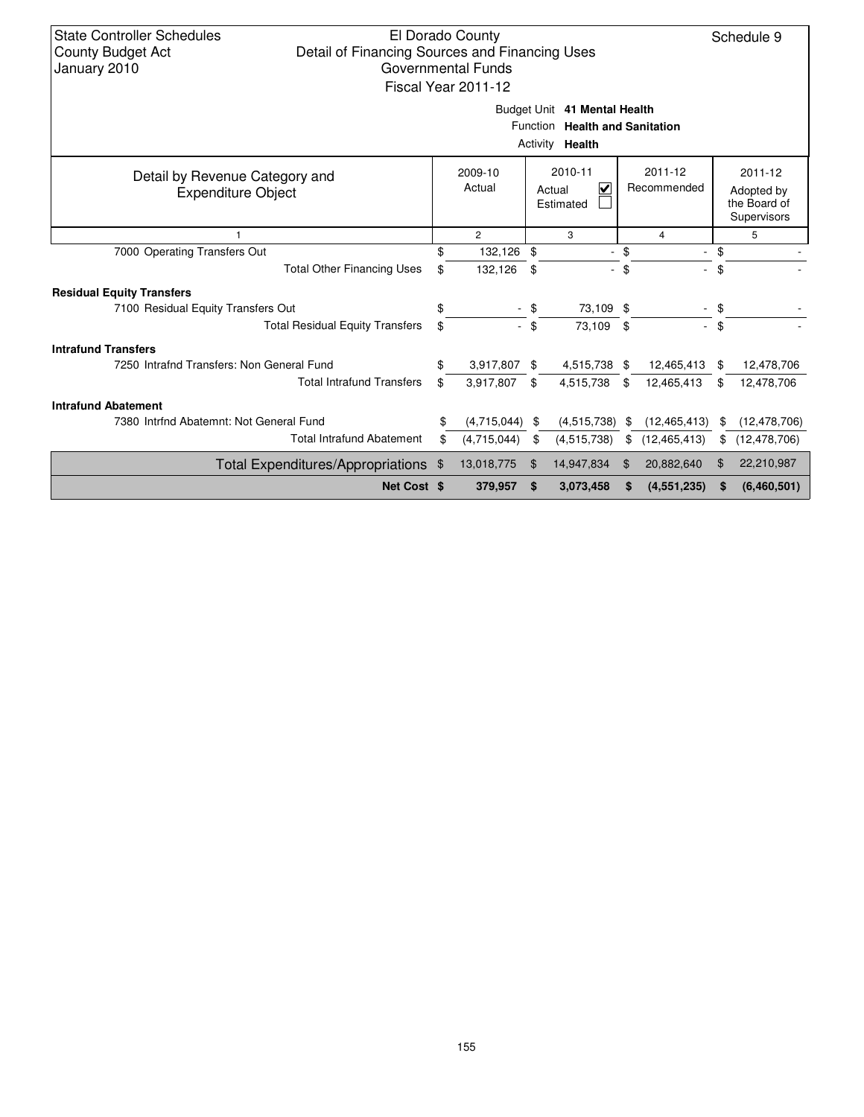| State Controller Schedules<br>El Dorado County<br>Schedule 9<br>Detail of Financing Sources and Financing Uses<br><b>County Budget Act</b><br><b>Governmental Funds</b><br>January 2010<br>Fiscal Year 2011-12 |                                                                                    |                |          |                          |                                                      |                          |     |                |  |  |  |
|----------------------------------------------------------------------------------------------------------------------------------------------------------------------------------------------------------------|------------------------------------------------------------------------------------|----------------|----------|--------------------------|------------------------------------------------------|--------------------------|-----|----------------|--|--|--|
| Budget Unit 41 Mental Health<br>Function Health and Sanitation<br>Activity <b>Health</b>                                                                                                                       |                                                                                    |                |          |                          |                                                      |                          |     |                |  |  |  |
| Detail by Revenue Category and<br><b>Expenditure Object</b>                                                                                                                                                    | 2010-11<br>2011-12<br>2009-10<br>Actual<br>V<br>Recommended<br>Actual<br>Estimated |                |          |                          | 2011-12<br>Adopted by<br>the Board of<br>Supervisors |                          |     |                |  |  |  |
| 1                                                                                                                                                                                                              |                                                                                    | $\overline{2}$ |          | 3                        |                                                      | 4                        |     | 5              |  |  |  |
| 7000 Operating Transfers Out                                                                                                                                                                                   | \$.                                                                                | 132,126        | \$       | $\overline{\phantom{a}}$ | \$                                                   | $\overline{\phantom{a}}$ | \$  |                |  |  |  |
| <b>Total Other Financing Uses</b>                                                                                                                                                                              | \$                                                                                 | 132,126        | \$       |                          | \$                                                   |                          | \$  |                |  |  |  |
| <b>Residual Equity Transfers</b>                                                                                                                                                                               |                                                                                    |                |          |                          |                                                      |                          |     |                |  |  |  |
| 7100 Residual Equity Transfers Out                                                                                                                                                                             | \$                                                                                 |                |          | 73,109                   |                                                      |                          | \$  |                |  |  |  |
| <b>Total Residual Equity Transfers</b>                                                                                                                                                                         | \$                                                                                 |                | - \$     | 73,109 \$                |                                                      | $\mathcal{L}^{\pm}$      | \$  |                |  |  |  |
| <b>Intrafund Transfers</b>                                                                                                                                                                                     |                                                                                    |                |          |                          |                                                      |                          |     |                |  |  |  |
| 7250 Intrafnd Transfers: Non General Fund                                                                                                                                                                      | \$                                                                                 | 3,917,807      | \$       | 4,515,738 \$             |                                                      | 12,465,413               |     | 12,478,706     |  |  |  |
| <b>Total Intrafund Transfers</b>                                                                                                                                                                               | \$                                                                                 | 3,917,807      | \$       | 4,515,738                | -\$                                                  | 12,465,413               | \$  | 12,478,706     |  |  |  |
| <b>Intrafund Abatement</b>                                                                                                                                                                                     |                                                                                    |                |          |                          |                                                      |                          |     |                |  |  |  |
| 7380 Intrind Abatemnt: Not General Fund                                                                                                                                                                        | \$                                                                                 | (4,715,044)    | - \$     | (4,515,738)              | S                                                    | (12, 465, 413)           | S   | (12, 478, 706) |  |  |  |
| <b>Total Intrafund Abatement</b>                                                                                                                                                                               | \$                                                                                 | (4,715,044)    | \$       | (4, 515, 738)            | \$                                                   | (12, 465, 413)           | \$. | (12, 478, 706) |  |  |  |
| <b>Total Expenditures/Appropriations</b>                                                                                                                                                                       | \$                                                                                 | 13,018,775     | \$       | 14,947,834               | \$.                                                  | 20,882,640               | £.  | 22,210,987     |  |  |  |
| Net Cost \$                                                                                                                                                                                                    |                                                                                    | 379,957        | <b>S</b> | 3,073,458                | S                                                    | (4,551,235)              | S   | (6,460,501)    |  |  |  |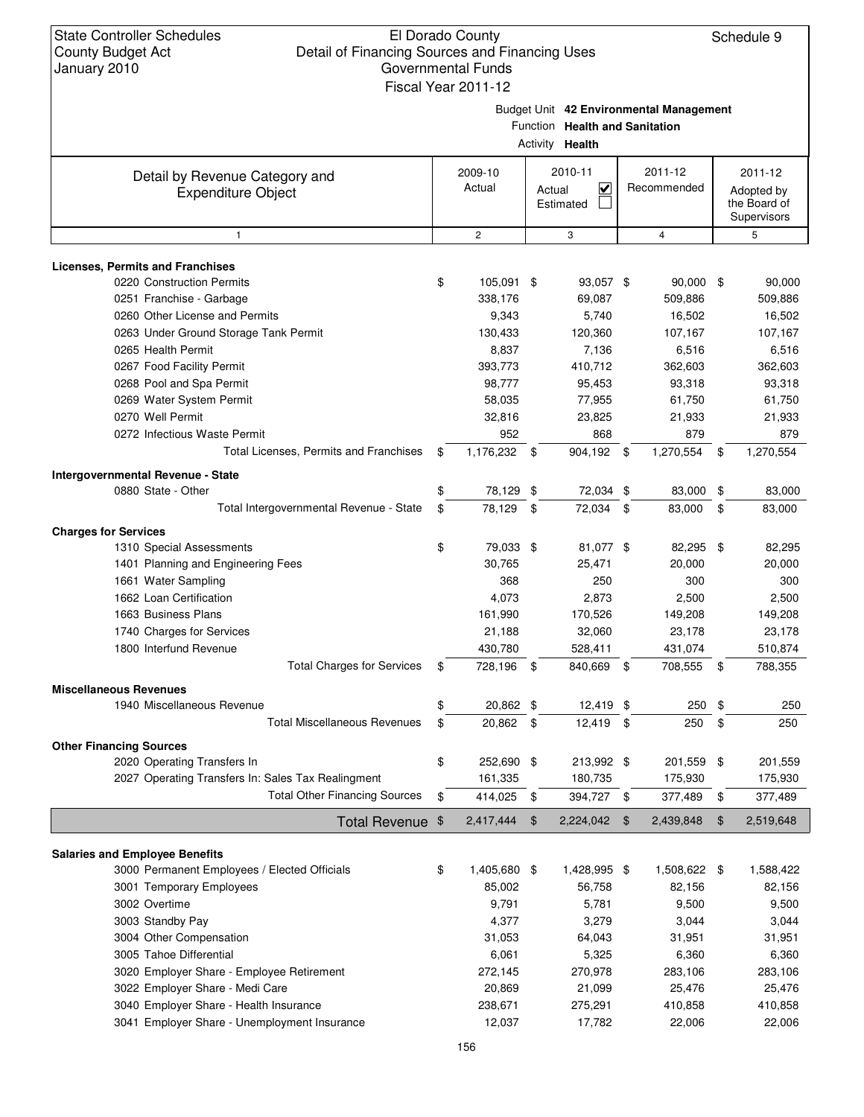Budget Unit **42 Environmental Management**

Function **Health and Sanitation**

|                                                             |               |                   | Activity <b>Health</b>                                    |                        |      |                                                      |
|-------------------------------------------------------------|---------------|-------------------|-----------------------------------------------------------|------------------------|------|------------------------------------------------------|
| Detail by Revenue Category and<br><b>Expenditure Object</b> |               | 2009-10<br>Actual | 2010-11<br>$\overline{\mathsf{v}}$<br>Actual<br>Estimated | 2011-12<br>Recommended |      | 2011-12<br>Adopted by<br>the Board of<br>Supervisors |
| 1                                                           |               | $\sqrt{2}$        | 3                                                         | $\overline{4}$         |      | 5                                                    |
| <b>Licenses, Permits and Franchises</b>                     |               |                   |                                                           |                        |      |                                                      |
| 0220 Construction Permits                                   | \$            | 105,091 \$        | 93,057 \$                                                 | 90,000 \$              |      | 90,000                                               |
| 0251 Franchise - Garbage                                    |               | 338,176           | 69,087                                                    | 509,886                |      | 509,886                                              |
| 0260 Other License and Permits                              |               | 9,343             | 5,740                                                     | 16,502                 |      | 16,502                                               |
| 0263 Under Ground Storage Tank Permit                       |               | 130,433           | 120,360                                                   | 107,167                |      | 107,167                                              |
| 0265 Health Permit                                          |               | 8,837             | 7,136                                                     | 6,516                  |      | 6,516                                                |
| 0267 Food Facility Permit                                   |               | 393,773           | 410,712                                                   | 362,603                |      | 362,603                                              |
| 0268 Pool and Spa Permit                                    |               | 98,777            | 95,453                                                    | 93,318                 |      | 93,318                                               |
| 0269 Water System Permit                                    |               | 58,035            | 77,955                                                    | 61,750                 |      | 61,750                                               |
| 0270 Well Permit                                            |               | 32,816            | 23,825                                                    | 21,933                 |      | 21,933                                               |
| 0272 Infectious Waste Permit                                |               | 952               | 868                                                       | 879                    |      | 879                                                  |
| Total Licenses, Permits and Franchises                      | \$            | 1,176,232 \$      | 904,192 \$                                                | 1,270,554              | \$   | 1,270,554                                            |
| Intergovernmental Revenue - State                           |               |                   |                                                           |                        |      |                                                      |
| 0880 State - Other                                          | \$            | 78,129 \$         | 72,034 \$                                                 | 83,000                 | - \$ | 83,000                                               |
| Total Intergovernmental Revenue - State                     | \$            | 78,129            | \$<br>72,034 \$                                           | 83,000                 | \$   | 83,000                                               |
|                                                             |               |                   |                                                           |                        |      |                                                      |
| <b>Charges for Services</b>                                 |               |                   |                                                           |                        |      |                                                      |
| 1310 Special Assessments                                    | \$            | 79,033 \$         | 81,077 \$                                                 | 82,295                 | \$   | 82,295                                               |
| 1401 Planning and Engineering Fees                          |               | 30,765            | 25,471<br>250                                             | 20,000                 |      | 20,000                                               |
| 1661 Water Sampling<br>1662 Loan Certification              |               | 368<br>4,073      | 2,873                                                     | 300<br>2,500           |      | 300<br>2,500                                         |
| 1663 Business Plans                                         |               | 161,990           |                                                           | 149,208                |      |                                                      |
| 1740 Charges for Services                                   |               | 21,188            | 170,526<br>32,060                                         | 23,178                 |      | 149,208<br>23,178                                    |
| 1800 Interfund Revenue                                      |               | 430,780           | 528,411                                                   | 431,074                |      | 510,874                                              |
| <b>Total Charges for Services</b>                           | \$            | 728,196 \$        | 840,669 \$                                                | 708,555                | -\$  | 788,355                                              |
|                                                             |               |                   |                                                           |                        |      |                                                      |
| <b>Miscellaneous Revenues</b>                               |               |                   |                                                           |                        |      |                                                      |
| 1940 Miscellaneous Revenue                                  | \$            | 20,862 \$         | $12,419$ \$                                               | $250$ \$               |      | 250                                                  |
| <b>Total Miscellaneous Revenues</b>                         | \$            | 20,862 \$         | 12,419                                                    | \$<br>250              | \$   | 250                                                  |
| <b>Other Financing Sources</b>                              |               |                   |                                                           |                        |      |                                                      |
| 2020 Operating Transfers In                                 | \$            | 252,690 \$        | 213,992 \$                                                | 201,559 \$             |      | 201,559                                              |
| 2027 Operating Transfers In: Sales Tax Realingment          |               | 161,335           | 180,735                                                   | 175,930                |      | 175,930                                              |
| <b>Total Other Financing Sources</b>                        | \$            | 414,025           | \$<br>394,727 \$                                          | 377,489                | \$   | 377,489                                              |
| <b>Total Revenue</b>                                        | $\frac{1}{2}$ | 2,417,444         | \$<br>2,224,042                                           | \$<br>2,439,848        | \$   | 2,519,648                                            |
|                                                             |               |                   |                                                           |                        |      |                                                      |
| <b>Salaries and Employee Benefits</b>                       |               |                   |                                                           |                        |      |                                                      |
| 3000 Permanent Employees / Elected Officials                | \$            | 1,405,680 \$      | 1,428,995 \$                                              | 1,508,622 \$           |      | 1,588,422                                            |
| 3001 Temporary Employees                                    |               | 85,002            | 56,758                                                    | 82,156                 |      | 82,156                                               |
| 3002 Overtime                                               |               | 9,791<br>4,377    | 5,781                                                     | 9,500                  |      | 9,500<br>3,044                                       |
| 3003 Standby Pay<br>3004 Other Compensation                 |               | 31,053            | 3,279<br>64,043                                           | 3,044<br>31,951        |      | 31,951                                               |
| 3005 Tahoe Differential                                     |               | 6,061             | 5,325                                                     | 6,360                  |      | 6,360                                                |
| 3020 Employer Share - Employee Retirement                   |               | 272,145           | 270,978                                                   | 283,106                |      | 283,106                                              |
| 3022 Employer Share - Medi Care                             |               | 20,869            | 21,099                                                    | 25,476                 |      | 25,476                                               |
| 3040 Employer Share - Health Insurance                      |               | 238,671           | 275,291                                                   | 410,858                |      | 410,858                                              |
| 3041 Employer Share - Unemployment Insurance                |               | 12,037            | 17,782                                                    | 22,006                 |      | 22,006                                               |
|                                                             |               |                   |                                                           |                        |      |                                                      |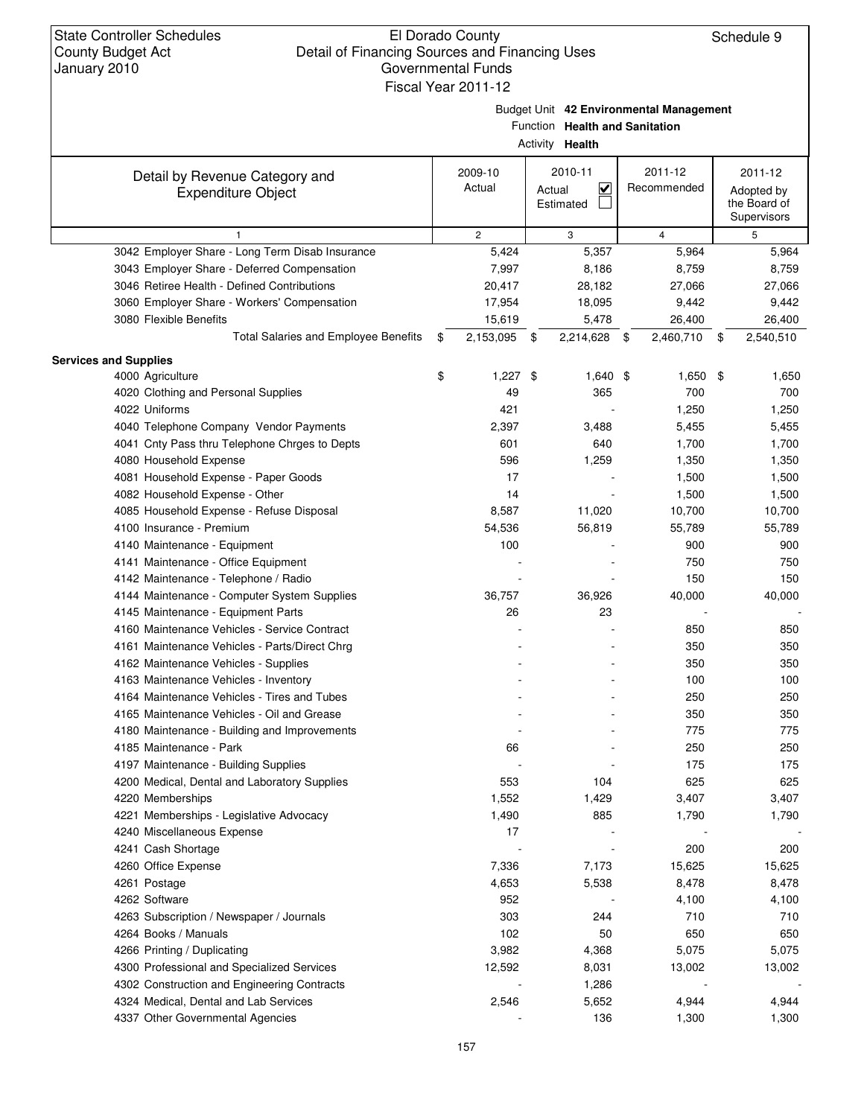Budget Unit **42 Environmental Management**

Function **Health and Sanitation**

| ctivity | Health |
|---------|--------|
|---------|--------|

|                                                 |                    | Activity Health |      |                |                 |
|-------------------------------------------------|--------------------|-----------------|------|----------------|-----------------|
| Detail by Revenue Category and                  | 2009-10            | 2010-11         |      | 2011-12        | 2011-12         |
| <b>Expenditure Object</b>                       | Actual             | V<br>Actual     |      | Recommended    | Adopted by      |
|                                                 |                    | Estimated       |      |                | the Board of    |
|                                                 |                    |                 |      |                | Supervisors     |
| 1                                               | $\overline{2}$     | 3               |      | $\overline{4}$ | 5               |
| 3042 Employer Share - Long Term Disab Insurance | 5,424              | 5,357           |      | 5,964          | 5,964           |
| 3043 Employer Share - Deferred Compensation     | 7,997              | 8,186           |      | 8,759          | 8,759           |
| 3046 Retiree Health - Defined Contributions     | 20,417             | 28,182          |      | 27,066         | 27,066          |
| 3060 Employer Share - Workers' Compensation     | 17,954             | 18,095          |      | 9,442          | 9,442           |
| 3080 Flexible Benefits                          | 15,619             | 5,478           |      | 26,400         | 26,400          |
| Total Salaries and Employee Benefits            | \$<br>2,153,095 \$ | 2,214,628       | - \$ | 2,460,710      | \$<br>2,540,510 |
| <b>Services and Supplies</b>                    |                    |                 |      |                |                 |
| 4000 Agriculture                                | \$<br>$1,227$ \$   | 1,640 \$        |      | 1,650 \$       | 1,650           |
| 4020 Clothing and Personal Supplies             | 49                 | 365             |      | 700            | 700             |
| 4022 Uniforms                                   | 421                |                 |      | 1,250          | 1,250           |
| 4040 Telephone Company Vendor Payments          | 2,397              | 3,488           |      | 5,455          | 5,455           |
| 4041 Cnty Pass thru Telephone Chrges to Depts   | 601                | 640             |      | 1,700          | 1,700           |
| 4080 Household Expense                          | 596                | 1,259           |      | 1,350          | 1,350           |
| 4081 Household Expense - Paper Goods            | 17                 |                 |      | 1,500          | 1,500           |
| 4082 Household Expense - Other                  | 14                 |                 |      | 1,500          | 1,500           |
| 4085 Household Expense - Refuse Disposal        | 8,587              | 11,020          |      | 10,700         | 10,700          |
| 4100 Insurance - Premium                        | 54,536             | 56,819          |      | 55,789         | 55,789          |
| 4140 Maintenance - Equipment                    | 100                |                 |      | 900            | 900             |
| 4141 Maintenance - Office Equipment             |                    |                 |      | 750            | 750             |
| 4142 Maintenance - Telephone / Radio            |                    |                 |      | 150            | 150             |
| 4144 Maintenance - Computer System Supplies     | 36,757             | 36,926          |      | 40,000         | 40,000          |
| 4145 Maintenance - Equipment Parts              | 26                 | 23              |      |                |                 |
| 4160 Maintenance Vehicles - Service Contract    |                    |                 |      | 850            | 850             |
| 4161 Maintenance Vehicles - Parts/Direct Chrg   |                    |                 |      | 350            | 350             |
| 4162 Maintenance Vehicles - Supplies            |                    |                 |      | 350            | 350             |
| 4163 Maintenance Vehicles - Inventory           |                    |                 |      | 100            | 100             |
| 4164 Maintenance Vehicles - Tires and Tubes     |                    |                 |      | 250            | 250             |
| 4165 Maintenance Vehicles - Oil and Grease      |                    |                 |      | 350            | 350             |
| 4180 Maintenance - Building and Improvements    |                    |                 |      | 775            | 775             |
| 4185 Maintenance - Park                         | 66                 |                 |      | 250            | 250             |
| 4197 Maintenance - Building Supplies            |                    |                 |      | 175            | 175             |
| 4200 Medical, Dental and Laboratory Supplies    | 553                | 104             |      | 625            | 625             |
| 4220 Memberships                                | 1,552              | 1,429           |      | 3,407          | 3,407           |
| 4221 Memberships - Legislative Advocacy         | 1,490              | 885             |      | 1,790          | 1,790           |
| 4240 Miscellaneous Expense                      | 17                 |                 |      |                |                 |
| 4241 Cash Shortage                              |                    |                 |      | 200            | 200             |
| 4260 Office Expense                             | 7,336              | 7,173           |      | 15,625         | 15,625          |
| 4261 Postage                                    | 4,653              | 5,538           |      | 8,478          | 8,478           |
| 4262 Software                                   | 952                |                 |      | 4,100          | 4,100           |
| 4263 Subscription / Newspaper / Journals        | 303                | 244             |      | 710            | 710             |
| 4264 Books / Manuals                            | 102                | 50              |      | 650            | 650             |
| 4266 Printing / Duplicating                     | 3,982              | 4,368           |      | 5,075          | 5,075           |
| 4300 Professional and Specialized Services      | 12,592             | 8,031           |      | 13,002         | 13,002          |
| 4302 Construction and Engineering Contracts     |                    | 1,286           |      |                |                 |
| 4324 Medical, Dental and Lab Services           | 2,546              | 5,652           |      | 4,944          | 4,944           |
| 4337 Other Governmental Agencies                |                    | 136             |      | 1,300          | 1,300           |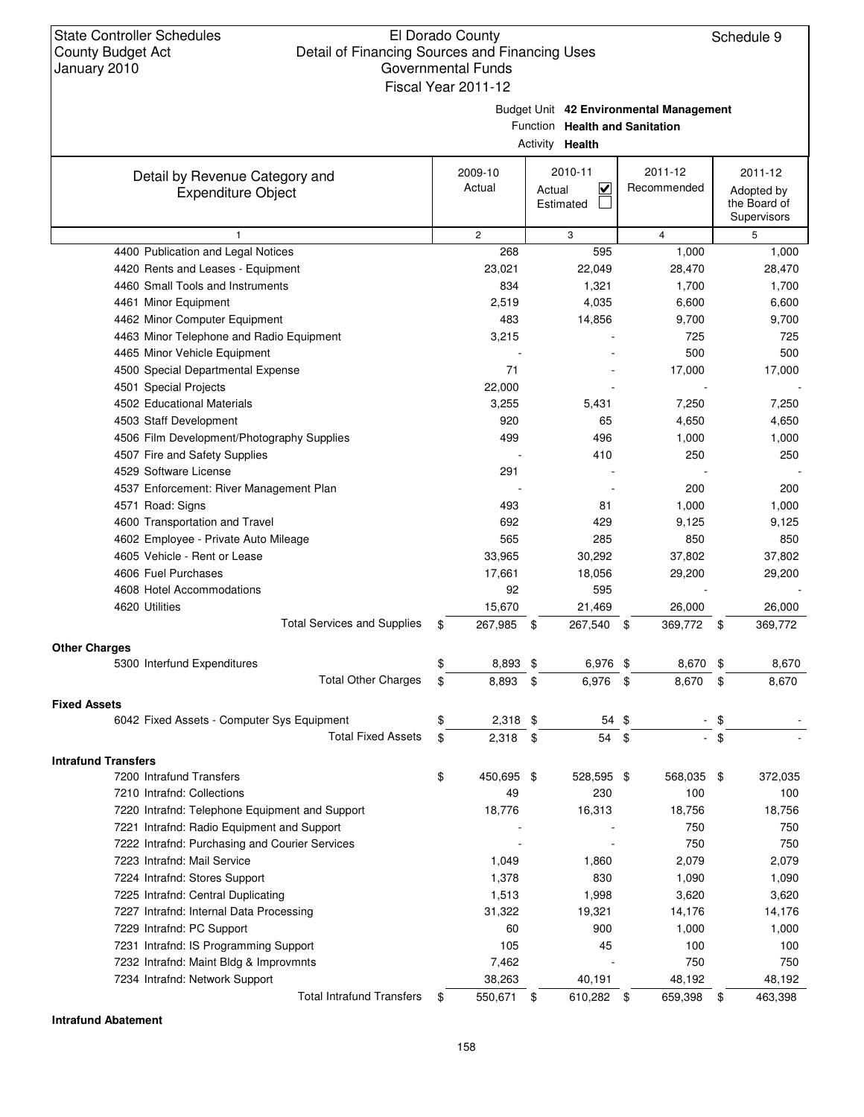### El Dorado County Detail of Financing Sources and Financing Uses Governmental Funds Fiscal Year 2011-12

Budget Unit **42 Environmental Management**

Function **Health and Sanitation**

| Activity | Health |
|----------|--------|
|          |        |

|                                                                    |                   | $1.0011$ $V_1V_2$<br>11 <b>0</b> 11            |                        |                                                      |
|--------------------------------------------------------------------|-------------------|------------------------------------------------|------------------------|------------------------------------------------------|
| Detail by Revenue Category and<br><b>Expenditure Object</b>        | 2009-10<br>Actual | 2010-11<br>$\checkmark$<br>Actual<br>Estimated | 2011-12<br>Recommended | 2011-12<br>Adopted by<br>the Board of<br>Supervisors |
| $\mathbf{1}$                                                       | $\overline{2}$    | 3                                              | $\overline{4}$         | 5                                                    |
| 4400 Publication and Legal Notices                                 | 268               | 595                                            | 1,000                  | 1,000                                                |
| 4420 Rents and Leases - Equipment                                  | 23,021            | 22,049                                         | 28,470                 | 28,470                                               |
| 4460 Small Tools and Instruments                                   | 834               | 1,321                                          | 1,700                  | 1,700                                                |
| 4461 Minor Equipment                                               | 2,519             | 4,035                                          | 6,600                  | 6,600                                                |
| 4462 Minor Computer Equipment                                      | 483               | 14,856                                         | 9,700                  | 9,700                                                |
| 4463 Minor Telephone and Radio Equipment                           | 3,215             |                                                | 725                    | 725                                                  |
| 4465 Minor Vehicle Equipment                                       |                   |                                                | 500                    | 500                                                  |
| 4500 Special Departmental Expense                                  | 71                |                                                | 17,000                 | 17,000                                               |
| 4501 Special Projects                                              | 22,000            |                                                |                        |                                                      |
| 4502 Educational Materials                                         | 3,255             | 5,431                                          | 7,250                  | 7,250                                                |
| 4503 Staff Development                                             | 920               | 65                                             | 4,650                  | 4,650                                                |
| 4506 Film Development/Photography Supplies                         | 499               | 496                                            | 1,000                  | 1,000                                                |
| 4507 Fire and Safety Supplies                                      |                   | 410                                            | 250                    | 250                                                  |
| 4529 Software License                                              | 291               |                                                |                        |                                                      |
| 4537 Enforcement: River Management Plan                            |                   |                                                | 200                    | 200                                                  |
| 4571 Road: Signs                                                   | 493               | 81                                             | 1,000                  | 1,000                                                |
| 4600 Transportation and Travel                                     | 692               | 429                                            | 9,125                  | 9,125                                                |
| 4602 Employee - Private Auto Mileage                               | 565               | 285                                            | 850                    | 850                                                  |
| 4605 Vehicle - Rent or Lease                                       | 33,965            | 30,292                                         | 37,802                 | 37,802                                               |
| 4606 Fuel Purchases                                                | 17,661            | 18,056                                         | 29,200                 | 29,200                                               |
| 4608 Hotel Accommodations                                          | 92                | 595                                            |                        |                                                      |
| 4620 Utilities                                                     | 15,670            | 21,469                                         | 26,000                 | 26,000                                               |
| <b>Total Services and Supplies</b>                                 | \$<br>267,985 \$  | 267,540 \$                                     | 369,772 \$             | 369,772                                              |
|                                                                    |                   |                                                |                        |                                                      |
| <b>Other Charges</b>                                               |                   |                                                |                        |                                                      |
| 5300 Interfund Expenditures                                        | \$<br>8,893       | 6,976 \$<br>\$                                 | 8,670                  | \$<br>8,670                                          |
| <b>Total Other Charges</b>                                         | \$<br>8,893       | 6,976 \$<br>\$                                 | 8,670                  | \$<br>8,670                                          |
| <b>Fixed Assets</b>                                                |                   |                                                |                        |                                                      |
| 6042 Fixed Assets - Computer Sys Equipment                         | \$<br>2,318       | \$<br>54                                       | \$                     | \$                                                   |
| <b>Total Fixed Assets</b>                                          | \$<br>2,318       | \$<br>54                                       | \$                     | \$                                                   |
| <b>Intrafund Transfers</b>                                         |                   |                                                |                        |                                                      |
| 7200 Intrafund Transfers                                           | \$<br>450,695 \$  | 528,595 \$                                     | 568,035                | \$<br>372,035                                        |
| 7210 Intrafnd: Collections                                         | 49                | 230                                            | 100                    | 100                                                  |
| 7220 Intrafnd: Telephone Equipment and Support                     | 18,776            | 16,313                                         | 18,756                 | 18,756                                               |
| 7221 Intrafnd: Radio Equipment and Support                         |                   |                                                | 750                    | 750                                                  |
| 7222 Intrafnd: Purchasing and Courier Services                     |                   |                                                | 750                    | 750                                                  |
| 7223 Intrafnd: Mail Service                                        | 1,049             | 1,860                                          | 2,079                  | 2,079                                                |
| 7224 Intrafnd: Stores Support                                      | 1,378             | 830                                            | 1,090                  | 1,090                                                |
| 7225 Intrafnd: Central Duplicating                                 | 1,513             | 1,998                                          | 3,620                  | 3,620                                                |
| 7227 Intrafnd: Internal Data Processing                            | 31,322            | 19,321                                         | 14,176                 |                                                      |
|                                                                    |                   |                                                |                        | 14,176                                               |
| 7229 Intrafnd: PC Support<br>7231 Intrafnd: IS Programming Support | 60                | 900                                            | 1,000                  | 1,000                                                |
|                                                                    | 105               | 45                                             | 100<br>750             | 100                                                  |
| 7232 Intrafnd: Maint Bldg & Improvmnts                             | 7,462             |                                                |                        | 750                                                  |
| 7234 Intrafnd: Network Support                                     | 38,263            | 40,191                                         | 48,192                 | 48,192                                               |
| <b>Total Intrafund Transfers</b>                                   | \$<br>550,671 \$  | 610,282 \$                                     | 659,398                | \$<br>463,398                                        |

**Intrafund Abatement**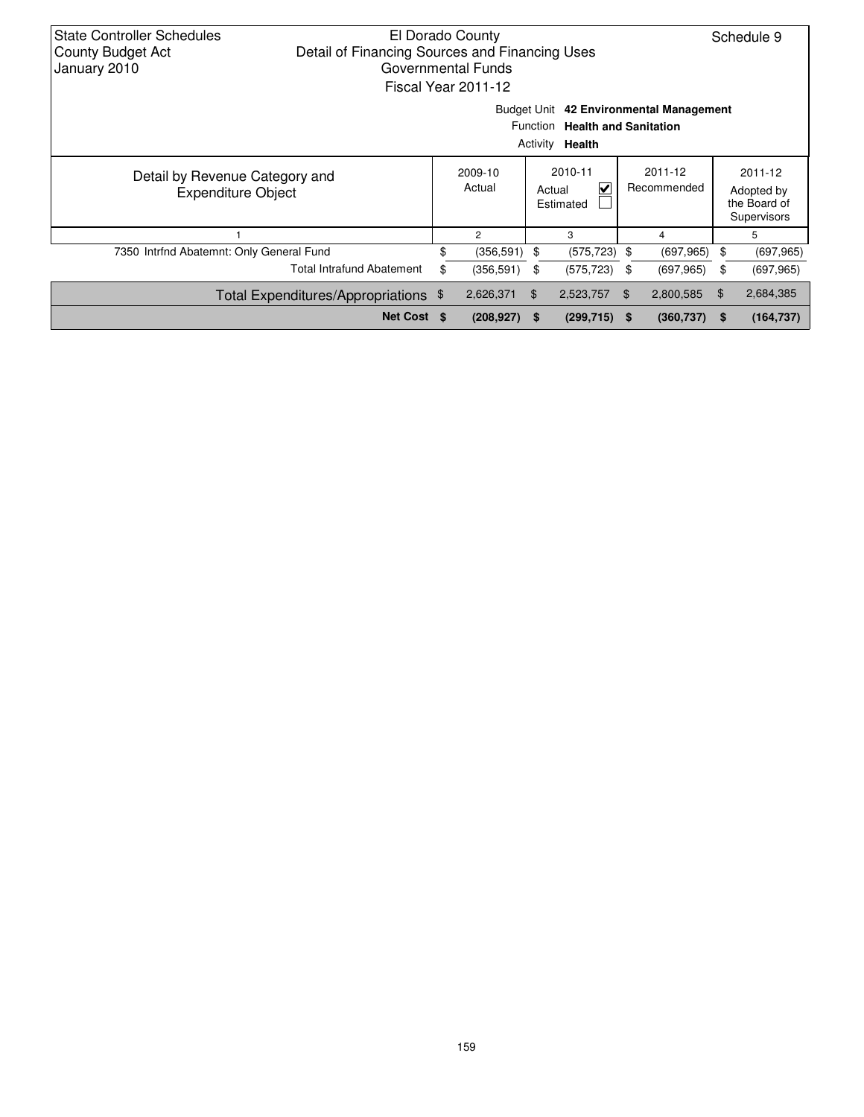| State Controller Schedules<br>El Dorado County<br>Schedule 9<br>Detail of Financing Sources and Financing Uses<br><b>County Budget Act</b><br>January 2010<br>Governmental Funds<br>Fiscal Year 2011-12 |                                                                                                               |                                                                                            |                   |    |                                     |                        |            |    |                                                      |  |  |
|---------------------------------------------------------------------------------------------------------------------------------------------------------------------------------------------------------|---------------------------------------------------------------------------------------------------------------|--------------------------------------------------------------------------------------------|-------------------|----|-------------------------------------|------------------------|------------|----|------------------------------------------------------|--|--|
|                                                                                                                                                                                                         | Budget Unit 42 Environmental Management<br><b>Health and Sanitation</b><br>Function<br>Activity <b>Health</b> |                                                                                            |                   |    |                                     |                        |            |    |                                                      |  |  |
| Detail by Revenue Category and<br><b>Expenditure Object</b>                                                                                                                                             |                                                                                                               |                                                                                            | 2009-10<br>Actual |    | 2010-11<br>⊽<br>Actual<br>Estimated | 2011-12<br>Recommended |            |    | 2011-12<br>Adopted by<br>the Board of<br>Supervisors |  |  |
|                                                                                                                                                                                                         |                                                                                                               |                                                                                            | $\overline{c}$    |    | 3                                   |                        | 4          |    | 5                                                    |  |  |
| 7350 Intrfnd Abatemnt: Only General Fund                                                                                                                                                                |                                                                                                               | \$                                                                                         | (356, 591)        | \$ | (575, 723)                          | \$                     | (697, 965) | \$ | (697, 965)                                           |  |  |
|                                                                                                                                                                                                         | <b>Total Intrafund Abatement</b>                                                                              | \$                                                                                         | (356, 591)        | \$ | (575, 723)                          | \$                     | (697, 965) | \$ | (697, 965)                                           |  |  |
|                                                                                                                                                                                                         | Total Expenditures/Appropriations \$                                                                          |                                                                                            | 2,626,371         | \$ | 2,523,757                           | \$                     | 2,800,585  | \$ | 2,684,385                                            |  |  |
|                                                                                                                                                                                                         |                                                                                                               | Net Cost \$<br>(208, 927)<br>$(299, 715)$ \$<br>(360, 737)<br>(164, 737)<br>$\sim$ \$<br>S |                   |    |                                     |                        |            |    |                                                      |  |  |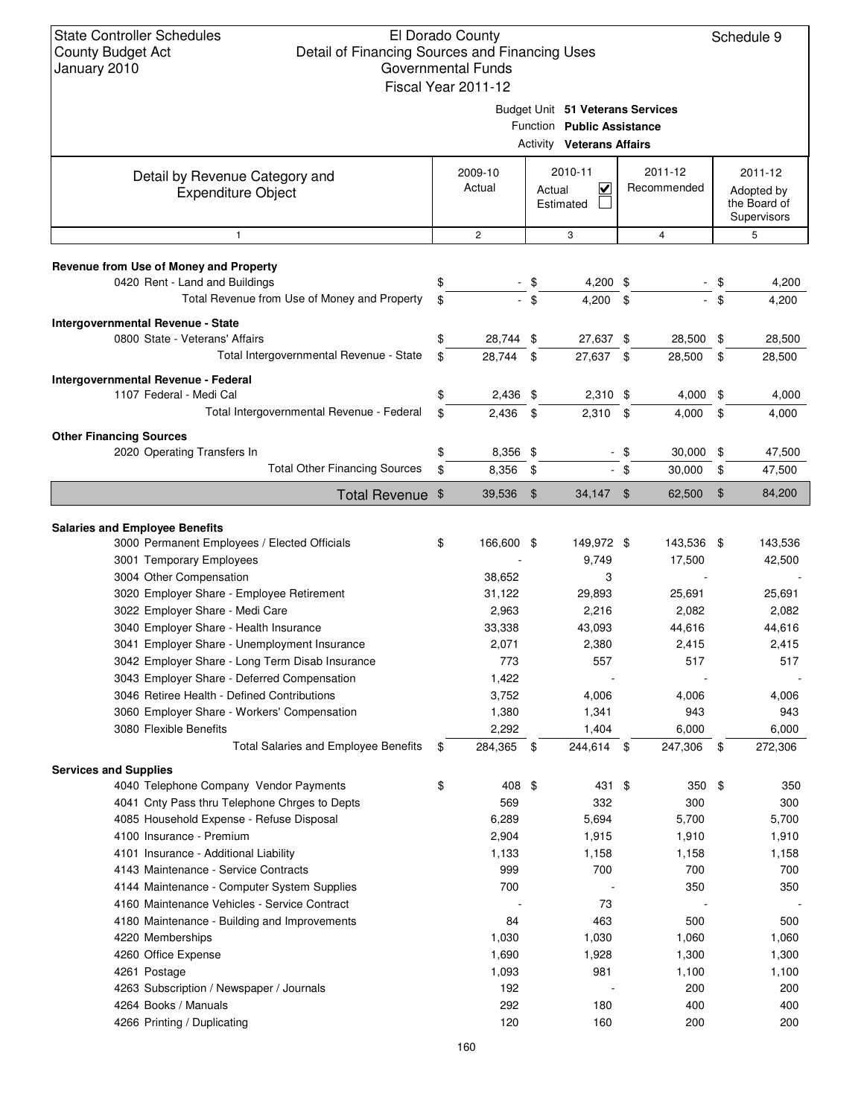### El Dorado County Detail of Financing Sources and Financing Uses Governmental Funds

|                                                                          | Fiscal Year 2011-12        |               |                                                                                                    |              |                        |          |                                                      |
|--------------------------------------------------------------------------|----------------------------|---------------|----------------------------------------------------------------------------------------------------|--------------|------------------------|----------|------------------------------------------------------|
|                                                                          |                            |               | Budget Unit 51 Veterans Services<br>Function Public Assistance<br><b>Activity Veterans Affairs</b> |              |                        |          |                                                      |
| Detail by Revenue Category and<br><b>Expenditure Object</b>              | 2009-10<br>Actual          | Actual        | 2010-11<br>$\blacktriangledown$<br>Estimated                                                       |              | 2011-12<br>Recommended |          | 2011-12<br>Adopted by<br>the Board of<br>Supervisors |
| 1                                                                        | $\mathbf{2}$               |               | 3                                                                                                  |              | 4                      |          | 5                                                    |
| Revenue from Use of Money and Property<br>0420 Rent - Land and Buildings | \$                         | \$            | 4,200 \$                                                                                           |              |                        | \$       | 4,200                                                |
| Total Revenue from Use of Money and Property                             | \$                         | $-$ \$        | 4,200                                                                                              | \$           |                        | \$       | 4,200                                                |
| Intergovernmental Revenue - State<br>0800 State - Veterans' Affairs      | \$<br>28,744 \$            |               | 27,637 \$                                                                                          |              | 28,500 \$              |          | 28,500                                               |
| Total Intergovernmental Revenue - State                                  | \$<br>28,744 \$            |               | 27,637 \$                                                                                          |              | 28,500                 | \$       | 28,500                                               |
| Intergovernmental Revenue - Federal<br>1107 Federal - Medi Cal           | \$<br>$2,436$ \$           |               | $2,310$ \$                                                                                         |              | 4,000                  | \$       | 4,000                                                |
| Total Intergovernmental Revenue - Federal                                | \$<br>$2,436$ \$           |               | $2,310$ \$                                                                                         |              | 4,000                  | \$       | 4,000                                                |
| <b>Other Financing Sources</b>                                           | \$                         |               |                                                                                                    |              |                        |          |                                                      |
| 2020 Operating Transfers In<br><b>Total Other Financing Sources</b>      | \$<br>8,356 \$<br>8,356 \$ |               |                                                                                                    | - \$<br>- \$ | 30,000<br>30,000       | \$<br>\$ | 47,500<br>47,500                                     |
|                                                                          |                            |               |                                                                                                    |              |                        |          |                                                      |
| Total Revenue \$                                                         | 39,536                     | $\frac{1}{2}$ | $34,147$ \$                                                                                        |              | 62,500                 | \$       | 84,200                                               |
| <b>Salaries and Employee Benefits</b>                                    |                            |               |                                                                                                    |              |                        |          |                                                      |
| 3000 Permanent Employees / Elected Officials                             | \$<br>166,600 \$           |               | 149,972 \$                                                                                         |              | 143,536 \$             |          | 143,536                                              |
| 3001 Temporary Employees                                                 |                            |               | 9,749                                                                                              |              | 17,500                 |          | 42,500                                               |
| 3004 Other Compensation                                                  | 38,652                     |               | 3                                                                                                  |              |                        |          |                                                      |
| 3020 Employer Share - Employee Retirement                                | 31,122                     |               | 29,893                                                                                             |              | 25,691                 |          | 25,691                                               |
| 3022 Employer Share - Medi Care                                          | 2,963                      |               | 2,216                                                                                              |              | 2,082                  |          | 2,082                                                |
| 3040 Employer Share - Health Insurance                                   | 33,338                     |               | 43,093                                                                                             |              | 44,616                 |          | 44,616                                               |
| 3041 Employer Share - Unemployment Insurance                             | 2,071                      |               | 2,380                                                                                              |              | 2,415                  |          | 2,415                                                |
| 3042 Employer Share - Long Term Disab Insurance                          | 773                        |               | 557                                                                                                |              | 517                    |          | 517                                                  |
| 3043 Employer Share - Deferred Compensation                              | 1,422                      |               |                                                                                                    |              |                        |          |                                                      |
| 3046 Retiree Health - Defined Contributions                              | 3,752                      |               | 4,006                                                                                              |              | 4,006                  |          | 4,006                                                |
| 3060 Employer Share - Workers' Compensation                              | 1,380                      |               | 1,341                                                                                              |              | 943                    |          | 943                                                  |
| 3080 Flexible Benefits                                                   | 2,292                      |               | 1,404                                                                                              |              | 6,000                  |          | 6,000                                                |
| <b>Total Salaries and Employee Benefits</b>                              | \$<br>284,365 \$           |               | 244,614 \$                                                                                         |              | 247,306                | \$       | 272,306                                              |
| <b>Services and Supplies</b>                                             |                            |               |                                                                                                    |              |                        |          |                                                      |
| 4040 Telephone Company Vendor Payments                                   | \$<br>408 \$               |               | 431 \$                                                                                             |              | 350                    | \$       | 350                                                  |
| 4041 Cnty Pass thru Telephone Chrges to Depts                            | 569                        |               | 332                                                                                                |              | 300                    |          | 300                                                  |
| 4085 Household Expense - Refuse Disposal                                 | 6,289                      |               | 5,694                                                                                              |              | 5,700                  |          | 5,700                                                |
| 4100 Insurance - Premium                                                 | 2,904                      |               | 1,915                                                                                              |              | 1,910                  |          | 1,910                                                |
| 4101 Insurance - Additional Liability                                    | 1,133                      |               | 1,158                                                                                              |              | 1,158                  |          | 1,158                                                |
| 4143 Maintenance - Service Contracts                                     | 999                        |               | 700                                                                                                |              | 700                    |          | 700                                                  |
| 4144 Maintenance - Computer System Supplies                              | 700                        |               |                                                                                                    |              | 350                    |          | 350                                                  |
| 4160 Maintenance Vehicles - Service Contract                             |                            |               | 73                                                                                                 |              |                        |          |                                                      |
| 4180 Maintenance - Building and Improvements                             | 84                         |               | 463                                                                                                |              | 500                    |          | 500                                                  |
| 4220 Memberships                                                         | 1,030                      |               | 1,030                                                                                              |              | 1,060                  |          | 1,060                                                |
| 4260 Office Expense                                                      | 1,690                      |               | 1,928                                                                                              |              | 1,300                  |          | 1,300                                                |
| 4261 Postage                                                             | 1,093                      |               | 981                                                                                                |              | 1,100                  |          | 1,100                                                |
| 4263 Subscription / Newspaper / Journals                                 | 192                        |               |                                                                                                    |              | 200                    |          | 200                                                  |
| 4264 Books / Manuals                                                     | 292                        |               | 180                                                                                                |              | 400                    |          | 400                                                  |
| 4266 Printing / Duplicating                                              | 120                        |               | 160                                                                                                |              | 200                    |          | 200                                                  |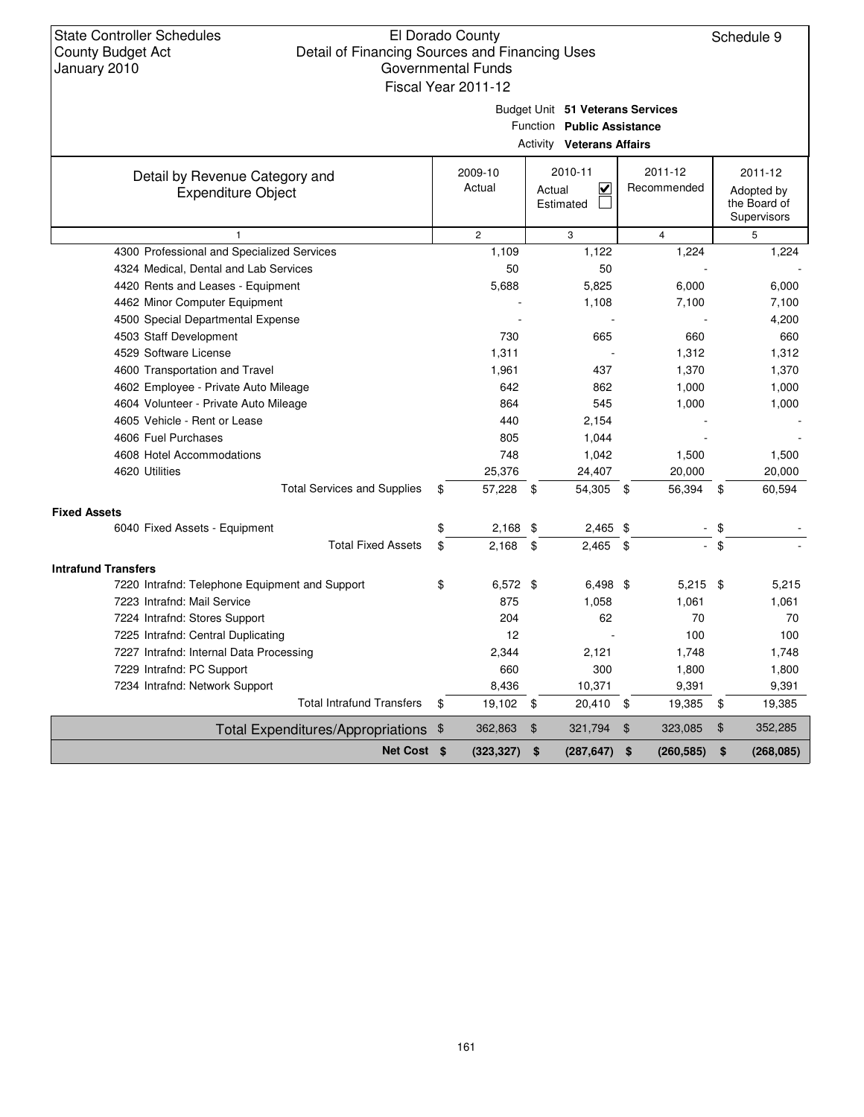### El Dorado County Detail of Financing Sources and Financing Uses Governmental Funds Fiscal Year 2011-12

Schedule 9

Budget Unit **51 Veterans Services**

Function **Public Assistance**

|                                                             |                   | <b>Activity Veterans Affairs</b>    |                        |        |                                                      |
|-------------------------------------------------------------|-------------------|-------------------------------------|------------------------|--------|------------------------------------------------------|
| Detail by Revenue Category and<br><b>Expenditure Object</b> | 2009-10<br>Actual | 2010-11<br>V<br>Actual<br>Estimated | 2011-12<br>Recommended |        | 2011-12<br>Adopted by<br>the Board of<br>Supervisors |
| $\mathbf{1}$                                                | $\overline{2}$    | 3                                   | $\overline{4}$         |        | 5                                                    |
| 4300 Professional and Specialized Services                  | 1,109             | 1,122                               | 1,224                  |        | 1,224                                                |
| 4324 Medical, Dental and Lab Services                       | 50                | 50                                  |                        |        |                                                      |
| 4420 Rents and Leases - Equipment                           | 5,688             | 5,825                               | 6,000                  |        | 6,000                                                |
| 4462 Minor Computer Equipment                               |                   | 1,108                               | 7,100                  |        | 7,100                                                |
| 4500 Special Departmental Expense                           |                   |                                     |                        |        | 4,200                                                |
| 4503 Staff Development                                      | 730               | 665                                 | 660                    |        | 660                                                  |
| 4529 Software License                                       | 1,311             |                                     | 1,312                  |        | 1,312                                                |
| 4600 Transportation and Travel                              | 1,961             | 437                                 | 1,370                  |        | 1,370                                                |
| 4602 Employee - Private Auto Mileage                        | 642               | 862                                 | 1,000                  |        | 1,000                                                |
| 4604 Volunteer - Private Auto Mileage                       | 864               | 545                                 | 1,000                  |        | 1,000                                                |
| 4605 Vehicle - Rent or Lease                                | 440               | 2,154                               |                        |        |                                                      |
| 4606 Fuel Purchases                                         | 805               | 1,044                               |                        |        |                                                      |
| 4608 Hotel Accommodations                                   | 748               | 1,042                               | 1,500                  |        | 1,500                                                |
| 4620 Utilities                                              | 25,376            | 24,407                              | 20,000                 |        | 20,000                                               |
| <b>Total Services and Supplies</b>                          | \$<br>57,228      | 54,305 \$<br>$\mathbf{\$}$          | 56,394                 | \$     | 60,594                                               |
| <b>Fixed Assets</b>                                         |                   |                                     |                        |        |                                                      |
| 6040 Fixed Assets - Equipment                               | \$<br>2,168       | \$<br>$2,465$ \$                    |                        | $-$ \$ |                                                      |
| <b>Total Fixed Assets</b>                                   | \$<br>2,168       | $2,465$ \$<br>\$                    | $\sim$                 | \$     |                                                      |
| <b>Intrafund Transfers</b>                                  |                   |                                     |                        |        |                                                      |
| 7220 Intrafnd: Telephone Equipment and Support              | \$<br>$6,572$ \$  | $6,498$ \$                          | $5,215$ \$             |        | 5,215                                                |
| 7223 Intrafnd: Mail Service                                 | 875               | 1,058                               | 1,061                  |        | 1,061                                                |
| 7224 Intrafnd: Stores Support                               | 204               | 62                                  | 70                     |        | 70                                                   |
| 7225 Intrafnd: Central Duplicating                          | 12                |                                     | 100                    |        | 100                                                  |
| 7227 Intrafnd: Internal Data Processing                     | 2,344             | 2,121                               | 1,748                  |        | 1,748                                                |
| 7229 Intrafnd: PC Support                                   | 660               | 300                                 | 1,800                  |        | 1,800                                                |
| 7234 Intrafnd: Network Support                              | 8,436             | 10,371                              | 9,391                  |        | 9,391                                                |
| <b>Total Intrafund Transfers</b>                            | \$<br>19,102 \$   | 20,410 \$                           | 19,385                 | \$     | 19,385                                               |
| Total Expenditures/Appropriations \$                        | 362,863           | $\frac{1}{2}$<br>321,794            | \$<br>323,085          | \$     | 352,285                                              |
| Net Cost \$                                                 | (323, 327)        | \$<br>(287, 647)                    | \$<br>(260, 585)       | \$     | (268, 085)                                           |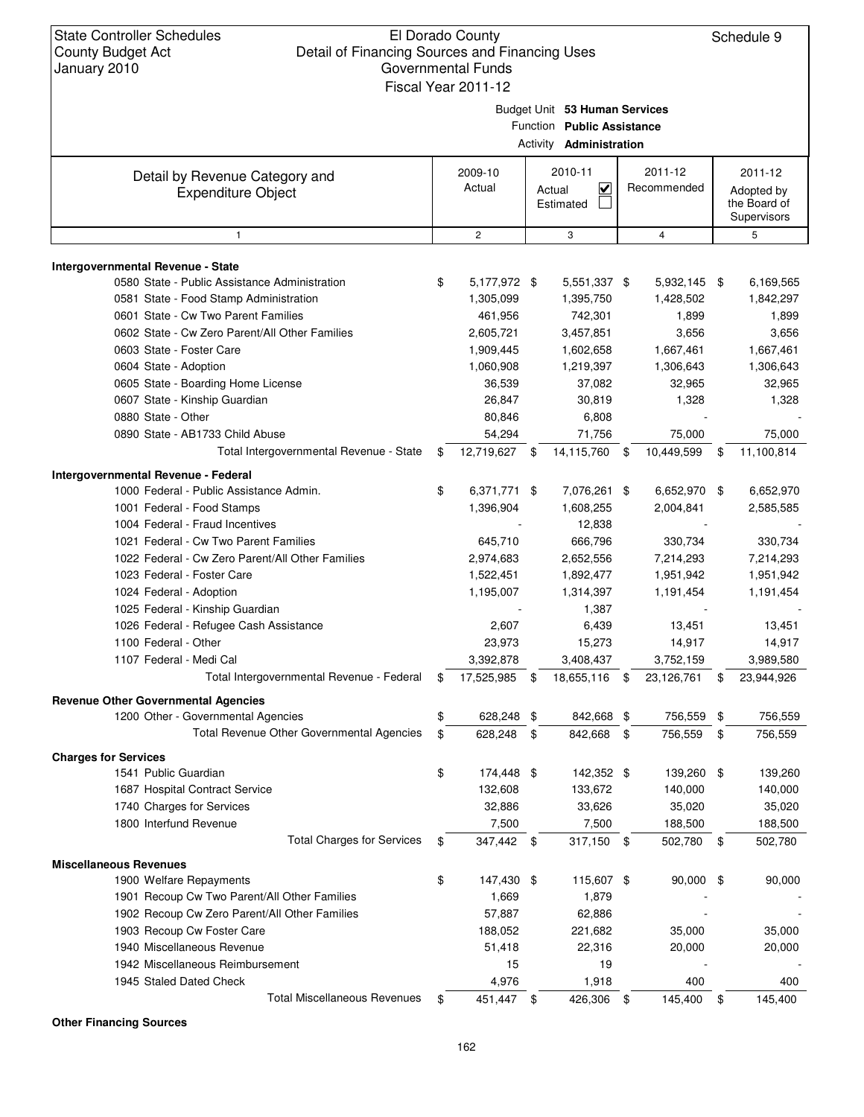#### El Dorado County Detail of Financing Sources and Financing Uses Governmental Funds Fiscal Year 2011-12

Schedule 9

|                                                             | Fiscal Year 2011-12 | Budget Unit 53 Human Services<br>Function Public Assistance<br>Activity <b>Administration</b> |      |                        |                                                      |
|-------------------------------------------------------------|---------------------|-----------------------------------------------------------------------------------------------|------|------------------------|------------------------------------------------------|
| Detail by Revenue Category and<br><b>Expenditure Object</b> | 2009-10<br>Actual   | 2010-11<br>$\overline{\mathsf{v}}$<br>Actual<br>Estimated                                     |      | 2011-12<br>Recommended | 2011-12<br>Adopted by<br>the Board of<br>Supervisors |
| $\mathbf{1}$                                                | $\overline{c}$      | 3                                                                                             |      | $\overline{4}$         | 5                                                    |
| Intergovernmental Revenue - State                           |                     |                                                                                               |      |                        |                                                      |
| 0580 State - Public Assistance Administration               | \$<br>5,177,972 \$  | 5,551,337 \$                                                                                  |      | 5,932,145 \$           | 6,169,565                                            |
| 0581 State - Food Stamp Administration                      | 1,305,099           | 1,395,750                                                                                     |      | 1,428,502              | 1,842,297                                            |
| 0601 State - Cw Two Parent Families                         | 461,956             | 742,301                                                                                       |      | 1,899                  | 1,899                                                |
| 0602 State - Cw Zero Parent/All Other Families              | 2,605,721           | 3,457,851                                                                                     |      | 3,656                  | 3,656                                                |
| 0603 State - Foster Care                                    | 1,909,445           | 1,602,658                                                                                     |      | 1,667,461              | 1,667,461                                            |
| 0604 State - Adoption                                       | 1,060,908           | 1,219,397                                                                                     |      | 1,306,643              | 1,306,643                                            |
| 0605 State - Boarding Home License                          | 36,539              | 37,082                                                                                        |      | 32,965                 | 32,965                                               |
| 0607 State - Kinship Guardian                               | 26,847              | 30,819                                                                                        |      | 1,328                  | 1,328                                                |
| 0880 State - Other                                          | 80,846              | 6,808                                                                                         |      |                        |                                                      |
| 0890 State - AB1733 Child Abuse                             | 54,294              | 71,756                                                                                        |      | 75,000                 | 75,000                                               |
| Total Intergovernmental Revenue - State                     | \$<br>12,719,627 \$ | 14,115,760                                                                                    | \$   | 10,449,599             | \$<br>11,100,814                                     |
|                                                             |                     |                                                                                               |      |                        |                                                      |
| Intergovernmental Revenue - Federal                         |                     |                                                                                               |      |                        |                                                      |
| 1000 Federal - Public Assistance Admin.                     | \$<br>6,371,771 \$  | 7,076,261 \$                                                                                  |      | 6,652,970 \$           | 6,652,970                                            |
| 1001 Federal - Food Stamps                                  | 1,396,904           | 1,608,255                                                                                     |      | 2,004,841              | 2,585,585                                            |
| 1004 Federal - Fraud Incentives                             |                     | 12,838                                                                                        |      |                        |                                                      |
| 1021 Federal - Cw Two Parent Families                       | 645,710             | 666,796                                                                                       |      | 330,734                | 330,734                                              |
| 1022 Federal - Cw Zero Parent/All Other Families            | 2,974,683           | 2,652,556                                                                                     |      | 7,214,293              | 7,214,293                                            |
| 1023 Federal - Foster Care                                  | 1,522,451           | 1,892,477                                                                                     |      | 1,951,942              | 1,951,942                                            |
| 1024 Federal - Adoption                                     | 1,195,007           | 1,314,397                                                                                     |      | 1,191,454              | 1,191,454                                            |
| 1025 Federal - Kinship Guardian                             |                     | 1,387                                                                                         |      |                        |                                                      |
| 1026 Federal - Refugee Cash Assistance                      | 2,607               | 6,439                                                                                         |      | 13,451                 | 13,451                                               |
| 1100 Federal - Other                                        | 23,973              | 15,273                                                                                        |      | 14,917                 | 14,917                                               |
| 1107 Federal - Medi Cal                                     | 3,392,878           | 3,408,437                                                                                     |      | 3,752,159              | 3,989,580                                            |
| Total Intergovernmental Revenue - Federal                   | \$<br>17,525,985    | \$<br>18,655,116                                                                              | \$   | 23,126,761             | \$<br>23,944,926                                     |
| <b>Revenue Other Governmental Agencies</b>                  |                     |                                                                                               |      |                        |                                                      |
| 1200 Other - Governmental Agencies                          | \$<br>628,248 \$    | 842,668 \$                                                                                    |      | 756,559                | \$<br>756,559                                        |
| Total Revenue Other Governmental Agencies                   | \$<br>628,248       | \$<br>842,668                                                                                 | -\$  | 756,559                | \$<br>756,559                                        |
| <b>Charges for Services</b>                                 |                     |                                                                                               |      |                        |                                                      |
| 1541 Public Guardian                                        | \$<br>174,448 \$    | 142,352 \$                                                                                    |      | 139,260 \$             | 139,260                                              |
| 1687 Hospital Contract Service                              | 132,608             | 133,672                                                                                       |      | 140,000                | 140,000                                              |
| 1740 Charges for Services                                   | 32,886              | 33,626                                                                                        |      | 35,020                 | 35,020                                               |
| 1800 Interfund Revenue                                      | 7,500               | 7,500                                                                                         |      | 188,500                | 188,500                                              |
| <b>Total Charges for Services</b>                           | \$<br>347,442 \$    | 317,150 \$                                                                                    |      | 502,780 \$             | 502,780                                              |
| <b>Miscellaneous Revenues</b>                               |                     |                                                                                               |      |                        |                                                      |
| 1900 Welfare Repayments                                     | \$<br>147,430 \$    | 115,607 \$                                                                                    |      | 90,000 \$              | 90,000                                               |
| 1901 Recoup Cw Two Parent/All Other Families                | 1,669               | 1,879                                                                                         |      |                        |                                                      |
| 1902 Recoup Cw Zero Parent/All Other Families               | 57,887              | 62,886                                                                                        |      |                        |                                                      |
| 1903 Recoup Cw Foster Care                                  | 188,052             | 221,682                                                                                       |      | 35,000                 | 35,000                                               |
| 1940 Miscellaneous Revenue                                  | 51,418              | 22,316                                                                                        |      | 20,000                 | 20,000                                               |
| 1942 Miscellaneous Reimbursement                            | 15                  | 19                                                                                            |      |                        |                                                      |
| 1945 Staled Dated Check                                     | 4,976               | 1,918                                                                                         |      | 400                    | 400                                                  |
| <b>Total Miscellaneous Revenues</b>                         | \$<br>451,447       | \$<br>426,306                                                                                 | - \$ | 145,400                | \$<br>145,400                                        |
|                                                             |                     |                                                                                               |      |                        |                                                      |

**Other Financing Sources**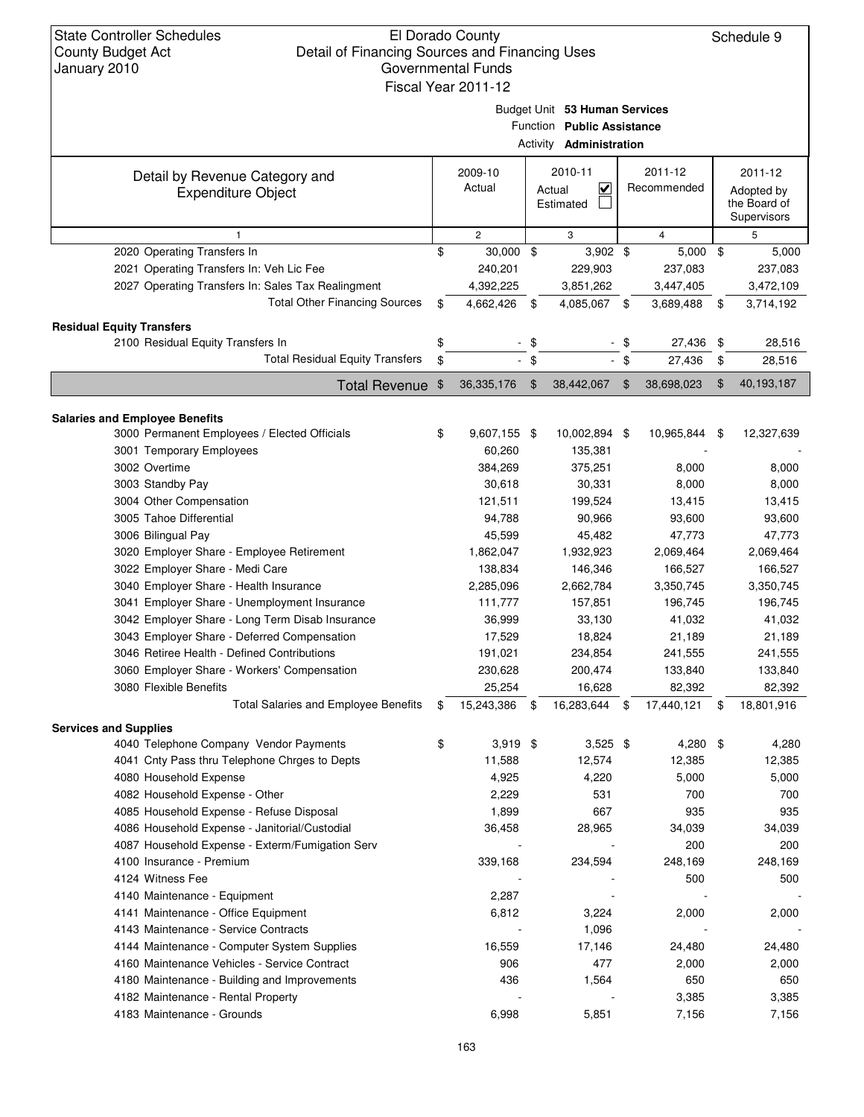| <b>State Controller Schedules</b><br>Detail of Financing Sources and Financing Uses<br><b>County Budget Act</b><br>January 2010 | El Dorado County<br><b>Governmental Funds</b><br>Fiscal Year 2011-12 |               |                                                                                               |        |                        | Schedule 9                                           |
|---------------------------------------------------------------------------------------------------------------------------------|----------------------------------------------------------------------|---------------|-----------------------------------------------------------------------------------------------|--------|------------------------|------------------------------------------------------|
|                                                                                                                                 |                                                                      |               | Budget Unit 53 Human Services<br>Function Public Assistance<br>Activity <b>Administration</b> |        |                        |                                                      |
| Detail by Revenue Category and<br><b>Expenditure Object</b>                                                                     | 2009-10<br>Actual                                                    |               | 2010-11<br>$\overline{\mathbf{v}}$<br>Actual<br>Estimated                                     |        | 2011-12<br>Recommended | 2011-12<br>Adopted by<br>the Board of<br>Supervisors |
| $\mathbf{1}$                                                                                                                    | $\overline{2}$                                                       |               | 3                                                                                             |        | $\overline{4}$         | 5                                                    |
| 2020 Operating Transfers In                                                                                                     | \$<br>$30,000$ \$                                                    |               | $3,902$ \$                                                                                    |        | $5,000$ \$             | 5,000                                                |
| 2021 Operating Transfers In: Veh Lic Fee                                                                                        | 240,201                                                              |               | 229,903                                                                                       |        | 237,083                | 237,083                                              |
| 2027 Operating Transfers In: Sales Tax Realingment                                                                              | 4,392,225                                                            |               | 3,851,262                                                                                     |        | 3,447,405              | 3,472,109                                            |
| <b>Total Other Financing Sources</b>                                                                                            | \$<br>4,662,426                                                      | \$            | 4,085,067                                                                                     | \$     | 3,689,488              | \$<br>3,714,192                                      |
|                                                                                                                                 |                                                                      |               |                                                                                               |        |                        |                                                      |
| <b>Residual Equity Transfers</b><br>2100 Residual Equity Transfers In                                                           | \$                                                                   |               |                                                                                               |        |                        | 28,516                                               |
| <b>Total Residual Equity Transfers</b>                                                                                          |                                                                      | $-$ \$        |                                                                                               | \$     | 27,436                 | \$                                                   |
|                                                                                                                                 | \$                                                                   | $-$ \$        |                                                                                               | $-$ \$ | 27,436                 | \$<br>28,516                                         |
| <b>Total Revenue</b>                                                                                                            | \$<br>36,335,176                                                     | $\frac{1}{2}$ | 38,442,067                                                                                    | \$     | 38,698,023             | \$<br>40,193,187                                     |
|                                                                                                                                 |                                                                      |               |                                                                                               |        |                        |                                                      |
| <b>Salaries and Employee Benefits</b>                                                                                           |                                                                      |               |                                                                                               |        |                        |                                                      |
| 3000 Permanent Employees / Elected Officials                                                                                    | \$<br>9,607,155 \$                                                   |               | 10,002,894 \$                                                                                 |        | 10,965,844             | \$<br>12,327,639                                     |
| 3001 Temporary Employees                                                                                                        | 60,260                                                               |               | 135,381                                                                                       |        |                        |                                                      |
| 3002 Overtime                                                                                                                   | 384,269                                                              |               | 375,251                                                                                       |        | 8,000                  | 8,000                                                |
| 3003 Standby Pay                                                                                                                | 30,618                                                               |               | 30,331                                                                                        |        | 8,000                  | 8,000                                                |
| 3004 Other Compensation                                                                                                         | 121,511                                                              |               | 199,524                                                                                       |        | 13,415                 | 13,415                                               |
| 3005 Tahoe Differential                                                                                                         | 94,788                                                               |               | 90,966                                                                                        |        | 93,600                 | 93,600                                               |
| 3006 Bilingual Pay                                                                                                              | 45,599                                                               |               | 45,482                                                                                        |        | 47,773                 | 47,773                                               |
| 3020 Employer Share - Employee Retirement                                                                                       | 1,862,047                                                            |               | 1,932,923                                                                                     |        | 2,069,464              | 2,069,464                                            |
| 3022 Employer Share - Medi Care                                                                                                 | 138,834                                                              |               | 146,346                                                                                       |        | 166,527                | 166,527                                              |
| 3040 Employer Share - Health Insurance                                                                                          | 2,285,096                                                            |               | 2,662,784                                                                                     |        | 3,350,745              | 3,350,745                                            |
| 3041 Employer Share - Unemployment Insurance                                                                                    | 111,777                                                              |               | 157,851                                                                                       |        | 196,745                | 196,745                                              |
| 3042 Employer Share - Long Term Disab Insurance                                                                                 | 36,999                                                               |               | 33,130                                                                                        |        | 41,032                 | 41,032                                               |
| 3043 Employer Share - Deferred Compensation                                                                                     | 17,529                                                               |               | 18,824                                                                                        |        | 21,189                 | 21,189                                               |
| 3046 Retiree Health - Defined Contributions                                                                                     | 191,021                                                              |               | 234,854                                                                                       |        | 241,555                | 241,555                                              |
| 3060 Employer Share - Workers' Compensation                                                                                     | 230,628                                                              |               | 200,474                                                                                       |        | 133,840                | 133,840                                              |
| 3080 Flexible Benefits                                                                                                          | 25,254                                                               |               | 16,628                                                                                        |        | 82,392                 | 82,392                                               |
|                                                                                                                                 |                                                                      |               |                                                                                               |        |                        |                                                      |
| <b>Total Salaries and Employee Benefits</b>                                                                                     | \$<br>15,243,386 \$                                                  |               | 16,283,644                                                                                    | \$     | 17,440,121             | \$<br>18,801,916                                     |
| <b>Services and Supplies</b>                                                                                                    |                                                                      |               |                                                                                               |        |                        |                                                      |
| 4040 Telephone Company Vendor Payments                                                                                          | \$<br>$3,919$ \$                                                     |               | $3,525$ \$                                                                                    |        | 4,280 \$               | 4,280                                                |
| 4041 Cnty Pass thru Telephone Chrges to Depts                                                                                   | 11,588                                                               |               | 12,574                                                                                        |        | 12,385                 | 12,385                                               |
| 4080 Household Expense                                                                                                          | 4,925                                                                |               | 4,220                                                                                         |        | 5,000                  | 5,000                                                |
| 4082 Household Expense - Other                                                                                                  | 2,229                                                                |               | 531                                                                                           |        | 700                    | 700                                                  |
| 4085 Household Expense - Refuse Disposal                                                                                        | 1,899                                                                |               | 667                                                                                           |        | 935                    | 935                                                  |
| 4086 Household Expense - Janitorial/Custodial                                                                                   | 36,458                                                               |               | 28,965                                                                                        |        | 34,039                 | 34,039                                               |
| 4087 Household Expense - Exterm/Fumigation Serv                                                                                 |                                                                      |               |                                                                                               |        | 200                    | 200                                                  |
| 4100 Insurance - Premium                                                                                                        | 339,168                                                              |               | 234,594                                                                                       |        | 248,169                | 248,169                                              |
| 4124 Witness Fee                                                                                                                |                                                                      |               |                                                                                               |        | 500                    | 500                                                  |
| 4140 Maintenance - Equipment                                                                                                    | 2,287                                                                |               |                                                                                               |        |                        |                                                      |
| 4141 Maintenance - Office Equipment                                                                                             | 6,812                                                                |               | 3,224                                                                                         |        | 2,000                  | 2,000                                                |
| 4143 Maintenance - Service Contracts                                                                                            |                                                                      |               | 1,096                                                                                         |        |                        |                                                      |
| 4144 Maintenance - Computer System Supplies                                                                                     | 16,559                                                               |               | 17,146                                                                                        |        | 24,480                 | 24,480                                               |
| 4160 Maintenance Vehicles - Service Contract                                                                                    | 906                                                                  |               | 477                                                                                           |        | 2,000                  | 2,000                                                |
| 4180 Maintenance - Building and Improvements                                                                                    | 436                                                                  |               | 1,564                                                                                         |        | 650                    | 650                                                  |
|                                                                                                                                 |                                                                      |               |                                                                                               |        |                        |                                                      |
| 4182 Maintenance - Rental Property                                                                                              |                                                                      |               |                                                                                               |        | 3,385                  | 3,385                                                |
| 4183 Maintenance - Grounds                                                                                                      | 6,998                                                                |               | 5,851                                                                                         |        | 7,156                  | 7,156                                                |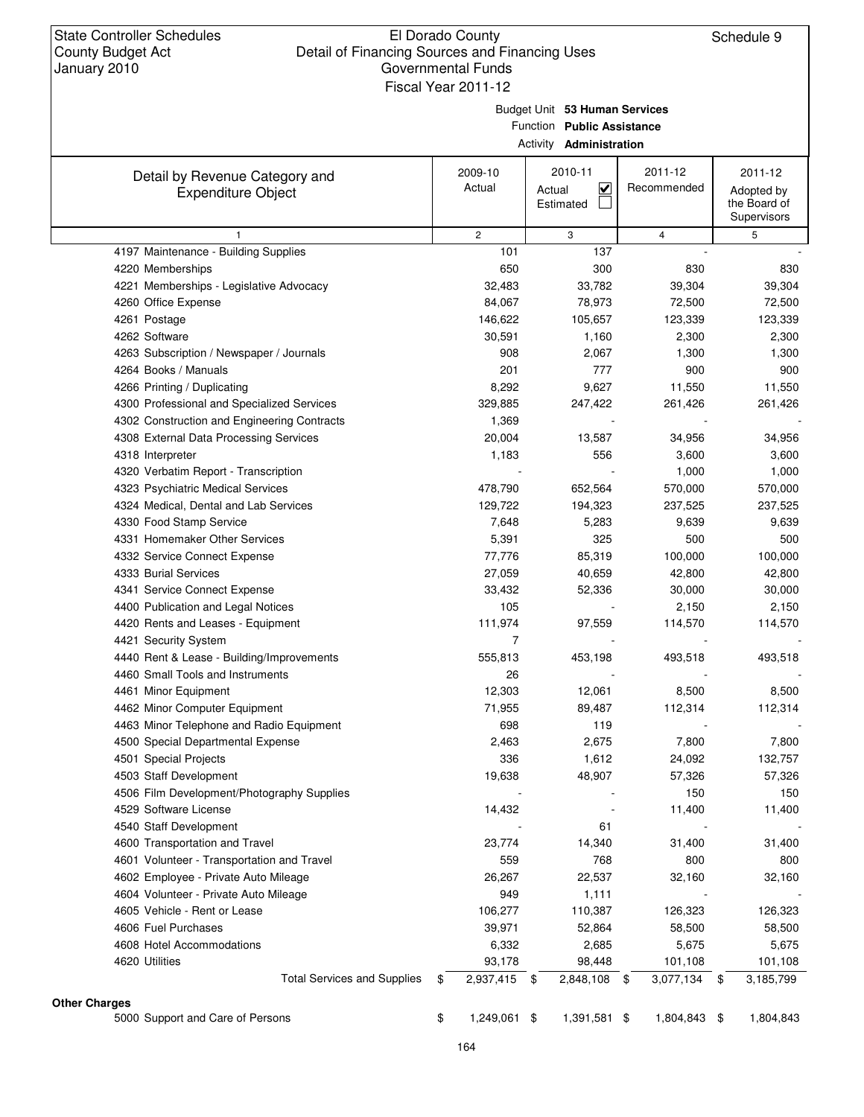|                      |                                                             | Fiscal Year 2011-12 |                                                                                               |                        |                                                      |
|----------------------|-------------------------------------------------------------|---------------------|-----------------------------------------------------------------------------------------------|------------------------|------------------------------------------------------|
|                      |                                                             |                     | Budget Unit 53 Human Services<br>Function Public Assistance<br>Activity <b>Administration</b> |                        |                                                      |
|                      | Detail by Revenue Category and<br><b>Expenditure Object</b> | 2009-10<br>Actual   | 2010-11<br>⊻<br>Actual<br>Estimated                                                           | 2011-12<br>Recommended | 2011-12<br>Adopted by<br>the Board of<br>Supervisors |
|                      | $\mathbf{1}$                                                | $\overline{2}$      | 3                                                                                             | $\overline{4}$         | 5                                                    |
|                      | 4197 Maintenance - Building Supplies                        | 101                 | 137                                                                                           |                        |                                                      |
|                      | 4220 Memberships                                            | 650                 | 300                                                                                           | 830                    | 830                                                  |
|                      | 4221 Memberships - Legislative Advocacy                     | 32,483              | 33,782                                                                                        | 39,304                 | 39,304                                               |
|                      | 4260 Office Expense                                         | 84,067              | 78,973                                                                                        | 72,500                 | 72,500                                               |
|                      | 4261 Postage                                                | 146,622             | 105,657                                                                                       | 123,339                | 123,339                                              |
|                      | 4262 Software                                               | 30,591              | 1,160                                                                                         | 2,300                  | 2,300                                                |
|                      | 4263 Subscription / Newspaper / Journals                    | 908                 | 2,067                                                                                         | 1,300                  | 1,300                                                |
|                      | 4264 Books / Manuals                                        | 201                 | 777                                                                                           | 900                    | 900                                                  |
|                      | 4266 Printing / Duplicating                                 | 8,292               | 9,627                                                                                         | 11,550                 | 11,550                                               |
|                      | 4300 Professional and Specialized Services                  | 329,885             | 247,422                                                                                       | 261,426                | 261,426                                              |
|                      | 4302 Construction and Engineering Contracts                 | 1,369               |                                                                                               |                        |                                                      |
|                      | 4308 External Data Processing Services                      | 20,004              | 13,587                                                                                        | 34,956                 | 34,956                                               |
|                      | 4318 Interpreter                                            | 1,183               | 556                                                                                           | 3,600                  | 3,600                                                |
|                      | 4320 Verbatim Report - Transcription                        |                     |                                                                                               | 1,000                  | 1,000                                                |
|                      | 4323 Psychiatric Medical Services                           | 478,790             | 652,564                                                                                       | 570,000                | 570,000                                              |
|                      | 4324 Medical, Dental and Lab Services                       | 129,722             | 194,323                                                                                       | 237,525                | 237,525                                              |
|                      | 4330 Food Stamp Service                                     | 7,648               | 5,283                                                                                         | 9,639                  | 9,639                                                |
|                      | 4331 Homemaker Other Services                               | 5,391               | 325                                                                                           | 500                    | 500                                                  |
|                      | 4332 Service Connect Expense                                | 77,776              | 85,319                                                                                        | 100,000                | 100,000                                              |
|                      | 4333 Burial Services                                        | 27,059              | 40,659                                                                                        | 42,800                 | 42,800                                               |
|                      | 4341 Service Connect Expense                                | 33,432              | 52,336                                                                                        | 30,000                 | 30,000                                               |
|                      | 4400 Publication and Legal Notices                          | 105                 |                                                                                               | 2,150                  | 2,150                                                |
|                      | 4420 Rents and Leases - Equipment                           | 111,974             | 97,559                                                                                        | 114,570                | 114,570                                              |
|                      | 4421 Security System                                        | 7                   |                                                                                               |                        |                                                      |
|                      | 4440 Rent & Lease - Building/Improvements                   | 555,813             | 453,198                                                                                       | 493,518                | 493,518                                              |
|                      | 4460 Small Tools and Instruments                            | 26                  |                                                                                               |                        |                                                      |
|                      | 4461 Minor Equipment                                        | 12,303              | 12,061                                                                                        | 8,500                  | 8,500                                                |
|                      | 4462 Minor Computer Equipment                               | 71,955              | 89,487                                                                                        | 112,314                | 112,314                                              |
|                      | 4463 Minor Telephone and Radio Equipment                    | 698                 | 119                                                                                           |                        |                                                      |
|                      | 4500 Special Departmental Expense                           | 2,463               | 2,675                                                                                         | 7,800                  | 7,800                                                |
|                      | 4501 Special Projects                                       | 336                 | 1,612                                                                                         | 24,092                 | 132,757                                              |
|                      | 4503 Staff Development                                      | 19,638              | 48,907                                                                                        | 57,326                 | 57,326                                               |
|                      | 4506 Film Development/Photography Supplies                  |                     |                                                                                               | 150                    | 150                                                  |
|                      | 4529 Software License                                       | 14,432              |                                                                                               | 11,400                 | 11,400                                               |
|                      | 4540 Staff Development                                      |                     | 61                                                                                            |                        |                                                      |
|                      | 4600 Transportation and Travel                              | 23,774              | 14,340                                                                                        | 31,400                 | 31,400                                               |
|                      | 4601 Volunteer - Transportation and Travel                  | 559                 | 768                                                                                           | 800                    | 800                                                  |
|                      | 4602 Employee - Private Auto Mileage                        | 26,267              | 22,537                                                                                        | 32,160                 | 32,160                                               |
|                      | 4604 Volunteer - Private Auto Mileage                       | 949                 | 1,111                                                                                         |                        |                                                      |
|                      | 4605 Vehicle - Rent or Lease                                | 106,277             | 110,387                                                                                       | 126,323                | 126,323                                              |
|                      | 4606 Fuel Purchases                                         | 39,971              | 52,864                                                                                        | 58,500                 | 58,500                                               |
|                      | 4608 Hotel Accommodations                                   | 6,332               | 2,685                                                                                         | 5,675                  | 5,675                                                |
|                      | 4620 Utilities                                              | 93,178              | 98,448                                                                                        | 101,108                | 101,108                                              |
|                      | <b>Total Services and Supplies</b>                          | \$<br>2,937,415 \$  | 2,848,108 \$                                                                                  | 3,077,134 \$           | 3,185,799                                            |
|                      |                                                             |                     |                                                                                               |                        |                                                      |
| <b>Other Charges</b> | 5000 Support and Care of Persons                            | \$<br>1,249,061 \$  | 1,391,581 \$                                                                                  | 1,804,843 \$           | 1,804,843                                            |
|                      |                                                             |                     |                                                                                               |                        |                                                      |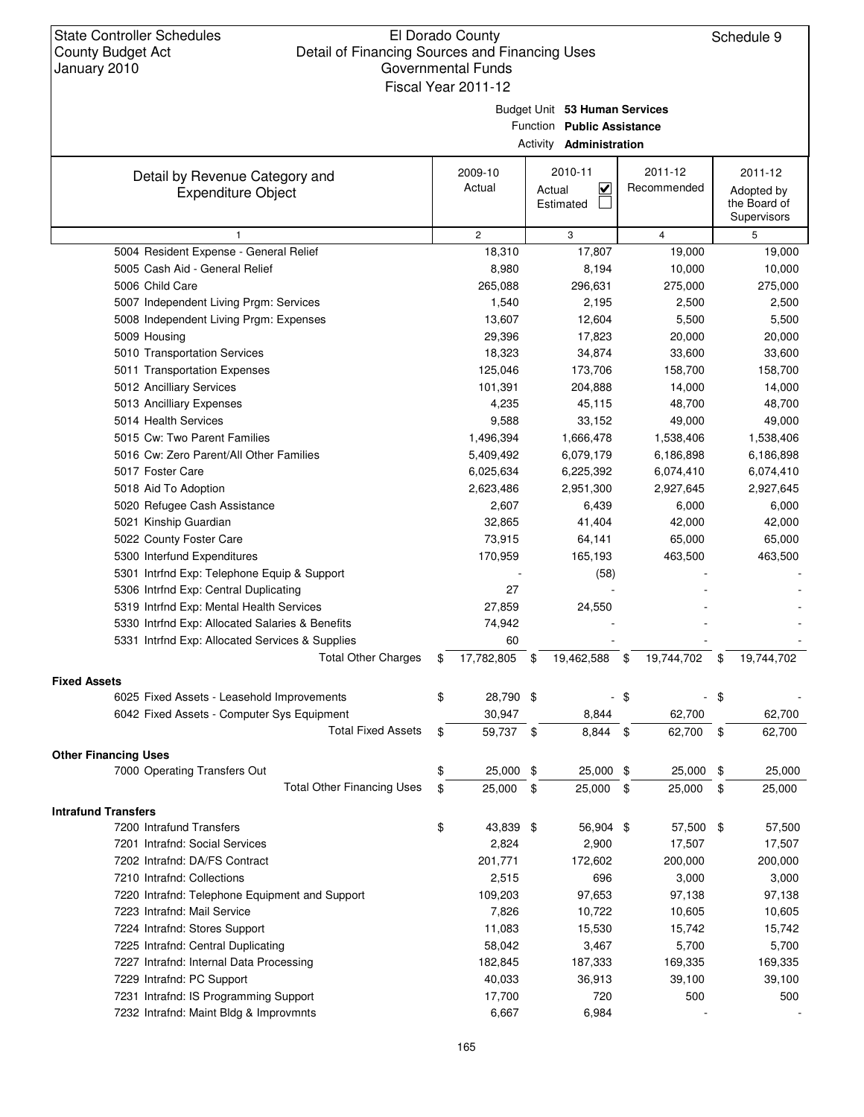Budget Unit **53 Human Services**

Function **Public Assistance**

| Detail by Revenue Category and<br><b>Expenditure Object</b> | 2009-10<br>Actual |      | 2010-11<br>$\overline{\mathbf{v}}$<br>Actual |               | 2011-12<br>Recommended | 2011-12<br>Adopted by       |
|-------------------------------------------------------------|-------------------|------|----------------------------------------------|---------------|------------------------|-----------------------------|
|                                                             |                   |      | Estimated                                    |               |                        | the Board of<br>Supervisors |
| 1                                                           | $\mathbf{2}$      |      | 3                                            |               | 4                      | 5                           |
| 5004 Resident Expense - General Relief                      | 18,310            |      | 17,807                                       |               | 19,000                 | 19,000                      |
| 5005 Cash Aid - General Relief                              | 8,980             |      | 8,194                                        |               | 10,000                 | 10,000                      |
| 5006 Child Care                                             | 265,088           |      | 296,631                                      |               | 275,000                | 275,000                     |
| 5007 Independent Living Prgm: Services                      | 1,540             |      | 2,195                                        |               | 2,500                  | 2,500                       |
| 5008 Independent Living Prgm: Expenses                      | 13,607            |      | 12,604                                       |               | 5,500                  | 5,500                       |
| 5009 Housing                                                | 29,396            |      | 17,823                                       |               | 20,000                 | 20,000                      |
| 5010 Transportation Services                                | 18,323            |      | 34,874                                       |               | 33,600                 | 33,600                      |
| 5011 Transportation Expenses                                | 125,046           |      | 173,706                                      |               | 158,700                | 158,700                     |
| 5012 Ancilliary Services                                    | 101,391           |      | 204,888                                      |               | 14,000                 | 14,000                      |
| 5013 Ancilliary Expenses                                    | 4,235             |      | 45,115                                       |               | 48,700                 | 48,700                      |
| 5014 Health Services                                        | 9,588             |      | 33,152                                       |               | 49,000                 | 49,000                      |
| 5015 Cw: Two Parent Families                                | 1,496,394         |      | 1,666,478                                    |               | 1,538,406              | 1,538,406                   |
| 5016 Cw: Zero Parent/All Other Families                     | 5,409,492         |      | 6,079,179                                    |               | 6,186,898              | 6,186,898                   |
| 5017 Foster Care                                            | 6,025,634         |      | 6,225,392                                    |               | 6,074,410              | 6,074,410                   |
| 5018 Aid To Adoption                                        | 2,623,486         |      | 2,951,300                                    |               | 2,927,645              | 2,927,645                   |
| 5020 Refugee Cash Assistance                                | 2,607             |      | 6,439                                        |               | 6,000                  | 6,000                       |
| 5021 Kinship Guardian                                       | 32,865            |      | 41,404                                       |               | 42,000                 | 42,000                      |
| 5022 County Foster Care                                     | 73,915            |      | 64,141                                       |               | 65,000                 | 65,000                      |
| 5300 Interfund Expenditures                                 | 170,959           |      | 165,193                                      |               | 463,500                | 463,500                     |
| 5301 Intrfnd Exp: Telephone Equip & Support                 |                   |      | (58)                                         |               |                        |                             |
| 5306 Intrfnd Exp: Central Duplicating                       | 27                |      |                                              |               |                        |                             |
| 5319 Intrfnd Exp: Mental Health Services                    | 27,859            |      | 24,550                                       |               |                        |                             |
| 5330 Intrfnd Exp: Allocated Salaries & Benefits             | 74,942            |      |                                              |               |                        |                             |
| 5331 Intrfnd Exp: Allocated Services & Supplies             | 60                |      |                                              |               |                        |                             |
| <b>Total Other Charges</b>                                  | \$<br>17,782,805  | \$   | 19,462,588                                   | \$            | 19,744,702             | \$<br>19,744,702            |
| <b>Fixed Assets</b>                                         |                   |      |                                              |               |                        |                             |
| 6025 Fixed Assets - Leasehold Improvements                  | \$<br>28,790 \$   |      |                                              | \$            |                        | \$                          |
| 6042 Fixed Assets - Computer Sys Equipment                  | 30,947            |      | 8,844                                        |               | 62,700                 | 62,700                      |
| <b>Total Fixed Assets</b>                                   | \$<br>59,737 \$   |      | 8,844                                        | \$            | 62,700                 | \$<br>62,700                |
| <b>Other Financing Uses</b>                                 |                   |      |                                              |               |                        |                             |
| 7000 Operating Transfers Out                                | \$<br>25,000 \$   |      | 25,000                                       | \$            | 25,000                 | \$<br>25,000                |
| <b>Total Other Financing Uses</b>                           | \$<br>25,000      | - \$ | 25,000                                       | $\frac{1}{2}$ | 25,000                 | \$<br>25,000                |
| <b>Intrafund Transfers</b>                                  |                   |      |                                              |               |                        |                             |
| 7200 Intrafund Transfers                                    | \$<br>43,839 \$   |      | 56,904 \$                                    |               | 57,500 \$              | 57,500                      |
| 7201 Intrafnd: Social Services                              | 2,824             |      | 2,900                                        |               | 17,507                 | 17,507                      |
| 7202 Intrafnd: DA/FS Contract                               | 201,771           |      | 172,602                                      |               | 200,000                | 200,000                     |
| 7210 Intrafnd: Collections                                  | 2,515             |      | 696                                          |               | 3,000                  | 3,000                       |
| 7220 Intrafnd: Telephone Equipment and Support              | 109,203           |      | 97,653                                       |               | 97,138                 | 97,138                      |
| 7223 Intrafnd: Mail Service                                 | 7,826             |      | 10,722                                       |               | 10,605                 | 10,605                      |
| 7224 Intrafnd: Stores Support                               | 11,083            |      | 15,530                                       |               | 15,742                 | 15,742                      |
| 7225 Intrafnd: Central Duplicating                          | 58,042            |      | 3,467                                        |               | 5,700                  | 5,700                       |
| 7227 Intrafnd: Internal Data Processing                     | 182,845           |      | 187,333                                      |               | 169,335                | 169,335                     |
| 7229 Intrafnd: PC Support                                   | 40,033            |      | 36,913                                       |               | 39,100                 | 39,100                      |
| 7231 Intrafnd: IS Programming Support                       | 17,700            |      | 720                                          |               | 500                    | 500                         |
| 7232 Intrafnd: Maint Bldg & Improvmnts                      | 6,667             |      | 6,984                                        |               |                        |                             |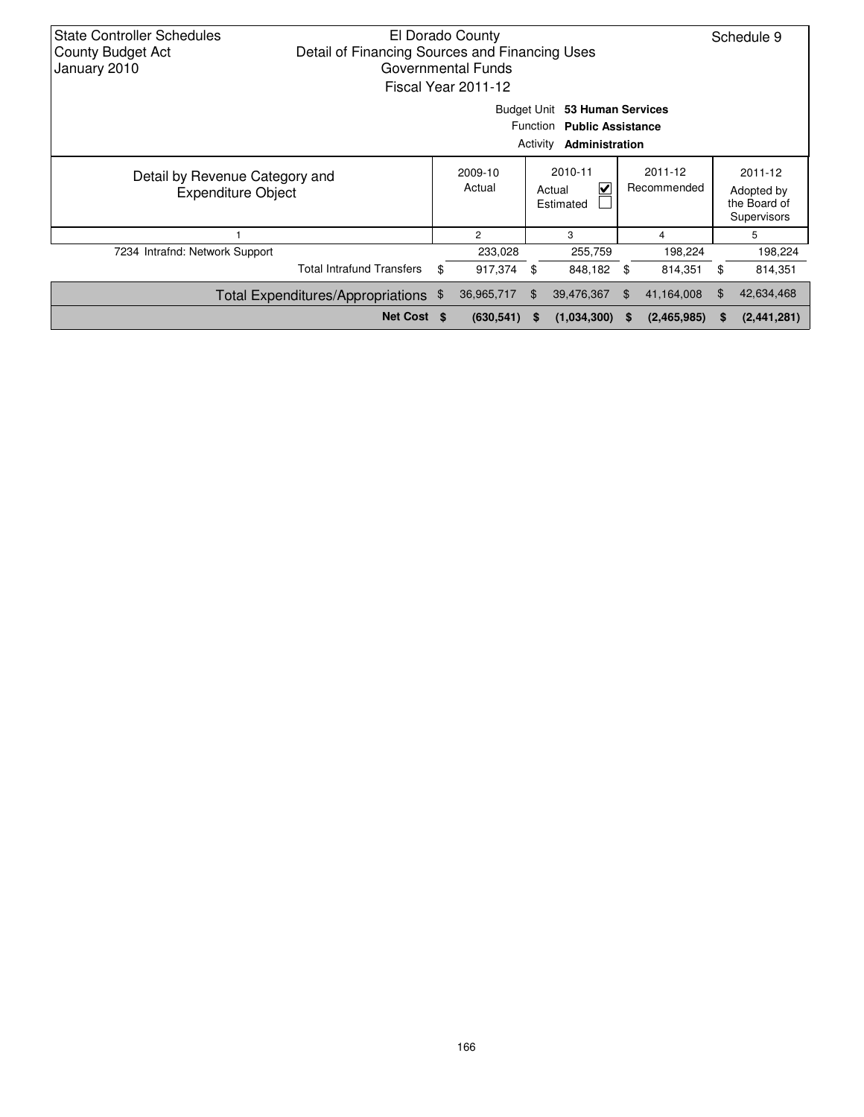| State Controller Schedules<br><b>County Budget Act</b><br>January 2010 | Detail of Financing Sources and Financing Uses | El Dorado County<br>Governmental Funds<br>Fiscal Year 2011-12 |                                     |                                                                 |                        |             |                                                      | Schedule 9  |
|------------------------------------------------------------------------|------------------------------------------------|---------------------------------------------------------------|-------------------------------------|-----------------------------------------------------------------|------------------------|-------------|------------------------------------------------------|-------------|
|                                                                        |                                                | Budget Unit                                                   | Function<br>Activity                | 53 Human Services<br><b>Public Assistance</b><br>Administration |                        |             |                                                      |             |
| Detail by Revenue Category and<br><b>Expenditure Object</b>            |                                                | 2009-10<br>Actual                                             | 2010-11<br>V<br>Actual<br>Estimated |                                                                 | 2011-12<br>Recommended |             | 2011-12<br>Adopted by<br>the Board of<br>Supervisors |             |
|                                                                        |                                                | $\mathfrak{p}$                                                |                                     | 3                                                               |                        | 4           |                                                      | 5           |
| 7234 Intrafnd: Network Support                                         |                                                | 233,028                                                       |                                     | 255,759                                                         |                        | 198,224     |                                                      | 198,224     |
|                                                                        | <b>Total Intrafund Transfers</b>               | \$<br>917,374                                                 | \$                                  | 848,182                                                         | \$                     | 814,351     | \$                                                   | 814,351     |
|                                                                        | Total Expenditures/Appropriations \$           | 36,965,717                                                    |                                     | 39,476,367                                                      | \$.                    | 41,164,008  | \$                                                   | 42,634,468  |
|                                                                        | Net Cost \$                                    | (630, 541)                                                    | S                                   | (1,034,300)                                                     | S                      | (2,465,985) | S                                                    | (2,441,281) |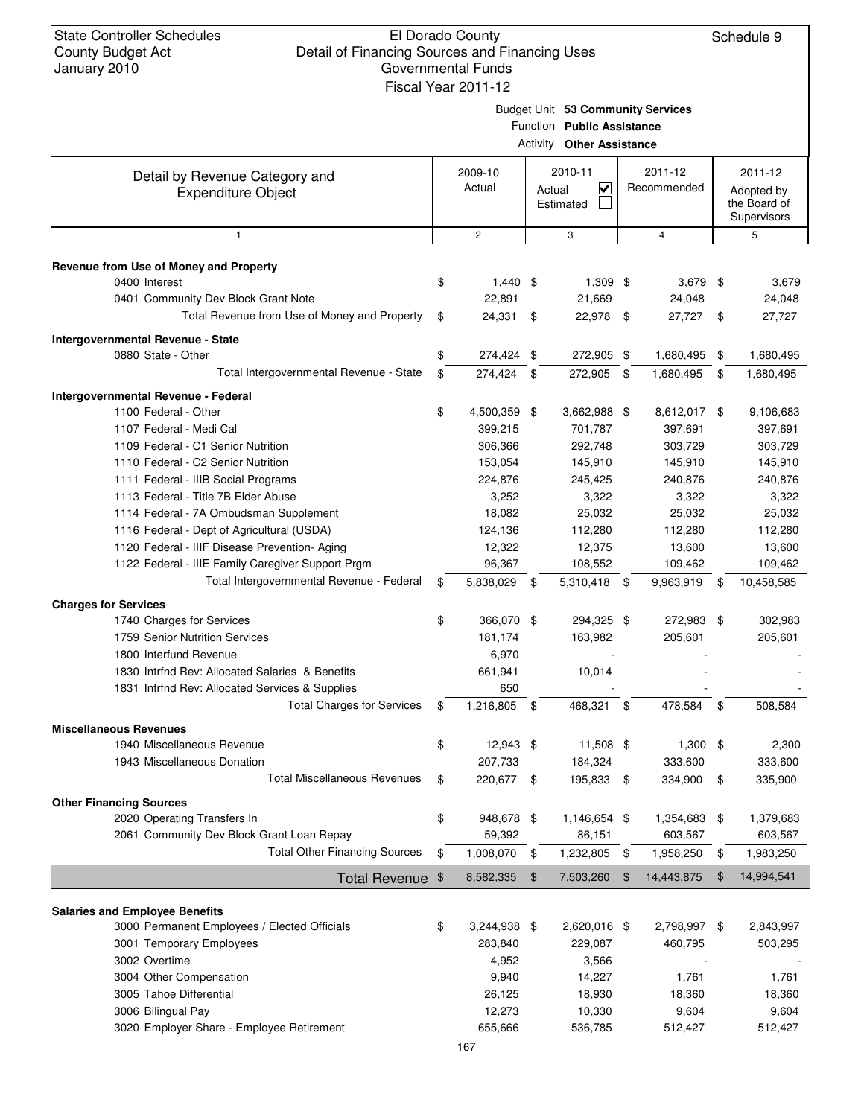Schedule 9

Budget Unit **53 Community Services**

|                                                             | Function Public Assistance<br><b>Activity Other Assistance</b> |                |            |                                   |      |              |    |                             |  |  |
|-------------------------------------------------------------|----------------------------------------------------------------|----------------|------------|-----------------------------------|------|--------------|----|-----------------------------|--|--|
|                                                             |                                                                | 2009-10        |            | 2010-11                           |      | 2011-12      |    | 2011-12                     |  |  |
| Detail by Revenue Category and<br><b>Expenditure Object</b> |                                                                | Actual         |            | $\overline{\mathsf{v}}$<br>Actual |      | Recommended  |    | Adopted by                  |  |  |
|                                                             |                                                                |                |            | Estimated                         |      |              |    | the Board of<br>Supervisors |  |  |
| 1                                                           |                                                                | $\overline{c}$ |            | 3                                 |      | 4            |    | 5                           |  |  |
|                                                             |                                                                |                |            |                                   |      |              |    |                             |  |  |
| Revenue from Use of Money and Property<br>0400 Interest     | \$                                                             | $1,440$ \$     |            | $1,309$ \$                        |      | $3,679$ \$   |    | 3,679                       |  |  |
| 0401 Community Dev Block Grant Note                         |                                                                | 22,891         |            | 21,669                            |      | 24,048       |    | 24,048                      |  |  |
| Total Revenue from Use of Money and Property                | \$                                                             | 24,331         | -\$        | 22,978 \$                         |      | 27,727 \$    |    | 27,727                      |  |  |
|                                                             |                                                                |                |            |                                   |      |              |    |                             |  |  |
| Intergovernmental Revenue - State                           |                                                                |                |            |                                   |      |              |    |                             |  |  |
| 0880 State - Other                                          | \$                                                             | 274,424 \$     |            | 272,905 \$                        |      | 1,680,495    | \$ | 1,680,495                   |  |  |
| Total Intergovernmental Revenue - State                     | \$                                                             | 274,424 \$     |            | 272,905 \$                        |      | 1,680,495    | \$ | 1,680,495                   |  |  |
| Intergovernmental Revenue - Federal                         |                                                                |                |            |                                   |      |              |    |                             |  |  |
| 1100 Federal - Other                                        | \$                                                             | 4,500,359 \$   |            | 3,662,988 \$                      |      | 8,612,017 \$ |    | 9,106,683                   |  |  |
| 1107 Federal - Medi Cal                                     |                                                                | 399,215        |            | 701,787                           |      | 397,691      |    | 397,691                     |  |  |
| 1109 Federal - C1 Senior Nutrition                          |                                                                | 306,366        |            | 292,748                           |      | 303,729      |    | 303,729                     |  |  |
| 1110 Federal - C2 Senior Nutrition                          |                                                                | 153,054        |            | 145,910                           |      | 145,910      |    | 145,910                     |  |  |
| 1111 Federal - IIIB Social Programs                         |                                                                | 224,876        |            | 245,425                           |      | 240,876      |    | 240,876                     |  |  |
| 1113 Federal - Title 7B Elder Abuse                         |                                                                | 3,252          |            | 3,322                             |      | 3,322        |    | 3,322                       |  |  |
| 1114 Federal - 7A Ombudsman Supplement                      |                                                                | 18,082         |            | 25,032                            |      | 25,032       |    | 25,032                      |  |  |
| 1116 Federal - Dept of Agricultural (USDA)                  |                                                                | 124,136        |            | 112,280                           |      | 112,280      |    | 112,280                     |  |  |
| 1120 Federal - IIIF Disease Prevention- Aging               |                                                                | 12,322         |            | 12,375                            |      | 13,600       |    | 13,600                      |  |  |
| 1122 Federal - IIIE Family Caregiver Support Prgm           |                                                                | 96,367         |            | 108,552                           |      | 109,462      |    | 109,462                     |  |  |
| Total Intergovernmental Revenue - Federal                   | \$                                                             | 5,838,029 \$   |            | 5,310,418 \$                      |      | 9,963,919    | \$ | 10,458,585                  |  |  |
| <b>Charges for Services</b>                                 |                                                                |                |            |                                   |      |              |    |                             |  |  |
| 1740 Charges for Services                                   | \$                                                             | 366,070 \$     |            | 294,325 \$                        |      | 272,983 \$   |    | 302,983                     |  |  |
| 1759 Senior Nutrition Services                              |                                                                | 181,174        |            | 163,982                           |      | 205,601      |    | 205,601                     |  |  |
| 1800 Interfund Revenue                                      |                                                                | 6,970          |            |                                   |      |              |    |                             |  |  |
| 1830 Intrind Rev: Allocated Salaries & Benefits             |                                                                | 661,941        |            | 10,014                            |      |              |    |                             |  |  |
| 1831 Intrfnd Rev: Allocated Services & Supplies             |                                                                | 650            |            |                                   |      |              |    |                             |  |  |
| <b>Total Charges for Services</b>                           | \$                                                             | 1,216,805      | \$         | 468,321                           | \$   | 478,584      | \$ | 508,584                     |  |  |
| <b>Miscellaneous Revenues</b>                               |                                                                |                |            |                                   |      |              |    |                             |  |  |
| 1940 Miscellaneous Revenue                                  |                                                                | 12,943 \$      |            | 11,508 \$                         |      | $1,300$ \$   |    | 2,300                       |  |  |
| 1943 Miscellaneous Donation                                 |                                                                | 207,733        |            | 184,324                           |      | 333,600      |    | 333,600                     |  |  |
| <b>Total Miscellaneous Revenues</b>                         | \$                                                             | 220,677 \$     |            | 195,833 \$                        |      | 334,900      | \$ | 335,900                     |  |  |
| <b>Other Financing Sources</b>                              |                                                                |                |            |                                   |      |              |    |                             |  |  |
| 2020 Operating Transfers In                                 | \$                                                             | 948,678 \$     |            | 1,146,654 \$                      |      | 1,354,683 \$ |    | 1,379,683                   |  |  |
| 2061 Community Dev Block Grant Loan Repay                   |                                                                | 59,392         |            | 86,151                            |      | 603,567      |    | 603,567                     |  |  |
| <b>Total Other Financing Sources</b>                        | \$                                                             | 1,008,070      | $\sqrt{3}$ | 1,232,805                         | - \$ | 1,958,250    | \$ | 1,983,250                   |  |  |
| Total Revenue \$                                            |                                                                | 8,582,335      | \$         | 7,503,260                         | -\$  | 14,443,875   | \$ | 14,994,541                  |  |  |
|                                                             |                                                                |                |            |                                   |      |              |    |                             |  |  |
| <b>Salaries and Employee Benefits</b>                       |                                                                |                |            |                                   |      |              |    |                             |  |  |
| 3000 Permanent Employees / Elected Officials                | \$                                                             | 3,244,938 \$   |            | 2,620,016 \$                      |      | 2,798,997 \$ |    | 2,843,997                   |  |  |
| 3001 Temporary Employees                                    |                                                                | 283,840        |            | 229,087                           |      | 460,795      |    | 503,295                     |  |  |
| 3002 Overtime                                               |                                                                | 4,952          |            | 3,566                             |      |              |    |                             |  |  |
| 3004 Other Compensation                                     |                                                                | 9,940          |            | 14,227                            |      | 1,761        |    | 1,761                       |  |  |
| 3005 Tahoe Differential                                     |                                                                | 26,125         |            | 18,930                            |      | 18,360       |    | 18,360                      |  |  |
| 3006 Bilingual Pay                                          |                                                                | 12,273         |            | 10,330                            |      | 9,604        |    | 9,604                       |  |  |
| 3020 Employer Share - Employee Retirement                   |                                                                | 655,666        |            | 536,785                           |      | 512,427      |    | 512,427                     |  |  |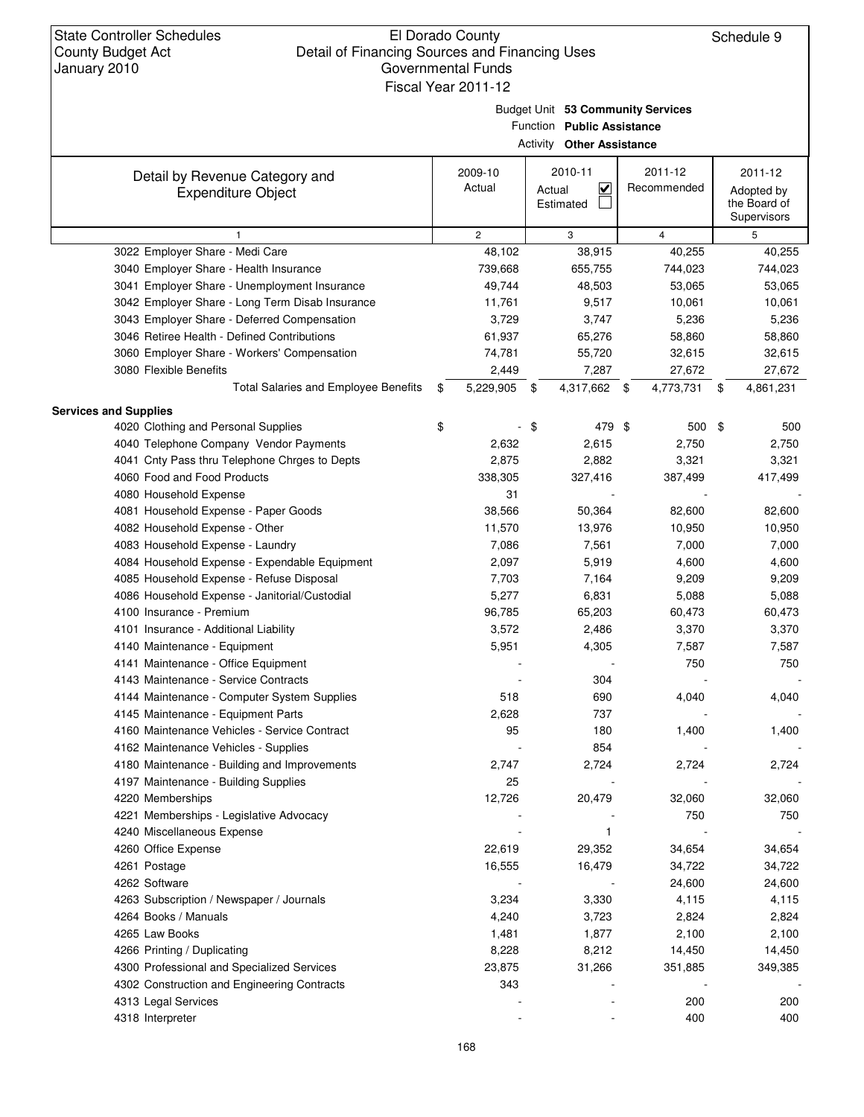Budget Unit **53 Community Services**

|                                                             |                   | Function Public Assistance<br><b>Activity Other Assistance</b> |                        |                                                      |
|-------------------------------------------------------------|-------------------|----------------------------------------------------------------|------------------------|------------------------------------------------------|
| Detail by Revenue Category and<br><b>Expenditure Object</b> | 2009-10<br>Actual | 2010-11<br>$\checkmark$<br>Actual<br>Estimated                 | 2011-12<br>Recommended | 2011-12<br>Adopted by<br>the Board of<br>Supervisors |
| $\mathbf{1}$                                                | $\overline{2}$    | 3                                                              | $\overline{4}$         | 5                                                    |
| 3022 Employer Share - Medi Care                             | 48,102            | 38,915                                                         | 40,255                 | 40,255                                               |
| 3040 Employer Share - Health Insurance                      | 739,668           | 655,755                                                        | 744,023                | 744,023                                              |
| 3041 Employer Share - Unemployment Insurance                | 49,744            | 48,503                                                         | 53,065                 | 53,065                                               |
| 3042 Employer Share - Long Term Disab Insurance             | 11,761            | 9,517                                                          | 10,061                 | 10,061                                               |
| 3043 Employer Share - Deferred Compensation                 | 3,729             | 3,747                                                          | 5,236                  | 5,236                                                |
| 3046 Retiree Health - Defined Contributions                 | 61,937            | 65,276                                                         | 58,860                 | 58,860                                               |
| 3060 Employer Share - Workers' Compensation                 | 74,781            | 55,720                                                         | 32,615                 | 32,615                                               |
| 3080 Flexible Benefits                                      | 2,449             | 7,287                                                          | 27,672                 | 27,672                                               |
| <b>Total Salaries and Employee Benefits</b>                 | \$<br>5,229,905   | \$<br>4,317,662 \$                                             | 4,773,731              | \$<br>4,861,231                                      |
| <b>Services and Supplies</b>                                |                   |                                                                |                        |                                                      |
| 4020 Clothing and Personal Supplies                         | \$                | \$<br>479 \$                                                   | 500 \$                 | 500                                                  |
| 4040 Telephone Company Vendor Payments                      | 2,632             | 2,615                                                          | 2,750                  | 2,750                                                |
| 4041 Cnty Pass thru Telephone Chrges to Depts               | 2,875             | 2,882                                                          | 3,321                  | 3,321                                                |
| 4060 Food and Food Products                                 | 338,305           | 327,416                                                        | 387,499                | 417,499                                              |
| 4080 Household Expense                                      | 31                |                                                                |                        |                                                      |
| 4081 Household Expense - Paper Goods                        | 38,566            | 50,364                                                         | 82,600                 | 82,600                                               |
| 4082 Household Expense - Other                              | 11,570            | 13,976                                                         | 10,950                 | 10,950                                               |
| 4083 Household Expense - Laundry                            | 7,086             | 7,561                                                          | 7,000                  | 7,000                                                |
| 4084 Household Expense - Expendable Equipment               | 2,097             | 5,919                                                          | 4,600                  | 4,600                                                |
| 4085 Household Expense - Refuse Disposal                    | 7,703             | 7,164                                                          | 9,209                  | 9,209                                                |
| 4086 Household Expense - Janitorial/Custodial               | 5,277             | 6,831                                                          | 5,088                  | 5,088                                                |
| 4100 Insurance - Premium                                    | 96,785            | 65,203                                                         | 60,473                 | 60,473                                               |
| 4101 Insurance - Additional Liability                       | 3,572             | 2,486                                                          | 3,370                  | 3,370                                                |
| 4140 Maintenance - Equipment                                | 5,951             | 4,305                                                          | 7,587                  | 7,587                                                |
| 4141 Maintenance - Office Equipment                         |                   |                                                                | 750                    | 750                                                  |
| 4143 Maintenance - Service Contracts                        |                   | 304                                                            |                        |                                                      |
| 4144 Maintenance - Computer System Supplies                 | 518               | 690                                                            | 4,040                  | 4,040                                                |
| 4145 Maintenance - Equipment Parts                          | 2,628             | 737                                                            |                        |                                                      |
| 4160 Maintenance Vehicles - Service Contract                | 95                | 180                                                            | 1,400                  | 1,400                                                |
| 4162 Maintenance Vehicles - Supplies                        |                   | 854                                                            |                        |                                                      |
| 4180 Maintenance - Building and Improvements                | 2,747             | 2,724                                                          | 2,724                  | 2,724                                                |
| 4197 Maintenance - Building Supplies                        | 25                |                                                                |                        |                                                      |
| 4220 Memberships                                            | 12,726            | 20,479                                                         | 32,060                 | 32,060                                               |
| 4221 Memberships - Legislative Advocacy                     |                   |                                                                | 750                    | 750                                                  |
| 4240 Miscellaneous Expense                                  |                   | 1                                                              |                        |                                                      |
| 4260 Office Expense                                         | 22,619            | 29,352                                                         | 34,654                 | 34,654                                               |
| 4261 Postage                                                | 16,555            | 16,479                                                         | 34,722                 | 34,722                                               |
| 4262 Software                                               |                   |                                                                | 24,600                 | 24,600                                               |
| 4263 Subscription / Newspaper / Journals                    | 3,234             | 3,330                                                          | 4,115                  | 4,115                                                |
| 4264 Books / Manuals                                        | 4,240             | 3,723                                                          | 2,824                  | 2,824                                                |
| 4265 Law Books                                              | 1,481             | 1,877                                                          | 2,100                  | 2,100                                                |
| 4266 Printing / Duplicating                                 | 8,228             | 8,212                                                          | 14,450                 | 14,450                                               |
| 4300 Professional and Specialized Services                  | 23,875            | 31,266                                                         | 351,885                | 349,385                                              |
| 4302 Construction and Engineering Contracts                 | 343               |                                                                |                        |                                                      |
| 4313 Legal Services                                         |                   |                                                                | 200                    | 200                                                  |
| 4318 Interpreter                                            |                   |                                                                | 400                    | 400                                                  |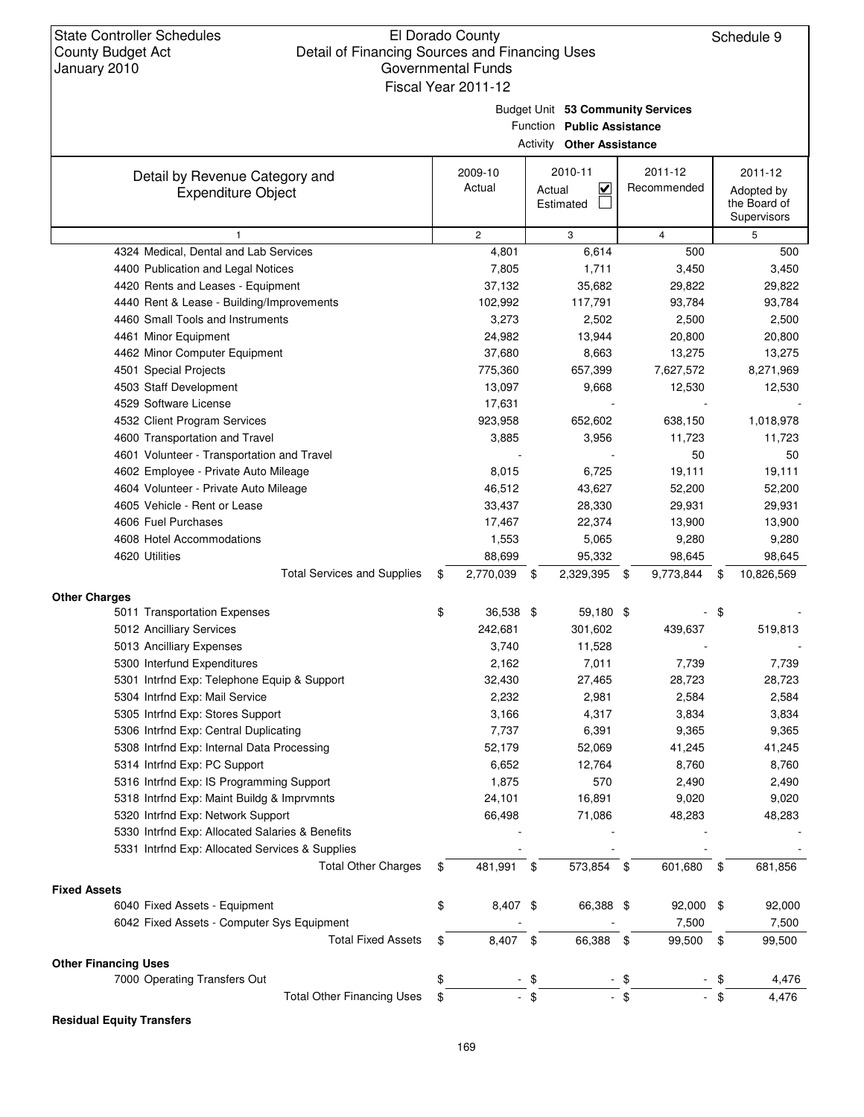### El Dorado County Detail of Financing Sources and Financing Uses Governmental Funds Fiscal Year 2011-12

Budget Unit **53 Community Services**

Function **Public Assistance**

| <b>Activity Other Assistance</b><br>2010-11<br>2011-12<br>2009-10<br>Detail by Revenue Category and<br>Actual<br>$\overline{\mathbf{v}}$<br>Recommended<br>Actual<br><b>Expenditure Object</b> |    |                 |                  |                 |    |                                           |  |  |
|------------------------------------------------------------------------------------------------------------------------------------------------------------------------------------------------|----|-----------------|------------------|-----------------|----|-------------------------------------------|--|--|
|                                                                                                                                                                                                |    |                 |                  |                 |    | 2011-12                                   |  |  |
|                                                                                                                                                                                                |    |                 | Estimated        |                 |    | Adopted by<br>the Board of<br>Supervisors |  |  |
| $\mathbf{1}$                                                                                                                                                                                   |    | $\overline{2}$  | 3                | $\overline{4}$  |    | 5                                         |  |  |
| 4324 Medical, Dental and Lab Services                                                                                                                                                          |    | 4,801           | 6,614            | 500             |    | 500                                       |  |  |
| 4400 Publication and Legal Notices                                                                                                                                                             |    | 7,805           | 1,711            | 3,450           |    | 3,450                                     |  |  |
| 4420 Rents and Leases - Equipment                                                                                                                                                              |    | 37,132          | 35,682           | 29,822          |    | 29,822                                    |  |  |
| 4440 Rent & Lease - Building/Improvements                                                                                                                                                      |    | 102,992         | 117,791          | 93,784          |    | 93,784                                    |  |  |
| 4460 Small Tools and Instruments                                                                                                                                                               |    | 3,273           | 2,502            | 2,500           |    | 2,500                                     |  |  |
| 4461 Minor Equipment                                                                                                                                                                           |    | 24,982          | 13,944           | 20,800          |    | 20,800                                    |  |  |
| 4462 Minor Computer Equipment                                                                                                                                                                  |    | 37,680          | 8,663            | 13,275          |    | 13,275                                    |  |  |
| 4501 Special Projects                                                                                                                                                                          |    | 775,360         | 657,399          | 7,627,572       |    | 8,271,969                                 |  |  |
| 4503 Staff Development                                                                                                                                                                         |    | 13,097          | 9,668            | 12,530          |    | 12,530                                    |  |  |
| 4529 Software License                                                                                                                                                                          |    | 17,631          |                  |                 |    |                                           |  |  |
| 4532 Client Program Services                                                                                                                                                                   |    | 923,958         | 652,602          | 638,150         |    | 1,018,978                                 |  |  |
| 4600 Transportation and Travel                                                                                                                                                                 |    | 3,885           | 3,956            | 11,723          |    | 11,723                                    |  |  |
| 4601 Volunteer - Transportation and Travel                                                                                                                                                     |    |                 |                  | 50              |    | 50                                        |  |  |
| 4602 Employee - Private Auto Mileage                                                                                                                                                           |    | 8,015           | 6,725            | 19,111          |    | 19,111                                    |  |  |
| 4604 Volunteer - Private Auto Mileage                                                                                                                                                          |    | 46,512          | 43,627           | 52,200          |    | 52,200                                    |  |  |
| 4605 Vehicle - Rent or Lease                                                                                                                                                                   |    | 33,437          | 28,330           | 29,931          |    | 29,931                                    |  |  |
| 4606 Fuel Purchases                                                                                                                                                                            |    | 17,467          | 22,374           | 13,900          |    | 13,900                                    |  |  |
| 4608 Hotel Accommodations                                                                                                                                                                      |    | 1,553           | 5,065            | 9,280           |    | 9,280                                     |  |  |
| 4620 Utilities                                                                                                                                                                                 |    | 88,699          | 95,332           | 98,645          |    | 98,645                                    |  |  |
| <b>Total Services and Supplies</b>                                                                                                                                                             | \$ | 2,770,039       | 2,329,395<br>\$  | 9,773,844<br>\$ | \$ | 10,826,569                                |  |  |
| <b>Other Charges</b>                                                                                                                                                                           |    |                 |                  |                 |    |                                           |  |  |
| 5011 Transportation Expenses                                                                                                                                                                   | \$ | 36,538 \$       | 59,180 \$        |                 | \$ |                                           |  |  |
| 5012 Ancilliary Services                                                                                                                                                                       |    | 242,681         | 301,602          | 439,637         |    | 519,813                                   |  |  |
| 5013 Ancilliary Expenses                                                                                                                                                                       |    | 3,740           | 11,528           |                 |    |                                           |  |  |
| 5300 Interfund Expenditures                                                                                                                                                                    |    | 2,162           | 7,011            | 7,739           |    | 7,739                                     |  |  |
| 5301 Intrfnd Exp: Telephone Equip & Support                                                                                                                                                    |    | 32,430          | 27,465           | 28,723          |    | 28,723                                    |  |  |
| 5304 Intrfnd Exp: Mail Service<br>5305 Intrfnd Exp: Stores Support                                                                                                                             |    | 2,232           | 2,981            | 2,584           |    | 2,584                                     |  |  |
|                                                                                                                                                                                                |    | 3,166           | 4,317            | 3,834           |    | 3,834                                     |  |  |
| 5306 Intrfnd Exp: Central Duplicating<br>5308 Intrfnd Exp: Internal Data Processing                                                                                                            |    | 7,737<br>52,179 | 6,391            | 9,365           |    | 9,365                                     |  |  |
| 5314 Intrfnd Exp: PC Support                                                                                                                                                                   |    | 6,652           | 52,069<br>12,764 | 41,245<br>8,760 |    | 41,245<br>8,760                           |  |  |
| 5316 Intrfnd Exp: IS Programming Support                                                                                                                                                       |    | 1,875           | 570              | 2,490           |    | 2,490                                     |  |  |
| 5318 Intrfnd Exp: Maint Buildg & Imprvmnts                                                                                                                                                     |    | 24,101          | 16,891           | 9,020           |    | 9,020                                     |  |  |
| 5320 Intrfnd Exp: Network Support                                                                                                                                                              |    | 66,498          | 71,086           | 48,283          |    | 48,283                                    |  |  |
| 5330 Intrfnd Exp: Allocated Salaries & Benefits                                                                                                                                                |    |                 |                  |                 |    |                                           |  |  |
| 5331 Intrfnd Exp: Allocated Services & Supplies                                                                                                                                                |    |                 |                  |                 |    |                                           |  |  |
| <b>Total Other Charges</b>                                                                                                                                                                     | \$ | 481,991         | 573,854 \$<br>\$ | 601,680         | \$ | 681,856                                   |  |  |
|                                                                                                                                                                                                |    |                 |                  |                 |    |                                           |  |  |
| <b>Fixed Assets</b>                                                                                                                                                                            |    |                 |                  |                 |    |                                           |  |  |
| 6040 Fixed Assets - Equipment                                                                                                                                                                  | \$ | 8,407 \$        | 66,388 \$        | 92,000 \$       |    | 92,000                                    |  |  |
| 6042 Fixed Assets - Computer Sys Equipment                                                                                                                                                     |    |                 |                  | 7,500           |    | 7,500                                     |  |  |
| <b>Total Fixed Assets</b>                                                                                                                                                                      | \$ | 8,407           | 66,388 \$<br>\$  | 99,500          | \$ | 99,500                                    |  |  |
| <b>Other Financing Uses</b>                                                                                                                                                                    |    |                 |                  |                 |    |                                           |  |  |
| 7000 Operating Transfers Out                                                                                                                                                                   | \$ |                 | \$               | \$              |    | 4,476                                     |  |  |
| <b>Total Other Financing Uses</b>                                                                                                                                                              | \$ |                 | \$               | $-$ \$          | \$ | 4,476                                     |  |  |

#### **Residual Equity Transfers**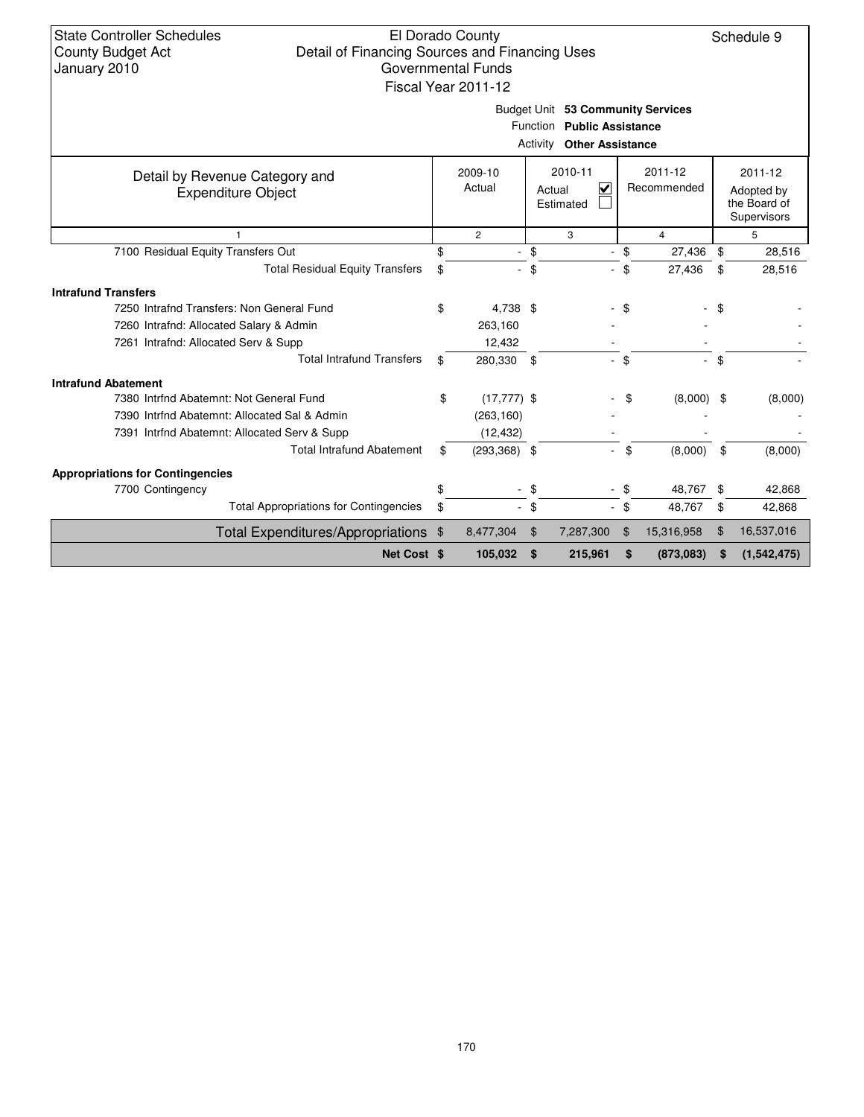| <b>State Controller Schedules</b> |
|-----------------------------------|
| <b>County Budget Act</b>          |
| January 2010                      |

Schedule 9

Budget Unit **53 Community Services**

|                                                             | Function<br><b>Public Assistance</b><br>Activity<br><b>Other Assistance</b> |                          |                     |                |     |                            |      |                                                      |  |
|-------------------------------------------------------------|-----------------------------------------------------------------------------|--------------------------|---------------------|----------------|-----|----------------------------|------|------------------------------------------------------|--|
| Detail by Revenue Category and<br><b>Expenditure Object</b> |                                                                             | 2009-10<br>Actual        | Actual<br>Estimated | 2010-11<br>V   |     | $2011 - 12$<br>Recommended |      | 2011-12<br>Adopted by<br>the Board of<br>Supervisors |  |
|                                                             |                                                                             | $\overline{2}$           | 3                   |                |     | 4                          |      | 5                                                    |  |
| 7100 Residual Equity Transfers Out                          |                                                                             |                          | \$                  |                | \$  | 27,436                     | \$   | 28,516                                               |  |
| <b>Total Residual Equity Transfers</b>                      | \$                                                                          |                          | \$                  |                | \$  | 27,436                     | \$   | 28,516                                               |  |
| <b>Intrafund Transfers</b>                                  |                                                                             |                          |                     |                |     |                            |      |                                                      |  |
| 7250 Intrafnd Transfers: Non General Fund                   | \$                                                                          | 4.738 \$                 |                     |                | \$  |                            | - \$ |                                                      |  |
| 7260 Intrafnd: Allocated Salary & Admin                     |                                                                             | 263,160                  |                     |                |     |                            |      |                                                      |  |
| 7261 Intrafnd: Allocated Serv & Supp                        |                                                                             | 12,432                   |                     |                |     |                            |      |                                                      |  |
| <b>Total Intrafund Transfers</b>                            | \$                                                                          | 280,330                  | \$                  | $\blacksquare$ | \$  | $\sim$ .                   | \$   |                                                      |  |
| <b>Intrafund Abatement</b>                                  |                                                                             |                          |                     |                |     |                            |      |                                                      |  |
| 7380 Intrind Abatemnt: Not General Fund                     | \$                                                                          | $(17, 777)$ \$           |                     |                | \$  | $(8,000)$ \$               |      | (8,000)                                              |  |
| 7390 Intrfnd Abatemnt: Allocated Sal & Admin                |                                                                             | (263, 160)               |                     |                |     |                            |      |                                                      |  |
| 7391 Intrind Abatemnt: Allocated Serv & Supp                |                                                                             | (12, 432)                |                     |                |     |                            |      |                                                      |  |
| <b>Total Intrafund Abatement</b>                            | \$                                                                          | $(293,368)$ \$           |                     |                | \$  | (8,000)                    | \$   | (8,000)                                              |  |
| <b>Appropriations for Contingencies</b>                     |                                                                             |                          |                     |                |     |                            |      |                                                      |  |
| 7700 Contingency                                            |                                                                             | $\overline{\phantom{a}}$ | \$                  | $\blacksquare$ | -\$ | 48,767                     | \$   | 42,868                                               |  |
| <b>Total Appropriations for Contingencies</b>               | \$                                                                          | $\overline{\phantom{a}}$ | \$                  | $\frac{1}{2}$  | \$  | 48,767                     | \$   | 42,868                                               |  |
| Total Expenditures/Appropriations \$                        |                                                                             | 8,477,304                | $\mathfrak{F}$      | 7,287,300      | \$  | 15,316,958                 | \$   | 16,537,016                                           |  |
| Net Cost \$                                                 |                                                                             | 105,032                  | \$                  | 215,961        | \$  | (873,083)                  | S    | (1,542,475)                                          |  |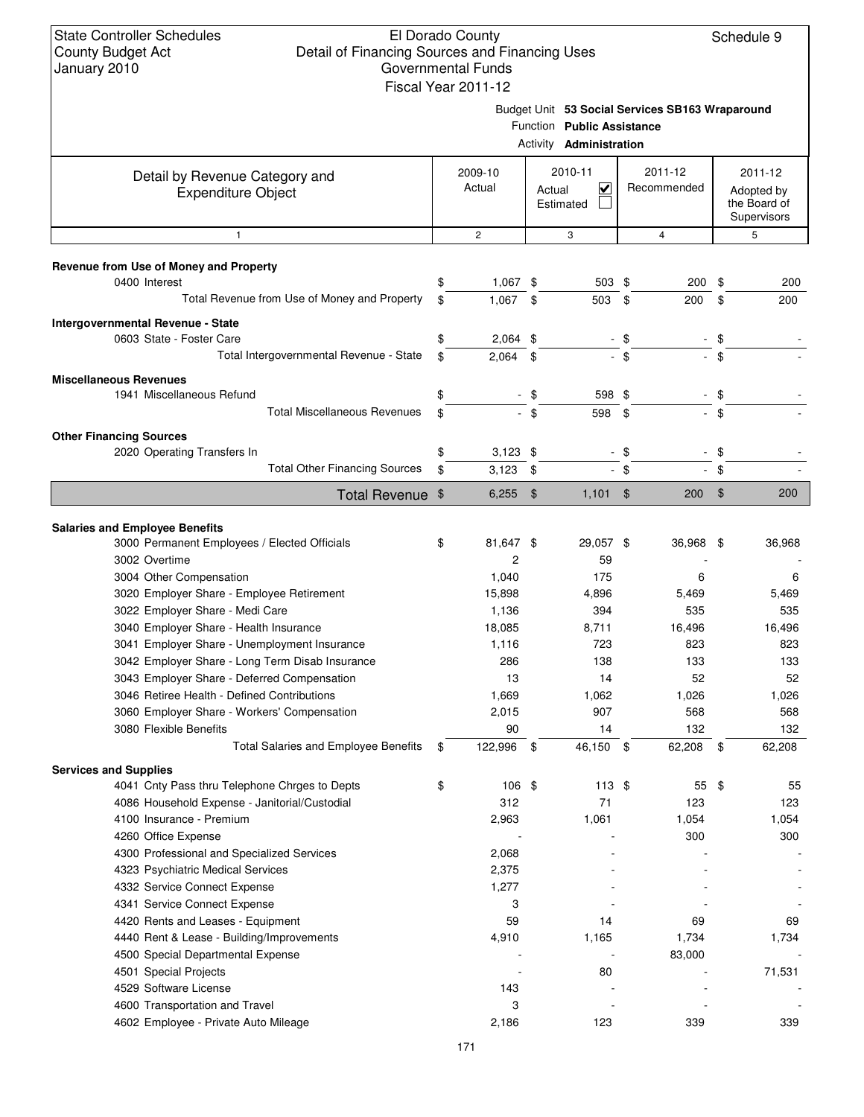| January 2010                                                                                   |                   | Governmental Funds  |                                                              |                |                                                 |              |          |              |                        |  |  |                                                      |
|------------------------------------------------------------------------------------------------|-------------------|---------------------|--------------------------------------------------------------|----------------|-------------------------------------------------|--------------|----------|--------------|------------------------|--|--|------------------------------------------------------|
|                                                                                                |                   | Fiscal Year 2011-12 | Function Public Assistance<br>Activity <b>Administration</b> |                | Budget Unit 53 Social Services SB163 Wraparound |              |          |              |                        |  |  |                                                      |
|                                                                                                |                   |                     |                                                              |                |                                                 |              |          |              |                        |  |  |                                                      |
| Detail by Revenue Category and<br><b>Expenditure Object</b>                                    | 2009-10<br>Actual |                     | Actual                                                       |                | 2010-11<br>⊽<br>Estimated                       |              |          |              | 2011-12<br>Recommended |  |  | 2011-12<br>Adopted by<br>the Board of<br>Supervisors |
| 1                                                                                              |                   | $\sqrt{2}$          |                                                              | 3              |                                                 | 4            |          | 5            |                        |  |  |                                                      |
| Revenue from Use of Money and Property                                                         |                   |                     |                                                              |                |                                                 |              |          |              |                        |  |  |                                                      |
| 0400 Interest<br>Total Revenue from Use of Money and Property                                  | \$                | $1,067$ \$<br>1,067 | \$                                                           | 503 \$<br>503  | \$                                              | 200<br>200   | \$<br>\$ | 200<br>200   |                        |  |  |                                                      |
|                                                                                                |                   |                     |                                                              |                |                                                 |              |          |              |                        |  |  |                                                      |
| Intergovernmental Revenue - State                                                              |                   |                     |                                                              |                |                                                 |              |          |              |                        |  |  |                                                      |
| 0603 State - Foster Care                                                                       | \$                | 2,064               | \$                                                           | $\blacksquare$ | \$                                              |              | \$       |              |                        |  |  |                                                      |
| Total Intergovernmental Revenue - State                                                        | \$                | $2,064$ \$          |                                                              |                | $-$ \$                                          |              | $-$ \$   |              |                        |  |  |                                                      |
| <b>Miscellaneous Revenues</b>                                                                  |                   |                     |                                                              |                |                                                 |              |          |              |                        |  |  |                                                      |
| 1941 Miscellaneous Refund                                                                      | \$                |                     | \$                                                           | 598 \$         |                                                 |              | \$       |              |                        |  |  |                                                      |
| <b>Total Miscellaneous Revenues</b>                                                            | \$                |                     | - \$                                                         | 598            | \$                                              |              | \$       |              |                        |  |  |                                                      |
| <b>Other Financing Sources</b>                                                                 |                   |                     |                                                              |                |                                                 |              |          |              |                        |  |  |                                                      |
| 2020 Operating Transfers In                                                                    | \$                | $3,123$ \$          |                                                              |                | \$                                              |              | \$       |              |                        |  |  |                                                      |
| <b>Total Other Financing Sources</b>                                                           | \$                | 3,123               | \$                                                           |                | \$                                              |              | \$       |              |                        |  |  |                                                      |
| Total Revenue \$                                                                               |                   | $6,255$ \$          |                                                              | $1,101$ \$     |                                                 | 200          | - \$     | 200          |                        |  |  |                                                      |
|                                                                                                |                   |                     |                                                              |                |                                                 |              |          |              |                        |  |  |                                                      |
| <b>Salaries and Employee Benefits</b>                                                          |                   |                     |                                                              |                |                                                 |              |          |              |                        |  |  |                                                      |
| 3000 Permanent Employees / Elected Officials                                                   | \$                | 81,647 \$           |                                                              | 29,057 \$      |                                                 | 36,968 \$    |          | 36,968       |                        |  |  |                                                      |
| 3002 Overtime                                                                                  |                   | 2                   |                                                              | 59             |                                                 |              |          |              |                        |  |  |                                                      |
| 3004 Other Compensation                                                                        |                   | 1,040               |                                                              | 175<br>4,896   |                                                 | 6            |          | 6            |                        |  |  |                                                      |
| 3020 Employer Share - Employee Retirement<br>3022 Employer Share - Medi Care                   |                   | 15,898<br>1,136     |                                                              | 394            |                                                 | 5,469<br>535 |          | 5,469<br>535 |                        |  |  |                                                      |
| 3040 Employer Share - Health Insurance                                                         |                   | 18,085              |                                                              | 8,711          |                                                 | 16,496       |          | 16,496       |                        |  |  |                                                      |
| 3041 Employer Share - Unemployment Insurance                                                   |                   | 1,116               |                                                              | 723            |                                                 | 823          |          | 823          |                        |  |  |                                                      |
|                                                                                                |                   | 286                 |                                                              | 138            |                                                 | 133          |          | 133          |                        |  |  |                                                      |
| 3042 Employer Share - Long Term Disab Insurance<br>3043 Employer Share - Deferred Compensation |                   | 13                  |                                                              | 14             |                                                 | 52           |          | 52           |                        |  |  |                                                      |
| 3046 Retiree Health - Defined Contributions                                                    |                   | 1,669               |                                                              | 1,062          |                                                 | 1,026        |          | 1,026        |                        |  |  |                                                      |
| 3060 Employer Share - Workers' Compensation                                                    |                   | 2,015               |                                                              | 907            |                                                 | 568          |          | 568          |                        |  |  |                                                      |
| 3080 Flexible Benefits                                                                         |                   | 90                  |                                                              | 14             |                                                 | 132          |          | 132          |                        |  |  |                                                      |
| <b>Total Salaries and Employee Benefits</b>                                                    | \$                | 122,996 \$          |                                                              | 46,150 \$      |                                                 | 62,208 \$    |          | 62,208       |                        |  |  |                                                      |
| <b>Services and Supplies</b>                                                                   |                   |                     |                                                              |                |                                                 |              |          |              |                        |  |  |                                                      |
| 4041 Cnty Pass thru Telephone Chrges to Depts                                                  | \$                | 106 \$              |                                                              | $113$ \$       |                                                 | 55 \$        |          | 55           |                        |  |  |                                                      |
| 4086 Household Expense - Janitorial/Custodial                                                  |                   | 312                 |                                                              | 71             |                                                 | 123          |          | 123          |                        |  |  |                                                      |
| 4100 Insurance - Premium                                                                       |                   | 2,963               |                                                              | 1,061          |                                                 | 1,054        |          | 1,054        |                        |  |  |                                                      |
| 4260 Office Expense                                                                            |                   |                     |                                                              |                |                                                 | 300          |          | 300          |                        |  |  |                                                      |
| 4300 Professional and Specialized Services                                                     |                   | 2,068               |                                                              |                |                                                 |              |          |              |                        |  |  |                                                      |
| 4323 Psychiatric Medical Services                                                              |                   | 2,375               |                                                              |                |                                                 |              |          |              |                        |  |  |                                                      |
| 4332 Service Connect Expense                                                                   |                   | 1,277               |                                                              |                |                                                 |              |          |              |                        |  |  |                                                      |
| 4341 Service Connect Expense                                                                   |                   | 3                   |                                                              |                |                                                 |              |          |              |                        |  |  |                                                      |
| 4420 Rents and Leases - Equipment                                                              |                   | 59                  |                                                              | 14             |                                                 | 69           |          | 69           |                        |  |  |                                                      |
| 4440 Rent & Lease - Building/Improvements                                                      |                   | 4,910               |                                                              | 1,165          |                                                 | 1,734        |          | 1,734        |                        |  |  |                                                      |
| 4500 Special Departmental Expense                                                              |                   |                     |                                                              |                |                                                 | 83,000       |          |              |                        |  |  |                                                      |
| 4501 Special Projects                                                                          |                   |                     |                                                              | 80             |                                                 |              |          | 71,531       |                        |  |  |                                                      |
| 4529 Software License                                                                          |                   | 143                 |                                                              |                |                                                 |              |          |              |                        |  |  |                                                      |
| 4600 Transportation and Travel                                                                 |                   | 3                   |                                                              |                |                                                 |              |          |              |                        |  |  |                                                      |
| 4602 Employee - Private Auto Mileage                                                           |                   | 2,186               |                                                              | 123            |                                                 | 339          |          | 339          |                        |  |  |                                                      |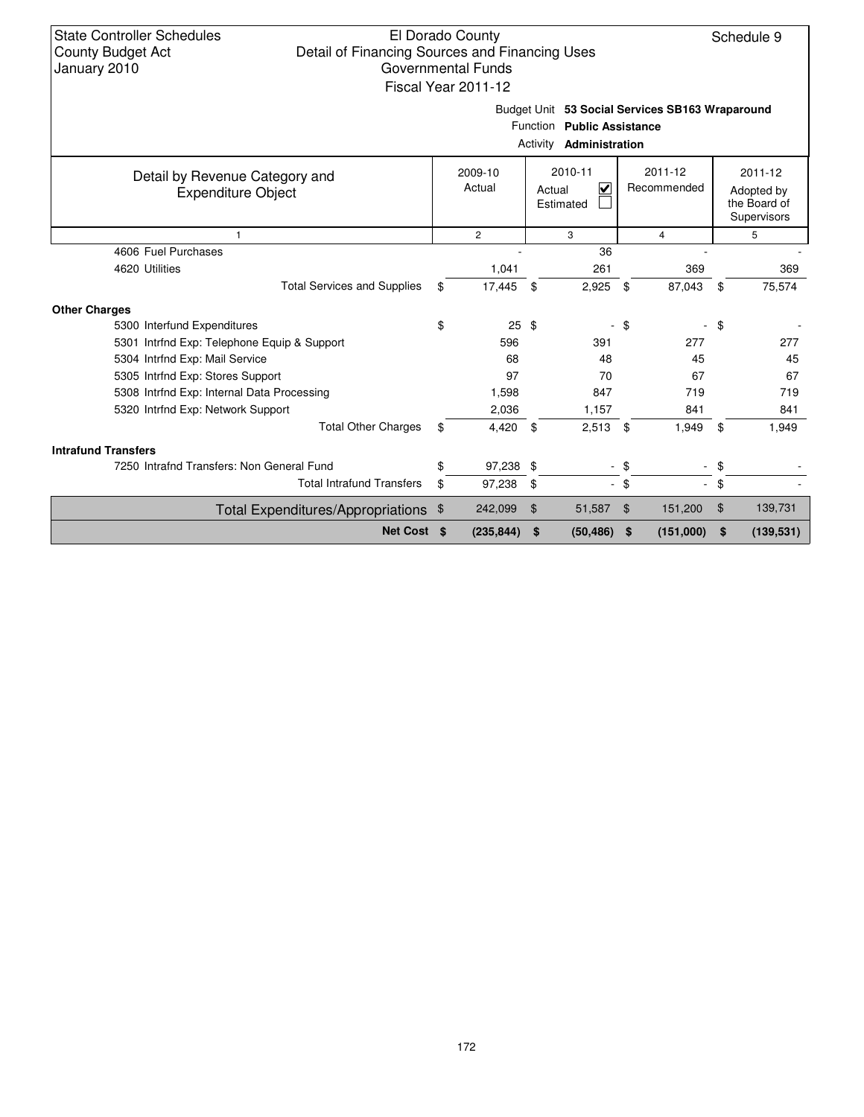| <b>State Controller Schedules</b><br>El Dorado County<br><b>County Budget Act</b><br>Detail of Financing Sources and Financing Uses<br>Governmental Funds<br>January 2010<br>Fiscal Year 2011-12 |    |                   |                |                                     |        |                            |                | Schedule 9                                           |  |
|--------------------------------------------------------------------------------------------------------------------------------------------------------------------------------------------------|----|-------------------|----------------|-------------------------------------|--------|----------------------------|----------------|------------------------------------------------------|--|
| Budget Unit 53 Social Services SB163 Wraparound<br>Function Public Assistance<br>Activity<br>Administration                                                                                      |    |                   |                |                                     |        |                            |                |                                                      |  |
| Detail by Revenue Category and<br><b>Expenditure Object</b>                                                                                                                                      |    | 2009-10<br>Actual |                | 2010-11<br>⊽<br>Actual<br>Estimated |        | $2011 - 12$<br>Recommended |                | 2011-12<br>Adopted by<br>the Board of<br>Supervisors |  |
| $\mathbf{1}$                                                                                                                                                                                     |    | $\overline{c}$    | 3              |                                     |        | $\overline{4}$             |                | 5                                                    |  |
| 4606 Fuel Purchases                                                                                                                                                                              |    |                   |                | 36                                  |        |                            |                |                                                      |  |
| 4620 Utilities                                                                                                                                                                                   |    | 1,041             |                | 261                                 |        | 369                        |                | 369                                                  |  |
| <b>Total Services and Supplies</b>                                                                                                                                                               | \$ | 17,445            | \$             | 2,925                               | \$     | 87,043                     | \$             | 75,574                                               |  |
| <b>Other Charges</b>                                                                                                                                                                             |    |                   |                |                                     |        |                            |                |                                                      |  |
| 5300 Interfund Expenditures                                                                                                                                                                      | \$ | $25 \text{ } $$   |                |                                     | \$     |                            | \$             |                                                      |  |
| 5301 Intrfnd Exp: Telephone Equip & Support                                                                                                                                                      |    | 596               |                | 391                                 |        | 277                        |                | 277                                                  |  |
| 5304 Intrfnd Exp: Mail Service                                                                                                                                                                   |    | 68                |                | 48                                  |        | 45                         |                | 45                                                   |  |
| 5305 Intrfnd Exp: Stores Support                                                                                                                                                                 |    | 97                |                | 70                                  |        | 67                         |                | 67                                                   |  |
| 5308 Intrfnd Exp: Internal Data Processing                                                                                                                                                       |    | 1,598             |                | 847                                 |        | 719                        |                | 719                                                  |  |
| 5320 Intrfnd Exp: Network Support                                                                                                                                                                |    | 2,036             |                | 1,157                               |        | 841                        |                | 841                                                  |  |
| <b>Total Other Charges</b>                                                                                                                                                                       | \$ | 4,420             | - \$           | 2,513                               | \$     | 1,949                      | \$             | 1,949                                                |  |
| <b>Intrafund Transfers</b>                                                                                                                                                                       |    |                   |                |                                     |        |                            |                |                                                      |  |
| 7250 Intrafnd Transfers: Non General Fund                                                                                                                                                        | \$ | 97,238 \$         |                | $\blacksquare$                      | \$     |                            | \$             |                                                      |  |
| <b>Total Intrafund Transfers</b>                                                                                                                                                                 | \$ | 97,238            | \$             |                                     | $-$ \$ | $\mathcal{L}^{\pm}$        | \$             |                                                      |  |
| Total Expenditures/Appropriations \$                                                                                                                                                             |    | 242,099           | $\mathfrak{F}$ | 51,587                              | \$     | 151,200                    | $\mathfrak{F}$ | 139,731                                              |  |
| Net Cost \$                                                                                                                                                                                      |    | (235, 844)        | \$             | (50, 486)                           | \$     | (151,000)                  | \$             | (139, 531)                                           |  |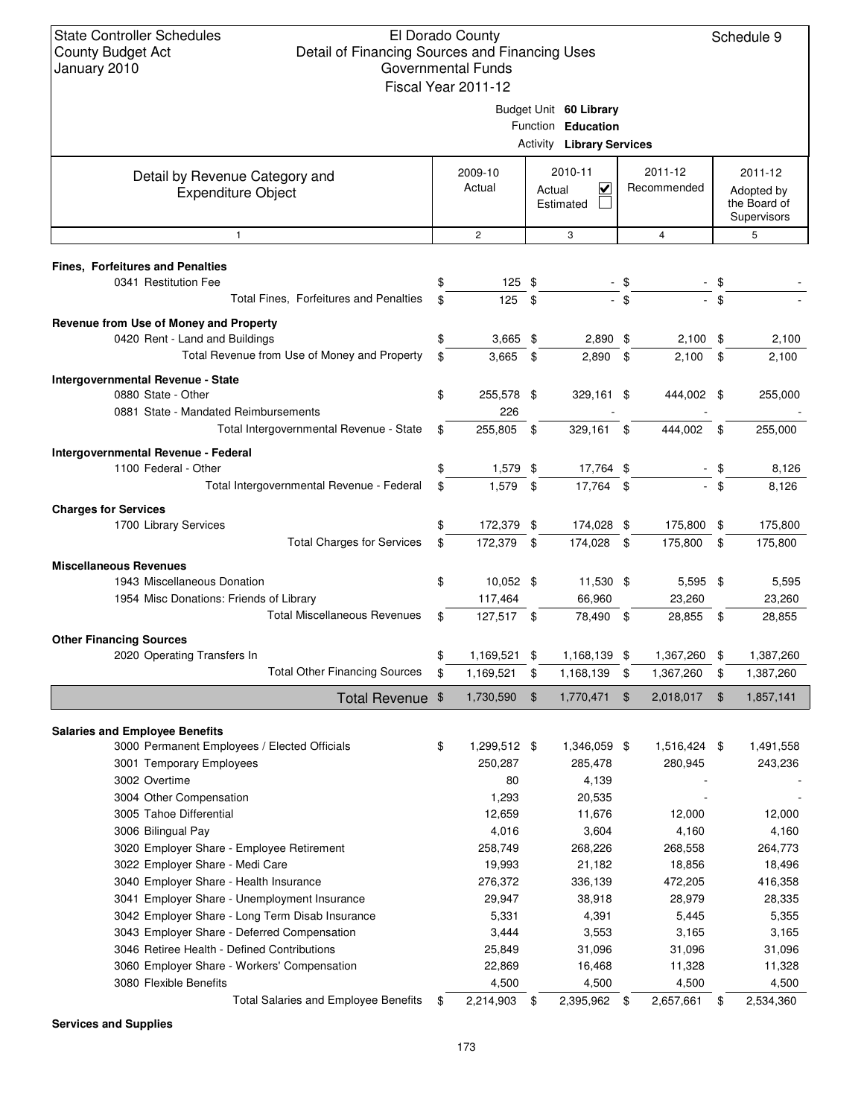### El Dorado County Detail of Financing Sources and Financing Uses Governmental Funds

Schedule 9

|                                                                              | Fiscal Year 2011-12 |                |                                              |                |                   |     |                             |
|------------------------------------------------------------------------------|---------------------|----------------|----------------------------------------------|----------------|-------------------|-----|-----------------------------|
|                                                                              |                     |                | Budget Unit 60 Library<br>Function Education |                |                   |     |                             |
|                                                                              |                     |                | <b>Activity Library Services</b>             |                |                   |     |                             |
| Detail by Revenue Category and                                               | 2009-10             |                | 2010-11                                      |                | 2011-12           |     | 2011-12                     |
| <b>Expenditure Object</b>                                                    | Actual              |                | $\overline{\mathsf{v}}$<br>Actual            |                | Recommended       |     | Adopted by                  |
|                                                                              |                     |                | Estimated                                    |                |                   |     | the Board of<br>Supervisors |
| $\mathbf{1}$                                                                 | $\overline{2}$      |                | 3                                            |                | 4                 |     | 5                           |
|                                                                              |                     |                |                                              |                |                   |     |                             |
| <b>Fines, Forfeitures and Penalties</b>                                      |                     |                |                                              |                |                   |     |                             |
| 0341 Restitution Fee                                                         | \$<br>$125$ \$      |                |                                              | - \$           |                   |     |                             |
| Total Fines, Forfeitures and Penalties                                       | \$<br>125           | \$             |                                              | $-$ \$         |                   | \$  |                             |
| Revenue from Use of Money and Property                                       |                     |                |                                              |                |                   |     |                             |
| 0420 Rent - Land and Buildings                                               | \$<br>$3,665$ \$    |                | $2,890$ \$                                   |                | 2,100             | \$  | 2,100                       |
| Total Revenue from Use of Money and Property                                 | \$<br>3,665         | \$             | 2,890                                        | \$             | 2,100             | \$  | 2,100                       |
| Intergovernmental Revenue - State                                            |                     |                |                                              |                |                   |     |                             |
| 0880 State - Other                                                           | \$<br>255,578 \$    |                | 329,161 \$                                   |                | 444,002           | -\$ | 255,000                     |
| 0881 State - Mandated Reimbursements                                         | 226                 |                |                                              |                |                   |     |                             |
| Total Intergovernmental Revenue - State                                      | \$<br>255,805 \$    |                | 329,161                                      | \$             | 444,002           | \$  | 255,000                     |
| Intergovernmental Revenue - Federal                                          |                     |                |                                              |                |                   |     |                             |
| 1100 Federal - Other                                                         | \$<br>1,579 \$      |                | 17,764 \$                                    |                |                   | \$  | 8,126                       |
| Total Intergovernmental Revenue - Federal                                    | \$<br>$1,579$ \$    |                | 17,764 \$                                    |                |                   | \$  | 8,126                       |
| <b>Charges for Services</b>                                                  |                     |                |                                              |                |                   |     |                             |
| 1700 Library Services                                                        | \$<br>172,379 \$    |                | 174,028 \$                                   |                | 175,800           | \$  | 175,800                     |
| <b>Total Charges for Services</b>                                            | \$<br>172,379       | \$             | 174,028                                      | \$             | 175,800           | \$  | 175,800                     |
| <b>Miscellaneous Revenues</b>                                                |                     |                |                                              |                |                   |     |                             |
| 1943 Miscellaneous Donation                                                  | \$<br>10,052 \$     |                | 11,530 \$                                    |                | 5,595             | \$  | 5,595                       |
| 1954 Misc Donations: Friends of Library                                      | 117,464             |                | 66,960                                       |                | 23,260            |     | 23,260                      |
| <b>Total Miscellaneous Revenues</b>                                          | \$<br>127,517 \$    |                | 78,490                                       | \$             | 28,855            | \$  | 28,855                      |
| <b>Other Financing Sources</b>                                               |                     |                |                                              |                |                   |     |                             |
| 2020 Operating Transfers In                                                  | \$<br>1,169,521 \$  |                | 1,168,139 \$                                 |                | 1,367,260 \$      |     | 1,387,260                   |
| <b>Total Other Financing Sources</b>                                         | \$<br>1,169,521     | \$             | 1,168,139                                    | \$             | 1,367,260         | \$  | 1,387,260                   |
| Total Revenue \$                                                             | 1,730,590           | $\mathfrak{F}$ | 1,770,471                                    | $\mathfrak{F}$ | 2,018,017         | \$  | 1,857,141                   |
|                                                                              |                     |                |                                              |                |                   |     |                             |
| <b>Salaries and Employee Benefits</b>                                        |                     |                |                                              |                |                   |     |                             |
| 3000 Permanent Employees / Elected Officials                                 | \$<br>1,299,512 \$  |                | 1,346,059 \$                                 |                | 1,516,424 \$      |     | 1,491,558                   |
| 3001 Temporary Employees                                                     | 250,287             |                | 285,478                                      |                | 280,945           |     | 243,236                     |
| 3002 Overtime                                                                | 80                  |                | 4,139                                        |                |                   |     |                             |
| 3004 Other Compensation                                                      | 1,293               |                | 20,535                                       |                |                   |     |                             |
| 3005 Tahoe Differential                                                      | 12,659              |                | 11,676                                       |                | 12,000            |     | 12,000                      |
| 3006 Bilingual Pay                                                           | 4,016               |                | 3,604                                        |                | 4,160             |     | 4,160                       |
| 3020 Employer Share - Employee Retirement<br>3022 Employer Share - Medi Care | 258,749<br>19,993   |                | 268,226<br>21,182                            |                | 268,558<br>18,856 |     | 264,773<br>18,496           |
| 3040 Employer Share - Health Insurance                                       | 276,372             |                | 336,139                                      |                | 472,205           |     | 416,358                     |
| 3041 Employer Share - Unemployment Insurance                                 | 29,947              |                | 38,918                                       |                | 28,979            |     | 28,335                      |
| 3042 Employer Share - Long Term Disab Insurance                              | 5,331               |                | 4,391                                        |                | 5,445             |     | 5,355                       |
| 3043 Employer Share - Deferred Compensation                                  | 3,444               |                | 3,553                                        |                | 3,165             |     | 3,165                       |
| 3046 Retiree Health - Defined Contributions                                  | 25,849              |                | 31,096                                       |                | 31,096            |     | 31,096                      |
| 3060 Employer Share - Workers' Compensation                                  | 22,869              |                | 16,468                                       |                | 11,328            |     | 11,328                      |
| 3080 Flexible Benefits                                                       | 4,500               |                | 4,500                                        |                | 4,500             |     | 4,500                       |
| <b>Total Salaries and Employee Benefits</b>                                  | \$<br>2,214,903     | \$             | 2,395,962                                    | \$             | 2,657,661         | \$  | 2,534,360                   |
|                                                                              |                     |                |                                              |                |                   |     |                             |

**Services and Supplies**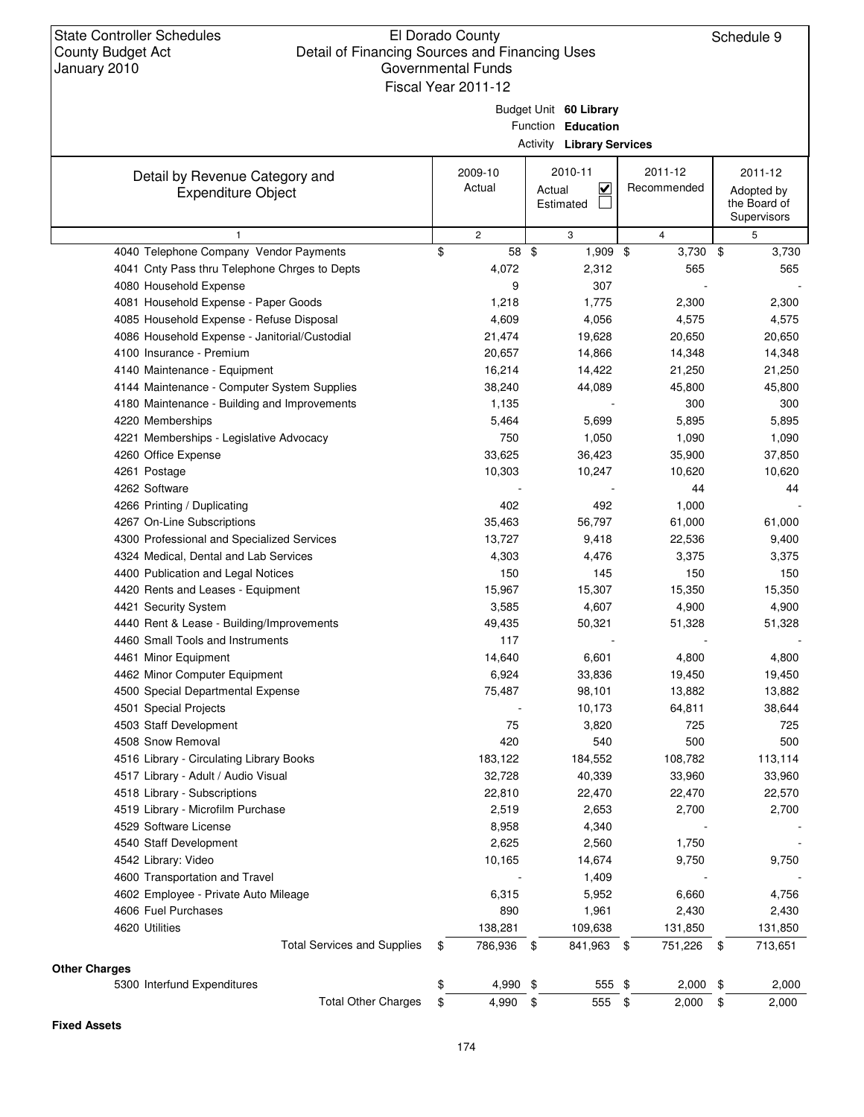**Other Charges**

**Fixed Assets**

# El Dorado County Governmental Funds

Schedule 9

| Budget Unit 60 Library<br>Function Education<br><b>Activity Library Services</b><br>2011-12<br>2009-10<br>2010-11<br>2011-12<br>Detail by Revenue Category and<br>Actual<br>$\overline{\mathbf{v}}$<br>Recommended<br>Actual<br>Adopted by<br><b>Expenditure Object</b><br>Estimated<br>the Board of<br>Supervisors<br>$\mathbf{2}$<br>$\overline{4}$<br>$\mathbf{1}$<br>3<br>5<br>4040 Telephone Company Vendor Payments<br>\$<br>58 \$<br>3,730<br>\$<br>3,730<br>1,909 \$<br>4041 Cnty Pass thru Telephone Chrges to Depts<br>4,072<br>2,312<br>565<br>565<br>4080 Household Expense<br>9<br>307<br>4081 Household Expense - Paper Goods<br>1,775<br>1,218<br>2,300<br>2,300<br>4085 Household Expense - Refuse Disposal<br>4,609<br>4,056<br>4,575<br>4,575<br>4086 Household Expense - Janitorial/Custodial<br>21,474<br>19,628<br>20,650<br>20,650<br>4100 Insurance - Premium<br>20,657<br>14,866<br>14,348<br>14,348<br>4140 Maintenance - Equipment<br>16,214<br>14,422<br>21,250<br>21,250<br>4144 Maintenance - Computer System Supplies<br>38,240<br>44,089<br>45,800<br>45,800<br>4180 Maintenance - Building and Improvements<br>1,135<br>300<br>300<br>4220 Memberships<br>5,699<br>5,895<br>5,895<br>5,464<br>4221 Memberships - Legislative Advocacy<br>750<br>1,050<br>1,090<br>1,090<br>4260 Office Expense<br>33,625<br>36,423<br>35,900<br>37,850<br>4261 Postage<br>10,303<br>10,247<br>10,620<br>10,620<br>4262 Software<br>44<br>44<br>402<br>492<br>1,000<br>4266 Printing / Duplicating<br>4267 On-Line Subscriptions<br>35,463<br>56,797<br>61,000<br>61,000<br>4300 Professional and Specialized Services<br>13,727<br>22,536<br>9,418<br>9,400<br>4324 Medical, Dental and Lab Services<br>4,303<br>3,375<br>4,476<br>3,375<br>4400 Publication and Legal Notices<br>150<br>145<br>150<br>150<br>4420 Rents and Leases - Equipment<br>15,967<br>15,350<br>15,307<br>15,350<br>4421 Security System<br>3,585<br>4,900<br>4,607<br>4,900<br>4440 Rent & Lease - Building/Improvements<br>49,435<br>50,321<br>51,328<br>51,328<br>4460 Small Tools and Instruments<br>117<br>4461 Minor Equipment<br>14,640<br>6,601<br>4,800<br>4,800<br>6,924<br>33,836<br>19,450<br>19,450<br>4462 Minor Computer Equipment<br>4500 Special Departmental Expense<br>75,487<br>98,101<br>13,882<br>13,882<br>10,173<br>64,811<br>38,644<br>4501 Special Projects<br>75<br>4503 Staff Development<br>3,820<br>725<br>725<br>4508 Snow Removal<br>420<br>540<br>500<br>500<br>4516 Library - Circulating Library Books<br>113,114<br>183,122<br>184,552<br>108,782<br>4517 Library - Adult / Audio Visual<br>32,728<br>33,960<br>40,339<br>33,960<br>4518 Library - Subscriptions<br>22,570<br>22,810<br>22,470<br>22,470<br>4519 Library - Microfilm Purchase<br>2,653<br>2,700<br>2,700<br>2,519<br>4529 Software License<br>4,340<br>8,958<br>1,750<br>4540 Staff Development<br>2,625<br>2,560 | <b>County Budget Act</b><br>January 2010 | Detail of Financing Sources and Financing Uses | <b>Governmental Funds</b><br>Fiscal Year 2011-12 |  |  |
|--------------------------------------------------------------------------------------------------------------------------------------------------------------------------------------------------------------------------------------------------------------------------------------------------------------------------------------------------------------------------------------------------------------------------------------------------------------------------------------------------------------------------------------------------------------------------------------------------------------------------------------------------------------------------------------------------------------------------------------------------------------------------------------------------------------------------------------------------------------------------------------------------------------------------------------------------------------------------------------------------------------------------------------------------------------------------------------------------------------------------------------------------------------------------------------------------------------------------------------------------------------------------------------------------------------------------------------------------------------------------------------------------------------------------------------------------------------------------------------------------------------------------------------------------------------------------------------------------------------------------------------------------------------------------------------------------------------------------------------------------------------------------------------------------------------------------------------------------------------------------------------------------------------------------------------------------------------------------------------------------------------------------------------------------------------------------------------------------------------------------------------------------------------------------------------------------------------------------------------------------------------------------------------------------------------------------------------------------------------------------------------------------------------------------------------------------------------------------------------------------------------------------------------------------------------------------------------------------------------------------------------------------------------------------------------------------------------------------------------------------------------------------------------------------------------------------------------------------------------------------------------------------------------|------------------------------------------|------------------------------------------------|--------------------------------------------------|--|--|
|                                                                                                                                                                                                                                                                                                                                                                                                                                                                                                                                                                                                                                                                                                                                                                                                                                                                                                                                                                                                                                                                                                                                                                                                                                                                                                                                                                                                                                                                                                                                                                                                                                                                                                                                                                                                                                                                                                                                                                                                                                                                                                                                                                                                                                                                                                                                                                                                                                                                                                                                                                                                                                                                                                                                                                                                                                                                                                              |                                          |                                                |                                                  |  |  |
|                                                                                                                                                                                                                                                                                                                                                                                                                                                                                                                                                                                                                                                                                                                                                                                                                                                                                                                                                                                                                                                                                                                                                                                                                                                                                                                                                                                                                                                                                                                                                                                                                                                                                                                                                                                                                                                                                                                                                                                                                                                                                                                                                                                                                                                                                                                                                                                                                                                                                                                                                                                                                                                                                                                                                                                                                                                                                                              |                                          |                                                |                                                  |  |  |
|                                                                                                                                                                                                                                                                                                                                                                                                                                                                                                                                                                                                                                                                                                                                                                                                                                                                                                                                                                                                                                                                                                                                                                                                                                                                                                                                                                                                                                                                                                                                                                                                                                                                                                                                                                                                                                                                                                                                                                                                                                                                                                                                                                                                                                                                                                                                                                                                                                                                                                                                                                                                                                                                                                                                                                                                                                                                                                              |                                          |                                                |                                                  |  |  |
|                                                                                                                                                                                                                                                                                                                                                                                                                                                                                                                                                                                                                                                                                                                                                                                                                                                                                                                                                                                                                                                                                                                                                                                                                                                                                                                                                                                                                                                                                                                                                                                                                                                                                                                                                                                                                                                                                                                                                                                                                                                                                                                                                                                                                                                                                                                                                                                                                                                                                                                                                                                                                                                                                                                                                                                                                                                                                                              |                                          |                                                |                                                  |  |  |
|                                                                                                                                                                                                                                                                                                                                                                                                                                                                                                                                                                                                                                                                                                                                                                                                                                                                                                                                                                                                                                                                                                                                                                                                                                                                                                                                                                                                                                                                                                                                                                                                                                                                                                                                                                                                                                                                                                                                                                                                                                                                                                                                                                                                                                                                                                                                                                                                                                                                                                                                                                                                                                                                                                                                                                                                                                                                                                              |                                          |                                                |                                                  |  |  |
|                                                                                                                                                                                                                                                                                                                                                                                                                                                                                                                                                                                                                                                                                                                                                                                                                                                                                                                                                                                                                                                                                                                                                                                                                                                                                                                                                                                                                                                                                                                                                                                                                                                                                                                                                                                                                                                                                                                                                                                                                                                                                                                                                                                                                                                                                                                                                                                                                                                                                                                                                                                                                                                                                                                                                                                                                                                                                                              |                                          |                                                |                                                  |  |  |
|                                                                                                                                                                                                                                                                                                                                                                                                                                                                                                                                                                                                                                                                                                                                                                                                                                                                                                                                                                                                                                                                                                                                                                                                                                                                                                                                                                                                                                                                                                                                                                                                                                                                                                                                                                                                                                                                                                                                                                                                                                                                                                                                                                                                                                                                                                                                                                                                                                                                                                                                                                                                                                                                                                                                                                                                                                                                                                              |                                          |                                                |                                                  |  |  |
|                                                                                                                                                                                                                                                                                                                                                                                                                                                                                                                                                                                                                                                                                                                                                                                                                                                                                                                                                                                                                                                                                                                                                                                                                                                                                                                                                                                                                                                                                                                                                                                                                                                                                                                                                                                                                                                                                                                                                                                                                                                                                                                                                                                                                                                                                                                                                                                                                                                                                                                                                                                                                                                                                                                                                                                                                                                                                                              |                                          |                                                |                                                  |  |  |
|                                                                                                                                                                                                                                                                                                                                                                                                                                                                                                                                                                                                                                                                                                                                                                                                                                                                                                                                                                                                                                                                                                                                                                                                                                                                                                                                                                                                                                                                                                                                                                                                                                                                                                                                                                                                                                                                                                                                                                                                                                                                                                                                                                                                                                                                                                                                                                                                                                                                                                                                                                                                                                                                                                                                                                                                                                                                                                              |                                          |                                                |                                                  |  |  |
|                                                                                                                                                                                                                                                                                                                                                                                                                                                                                                                                                                                                                                                                                                                                                                                                                                                                                                                                                                                                                                                                                                                                                                                                                                                                                                                                                                                                                                                                                                                                                                                                                                                                                                                                                                                                                                                                                                                                                                                                                                                                                                                                                                                                                                                                                                                                                                                                                                                                                                                                                                                                                                                                                                                                                                                                                                                                                                              |                                          |                                                |                                                  |  |  |
|                                                                                                                                                                                                                                                                                                                                                                                                                                                                                                                                                                                                                                                                                                                                                                                                                                                                                                                                                                                                                                                                                                                                                                                                                                                                                                                                                                                                                                                                                                                                                                                                                                                                                                                                                                                                                                                                                                                                                                                                                                                                                                                                                                                                                                                                                                                                                                                                                                                                                                                                                                                                                                                                                                                                                                                                                                                                                                              |                                          |                                                |                                                  |  |  |
|                                                                                                                                                                                                                                                                                                                                                                                                                                                                                                                                                                                                                                                                                                                                                                                                                                                                                                                                                                                                                                                                                                                                                                                                                                                                                                                                                                                                                                                                                                                                                                                                                                                                                                                                                                                                                                                                                                                                                                                                                                                                                                                                                                                                                                                                                                                                                                                                                                                                                                                                                                                                                                                                                                                                                                                                                                                                                                              |                                          |                                                |                                                  |  |  |
|                                                                                                                                                                                                                                                                                                                                                                                                                                                                                                                                                                                                                                                                                                                                                                                                                                                                                                                                                                                                                                                                                                                                                                                                                                                                                                                                                                                                                                                                                                                                                                                                                                                                                                                                                                                                                                                                                                                                                                                                                                                                                                                                                                                                                                                                                                                                                                                                                                                                                                                                                                                                                                                                                                                                                                                                                                                                                                              |                                          |                                                |                                                  |  |  |
|                                                                                                                                                                                                                                                                                                                                                                                                                                                                                                                                                                                                                                                                                                                                                                                                                                                                                                                                                                                                                                                                                                                                                                                                                                                                                                                                                                                                                                                                                                                                                                                                                                                                                                                                                                                                                                                                                                                                                                                                                                                                                                                                                                                                                                                                                                                                                                                                                                                                                                                                                                                                                                                                                                                                                                                                                                                                                                              |                                          |                                                |                                                  |  |  |
|                                                                                                                                                                                                                                                                                                                                                                                                                                                                                                                                                                                                                                                                                                                                                                                                                                                                                                                                                                                                                                                                                                                                                                                                                                                                                                                                                                                                                                                                                                                                                                                                                                                                                                                                                                                                                                                                                                                                                                                                                                                                                                                                                                                                                                                                                                                                                                                                                                                                                                                                                                                                                                                                                                                                                                                                                                                                                                              |                                          |                                                |                                                  |  |  |
|                                                                                                                                                                                                                                                                                                                                                                                                                                                                                                                                                                                                                                                                                                                                                                                                                                                                                                                                                                                                                                                                                                                                                                                                                                                                                                                                                                                                                                                                                                                                                                                                                                                                                                                                                                                                                                                                                                                                                                                                                                                                                                                                                                                                                                                                                                                                                                                                                                                                                                                                                                                                                                                                                                                                                                                                                                                                                                              |                                          |                                                |                                                  |  |  |
|                                                                                                                                                                                                                                                                                                                                                                                                                                                                                                                                                                                                                                                                                                                                                                                                                                                                                                                                                                                                                                                                                                                                                                                                                                                                                                                                                                                                                                                                                                                                                                                                                                                                                                                                                                                                                                                                                                                                                                                                                                                                                                                                                                                                                                                                                                                                                                                                                                                                                                                                                                                                                                                                                                                                                                                                                                                                                                              |                                          |                                                |                                                  |  |  |
|                                                                                                                                                                                                                                                                                                                                                                                                                                                                                                                                                                                                                                                                                                                                                                                                                                                                                                                                                                                                                                                                                                                                                                                                                                                                                                                                                                                                                                                                                                                                                                                                                                                                                                                                                                                                                                                                                                                                                                                                                                                                                                                                                                                                                                                                                                                                                                                                                                                                                                                                                                                                                                                                                                                                                                                                                                                                                                              |                                          |                                                |                                                  |  |  |
|                                                                                                                                                                                                                                                                                                                                                                                                                                                                                                                                                                                                                                                                                                                                                                                                                                                                                                                                                                                                                                                                                                                                                                                                                                                                                                                                                                                                                                                                                                                                                                                                                                                                                                                                                                                                                                                                                                                                                                                                                                                                                                                                                                                                                                                                                                                                                                                                                                                                                                                                                                                                                                                                                                                                                                                                                                                                                                              |                                          |                                                |                                                  |  |  |
|                                                                                                                                                                                                                                                                                                                                                                                                                                                                                                                                                                                                                                                                                                                                                                                                                                                                                                                                                                                                                                                                                                                                                                                                                                                                                                                                                                                                                                                                                                                                                                                                                                                                                                                                                                                                                                                                                                                                                                                                                                                                                                                                                                                                                                                                                                                                                                                                                                                                                                                                                                                                                                                                                                                                                                                                                                                                                                              |                                          |                                                |                                                  |  |  |
|                                                                                                                                                                                                                                                                                                                                                                                                                                                                                                                                                                                                                                                                                                                                                                                                                                                                                                                                                                                                                                                                                                                                                                                                                                                                                                                                                                                                                                                                                                                                                                                                                                                                                                                                                                                                                                                                                                                                                                                                                                                                                                                                                                                                                                                                                                                                                                                                                                                                                                                                                                                                                                                                                                                                                                                                                                                                                                              |                                          |                                                |                                                  |  |  |
|                                                                                                                                                                                                                                                                                                                                                                                                                                                                                                                                                                                                                                                                                                                                                                                                                                                                                                                                                                                                                                                                                                                                                                                                                                                                                                                                                                                                                                                                                                                                                                                                                                                                                                                                                                                                                                                                                                                                                                                                                                                                                                                                                                                                                                                                                                                                                                                                                                                                                                                                                                                                                                                                                                                                                                                                                                                                                                              |                                          |                                                |                                                  |  |  |
|                                                                                                                                                                                                                                                                                                                                                                                                                                                                                                                                                                                                                                                                                                                                                                                                                                                                                                                                                                                                                                                                                                                                                                                                                                                                                                                                                                                                                                                                                                                                                                                                                                                                                                                                                                                                                                                                                                                                                                                                                                                                                                                                                                                                                                                                                                                                                                                                                                                                                                                                                                                                                                                                                                                                                                                                                                                                                                              |                                          |                                                |                                                  |  |  |
|                                                                                                                                                                                                                                                                                                                                                                                                                                                                                                                                                                                                                                                                                                                                                                                                                                                                                                                                                                                                                                                                                                                                                                                                                                                                                                                                                                                                                                                                                                                                                                                                                                                                                                                                                                                                                                                                                                                                                                                                                                                                                                                                                                                                                                                                                                                                                                                                                                                                                                                                                                                                                                                                                                                                                                                                                                                                                                              |                                          |                                                |                                                  |  |  |
|                                                                                                                                                                                                                                                                                                                                                                                                                                                                                                                                                                                                                                                                                                                                                                                                                                                                                                                                                                                                                                                                                                                                                                                                                                                                                                                                                                                                                                                                                                                                                                                                                                                                                                                                                                                                                                                                                                                                                                                                                                                                                                                                                                                                                                                                                                                                                                                                                                                                                                                                                                                                                                                                                                                                                                                                                                                                                                              |                                          |                                                |                                                  |  |  |
|                                                                                                                                                                                                                                                                                                                                                                                                                                                                                                                                                                                                                                                                                                                                                                                                                                                                                                                                                                                                                                                                                                                                                                                                                                                                                                                                                                                                                                                                                                                                                                                                                                                                                                                                                                                                                                                                                                                                                                                                                                                                                                                                                                                                                                                                                                                                                                                                                                                                                                                                                                                                                                                                                                                                                                                                                                                                                                              |                                          |                                                |                                                  |  |  |
|                                                                                                                                                                                                                                                                                                                                                                                                                                                                                                                                                                                                                                                                                                                                                                                                                                                                                                                                                                                                                                                                                                                                                                                                                                                                                                                                                                                                                                                                                                                                                                                                                                                                                                                                                                                                                                                                                                                                                                                                                                                                                                                                                                                                                                                                                                                                                                                                                                                                                                                                                                                                                                                                                                                                                                                                                                                                                                              |                                          |                                                |                                                  |  |  |
|                                                                                                                                                                                                                                                                                                                                                                                                                                                                                                                                                                                                                                                                                                                                                                                                                                                                                                                                                                                                                                                                                                                                                                                                                                                                                                                                                                                                                                                                                                                                                                                                                                                                                                                                                                                                                                                                                                                                                                                                                                                                                                                                                                                                                                                                                                                                                                                                                                                                                                                                                                                                                                                                                                                                                                                                                                                                                                              |                                          |                                                |                                                  |  |  |
|                                                                                                                                                                                                                                                                                                                                                                                                                                                                                                                                                                                                                                                                                                                                                                                                                                                                                                                                                                                                                                                                                                                                                                                                                                                                                                                                                                                                                                                                                                                                                                                                                                                                                                                                                                                                                                                                                                                                                                                                                                                                                                                                                                                                                                                                                                                                                                                                                                                                                                                                                                                                                                                                                                                                                                                                                                                                                                              |                                          |                                                |                                                  |  |  |
|                                                                                                                                                                                                                                                                                                                                                                                                                                                                                                                                                                                                                                                                                                                                                                                                                                                                                                                                                                                                                                                                                                                                                                                                                                                                                                                                                                                                                                                                                                                                                                                                                                                                                                                                                                                                                                                                                                                                                                                                                                                                                                                                                                                                                                                                                                                                                                                                                                                                                                                                                                                                                                                                                                                                                                                                                                                                                                              |                                          |                                                |                                                  |  |  |
|                                                                                                                                                                                                                                                                                                                                                                                                                                                                                                                                                                                                                                                                                                                                                                                                                                                                                                                                                                                                                                                                                                                                                                                                                                                                                                                                                                                                                                                                                                                                                                                                                                                                                                                                                                                                                                                                                                                                                                                                                                                                                                                                                                                                                                                                                                                                                                                                                                                                                                                                                                                                                                                                                                                                                                                                                                                                                                              |                                          |                                                |                                                  |  |  |
|                                                                                                                                                                                                                                                                                                                                                                                                                                                                                                                                                                                                                                                                                                                                                                                                                                                                                                                                                                                                                                                                                                                                                                                                                                                                                                                                                                                                                                                                                                                                                                                                                                                                                                                                                                                                                                                                                                                                                                                                                                                                                                                                                                                                                                                                                                                                                                                                                                                                                                                                                                                                                                                                                                                                                                                                                                                                                                              |                                          |                                                |                                                  |  |  |
|                                                                                                                                                                                                                                                                                                                                                                                                                                                                                                                                                                                                                                                                                                                                                                                                                                                                                                                                                                                                                                                                                                                                                                                                                                                                                                                                                                                                                                                                                                                                                                                                                                                                                                                                                                                                                                                                                                                                                                                                                                                                                                                                                                                                                                                                                                                                                                                                                                                                                                                                                                                                                                                                                                                                                                                                                                                                                                              |                                          |                                                |                                                  |  |  |
|                                                                                                                                                                                                                                                                                                                                                                                                                                                                                                                                                                                                                                                                                                                                                                                                                                                                                                                                                                                                                                                                                                                                                                                                                                                                                                                                                                                                                                                                                                                                                                                                                                                                                                                                                                                                                                                                                                                                                                                                                                                                                                                                                                                                                                                                                                                                                                                                                                                                                                                                                                                                                                                                                                                                                                                                                                                                                                              |                                          |                                                |                                                  |  |  |
|                                                                                                                                                                                                                                                                                                                                                                                                                                                                                                                                                                                                                                                                                                                                                                                                                                                                                                                                                                                                                                                                                                                                                                                                                                                                                                                                                                                                                                                                                                                                                                                                                                                                                                                                                                                                                                                                                                                                                                                                                                                                                                                                                                                                                                                                                                                                                                                                                                                                                                                                                                                                                                                                                                                                                                                                                                                                                                              |                                          |                                                |                                                  |  |  |
|                                                                                                                                                                                                                                                                                                                                                                                                                                                                                                                                                                                                                                                                                                                                                                                                                                                                                                                                                                                                                                                                                                                                                                                                                                                                                                                                                                                                                                                                                                                                                                                                                                                                                                                                                                                                                                                                                                                                                                                                                                                                                                                                                                                                                                                                                                                                                                                                                                                                                                                                                                                                                                                                                                                                                                                                                                                                                                              |                                          |                                                |                                                  |  |  |
|                                                                                                                                                                                                                                                                                                                                                                                                                                                                                                                                                                                                                                                                                                                                                                                                                                                                                                                                                                                                                                                                                                                                                                                                                                                                                                                                                                                                                                                                                                                                                                                                                                                                                                                                                                                                                                                                                                                                                                                                                                                                                                                                                                                                                                                                                                                                                                                                                                                                                                                                                                                                                                                                                                                                                                                                                                                                                                              |                                          |                                                |                                                  |  |  |
|                                                                                                                                                                                                                                                                                                                                                                                                                                                                                                                                                                                                                                                                                                                                                                                                                                                                                                                                                                                                                                                                                                                                                                                                                                                                                                                                                                                                                                                                                                                                                                                                                                                                                                                                                                                                                                                                                                                                                                                                                                                                                                                                                                                                                                                                                                                                                                                                                                                                                                                                                                                                                                                                                                                                                                                                                                                                                                              |                                          |                                                |                                                  |  |  |
|                                                                                                                                                                                                                                                                                                                                                                                                                                                                                                                                                                                                                                                                                                                                                                                                                                                                                                                                                                                                                                                                                                                                                                                                                                                                                                                                                                                                                                                                                                                                                                                                                                                                                                                                                                                                                                                                                                                                                                                                                                                                                                                                                                                                                                                                                                                                                                                                                                                                                                                                                                                                                                                                                                                                                                                                                                                                                                              |                                          |                                                |                                                  |  |  |
|                                                                                                                                                                                                                                                                                                                                                                                                                                                                                                                                                                                                                                                                                                                                                                                                                                                                                                                                                                                                                                                                                                                                                                                                                                                                                                                                                                                                                                                                                                                                                                                                                                                                                                                                                                                                                                                                                                                                                                                                                                                                                                                                                                                                                                                                                                                                                                                                                                                                                                                                                                                                                                                                                                                                                                                                                                                                                                              |                                          |                                                |                                                  |  |  |

5300 Interfund Expenditures \$ 4,990 \$ 555 \$ \$ 2,000 2,000

Total Services and Supplies \$ 786,936 \$ 841,963 \$ 751,226 \$ 713,651

Total Other Charges  $\frac{2,000}{4,990}$   $\frac{2,000}{555}$   $\frac{2,000}{4}$   $\frac{2,000}{4}$ 

4542 Library: Video 10,165 14,674 9,750 9,750 4600 Transportation and Travel **Accord 2018** - 1,409 **- 1,409** - 1,409 - 1,409 - 1,409 - 1,409 - 1,409 - 1,409 - 1,409 - 1,409 - 1,409 - 1,409 - 1,409 - 1,409 - 1,409 - 1,409 - 1,409 - 1,409 - 1,409 - 1,409 - 1,409 - 1,409 4602 Employee - Private Auto Mileage 1,756 6,315 6,315 6,660 6,756 6,660 6,560 6,560 6,660 6,660 6,660 6,660 6,660 6,515 6,660 6,515 6,660 6,515 6,660 6,515 6,610 6,515 6,610 6,512 6,660 6,512 6,612 6,612 6,612 6,612 6,612 4606 Fuel Purchases 890 1,961 2,430 2,430 4620 Utilities 138,281 109,638 131,850 131,850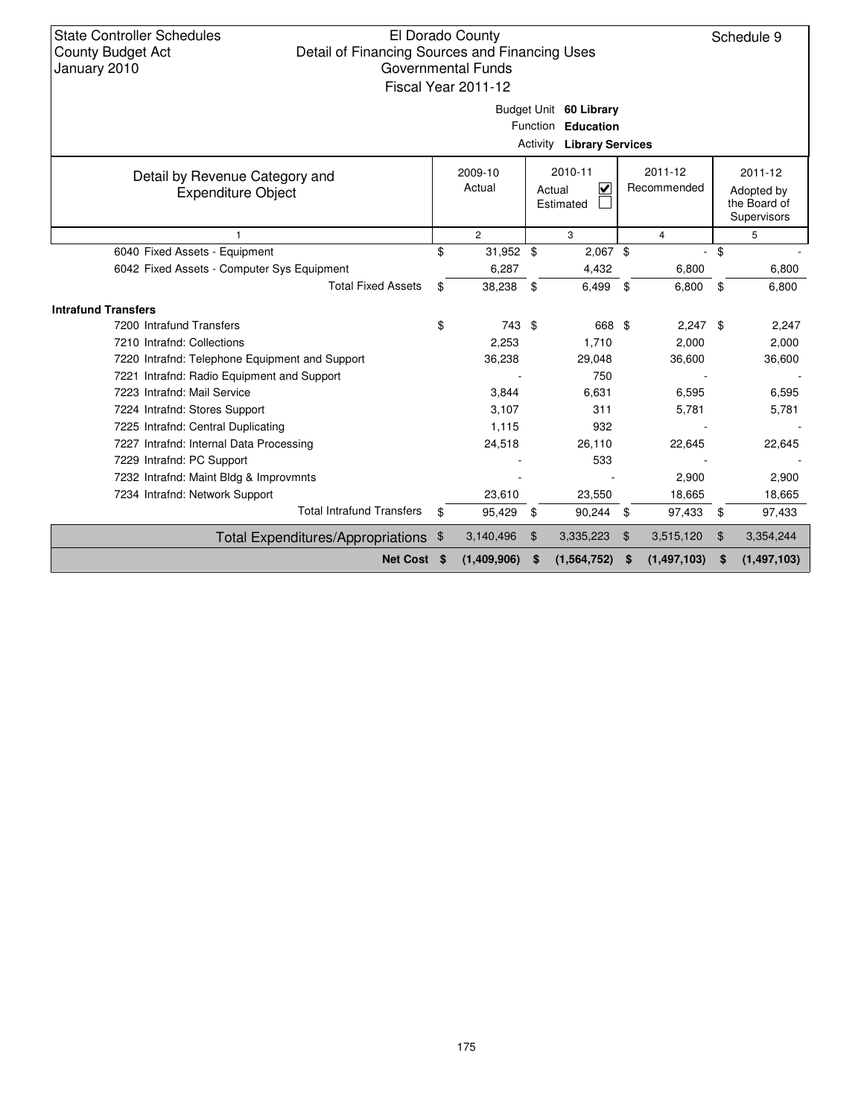### El Dorado County Detail of Financing Sources and Financing Uses Governmental Funds Fiscal Year 2011-12

|                                                |    |                |                | Budget Unit 60 Library<br>Function Education<br><b>Activity Library Services</b> |                     |     |                             |
|------------------------------------------------|----|----------------|----------------|----------------------------------------------------------------------------------|---------------------|-----|-----------------------------|
| Detail by Revenue Category and                 |    | 2009-10        |                | 2010-11                                                                          | 2011-12             |     | 2011-12                     |
| <b>Expenditure Object</b>                      |    | Actual         | Actual         | $\checkmark$                                                                     | Recommended         |     | Adopted by                  |
|                                                |    |                |                | Estimated                                                                        |                     |     | the Board of<br>Supervisors |
| 1                                              |    | $\overline{2}$ |                | 3                                                                                | 4                   |     | 5                           |
| 6040 Fixed Assets - Equipment                  | \$ | 31,952 \$      |                | $2,067$ \$                                                                       | ٠                   | \$  |                             |
| 6042 Fixed Assets - Computer Sys Equipment     |    | 6,287          |                | 4,432                                                                            | 6,800               |     | 6,800                       |
| <b>Total Fixed Assets</b>                      | \$ | 38,238         | \$             | 6,499                                                                            | \$<br>6,800         | \$  | 6,800                       |
| <b>Intrafund Transfers</b>                     |    |                |                |                                                                                  |                     |     |                             |
| 7200 Intrafund Transfers                       | \$ | 743 \$         |                | 668 \$                                                                           | 2,247               | -\$ | 2,247                       |
| 7210 Intrafnd: Collections                     |    | 2,253          |                | 1.710                                                                            | 2,000               |     | 2,000                       |
| 7220 Intrafnd: Telephone Equipment and Support |    | 36,238         |                | 29,048                                                                           | 36,600              |     | 36,600                      |
| 7221 Intrafnd: Radio Equipment and Support     |    |                |                | 750                                                                              |                     |     |                             |
| 7223 Intrafnd: Mail Service                    |    | 3,844          |                | 6,631                                                                            | 6,595               |     | 6,595                       |
| 7224 Intrafnd: Stores Support                  |    | 3,107          |                | 311                                                                              | 5,781               |     | 5,781                       |
| 7225 Intrafnd: Central Duplicating             |    | 1,115          |                | 932                                                                              |                     |     |                             |
| 7227 Intrafnd: Internal Data Processing        |    | 24,518         |                | 26,110                                                                           | 22,645              |     | 22,645                      |
| 7229 Intrafnd: PC Support                      |    |                |                | 533                                                                              |                     |     |                             |
| 7232 Intrafnd: Maint Bldg & Improvmnts         |    |                |                |                                                                                  | 2,900               |     | 2,900                       |
| 7234 Intrafnd: Network Support                 |    | 23,610         |                | 23,550                                                                           | 18,665              |     | 18,665                      |
| <b>Total Intrafund Transfers</b>               | \$ | 95,429         | \$             | 90,244                                                                           | \$<br>97,433        | \$  | 97,433                      |
| Total Expenditures/Appropriations \$           |    | 3,140,496      | $\mathfrak{F}$ | 3,335,223                                                                        | \$<br>3,515,120     | \$  | 3,354,244                   |
| <b>Net Cost</b>                                | -S | (1,409,906)    | \$.            | (1, 564, 752)                                                                    | \$<br>(1, 497, 103) | \$  | (1, 497, 103)               |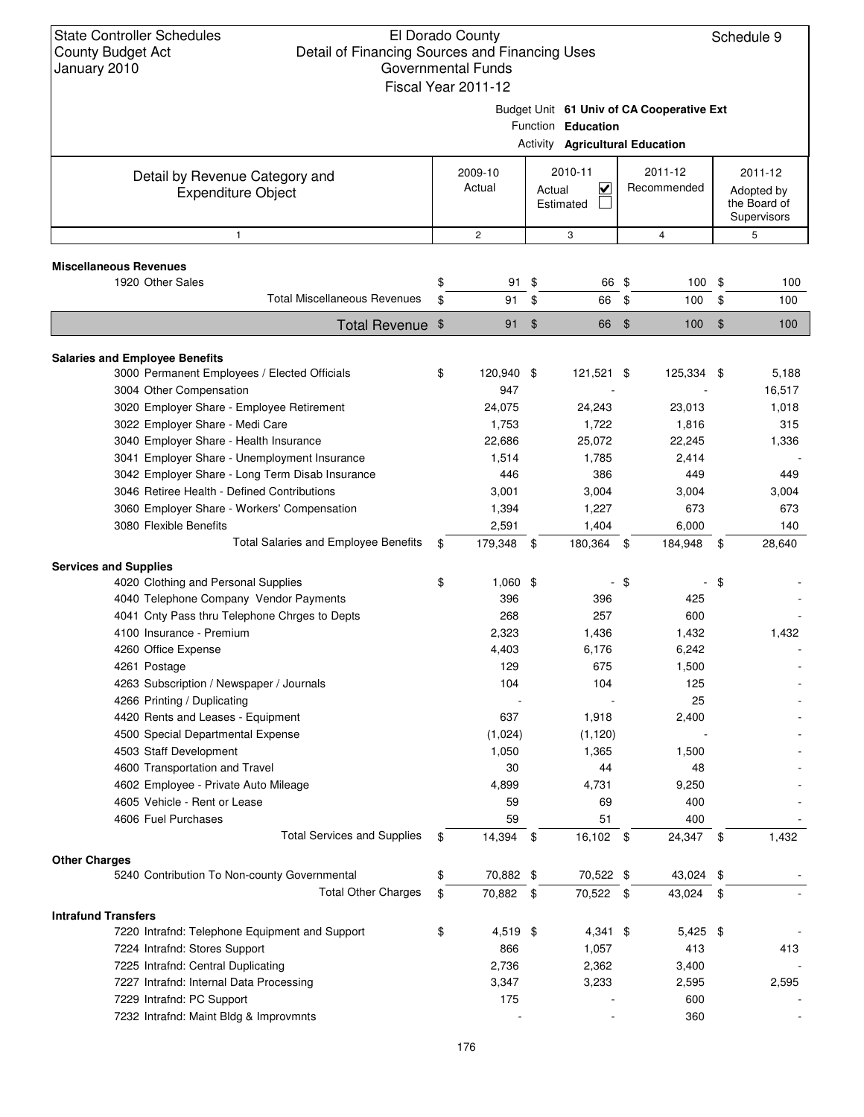| <b>State Controller Schedules</b><br>El Dorado County<br>County Budget Act<br>Detail of Financing Sources and Financing Uses |         |                     |                     |                             |                |                                           | Schedule 9 |  |  |
|------------------------------------------------------------------------------------------------------------------------------|---------|---------------------|---------------------|-----------------------------|----------------|-------------------------------------------|------------|--|--|
| <b>Governmental Funds</b><br>January 2010<br>Fiscal Year 2011-12                                                             |         |                     |                     |                             |                |                                           |            |  |  |
| Budget Unit 61 Univ of CA Cooperative Ext<br>Function Education<br><b>Activity Agricultural Education</b>                    |         |                     |                     |                             |                |                                           |            |  |  |
|                                                                                                                              |         |                     |                     |                             |                |                                           |            |  |  |
| Detail by Revenue Category and                                                                                               | 2009-10 |                     | 2010-11             |                             | 2011-12        |                                           | 2011-12    |  |  |
| <b>Expenditure Object</b>                                                                                                    | Actual  |                     | Actual<br>Estimated | $\checkmark$<br>Recommended |                | Adopted by<br>the Board of<br>Supervisors |            |  |  |
| 1                                                                                                                            |         |                     | 3                   |                             | 4              |                                           | 5          |  |  |
| <b>Miscellaneous Revenues</b>                                                                                                |         |                     |                     |                             |                |                                           |            |  |  |
| 1920 Other Sales                                                                                                             | \$      | 91 \$               | 66 \$               |                             | 100 \$         |                                           | 100        |  |  |
| <b>Total Miscellaneous Revenues</b>                                                                                          | \$      | 91 \$               | 66                  | \$                          | 100            | \$                                        | 100        |  |  |
| Total Revenue \$                                                                                                             |         | $\sqrt[6]{3}$<br>91 | 66                  | \$                          | 100            | $\frac{1}{2}$                             | 100        |  |  |
| <b>Salaries and Employee Benefits</b>                                                                                        |         |                     |                     |                             |                |                                           |            |  |  |
| 3000 Permanent Employees / Elected Officials                                                                                 | \$      | 120,940 \$          | 121,521 \$          |                             | 125,334 \$     |                                           | 5,188      |  |  |
| 3004 Other Compensation                                                                                                      |         | 947                 |                     |                             |                |                                           | 16,517     |  |  |
| 3020 Employer Share - Employee Retirement                                                                                    |         | 24,075              | 24,243              |                             | 23,013         |                                           | 1,018      |  |  |
| 3022 Employer Share - Medi Care                                                                                              |         | 1,753               | 1,722               |                             | 1,816          |                                           | 315        |  |  |
| 3040 Employer Share - Health Insurance                                                                                       |         | 22,686              | 25,072              |                             | 22,245         |                                           | 1,336      |  |  |
| 3041 Employer Share - Unemployment Insurance                                                                                 |         | 1,514               | 1,785               |                             | 2,414          |                                           |            |  |  |
| 3042 Employer Share - Long Term Disab Insurance                                                                              |         | 446                 | 386                 |                             | 449            |                                           | 449        |  |  |
| 3046 Retiree Health - Defined Contributions                                                                                  |         | 3,001               | 3,004               |                             | 3,004          |                                           | 3,004      |  |  |
| 3060 Employer Share - Workers' Compensation                                                                                  |         | 1,394               | 1,227               |                             | 673            |                                           | 673        |  |  |
| 3080 Flexible Benefits                                                                                                       |         | 2,591               | 1,404               |                             | 6,000          |                                           | 140        |  |  |
| Total Salaries and Employee Benefits                                                                                         | \$      | 179,348 \$          | 180,364             | \$                          | 184,948        | \$                                        | 28,640     |  |  |
| <b>Services and Supplies</b>                                                                                                 |         |                     |                     |                             |                |                                           |            |  |  |
| 4020 Clothing and Personal Supplies                                                                                          | \$      | $1,060$ \$          |                     | - \$                        |                | - \$                                      |            |  |  |
| 4040 Telephone Company Vendor Payments                                                                                       |         | 396                 | 396                 |                             | 425            |                                           |            |  |  |
| 4041 Cnty Pass thru Telephone Chrges to Depts                                                                                |         | 268                 | 257                 |                             | 600            |                                           |            |  |  |
| 4100 Insurance - Premium                                                                                                     |         | 2,323               | 1,436               |                             | 1,432          |                                           | 1,432      |  |  |
| 4260 Office Expense                                                                                                          |         | 4,403<br>129        | 6,176<br>675        |                             | 6,242<br>1,500 |                                           |            |  |  |
| 4261 Postage<br>4263 Subscription / Newspaper / Journals                                                                     |         | 104                 | 104                 |                             | 125            |                                           |            |  |  |
| 4266 Printing / Duplicating                                                                                                  |         |                     |                     |                             | 25             |                                           |            |  |  |
| 4420 Rents and Leases - Equipment                                                                                            |         | 637                 | 1,918               |                             | 2,400          |                                           |            |  |  |
| 4500 Special Departmental Expense                                                                                            |         | (1,024)             | (1, 120)            |                             |                |                                           |            |  |  |
| 4503 Staff Development                                                                                                       |         | 1,050               | 1,365               |                             | 1,500          |                                           |            |  |  |
| 4600 Transportation and Travel                                                                                               |         | 30                  | 44                  |                             | 48             |                                           |            |  |  |
| 4602 Employee - Private Auto Mileage                                                                                         |         | 4,899               | 4,731               |                             | 9,250          |                                           |            |  |  |
| 4605 Vehicle - Rent or Lease                                                                                                 |         | 59                  | 69                  |                             | 400            |                                           |            |  |  |
| 4606 Fuel Purchases                                                                                                          |         | 59                  | 51                  |                             | 400            |                                           |            |  |  |
| <b>Total Services and Supplies</b>                                                                                           | \$      | 14,394 \$           | 16,102 \$           |                             | 24,347 \$      |                                           | 1,432      |  |  |
| <b>Other Charges</b>                                                                                                         |         |                     |                     |                             |                |                                           |            |  |  |
| 5240 Contribution To Non-county Governmental                                                                                 | \$      | 70,882 \$           | 70,522 \$           |                             | 43,024 \$      |                                           |            |  |  |
| <b>Total Other Charges</b>                                                                                                   | \$      | 70,882 \$           | 70,522 \$           |                             | 43,024 \$      |                                           |            |  |  |
| <b>Intrafund Transfers</b>                                                                                                   |         |                     |                     |                             |                |                                           |            |  |  |
| 7220 Intrafnd: Telephone Equipment and Support                                                                               | \$      | 4,519 \$            | $4,341$ \$          |                             | $5,425$ \$     |                                           |            |  |  |
| 7224 Intrafnd: Stores Support                                                                                                |         | 866                 | 1,057               |                             | 413            |                                           | 413        |  |  |
| 7225 Intrafnd: Central Duplicating                                                                                           |         | 2,736               | 2,362               |                             | 3,400          |                                           |            |  |  |
| 7227 Intrafnd: Internal Data Processing                                                                                      |         | 3,347               | 3,233               |                             | 2,595          |                                           | 2,595      |  |  |
| 7229 Intrafnd: PC Support                                                                                                    |         | 175                 |                     |                             | 600            |                                           |            |  |  |
| 7232 Intrafnd: Maint Bldg & Improvmnts                                                                                       |         |                     |                     |                             | 360            |                                           |            |  |  |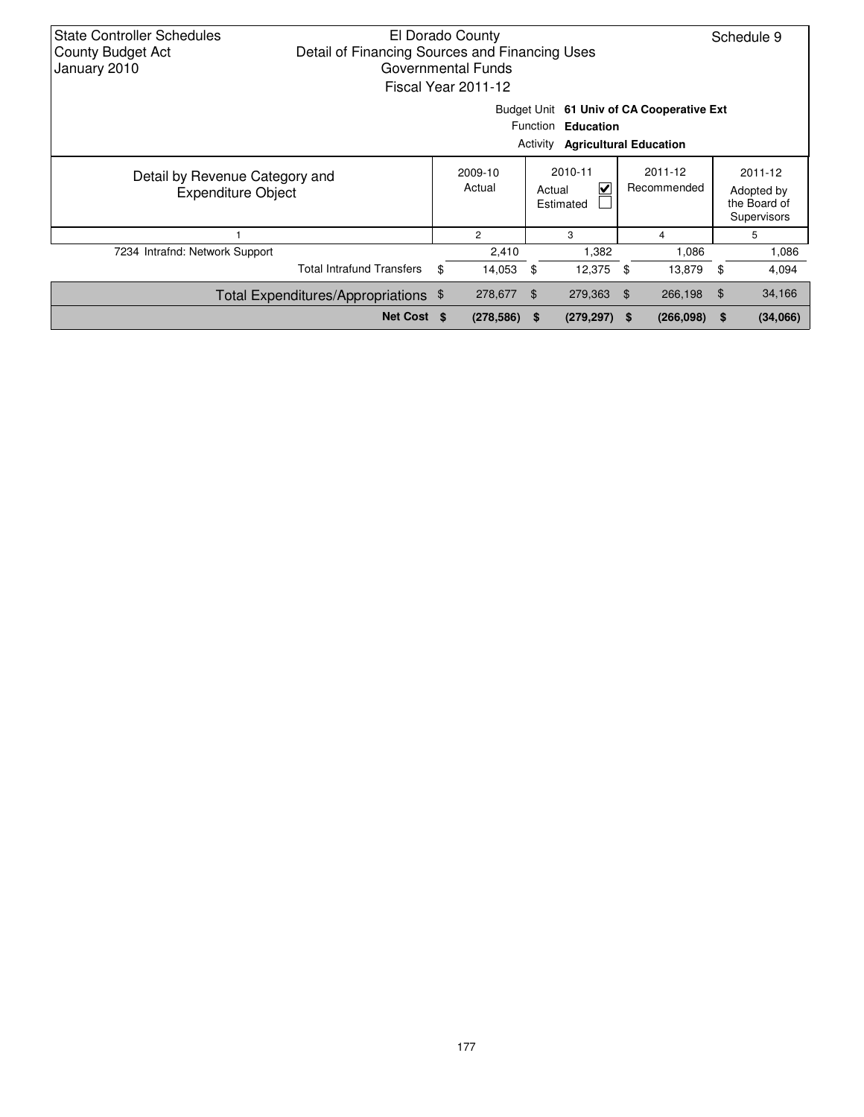| State Controller Schedules<br>El Dorado County<br>Schedule 9<br>Detail of Financing Sources and Financing Uses<br><b>County Budget Act</b><br>January 2010<br>Governmental Funds<br>Fiscal Year 2011-12 |                                                             |    |                   |                    |                                                                                                  |     |                        |                                                      |          |  |  |  |
|---------------------------------------------------------------------------------------------------------------------------------------------------------------------------------------------------------|-------------------------------------------------------------|----|-------------------|--------------------|--------------------------------------------------------------------------------------------------|-----|------------------------|------------------------------------------------------|----------|--|--|--|
|                                                                                                                                                                                                         |                                                             |    |                   | Activity           | Budget Unit 61 Univ of CA Cooperative Ext<br>Function Education<br><b>Agricultural Education</b> |     |                        |                                                      |          |  |  |  |
|                                                                                                                                                                                                         | Detail by Revenue Category and<br><b>Expenditure Object</b> |    | 2009-10<br>Actual |                    | 2010-11<br>V<br>Actual<br>Estimated                                                              |     | 2011-12<br>Recommended | 2011-12<br>Adopted by<br>the Board of<br>Supervisors |          |  |  |  |
|                                                                                                                                                                                                         |                                                             |    | $\overline{c}$    |                    | 3                                                                                                |     | 4                      |                                                      | 5        |  |  |  |
| 7234 Intrafnd: Network Support                                                                                                                                                                          |                                                             |    | 2,410             |                    | 1,382                                                                                            |     | 1,086                  |                                                      | 1,086    |  |  |  |
|                                                                                                                                                                                                         | <b>Total Intrafund Transfers</b>                            | \$ | 14,053            | - \$               | 12,375 \$                                                                                        |     | 13,879                 | - \$                                                 | 4,094    |  |  |  |
|                                                                                                                                                                                                         | Total Expenditures/Appropriations \$                        |    | 278,677           | 279,363 \$<br>- \$ |                                                                                                  |     | 266,198                | $\mathfrak{F}$                                       | 34,166   |  |  |  |
|                                                                                                                                                                                                         | Net Cost \$                                                 |    | $(278, 586)$ \$   |                    | (279, 297)                                                                                       | \$. | (266, 098)             | \$                                                   | (34,066) |  |  |  |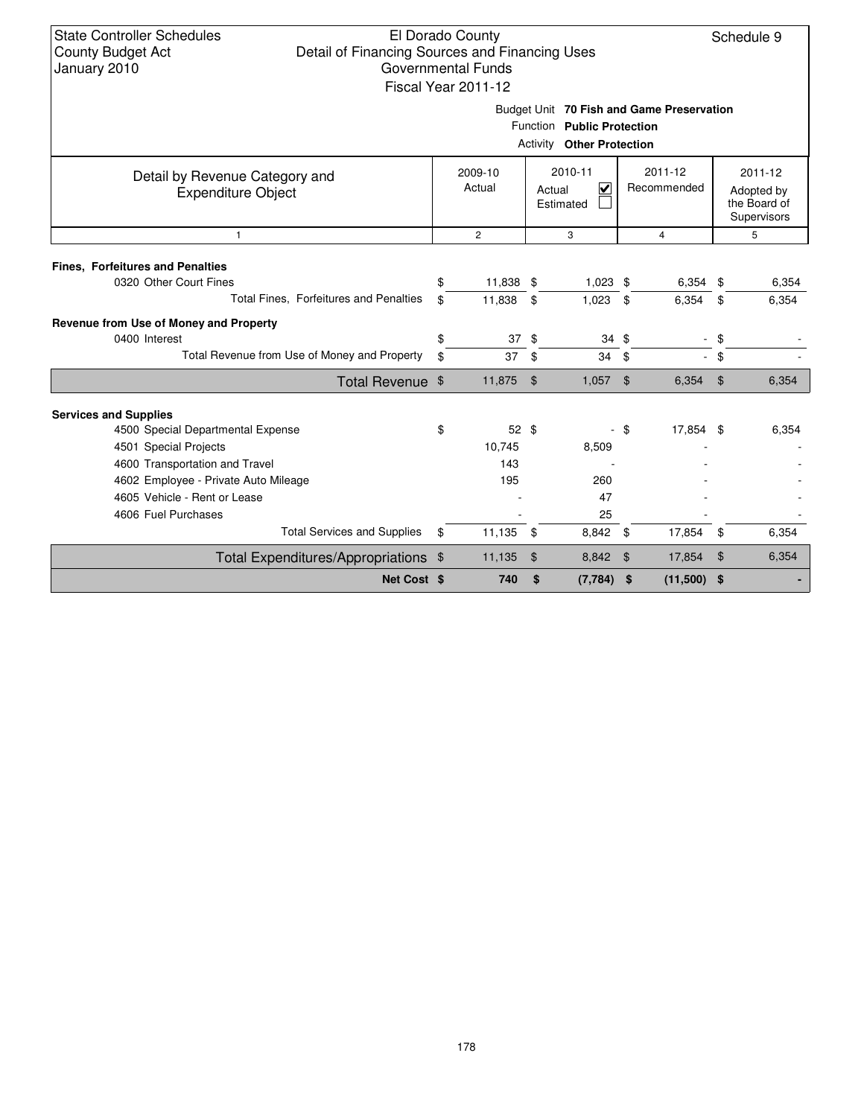## El Dorado County Detail of Financing Sources and Financing Uses Governmental Funds Fiscal Year 2011-12

Schedule 9

Budget Unit **70 Fish and Game Preservation**

|                                                             |                   |                 | Activity<br><b>Other Protection</b> |      |                            |                            |                                                      |
|-------------------------------------------------------------|-------------------|-----------------|-------------------------------------|------|----------------------------|----------------------------|------------------------------------------------------|
| Detail by Revenue Category and<br><b>Expenditure Object</b> | 2009-10<br>Actual |                 | 2010-11<br>⊽<br>Actual<br>Estimated |      | $2011 - 12$<br>Recommended |                            | 2011-12<br>Adopted by<br>the Board of<br>Supervisors |
| $\mathbf{1}$                                                |                   | $\overline{2}$  | 3                                   |      | 4                          |                            | 5                                                    |
| <b>Fines, Forfeitures and Penalties</b>                     |                   |                 |                                     |      |                            |                            |                                                      |
| 0320 Other Court Fines                                      | \$.               | 11,838 \$       | $1,023$ \$                          |      | $6,354$ \$                 |                            | 6,354                                                |
| Total Fines, Forfeitures and Penalties                      | \$                | 11,838          | \$<br>1,023                         | \$   | 6,354                      | \$                         | 6,354                                                |
| Revenue from Use of Money and Property                      |                   |                 |                                     |      |                            |                            |                                                      |
| 0400 Interest                                               | \$                | 37S             | $34 \text{ } $$                     |      | $\overline{\phantom{a}}$   | \$                         |                                                      |
| Total Revenue from Use of Money and Property                | \$                | 37              | 34<br>\$                            | \$   | $\sim$                     | \$                         |                                                      |
| Total Revenue \$                                            |                   | 11,875          | \$<br>1,057                         | \$   | 6,354                      | $\boldsymbol{\mathsf{\$}}$ | 6,354                                                |
|                                                             |                   |                 |                                     |      |                            |                            |                                                      |
| <b>Services and Supplies</b>                                |                   |                 |                                     |      |                            |                            |                                                      |
| 4500 Special Departmental Expense                           | \$                | $52 \text{ } $$ | $\blacksquare$                      | - \$ | 17,854 \$                  |                            | 6,354                                                |
| 4501 Special Projects                                       |                   | 10,745          | 8,509                               |      |                            |                            |                                                      |
| 4600 Transportation and Travel                              |                   | 143             |                                     |      |                            |                            |                                                      |
| 4602 Employee - Private Auto Mileage                        |                   | 195             | 260                                 |      |                            |                            |                                                      |
| 4605 Vehicle - Rent or Lease                                |                   |                 | 47                                  |      |                            |                            |                                                      |
| 4606 Fuel Purchases                                         |                   |                 | 25                                  |      |                            |                            |                                                      |
| <b>Total Services and Supplies</b>                          | \$                | 11,135          | 8,842 \$<br>\$                      |      | 17,854                     | \$                         | 6,354                                                |
| Total Expenditures/Appropriations \$                        |                   | 11,135          | $\mathfrak{F}$<br>8,842             | \$   | 17,854                     | $\boldsymbol{\mathsf{\$}}$ | 6,354                                                |
| Net Cost \$                                                 |                   | 740             | \$<br>(7, 784)                      | \$   | (11,500)                   | \$                         |                                                      |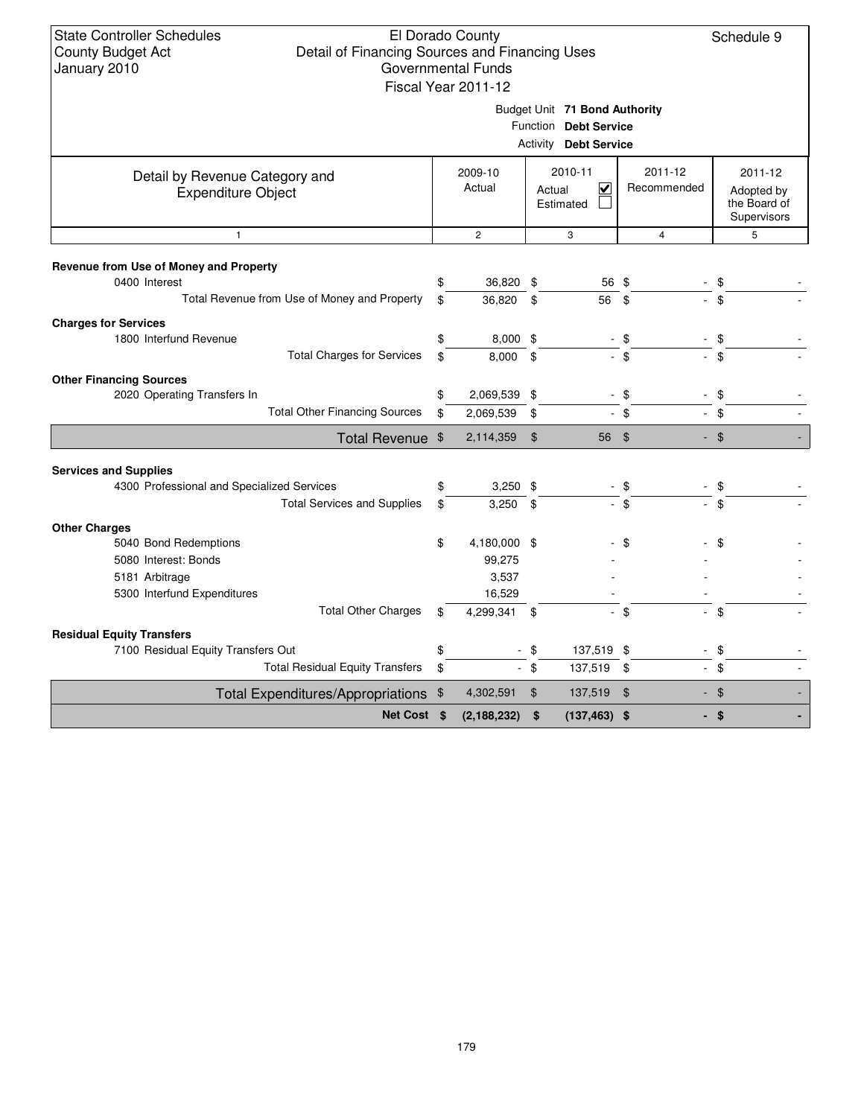| <b>State Controller Schedules</b><br>El Dorado County<br>Schedule 9<br><b>County Budget Act</b><br>Detail of Financing Sources and Financing Uses<br>January 2010<br><b>Governmental Funds</b><br>Fiscal Year 2011-12<br>Budget Unit 71 Bond Authority |    |                   |                |                                                 |                                 |                                                      |  |  |  |  |  |  |
|--------------------------------------------------------------------------------------------------------------------------------------------------------------------------------------------------------------------------------------------------------|----|-------------------|----------------|-------------------------------------------------|---------------------------------|------------------------------------------------------|--|--|--|--|--|--|
|                                                                                                                                                                                                                                                        |    |                   | Activity       | Function Debt Service<br><b>Debt Service</b>    |                                 |                                                      |  |  |  |  |  |  |
| Detail by Revenue Category and<br><b>Expenditure Object</b>                                                                                                                                                                                            |    | 2009-10<br>Actual | Actual         | 2010-11<br>$\overline{\mathbf{v}}$<br>Estimated | 2011-12<br>Recommended          | 2011-12<br>Adopted by<br>the Board of<br>Supervisors |  |  |  |  |  |  |
| $\mathbf{1}$                                                                                                                                                                                                                                           |    | $\overline{2}$    |                | 3                                               | $\overline{4}$                  | 5                                                    |  |  |  |  |  |  |
| Revenue from Use of Money and Property<br>0400 Interest                                                                                                                                                                                                |    | 36,820 \$         |                | 56 \$                                           |                                 | \$                                                   |  |  |  |  |  |  |
| Total Revenue from Use of Money and Property                                                                                                                                                                                                           | \$ | 36.820            | \$             | 56                                              | \$                              | $\sqrt{3}$                                           |  |  |  |  |  |  |
| <b>Charges for Services</b>                                                                                                                                                                                                                            |    |                   |                |                                                 |                                 |                                                      |  |  |  |  |  |  |
| 1800 Interfund Revenue                                                                                                                                                                                                                                 | \$ | $8,000$ \$        |                |                                                 | - \$                            | \$                                                   |  |  |  |  |  |  |
| <b>Total Charges for Services</b>                                                                                                                                                                                                                      | \$ | 8.000             | \$             |                                                 | $-$ \$                          | $-$ \$                                               |  |  |  |  |  |  |
| <b>Other Financing Sources</b>                                                                                                                                                                                                                         |    |                   |                |                                                 |                                 |                                                      |  |  |  |  |  |  |
| 2020 Operating Transfers In                                                                                                                                                                                                                            | \$ | 2,069,539 \$      |                |                                                 | \$                              | -\$                                                  |  |  |  |  |  |  |
| <b>Total Other Financing Sources</b>                                                                                                                                                                                                                   | \$ | 2,069,539         | \$             |                                                 | $-$ \$                          | $-$ \$                                               |  |  |  |  |  |  |
| Total Revenue \$                                                                                                                                                                                                                                       |    | 2,114,359         | $\mathfrak{S}$ | 56 \$                                           |                                 | $-$ \$                                               |  |  |  |  |  |  |
| <b>Services and Supplies</b>                                                                                                                                                                                                                           |    |                   |                |                                                 |                                 |                                                      |  |  |  |  |  |  |
| 4300 Professional and Specialized Services                                                                                                                                                                                                             | \$ | $3,250$ \$        |                |                                                 | - \$                            | \$                                                   |  |  |  |  |  |  |
| <b>Total Services and Supplies</b>                                                                                                                                                                                                                     | \$ | 3,250             | \$             |                                                 | \$                              | \$                                                   |  |  |  |  |  |  |
| <b>Other Charges</b>                                                                                                                                                                                                                                   |    |                   |                |                                                 |                                 |                                                      |  |  |  |  |  |  |
| 5040 Bond Redemptions                                                                                                                                                                                                                                  | \$ | 4,180,000 \$      |                |                                                 | \$                              | \$                                                   |  |  |  |  |  |  |
| 5080 Interest: Bonds                                                                                                                                                                                                                                   |    | 99,275            |                |                                                 |                                 |                                                      |  |  |  |  |  |  |
| 5181 Arbitrage                                                                                                                                                                                                                                         |    | 3,537             |                |                                                 |                                 |                                                      |  |  |  |  |  |  |
| 5300 Interfund Expenditures                                                                                                                                                                                                                            |    | 16,529            |                |                                                 |                                 |                                                      |  |  |  |  |  |  |
| <b>Total Other Charges</b>                                                                                                                                                                                                                             | \$ | 4,299,341         | - \$           | $\sim$                                          | \$<br>$\mathbb{Z}^{\mathbb{Z}}$ | $\mathfrak{F}$                                       |  |  |  |  |  |  |
| <b>Residual Equity Transfers</b>                                                                                                                                                                                                                       |    |                   |                |                                                 |                                 |                                                      |  |  |  |  |  |  |
| 7100 Residual Equity Transfers Out                                                                                                                                                                                                                     | \$ |                   | \$             | 137,519 \$                                      | $\blacksquare$                  | \$                                                   |  |  |  |  |  |  |
| <b>Total Residual Equity Transfers</b>                                                                                                                                                                                                                 | \$ |                   | $-$ \$         | 137,519 \$                                      | $\mathcal{L}_{\mathcal{A}}$     | \$<br>$\overline{\phantom{a}}$                       |  |  |  |  |  |  |
| Total Expenditures/Appropriations \$                                                                                                                                                                                                                   |    | 4,302,591         | $\mathfrak{F}$ | 137,519 \$                                      |                                 | $-$ \$                                               |  |  |  |  |  |  |
| Net Cost \$                                                                                                                                                                                                                                            |    | (2, 188, 232)     | \$             | $(137, 463)$ \$                                 |                                 | - \$                                                 |  |  |  |  |  |  |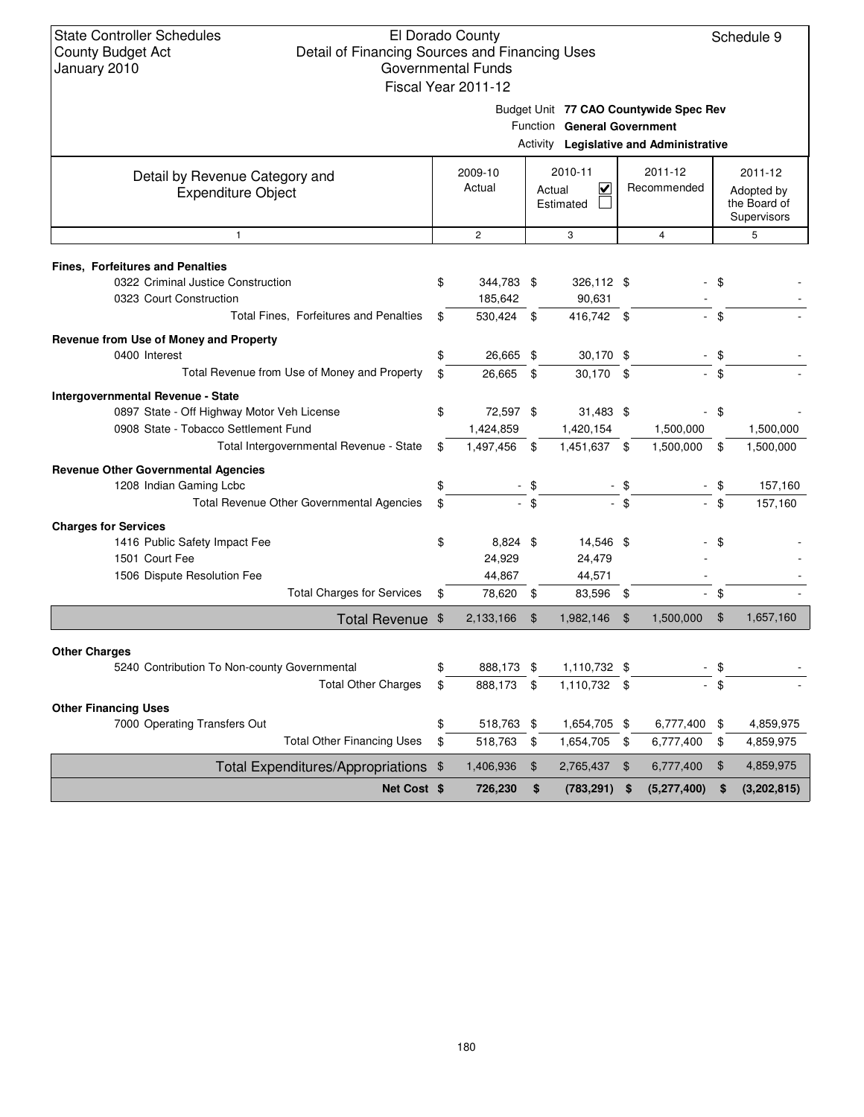| Budget Unit 77 CAO Countywide Spec Rev |  |
|----------------------------------------|--|
|                                        |  |

Function **General Government**

|  | Activity Legislative and Administrative |
|--|-----------------------------------------|
|--|-----------------------------------------|

| Detail by Revenue Category and<br><b>Expenditure Object</b>          | 2009-10<br>Actual  |                | 2010-11<br>$\overline{\mathbf{v}}$<br>Actual<br>Estimated |                | 2011-12<br>Recommended |        | 2011-12<br>Adopted by<br>the Board of |
|----------------------------------------------------------------------|--------------------|----------------|-----------------------------------------------------------|----------------|------------------------|--------|---------------------------------------|
|                                                                      |                    |                |                                                           |                |                        |        | Supervisors                           |
| $\mathbf{1}$                                                         | $\overline{c}$     |                | 3                                                         |                | 4                      |        | 5                                     |
| <b>Fines, Forfeitures and Penalties</b>                              |                    |                |                                                           |                |                        |        |                                       |
| 0322 Criminal Justice Construction                                   | \$<br>344,783 \$   |                | 326,112 \$                                                |                |                        | \$     |                                       |
| 0323 Court Construction                                              | 185.642            |                | 90,631                                                    |                |                        |        |                                       |
| Total Fines, Forfeitures and Penalties                               | \$<br>530,424 \$   |                | 416,742 \$                                                |                |                        | - \$   |                                       |
| Revenue from Use of Money and Property                               |                    |                |                                                           |                |                        |        |                                       |
| 0400 Interest                                                        | 26,665 \$          |                | 30,170 \$                                                 |                |                        | \$     |                                       |
| Total Revenue from Use of Money and Property                         | \$<br>26.665       | $\mathbf{s}$   | 30,170 \$                                                 |                |                        | \$     |                                       |
| <b>Intergovernmental Revenue - State</b>                             |                    |                |                                                           |                |                        |        |                                       |
| 0897 State - Off Highway Motor Veh License                           | \$<br>72,597 \$    |                | $31,483$ \$                                               |                |                        | \$     |                                       |
| 0908 State - Tobacco Settlement Fund                                 | 1,424,859          |                | 1,420,154                                                 |                | 1,500,000              |        | 1,500,000                             |
| Total Intergovernmental Revenue - State                              | \$<br>1,497,456 \$ |                | 1,451,637 \$                                              |                | 1,500,000              | \$     | 1,500,000                             |
| <b>Revenue Other Governmental Agencies</b>                           |                    |                |                                                           |                |                        |        |                                       |
| 1208 Indian Gaming Lcbc                                              | \$                 | - \$           |                                                           | - \$           |                        | $-$ \$ | 157,160                               |
| <b>Total Revenue Other Governmental Agencies</b>                     | \$                 | $-$ \$         |                                                           | $-$ \$         |                        | \$     | 157,160                               |
| <b>Charges for Services</b>                                          |                    |                |                                                           |                |                        |        |                                       |
| 1416 Public Safety Impact Fee                                        | \$<br>8,824 \$     |                | 14,546 \$                                                 |                |                        | \$     |                                       |
| 1501 Court Fee                                                       | 24,929             |                | 24,479                                                    |                |                        |        |                                       |
| 1506 Dispute Resolution Fee                                          | 44,867             |                | 44,571                                                    |                |                        |        |                                       |
| <b>Total Charges for Services</b>                                    | \$<br>78,620 \$    |                | 83,596 \$                                                 |                | $\sim$                 | \$     |                                       |
| Total Revenue \$                                                     | 2,133,166          | $\mathfrak{F}$ | 1,982,146                                                 | $\mathfrak{F}$ | 1,500,000              | \$     | 1,657,160                             |
|                                                                      |                    |                |                                                           |                |                        |        |                                       |
| <b>Other Charges</b><br>5240 Contribution To Non-county Governmental | 888,173 \$         |                | 1,110,732 \$                                              |                |                        | \$     |                                       |
| <b>Total Other Charges</b>                                           | \$<br>888,173      | $\sqrt{3}$     | 1,110,732 \$                                              |                |                        | \$     |                                       |
|                                                                      |                    |                |                                                           |                |                        |        |                                       |
| <b>Other Financing Uses</b>                                          |                    |                |                                                           |                |                        |        |                                       |
| 7000 Operating Transfers Out                                         | \$<br>518,763 \$   |                | 1,654,705 \$                                              |                | 6,777,400 \$           |        | 4,859,975                             |
| <b>Total Other Financing Uses</b>                                    | \$<br>518,763      | \$             | 1,654,705                                                 | \$             | 6,777,400              | \$     | 4,859,975                             |
| Total Expenditures/Appropriations \$                                 | 1,406,936          | \$             | 2,765,437                                                 | \$             | 6,777,400              | \$     | 4,859,975                             |
| <b>Net Cost \$</b>                                                   | 726,230            | \$             | (783, 291)                                                | \$             | (5, 277, 400)          | \$     | (3,202,815)                           |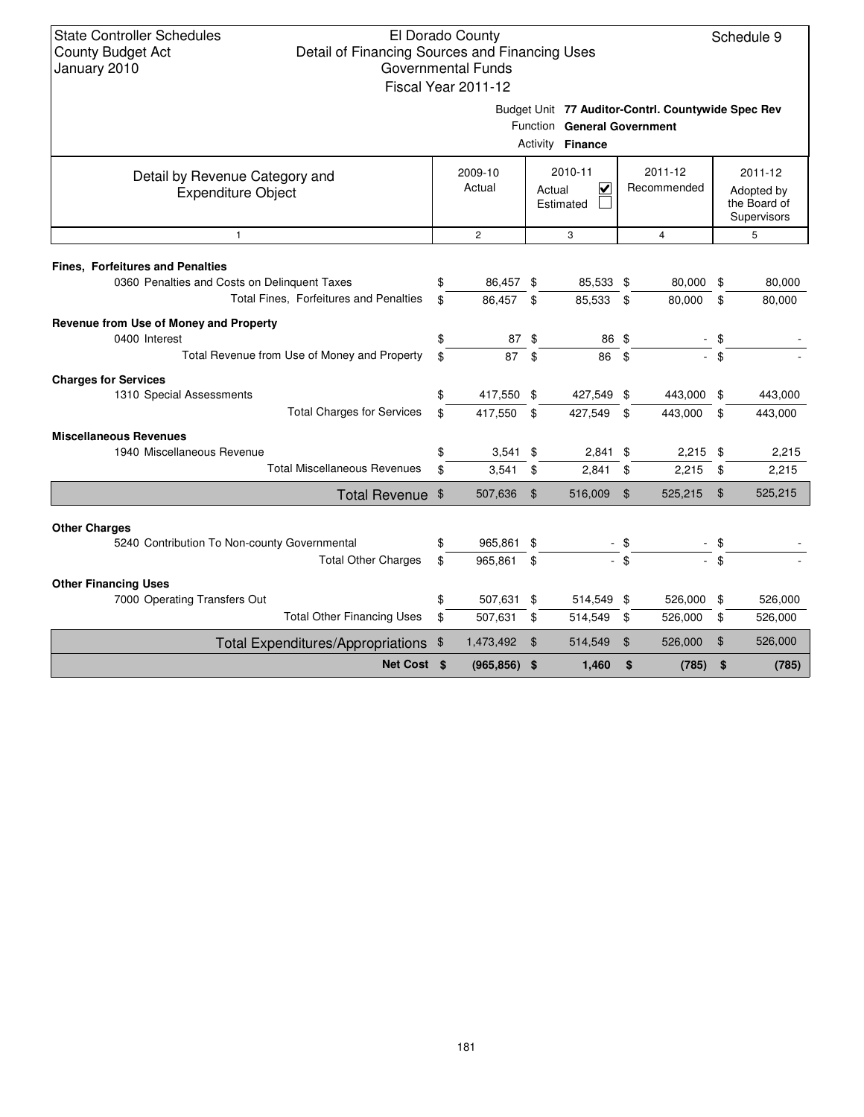## El Dorado County Detail of Financing Sources and Financing Uses Governmental Funds

|                                                                                                                                   |          | Fiscal Year 2011-12      |                    |                                                           |                |                                                    |                |                                                      |  |  |
|-----------------------------------------------------------------------------------------------------------------------------------|----------|--------------------------|--------------------|-----------------------------------------------------------|----------------|----------------------------------------------------|----------------|------------------------------------------------------|--|--|
|                                                                                                                                   |          |                          |                    | Function General Government<br>Activity Finance           |                | Budget Unit 77 Auditor-Contrl. Countywide Spec Rev |                |                                                      |  |  |
| Detail by Revenue Category and<br><b>Expenditure Object</b>                                                                       |          | 2009-10<br>Actual        |                    | 2010-11<br>$\overline{\mathbf{v}}$<br>Actual<br>Estimated |                | 2011-12<br>Recommended                             |                | 2011-12<br>Adopted by<br>the Board of<br>Supervisors |  |  |
| $\mathbf{1}$                                                                                                                      |          | $\overline{c}$           |                    | 3                                                         |                | $\overline{4}$                                     |                | 5                                                    |  |  |
| <b>Fines, Forfeitures and Penalties</b><br>0360 Penalties and Costs on Delinquent Taxes<br>Total Fines, Forfeitures and Penalties | \$<br>\$ | 86,457 \$<br>86.457      | \$                 | 85,533 \$<br>85,533                                       | \$             | 80,000<br>80,000                                   | \$<br>\$       | 80,000<br>80,000                                     |  |  |
| Revenue from Use of Money and Property<br>0400 Interest<br>Total Revenue from Use of Money and Property                           | \$<br>\$ | 87 \$<br>87              | \$                 | 86 \$<br>86                                               | \$             |                                                    | - \$<br>$-$ \$ |                                                      |  |  |
| <b>Charges for Services</b><br>1310 Special Assessments<br><b>Total Charges for Services</b>                                      | \$<br>\$ | 417,550 \$<br>417,550    | \$                 | 427,549 \$<br>427,549                                     | \$             | 443,000<br>443,000                                 | \$<br>\$       | 443,000<br>443,000                                   |  |  |
| <b>Miscellaneous Revenues</b><br>1940 Miscellaneous Revenue<br><b>Total Miscellaneous Revenues</b>                                | \$<br>\$ | $3,541$ \$<br>$3,541$ \$ |                    | 2,841<br>2,841                                            | \$<br>\$       | $2,215$ \$<br>2,215                                | \$             | 2,215<br>2,215                                       |  |  |
| Total Revenue \$                                                                                                                  |          | 507,636                  | $\mathbf{\hat{s}}$ | 516,009                                                   | \$             | 525,215                                            | $\mathfrak{F}$ | 525,215                                              |  |  |
| <b>Other Charges</b><br>5240 Contribution To Non-county Governmental                                                              | \$       | 965,861 \$               |                    |                                                           | - \$           |                                                    | - \$           |                                                      |  |  |
| <b>Total Other Charges</b>                                                                                                        | \$       | 965,861                  | \$                 |                                                           | \$             |                                                    | \$             |                                                      |  |  |
| <b>Other Financing Uses</b><br>7000 Operating Transfers Out<br><b>Total Other Financing Uses</b>                                  | \$<br>\$ | 507,631 \$<br>507,631    | \$                 | 514,549 \$<br>514,549                                     | \$             | 526,000<br>526,000                                 | \$<br>\$       | 526,000<br>526,000                                   |  |  |
| Total Expenditures/Appropriations \$                                                                                              |          | 1,473,492                | \$                 | 514,549                                                   | $\mathfrak{F}$ | 526,000                                            | \$             | 526,000                                              |  |  |
| Net Cost \$                                                                                                                       |          | $(965, 856)$ \$          |                    | 1,460                                                     | \$             | (785)                                              | \$             | (785)                                                |  |  |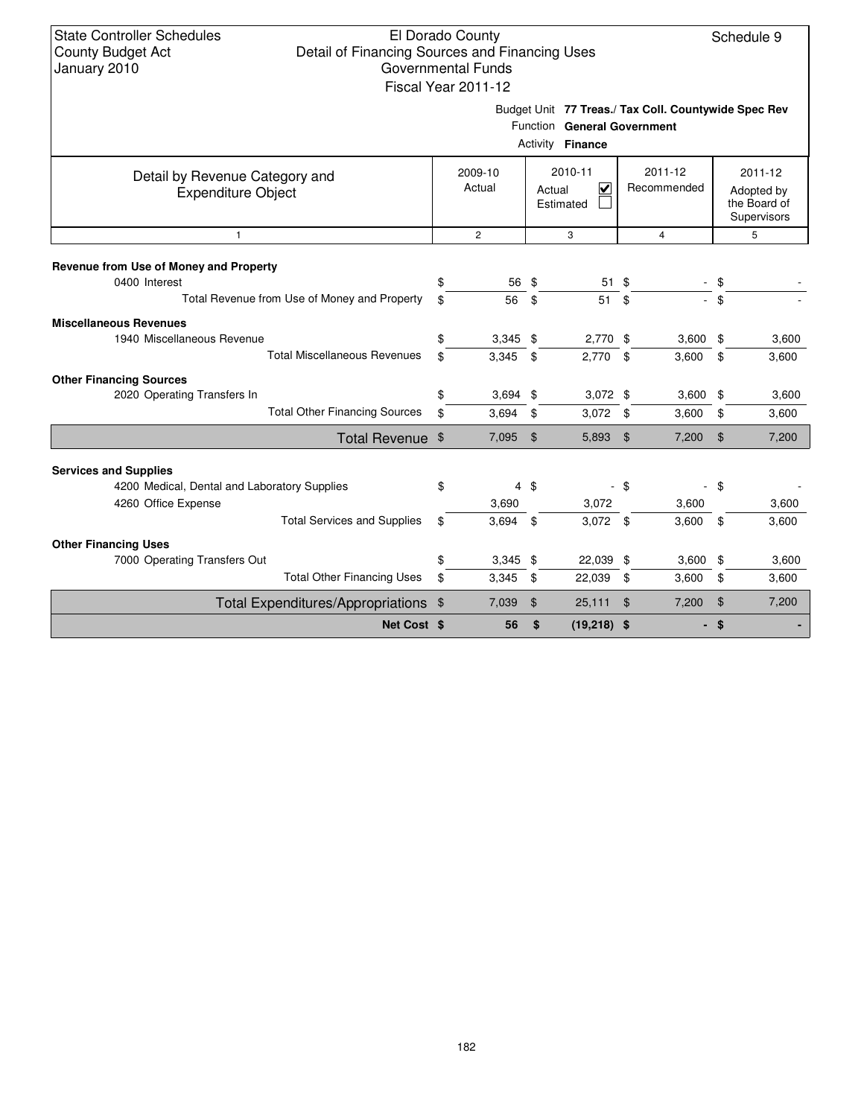Budget Unit **77 Treas./ Tax Coll. Countywide Spec Rev**

|                                                             |                   |                | Activity | Function General Government<br><b>Finance</b>   |                        |            |               |                                                      |
|-------------------------------------------------------------|-------------------|----------------|----------|-------------------------------------------------|------------------------|------------|---------------|------------------------------------------------------|
| Detail by Revenue Category and<br><b>Expenditure Object</b> | 2009-10<br>Actual |                | Actual   | 2010-11<br>$\overline{\mathbf{v}}$<br>Estimated | 2011-12<br>Recommended |            |               | 2011-12<br>Adopted by<br>the Board of<br>Supervisors |
| $\mathbf{1}$                                                |                   | $\overline{c}$ |          | 3                                               |                        | 4          |               | 5                                                    |
| Revenue from Use of Money and Property                      |                   |                |          |                                                 |                        |            |               |                                                      |
| 0400 Interest                                               | \$                | 56             | \$       | 51                                              | \$                     |            | \$            |                                                      |
| Total Revenue from Use of Money and Property                | \$                | 56             | \$       | 51                                              | \$                     |            | \$            |                                                      |
| <b>Miscellaneous Revenues</b>                               |                   |                |          |                                                 |                        |            |               |                                                      |
| 1940 Miscellaneous Revenue                                  | \$                | $3,345$ \$     |          | $2,770$ \$                                      |                        | $3,600$ \$ |               | 3,600                                                |
| <b>Total Miscellaneous Revenues</b>                         | \$                | $3,345$ \$     |          | 2,770                                           | $\mathbf{\$}$          | 3,600      | \$            | 3,600                                                |
| <b>Other Financing Sources</b>                              |                   |                |          |                                                 |                        |            |               |                                                      |
| 2020 Operating Transfers In                                 | \$                | $3,694$ \$     |          | $3,072$ \$                                      |                        | $3,600$ \$ |               | 3,600                                                |
| <b>Total Other Financing Sources</b>                        | \$                | 3,694          | \$       | $3,072$ \$                                      |                        | 3,600      | \$            | 3,600                                                |
| Total Revenue \$                                            |                   | 7,095 \$       |          | 5,893                                           | \$                     | 7,200      | $\frac{1}{2}$ | 7,200                                                |
| <b>Services and Supplies</b>                                |                   |                |          |                                                 |                        |            |               |                                                      |
| 4200 Medical, Dental and Laboratory Supplies                | \$                |                | 4 \$     |                                                 | $-$ \$                 |            | - \$          |                                                      |
| 4260 Office Expense                                         |                   | 3,690          |          | 3,072                                           |                        | 3,600      |               | 3,600                                                |
| <b>Total Services and Supplies</b>                          | \$                | 3,694          | \$       | $3,072$ \$                                      |                        | 3,600      | \$            | 3,600                                                |
| <b>Other Financing Uses</b>                                 |                   |                |          |                                                 |                        |            |               |                                                      |
| 7000 Operating Transfers Out                                | \$                | $3,345$ \$     |          | 22,039 \$                                       |                        | $3,600$ \$ |               | 3,600                                                |
| <b>Total Other Financing Uses</b>                           | \$                | 3,345          | \$       | 22,039                                          | \$                     | 3,600      | \$            | 3,600                                                |
| Total Expenditures/Appropriations \$                        |                   | 7,039          | \$       | 25,111                                          | $\mathfrak{F}$         | 7,200      | \$            | 7,200                                                |
| Net Cost \$                                                 |                   | 56             | \$       | $(19,218)$ \$                                   |                        |            | \$            |                                                      |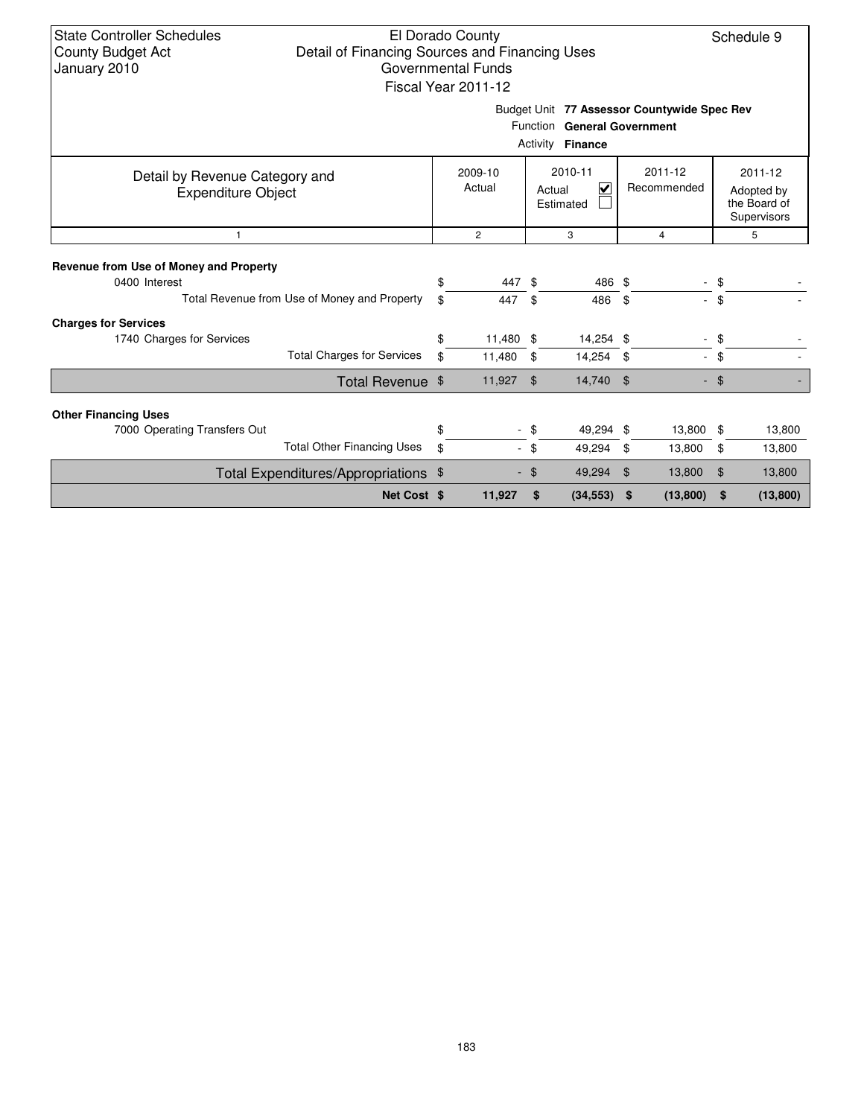| <b>State Controller Schedules</b><br>El Dorado County<br>Schedule 9<br><b>County Budget Act</b><br>Detail of Financing Sources and Financing Uses<br>January 2010<br><b>Governmental Funds</b><br>Fiscal Year 2011-12 |                                              |                   |                |                                     |           |                        |                |                                                          |          |  |  |
|-----------------------------------------------------------------------------------------------------------------------------------------------------------------------------------------------------------------------|----------------------------------------------|-------------------|----------------|-------------------------------------|-----------|------------------------|----------------|----------------------------------------------------------|----------|--|--|
| Budget Unit 77 Assessor Countywide Spec Rev<br>Function General Government<br>Activity <b>Finance</b>                                                                                                                 |                                              |                   |                |                                     |           |                        |                |                                                          |          |  |  |
| Detail by Revenue Category and<br><b>Expenditure Object</b>                                                                                                                                                           |                                              | 2009-10<br>Actual |                | 2010-11<br>V<br>Actual<br>Estimated |           | 2011-12<br>Recommended |                | $2011 - 12$<br>Adopted by<br>the Board of<br>Supervisors |          |  |  |
| $\mathbf{1}$                                                                                                                                                                                                          |                                              |                   | $\overline{2}$ |                                     | 3         |                        | $\overline{4}$ |                                                          | 5        |  |  |
| Revenue from Use of Money and Property<br>0400 Interest                                                                                                                                                               |                                              | \$                | 447            | \$                                  | 486 \$    |                        |                | \$                                                       |          |  |  |
|                                                                                                                                                                                                                       | Total Revenue from Use of Money and Property | \$                | 447            | \$                                  | 486       | -\$                    |                | \$                                                       |          |  |  |
| <b>Charges for Services</b>                                                                                                                                                                                           |                                              |                   |                |                                     |           |                        |                |                                                          |          |  |  |
| 1740 Charges for Services                                                                                                                                                                                             |                                              | \$                | 11,480 \$      |                                     | 14,254 \$ |                        |                | \$                                                       |          |  |  |
|                                                                                                                                                                                                                       | <b>Total Charges for Services</b>            | \$                | 11,480         | -\$                                 | 14,254 \$ |                        | $\sim$         | \$                                                       |          |  |  |
|                                                                                                                                                                                                                       | Total Revenue \$                             |                   | 11,927         | $\mathfrak{L}$                      | 14,740 \$ |                        |                | \$                                                       |          |  |  |
| <b>Other Financing Uses</b>                                                                                                                                                                                           |                                              |                   |                |                                     |           |                        |                |                                                          |          |  |  |
| 7000 Operating Transfers Out                                                                                                                                                                                          |                                              | \$                |                | \$                                  | 49,294 \$ |                        | 13,800         | -\$                                                      | 13,800   |  |  |
|                                                                                                                                                                                                                       | <b>Total Other Financing Uses</b>            | \$                |                | - \$                                | 49,294    | \$                     | 13,800         | \$                                                       | 13,800   |  |  |
|                                                                                                                                                                                                                       | Total Expenditures/Appropriations \$         |                   |                | \$.                                 | 49,294    | 13,800<br>\$           |                | $\mathfrak{L}$                                           | 13,800   |  |  |
|                                                                                                                                                                                                                       | Net Cost \$                                  |                   | 11,927         | \$                                  | (34, 553) | \$                     | (13,800)       | \$                                                       | (13,800) |  |  |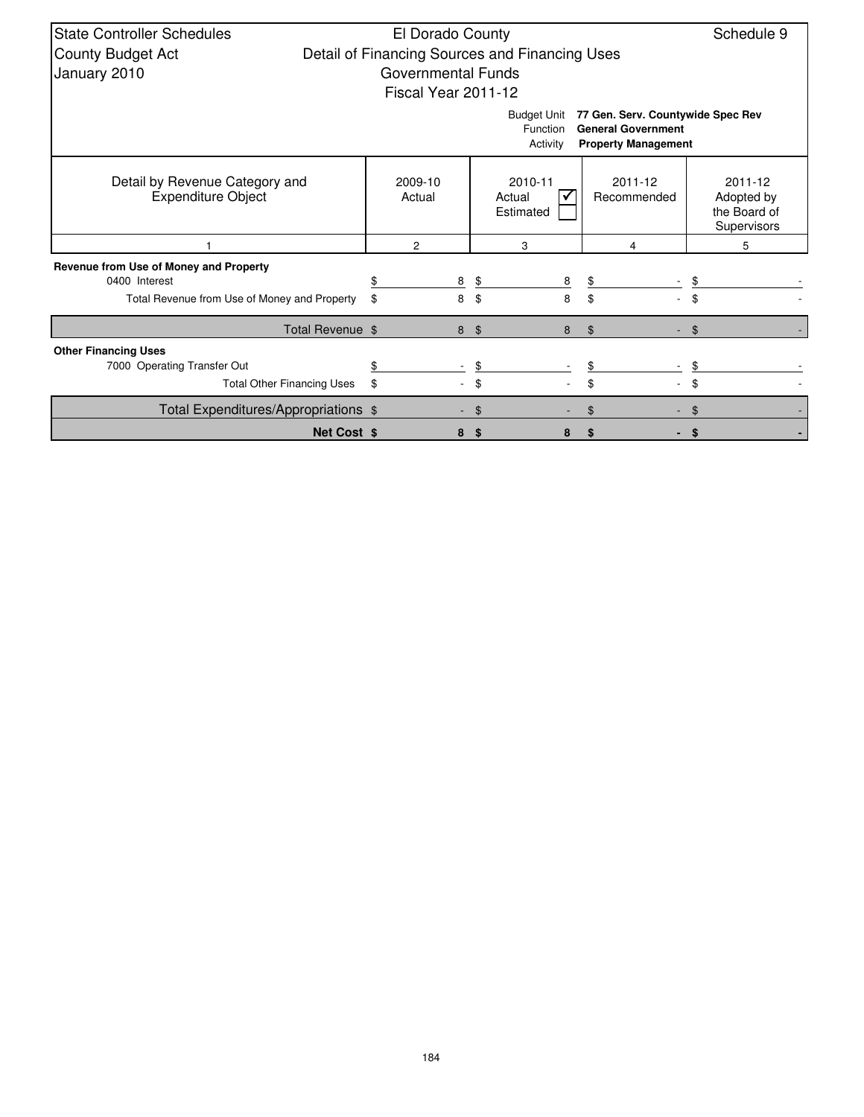| <b>State Controller Schedules</b>                           | El Dorado County          |                    |                                                |                                                                                              | Schedule 9                                           |
|-------------------------------------------------------------|---------------------------|--------------------|------------------------------------------------|----------------------------------------------------------------------------------------------|------------------------------------------------------|
| <b>County Budget Act</b>                                    |                           |                    | Detail of Financing Sources and Financing Uses |                                                                                              |                                                      |
| January 2010                                                | <b>Governmental Funds</b> |                    |                                                |                                                                                              |                                                      |
|                                                             | Fiscal Year 2011-12       |                    |                                                |                                                                                              |                                                      |
|                                                             |                           |                    | <b>Budget Unit</b><br>Function<br>Activity     | 77 Gen. Serv. Countywide Spec Rev<br><b>General Government</b><br><b>Property Management</b> |                                                      |
| Detail by Revenue Category and<br><b>Expenditure Object</b> | 2009-10<br>Actual         |                    | 2010-11<br>Actual<br>Estimated                 | 2011-12<br>Recommended                                                                       | 2011-12<br>Adopted by<br>the Board of<br>Supervisors |
|                                                             | $\overline{2}$            |                    | 3                                              | 4                                                                                            | 5                                                    |
| Revenue from Use of Money and Property                      |                           |                    |                                                |                                                                                              |                                                      |
| 0400 Interest                                               | 8                         |                    | \$<br>8                                        | \$                                                                                           |                                                      |
| Total Revenue from Use of Money and Property                | \$<br>8                   |                    | 8<br>\$                                        | \$                                                                                           | \$                                                   |
| Total Revenue \$                                            |                           | $\frac{1}{2}$<br>8 | 8                                              | $\$\$                                                                                        | $\mathfrak{L}$                                       |
| <b>Other Financing Uses</b>                                 |                           |                    |                                                |                                                                                              |                                                      |
| 7000 Operating Transfer Out                                 |                           |                    | \$                                             |                                                                                              |                                                      |
| <b>Total Other Financing Uses</b>                           | \$                        |                    | \$                                             | \$                                                                                           | \$                                                   |
| Total Expenditures/Appropriations \$                        |                           | \$                 |                                                | \$                                                                                           |                                                      |
| <b>Net Cost \$</b>                                          | 8                         | \$                 | 8                                              | \$                                                                                           | \$                                                   |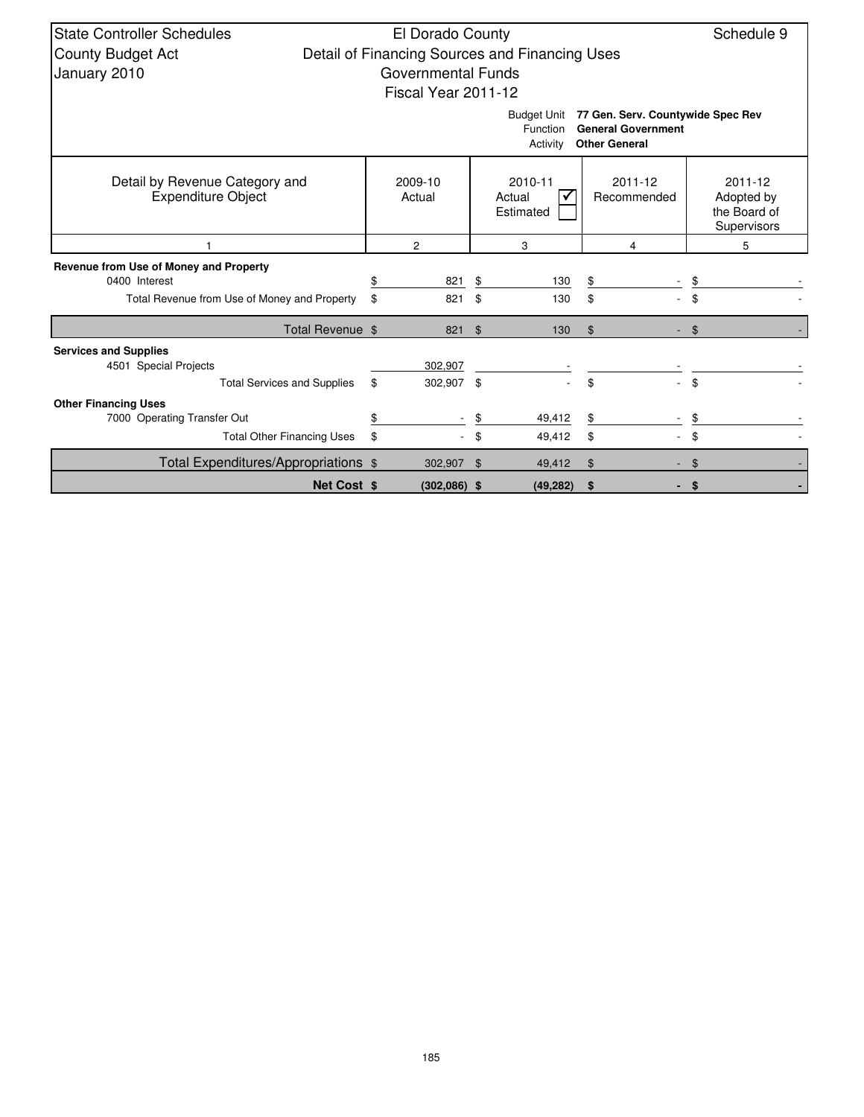| <b>State Controller Schedules</b><br>Schedule 9<br>El Dorado County                                                                  |    |                           |                |                                                |    |                        |      |                                                      |  |  |  |  |
|--------------------------------------------------------------------------------------------------------------------------------------|----|---------------------------|----------------|------------------------------------------------|----|------------------------|------|------------------------------------------------------|--|--|--|--|
| <b>County Budget Act</b>                                                                                                             |    |                           |                | Detail of Financing Sources and Financing Uses |    |                        |      |                                                      |  |  |  |  |
| January 2010                                                                                                                         |    | <b>Governmental Funds</b> |                |                                                |    |                        |      |                                                      |  |  |  |  |
|                                                                                                                                      |    | Fiscal Year 2011-12       |                |                                                |    |                        |      |                                                      |  |  |  |  |
| 77 Gen. Serv. Countywide Spec Rev<br><b>Budget Unit</b><br><b>General Government</b><br>Function<br><b>Other General</b><br>Activity |    |                           |                |                                                |    |                        |      |                                                      |  |  |  |  |
| Detail by Revenue Category and<br><b>Expenditure Object</b>                                                                          |    | 2009-10<br>Actual         |                | 2010-11<br>Actual<br>Estimated                 |    | 2011-12<br>Recommended |      | 2011-12<br>Adopted by<br>the Board of<br>Supervisors |  |  |  |  |
|                                                                                                                                      |    | $\overline{2}$            |                | 3                                              |    | 4                      |      | 5                                                    |  |  |  |  |
| Revenue from Use of Money and Property                                                                                               |    |                           |                |                                                |    |                        |      |                                                      |  |  |  |  |
| 0400 Interest                                                                                                                        | \$ | 821                       | \$             | 130                                            | \$ |                        |      |                                                      |  |  |  |  |
| Total Revenue from Use of Money and Property                                                                                         | \$ | 821                       | \$             | 130                                            | \$ |                        |      |                                                      |  |  |  |  |
| Total Revenue \$                                                                                                                     |    | 821                       | \$             | 130                                            | \$ |                        | \$   |                                                      |  |  |  |  |
| <b>Services and Supplies</b>                                                                                                         |    |                           |                |                                                |    |                        |      |                                                      |  |  |  |  |
| 4501 Special Projects                                                                                                                |    | 302,907                   |                |                                                |    |                        |      |                                                      |  |  |  |  |
| <b>Total Services and Supplies</b>                                                                                                   | \$ | 302,907 \$                |                |                                                | \$ |                        | \$   |                                                      |  |  |  |  |
| <b>Other Financing Uses</b>                                                                                                          |    |                           |                |                                                |    |                        |      |                                                      |  |  |  |  |
| 7000 Operating Transfer Out                                                                                                          | \$ |                           |                | 49,412                                         | \$ |                        |      |                                                      |  |  |  |  |
| <b>Total Other Financing Uses</b>                                                                                                    | \$ |                           | \$             | 49,412                                         | \$ |                        | \$   |                                                      |  |  |  |  |
| Total Expenditures/Appropriations \$                                                                                                 |    | 302,907                   | $\mathfrak{F}$ | 49,412                                         | \$ |                        | \$   |                                                      |  |  |  |  |
| <b>Net Cost \$</b>                                                                                                                   |    | $(302,086)$ \$            |                | (49, 282)                                      | \$ |                        | - \$ |                                                      |  |  |  |  |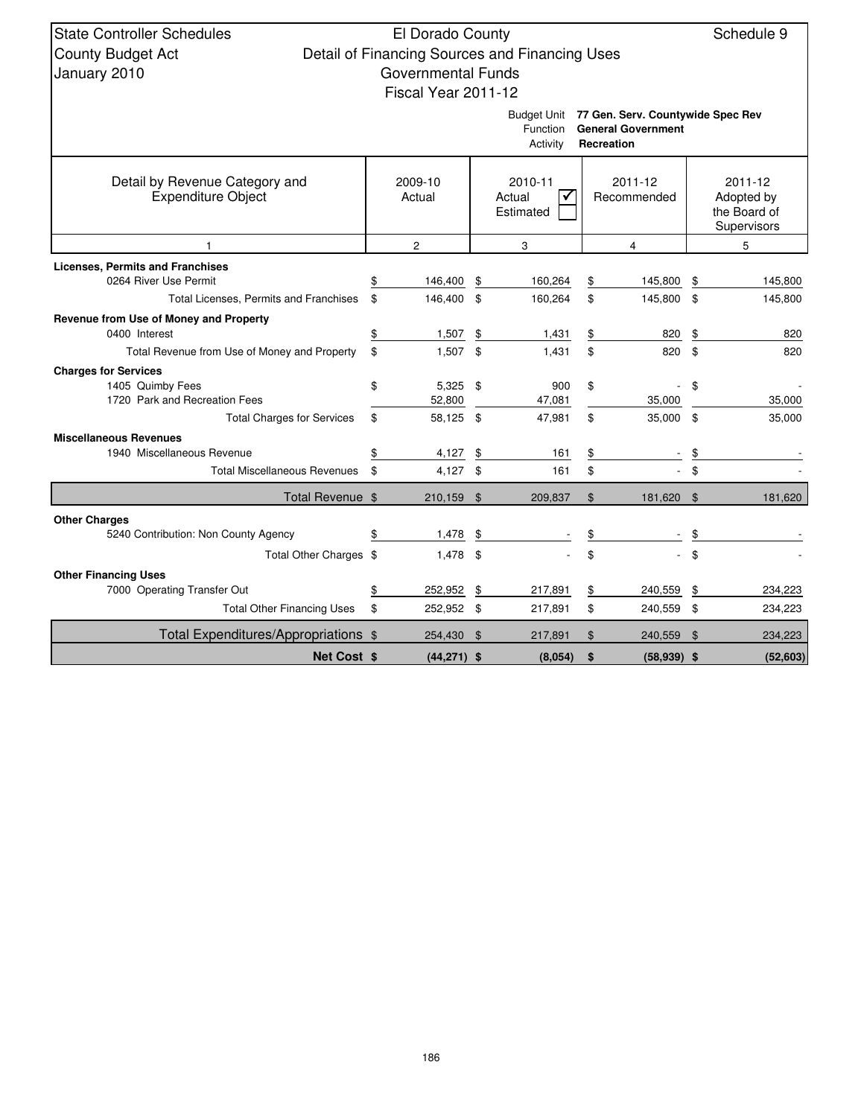| <b>State Controller Schedules</b>                                | El Dorado County          |          |                                                |          |                                               |     | Schedule 9   |  |  |
|------------------------------------------------------------------|---------------------------|----------|------------------------------------------------|----------|-----------------------------------------------|-----|--------------|--|--|
| <b>County Budget Act</b>                                         |                           |          | Detail of Financing Sources and Financing Uses |          |                                               |     |              |  |  |
|                                                                  | <b>Governmental Funds</b> |          |                                                |          |                                               |     |              |  |  |
| January 2010                                                     |                           |          |                                                |          |                                               |     |              |  |  |
|                                                                  | Fiscal Year 2011-12       |          |                                                |          |                                               |     |              |  |  |
|                                                                  |                           |          |                                                |          | Budget Unit 77 Gen. Serv. Countywide Spec Rev |     |              |  |  |
|                                                                  |                           |          | Function<br>Activity                           |          | <b>General Government</b><br>Recreation       |     |              |  |  |
|                                                                  |                           |          |                                                |          |                                               |     |              |  |  |
| Detail by Revenue Category and                                   | 2009-10                   |          | 2010-11                                        | 2011-12  |                                               |     | 2011-12      |  |  |
| Expenditure Object                                               | Actual                    |          | Actual                                         |          | Recommended                                   |     | Adopted by   |  |  |
|                                                                  | Estimated                 |          |                                                |          |                                               |     | the Board of |  |  |
|                                                                  |                           |          |                                                |          |                                               |     | Supervisors  |  |  |
| 1                                                                | $\overline{2}$            |          | 3                                              |          | $\overline{4}$                                |     | 5            |  |  |
| <b>Licenses, Permits and Franchises</b><br>0264 River Use Permit | \$                        |          |                                                |          |                                               |     | 145,800      |  |  |
| Total Licenses, Permits and Franchises                           | \$<br>146,400<br>146,400  | \$<br>\$ | 160,264<br>160,264                             | \$<br>\$ | 145,800<br>145,800 \$                         | \$  | 145,800      |  |  |
| Revenue from Use of Money and Property                           |                           |          |                                                |          |                                               |     |              |  |  |
| 0400 Interest                                                    | \$<br>1,507               | \$       | 1,431                                          | \$       | 820                                           | \$  | 820          |  |  |
| Total Revenue from Use of Money and Property                     | \$<br>1,507               | \$       | 1,431                                          | \$       | 820                                           | -\$ | 820          |  |  |
| <b>Charges for Services</b>                                      |                           |          |                                                |          |                                               |     |              |  |  |
| 1405 Quimby Fees                                                 | \$<br>5,325               | \$       | 900                                            | \$       |                                               | \$  |              |  |  |
| 1720 Park and Recreation Fees                                    | 52,800                    |          | 47,081                                         | 35,000   |                                               |     | 35,000       |  |  |
| <b>Total Charges for Services</b>                                | \$<br>58,125 \$           |          | 47,981                                         | \$       | 35,000 \$                                     |     | 35,000       |  |  |
| <b>Miscellaneous Revenues</b>                                    |                           |          |                                                |          |                                               |     |              |  |  |
| 1940 Miscellaneous Revenue                                       | \$<br>4,127               | \$       | 161                                            | \$       |                                               | \$  |              |  |  |
| <b>Total Miscellaneous Revenues</b>                              | \$<br>4,127               | \$       | 161                                            | \$       |                                               | \$  |              |  |  |
| Total Revenue \$                                                 | $210,159$ \$              |          | 209,837                                        | $\$\$    | 181,620 \$                                    |     | 181,620      |  |  |
| <b>Other Charges</b>                                             |                           |          |                                                |          |                                               |     |              |  |  |
| 5240 Contribution: Non County Agency                             | \$<br>1,478               | \$       |                                                | \$       |                                               | \$  |              |  |  |
| Total Other Charges \$                                           | 1,478                     | \$       |                                                | \$       |                                               | \$  |              |  |  |
| <b>Other Financing Uses</b>                                      |                           |          |                                                |          |                                               |     |              |  |  |
| 7000 Operating Transfer Out                                      | \$<br>252,952             | \$       | 217,891                                        | \$       | 240,559                                       | \$  | 234,223      |  |  |
| <b>Total Other Financing Uses</b>                                | \$<br>252,952 \$          |          | 217,891                                        | \$       | 240,559 \$                                    |     | 234,223      |  |  |
| Total Expenditures/Appropriations \$                             | 254,430 \$                |          | 217,891                                        | \$       | 240,559                                       | \$  | 234,223      |  |  |
| <b>Net Cost \$</b>                                               | $(44, 271)$ \$            |          | (8,054)                                        | \$       | $(58,939)$ \$                                 |     | (52,603)     |  |  |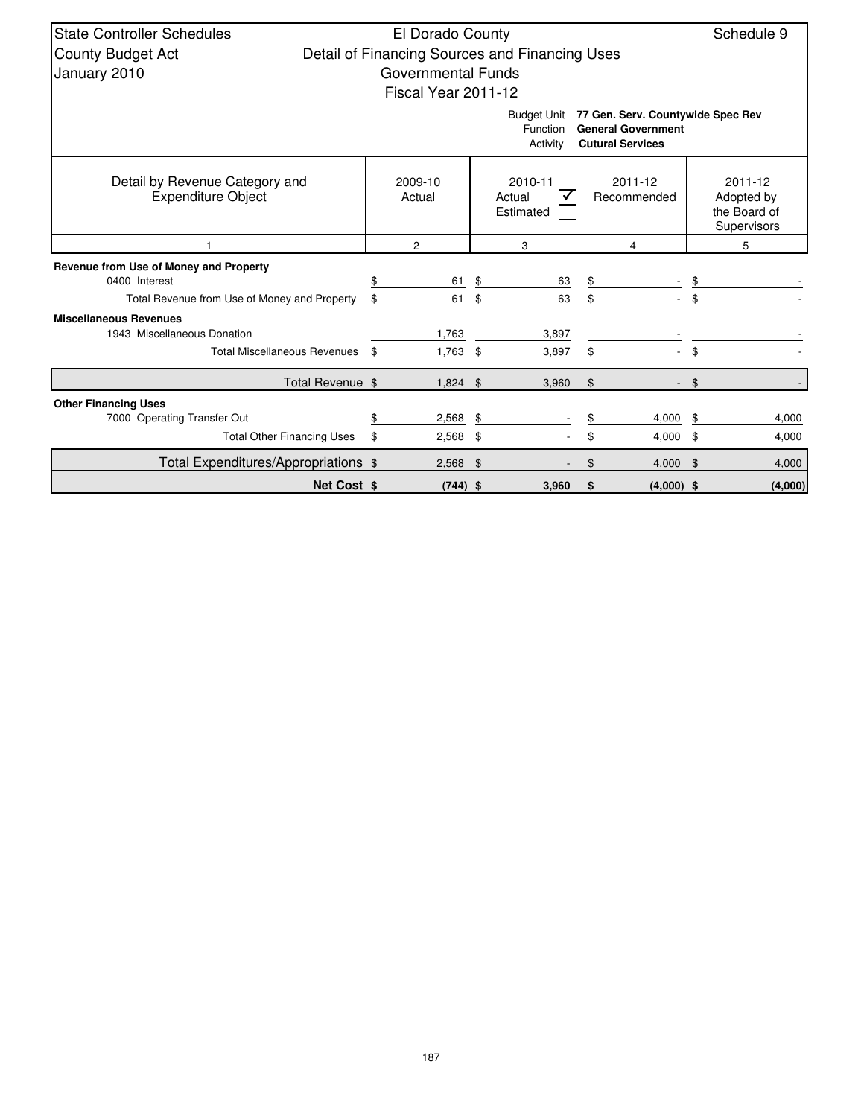| <b>State Controller Schedules</b>                           | El Dorado County    |                                                |         |                                   |             | Schedule 9                 |  |
|-------------------------------------------------------------|---------------------|------------------------------------------------|---------|-----------------------------------|-------------|----------------------------|--|
| County Budget Act                                           |                     | Detail of Financing Sources and Financing Uses |         |                                   |             |                            |  |
| January 2010                                                | Governmental Funds  |                                                |         |                                   |             |                            |  |
|                                                             | Fiscal Year 2011-12 |                                                |         |                                   |             |                            |  |
|                                                             |                     | <b>Budget Unit</b>                             |         | 77 Gen. Serv. Countywide Spec Rev |             |                            |  |
|                                                             |                     | Function                                       |         | <b>General Government</b>         |             |                            |  |
|                                                             |                     | Activity                                       |         | <b>Cutural Services</b>           |             |                            |  |
|                                                             |                     |                                                |         |                                   |             |                            |  |
| Detail by Revenue Category and<br><b>Expenditure Object</b> | 2009-10<br>Actual   | 2010-11<br>Actual                              | 2011-12 |                                   |             | 2011-12                    |  |
|                                                             |                     | Estimated                                      |         | Recommended                       |             | Adopted by<br>the Board of |  |
|                                                             |                     |                                                |         |                                   | Supervisors |                            |  |
|                                                             | $\overline{c}$      | 3                                              |         | 4                                 |             | 5                          |  |
| Revenue from Use of Money and Property                      |                     |                                                |         |                                   |             |                            |  |
| 0400 Interest                                               | \$<br>61            | \$<br>63                                       | \$      |                                   | S           |                            |  |
| Total Revenue from Use of Money and Property                | \$<br>61            | \$<br>63                                       | \$      |                                   | \$          |                            |  |
| <b>Miscellaneous Revenues</b>                               |                     |                                                |         |                                   |             |                            |  |
| 1943 Miscellaneous Donation                                 | 1,763               | 3,897                                          |         |                                   |             |                            |  |
| <b>Total Miscellaneous Revenues</b>                         | \$<br>1,763         | \$<br>3,897                                    | \$      |                                   | \$          |                            |  |
| Total Revenue \$                                            | $1,824$ \$          | 3,960                                          | \$      |                                   | \$          |                            |  |
| <b>Other Financing Uses</b>                                 |                     |                                                |         |                                   |             |                            |  |
| 7000 Operating Transfer Out                                 | \$<br>2,568         | \$                                             | \$      | 4,000                             |             | 4,000                      |  |
| <b>Total Other Financing Uses</b>                           | \$<br>2,568         | \$                                             | \$      | $4,000$ \$                        |             | 4,000                      |  |
| Total Expenditures/Appropriations \$                        | 2,568               | \$                                             | \$      | 4,000                             | - \$        | 4,000                      |  |
| <b>Net Cost \$</b>                                          | $(744)$ \$          | 3,960                                          | \$      | $(4,000)$ \$                      |             | (4,000)                    |  |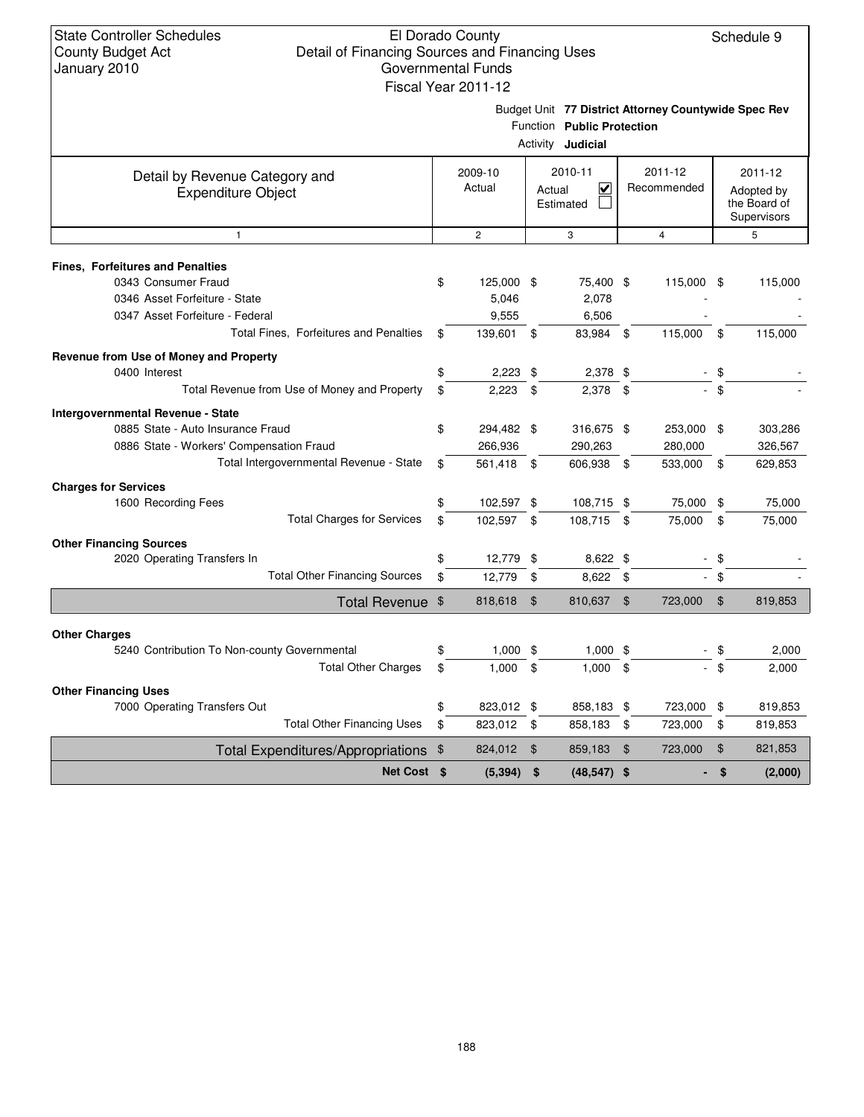|                                              |                                                      | Fiscal Year 2011-12 |                |                                                        |             |                |                             |         |  |  |  |
|----------------------------------------------|------------------------------------------------------|---------------------|----------------|--------------------------------------------------------|-------------|----------------|-----------------------------|---------|--|--|--|
|                                              | Budget Unit 77 District Attorney Countywide Spec Rev |                     |                |                                                        |             |                |                             |         |  |  |  |
|                                              |                                                      |                     |                | Function Public Protection<br>Activity <b>Judicial</b> |             |                |                             |         |  |  |  |
| Detail by Revenue Category and               | 2010-11                                              |                     | 2011-12        |                                                        | 2011-12     |                |                             |         |  |  |  |
| <b>Expenditure Object</b>                    |                                                      | 2009-10<br>Actual   | Actual         | $\overline{\mathbf{v}}$                                | Recommended |                | Adopted by                  |         |  |  |  |
|                                              |                                                      |                     | Estimated      |                                                        |             |                | the Board of<br>Supervisors |         |  |  |  |
| $\mathbf{1}$                                 |                                                      | $\overline{c}$      |                | 3                                                      |             | $\overline{4}$ |                             | 5       |  |  |  |
| <b>Fines, Forfeitures and Penalties</b>      |                                                      |                     |                |                                                        |             |                |                             |         |  |  |  |
| 0343 Consumer Fraud                          | \$                                                   | 125,000 \$          |                | 75,400 \$                                              |             | 115,000 \$     |                             | 115,000 |  |  |  |
| 0346 Asset Forfeiture - State                |                                                      | 5,046               |                | 2,078                                                  |             |                |                             |         |  |  |  |
| 0347 Asset Forfeiture - Federal              |                                                      | 9,555               |                | 6,506                                                  |             |                |                             |         |  |  |  |
| Total Fines, Forfeitures and Penalties       | \$                                                   | 139,601             | \$             | 83,984 \$                                              |             | 115,000        | \$                          | 115,000 |  |  |  |
| Revenue from Use of Money and Property       |                                                      |                     |                |                                                        |             |                |                             |         |  |  |  |
| 0400 Interest                                | \$                                                   | 2,223               | \$             | 2,378 \$                                               |             |                | \$                          |         |  |  |  |
| Total Revenue from Use of Money and Property | \$                                                   | 2,223               | \$             | 2,378                                                  | \$          |                | - \$                        |         |  |  |  |
| <b>Intergovernmental Revenue - State</b>     |                                                      |                     |                |                                                        |             |                |                             |         |  |  |  |
| 0885 State - Auto Insurance Fraud            | \$                                                   | 294,482 \$          |                | 316,675 \$                                             |             | 253,000 \$     |                             | 303,286 |  |  |  |
| 0886 State - Workers' Compensation Fraud     |                                                      | 266,936             |                | 290,263                                                |             | 280,000        |                             | 326,567 |  |  |  |
| Total Intergovernmental Revenue - State      | \$                                                   | 561,418 \$          |                | 606,938 \$                                             |             | 533,000 \$     |                             | 629,853 |  |  |  |
| <b>Charges for Services</b>                  |                                                      |                     |                |                                                        |             |                |                             |         |  |  |  |
| 1600 Recording Fees                          | \$                                                   | 102,597 \$          |                | 108,715 \$                                             |             | 75,000         | \$                          | 75,000  |  |  |  |
| <b>Total Charges for Services</b>            | \$                                                   | 102,597 \$          |                | 108,715 \$                                             |             | 75,000         | $^{\circ}$                  | 75,000  |  |  |  |
| <b>Other Financing Sources</b>               |                                                      |                     |                |                                                        |             |                |                             |         |  |  |  |
| 2020 Operating Transfers In                  | \$                                                   | 12,779              | \$             | 8,622 \$                                               |             |                | \$                          |         |  |  |  |
| <b>Total Other Financing Sources</b>         | \$                                                   | 12,779              | \$             | 8,622                                                  | \$          |                | \$                          |         |  |  |  |
| Total Revenue \$                             |                                                      | 818,618             | $\mathfrak{F}$ | 810,637 \$                                             |             | 723,000        | $\frac{1}{2}$               | 819,853 |  |  |  |
| <b>Other Charges</b>                         |                                                      |                     |                |                                                        |             |                |                             |         |  |  |  |
| 5240 Contribution To Non-county Governmental | \$                                                   | $1,000$ \$          |                | $1,000$ \$                                             |             |                | \$                          | 2,000   |  |  |  |
| <b>Total Other Charges</b>                   | \$                                                   | 1,000               | \$             | $1,000$ \$                                             |             |                | \$                          | 2,000   |  |  |  |
| <b>Other Financing Uses</b>                  |                                                      |                     |                |                                                        |             |                |                             |         |  |  |  |
| 7000 Operating Transfers Out                 | \$                                                   | 823,012 \$          |                | 858,183 \$                                             |             | 723,000        | \$                          | 819,853 |  |  |  |
| <b>Total Other Financing Uses</b>            | \$                                                   | 823,012             | - \$           | 858,183                                                | \$          | 723,000        | \$                          | 819,853 |  |  |  |
| <b>Total Expenditures/Appropriations</b>     | \$                                                   | 824,012             | $\mathfrak{F}$ | 859,183                                                | \$          | 723,000        | \$                          | 821,853 |  |  |  |
| Net Cost \$                                  |                                                      | (5, 394)            | \$             | $(48, 547)$ \$                                         |             |                | \$                          | (2,000) |  |  |  |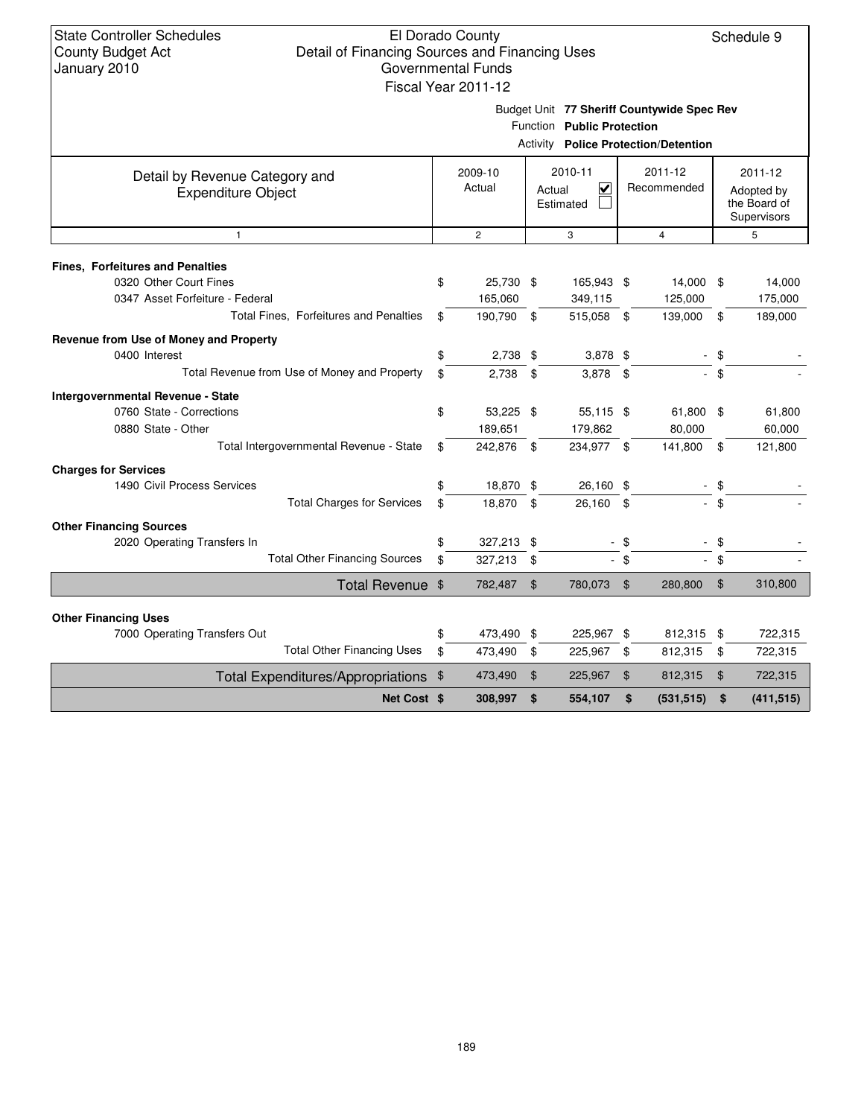Budget Unit **77 Sheriff Countywide Spec Rev**

|  | <b>Activity Police Protection/Detention</b> |  |
|--|---------------------------------------------|--|
|--|---------------------------------------------|--|

| Detail by Revenue Category and                              | 2009-10 |                | 2010-11        |                                   | 2011-12        |             | 2011-12    |              |  |
|-------------------------------------------------------------|---------|----------------|----------------|-----------------------------------|----------------|-------------|------------|--------------|--|
| <b>Expenditure Object</b>                                   |         | Actual         |                | $\overline{\mathsf{v}}$<br>Actual |                | Recommended | Adopted by |              |  |
|                                                             |         |                |                | Estimated                         |                |             |            | the Board of |  |
|                                                             |         |                |                |                                   |                |             |            | Supervisors  |  |
| $\mathbf{1}$                                                |         | $\overline{2}$ |                | 3                                 |                | 4           |            | 5            |  |
| <b>Fines, Forfeitures and Penalties</b>                     |         |                |                |                                   |                |             |            |              |  |
| 0320 Other Court Fines                                      | \$      | 25,730 \$      |                | 165,943 \$                        |                | 14,000 \$   |            | 14,000       |  |
| 0347 Asset Forfeiture - Federal                             |         | 165,060        |                | 349,115                           |                | 125,000     |            | 175,000      |  |
| Total Fines, Forfeitures and Penalties                      | \$      | 190,790        | - \$           | 515,058                           | \$             | 139,000     | \$         | 189,000      |  |
| Revenue from Use of Money and Property                      |         |                |                |                                   |                |             |            |              |  |
| 0400 Interest                                               | \$      | 2,738          | \$             | $3,878$ \$                        |                |             | \$         |              |  |
| Total Revenue from Use of Money and Property                | \$      | 2,738          | \$             | 3,878                             | \$             |             | \$         |              |  |
| Intergovernmental Revenue - State                           |         |                |                |                                   |                |             |            |              |  |
| 0760 State - Corrections                                    | \$      | 53,225 \$      |                | 55,115 \$                         |                | 61,800 \$   |            | 61,800       |  |
| 0880 State - Other                                          |         | 189,651        |                | 179,862                           |                | 80,000      |            | 60,000       |  |
| Total Intergovernmental Revenue - State                     | \$      | 242,876 \$     |                | 234,977 \$                        |                | 141,800     | \$         | 121,800      |  |
| <b>Charges for Services</b>                                 |         |                |                |                                   |                |             |            |              |  |
| 1490 Civil Process Services                                 | \$      | 18,870 \$      |                | 26,160 \$                         |                |             | - \$       |              |  |
| <b>Total Charges for Services</b>                           | \$      | 18,870         | \$             | 26,160 \$                         |                |             | \$         |              |  |
| <b>Other Financing Sources</b>                              |         |                |                |                                   |                |             |            |              |  |
| 2020 Operating Transfers In                                 | \$      | 327,213 \$     |                |                                   | \$             |             | \$         |              |  |
| <b>Total Other Financing Sources</b>                        | \$      | 327,213        | - \$           |                                   | - \$           |             | \$         |              |  |
| Total Revenue \$                                            |         | 782,487        | \$             | 780,073                           | \$             | 280.800     | \$         | 310,800      |  |
|                                                             |         |                |                |                                   |                |             |            |              |  |
| <b>Other Financing Uses</b><br>7000 Operating Transfers Out | \$      | 473,490 \$     |                | 225,967 \$                        |                | 812,315 \$  |            | 722,315      |  |
| <b>Total Other Financing Uses</b>                           | \$      | 473,490        | \$             | 225,967                           | \$             | 812,315     | \$         | 722,315      |  |
|                                                             |         |                |                |                                   |                |             |            |              |  |
| Total Expenditures/Appropriations \$                        |         | 473,490        | $\mathfrak{F}$ | 225,967                           | $\mathfrak{F}$ | 812,315     | \$         | 722,315      |  |
| Net Cost \$                                                 |         | 308,997        | \$             | 554,107                           | \$             | (531, 515)  | \$         | (411, 515)   |  |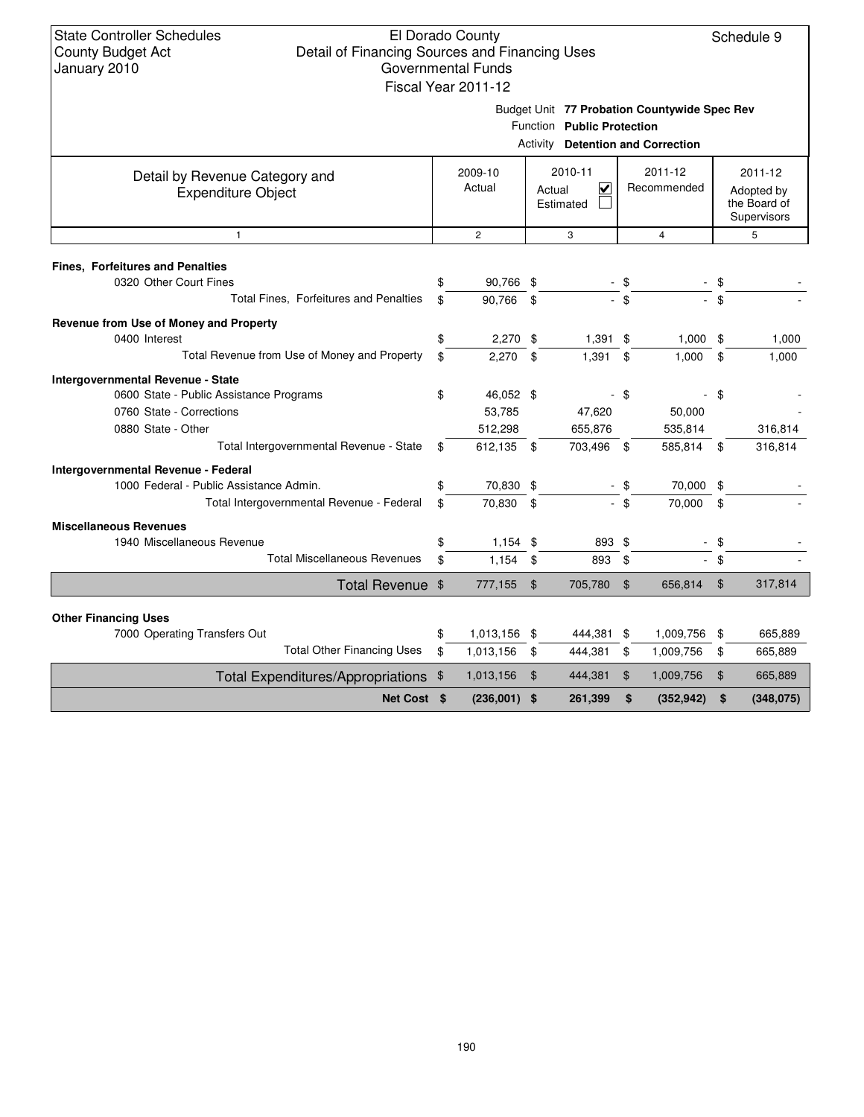### El Dorado County Detail of Financing Sources and Financing Uses Governmental Funds Fiscal Year 2011-12

Schedule 9

| $-14$ |                                              |
|-------|----------------------------------------------|
|       | Budget Unit 77 Probation Countywide Spec Rev |

|  | Function Public Protection |
|--|----------------------------|
|  |                            |

|                                                             | Activity Detention and Correction |                   |    |                                     |                        |                |     |                                                      |  |  |  |
|-------------------------------------------------------------|-----------------------------------|-------------------|----|-------------------------------------|------------------------|----------------|-----|------------------------------------------------------|--|--|--|
| Detail by Revenue Category and<br><b>Expenditure Object</b> |                                   | 2009-10<br>Actual |    | 2010-11<br>V<br>Actual<br>Estimated | 2011-12<br>Recommended |                |     | 2011-12<br>Adopted by<br>the Board of<br>Supervisors |  |  |  |
| $\mathbf{1}$                                                |                                   | $\overline{2}$    |    | 3                                   |                        | $\overline{4}$ |     | 5                                                    |  |  |  |
| <b>Fines, Forfeitures and Penalties</b>                     |                                   |                   |    |                                     |                        |                |     |                                                      |  |  |  |
| 0320 Other Court Fines                                      | \$                                | 90,766 \$         |    |                                     |                        |                |     |                                                      |  |  |  |
| Total Fines, Forfeitures and Penalties                      | \$                                | 90,766            | \$ |                                     | \$                     |                |     |                                                      |  |  |  |
| Revenue from Use of Money and Property                      |                                   |                   |    |                                     |                        |                |     |                                                      |  |  |  |
| 0400 Interest                                               | \$                                | $2,270$ \$        |    | $1,391$ \$                          |                        | $1,000$ \$     |     | 1,000                                                |  |  |  |
| Total Revenue from Use of Money and Property                | \$                                | 2,270             | \$ | $1,391$ \$                          |                        | 1,000          | \$  | 1,000                                                |  |  |  |
| Intergovernmental Revenue - State                           |                                   |                   |    |                                     |                        |                |     |                                                      |  |  |  |
| 0600 State - Public Assistance Programs                     | \$                                | 46,052 \$         |    |                                     | - \$                   |                | \$  |                                                      |  |  |  |
| 0760 State - Corrections                                    |                                   | 53,785            |    | 47,620                              |                        | 50,000         |     |                                                      |  |  |  |
| 0880 State - Other                                          |                                   | 512,298           |    | 655,876                             |                        | 535,814        |     | 316,814                                              |  |  |  |
| Total Intergovernmental Revenue - State                     | \$                                | 612,135 \$        |    | 703,496 \$                          |                        | 585,814 \$     |     | 316,814                                              |  |  |  |
| Intergovernmental Revenue - Federal                         |                                   |                   |    |                                     |                        |                |     |                                                      |  |  |  |
| 1000 Federal - Public Assistance Admin.                     | \$                                | 70,830 \$         |    |                                     | - \$                   | 70,000 \$      |     |                                                      |  |  |  |
| Total Intergovernmental Revenue - Federal                   | \$                                | 70,830            | \$ |                                     | $-$ \$                 | 70,000         | \$  |                                                      |  |  |  |
| <b>Miscellaneous Revenues</b>                               |                                   |                   |    |                                     |                        |                |     |                                                      |  |  |  |
| 1940 Miscellaneous Revenue                                  | \$                                | $1,154$ \$        |    | 893 \$                              |                        |                | \$  |                                                      |  |  |  |
| <b>Total Miscellaneous Revenues</b>                         | \$                                | 1,154             | \$ | 893                                 | \$                     |                | \$  |                                                      |  |  |  |
| Total Revenue \$                                            |                                   | 777,155           | \$ | 705,780                             | \$                     | 656,814        | \$  | 317,814                                              |  |  |  |
|                                                             |                                   |                   |    |                                     |                        |                |     |                                                      |  |  |  |
| <b>Other Financing Uses</b><br>7000 Operating Transfers Out | \$                                | 1,013,156 \$      |    | 444,381 \$                          |                        | 1,009,756      | -\$ | 665,889                                              |  |  |  |
| <b>Total Other Financing Uses</b>                           | \$                                | 1,013,156         | \$ | 444,381                             | \$                     | 1,009,756      | \$  | 665,889                                              |  |  |  |
| Total Expenditures/Appropriations \$                        |                                   | 1,013,156         | \$ | 444,381                             | $\mathbf{\$}$          | 1,009,756      | \$  | 665,889                                              |  |  |  |
| Net Cost \$                                                 |                                   | (236,001)         | \$ | 261,399                             | \$                     | (352, 942)     | \$  | (348, 075)                                           |  |  |  |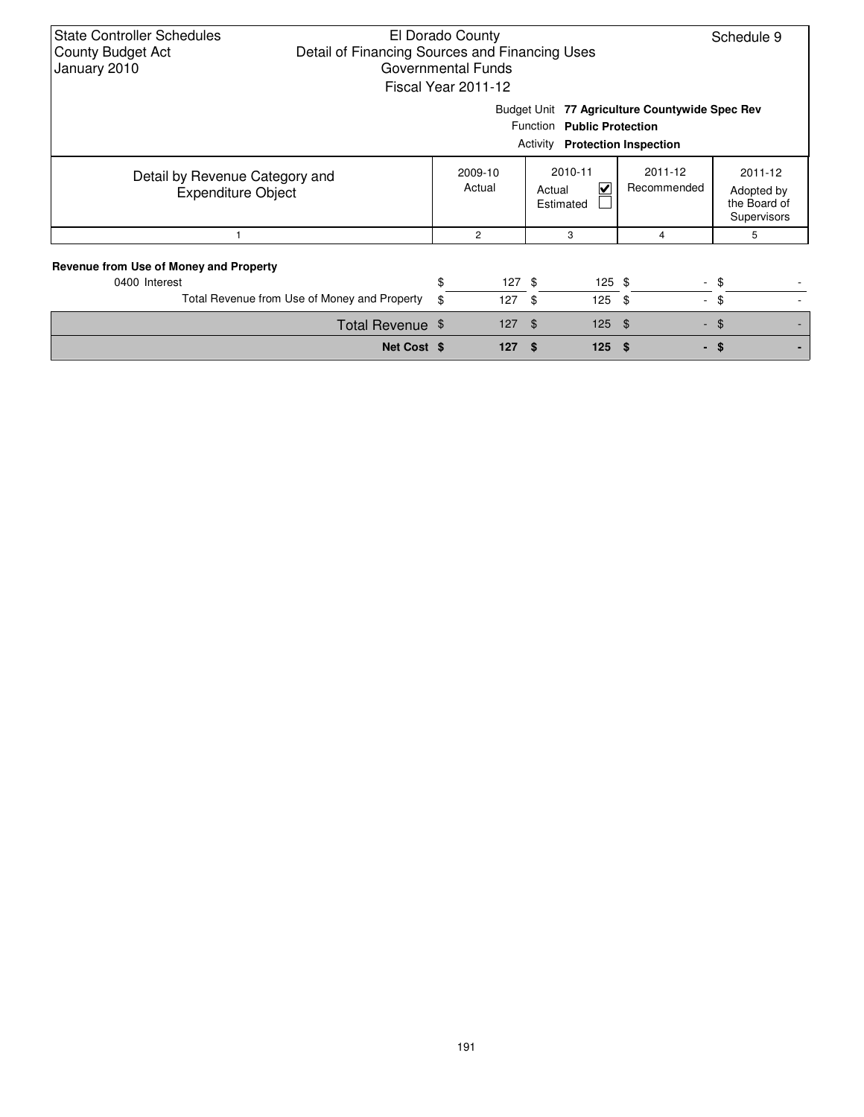| <b>State Controller Schedules</b><br>El Dorado County<br>Schedule 9<br>Detail of Financing Sources and Financing Uses<br><b>County Budget Act</b><br>January 2010<br>Governmental Funds<br>Fiscal Year 2011-12 |          |                   |                                     |                |                                                                                |            |  |  |  |  |
|----------------------------------------------------------------------------------------------------------------------------------------------------------------------------------------------------------------|----------|-------------------|-------------------------------------|----------------|--------------------------------------------------------------------------------|------------|--|--|--|--|
| Budget Unit 77 Agriculture Countywide Spec Rev<br>Function Public Protection<br><b>Protection Inspection</b><br>Activity                                                                                       |          |                   |                                     |                |                                                                                |            |  |  |  |  |
| Detail by Revenue Category and<br><b>Expenditure Object</b>                                                                                                                                                    |          | 2009-10<br>Actual | 2010-11<br>V<br>Actual<br>Estimated |                | 2011-12<br>2011-12<br>Recommended<br>Adopted by<br>the Board of<br>Supervisors |            |  |  |  |  |
|                                                                                                                                                                                                                |          | $\overline{c}$    | 3                                   |                | 4                                                                              | 5          |  |  |  |  |
| Revenue from Use of Money and Property<br>0400 Interest<br>Total Revenue from Use of Money and Property                                                                                                        | \$<br>\$ | $127$ \$<br>127   | - \$<br>125                         | $125$ \$<br>\$ | $\blacksquare$                                                                 | - \$<br>\$ |  |  |  |  |
| Total Revenue \$                                                                                                                                                                                               |          | 127               | $\mathfrak{L}$                      | $125$ \$       |                                                                                | $-$ \$     |  |  |  |  |
| Net Cost \$                                                                                                                                                                                                    |          | 127               | 125<br>\$.                          | - 56           |                                                                                | - \$       |  |  |  |  |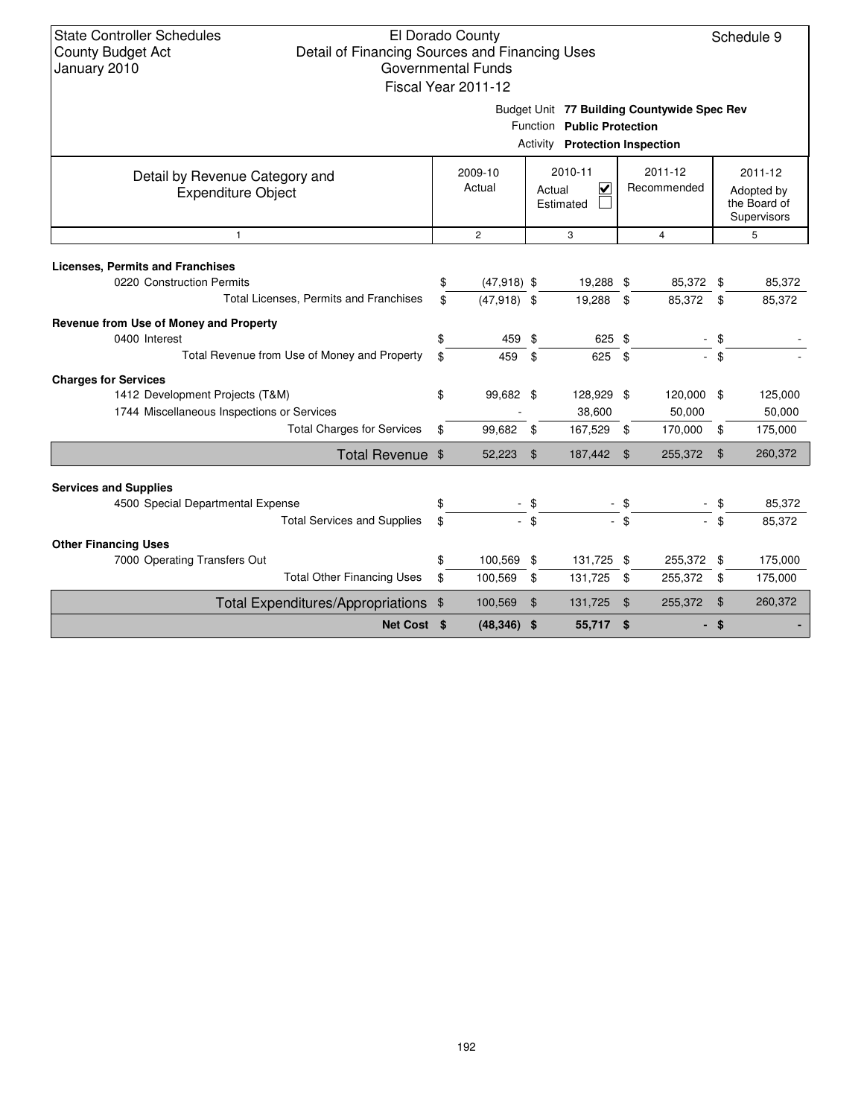Schedule 9

Budget Unit **77 Building Countywide Spec Rev Public Protection**

|  | Function Public Protecti |
|--|--------------------------|
|--|--------------------------|

|                                                             |                     |               | Activity Protection Inspection      |                |                        |                |                                                      |
|-------------------------------------------------------------|---------------------|---------------|-------------------------------------|----------------|------------------------|----------------|------------------------------------------------------|
| Detail by Revenue Category and<br><b>Expenditure Object</b> | 2009-10<br>Actual   |               | 2010-11<br>V<br>Actual<br>Estimated |                | 2011-12<br>Recommended |                | 2011-12<br>Adopted by<br>the Board of<br>Supervisors |
| 1                                                           | $\mathbf{2}$        |               | 3                                   |                | 4                      |                | 5                                                    |
| <b>Licenses, Permits and Franchises</b>                     |                     |               |                                     |                |                        |                |                                                      |
| 0220 Construction Permits                                   | \$<br>$(47,918)$ \$ |               | 19,288 \$                           |                | 85,372                 | \$             | 85,372                                               |
| Total Licenses, Permits and Franchises                      | \$<br>$(47,918)$ \$ |               | 19,288                              | \$             | 85,372                 | \$             | 85,372                                               |
| Revenue from Use of Money and Property                      |                     |               |                                     |                |                        |                |                                                      |
| 0400 Interest                                               | \$<br>459           | \$            | 625                                 | - \$           |                        | \$             |                                                      |
| Total Revenue from Use of Money and Property                | \$<br>459           | \$            | 625                                 | \$             | $\overline{a}$         | \$             |                                                      |
| <b>Charges for Services</b>                                 |                     |               |                                     |                |                        |                |                                                      |
| 1412 Development Projects (T&M)                             | \$<br>99,682 \$     |               | 128,929 \$                          |                | 120,000 \$             |                | 125,000                                              |
| 1744 Miscellaneous Inspections or Services                  |                     |               | 38,600                              |                | 50,000                 |                | 50,000                                               |
| <b>Total Charges for Services</b>                           | \$<br>99,682        | \$            | 167,529 \$                          |                | 170,000                | \$             | 175,000                                              |
| Total Revenue \$                                            | 52,223              | \$            | 187,442                             | \$             | 255,372                | $\mathfrak{L}$ | 260,372                                              |
| <b>Services and Supplies</b>                                |                     |               |                                     |                |                        |                |                                                      |
| 4500 Special Departmental Expense                           | \$                  | - \$          |                                     | $-$ \$         |                        | \$             | 85,372                                               |
| <b>Total Services and Supplies</b>                          | \$                  | $-$ \$        |                                     | - \$           |                        | $-$ \$         | 85,372                                               |
| <b>Other Financing Uses</b>                                 |                     |               |                                     |                |                        |                |                                                      |
| 7000 Operating Transfers Out                                | \$<br>100,569       | \$            | 131,725                             | \$             | 255,372                | \$             | 175,000                                              |
| <b>Total Other Financing Uses</b>                           | \$<br>100,569       | \$            | 131,725                             | \$             | 255,372                | \$             | 175,000                                              |
| Total Expenditures/Appropriations \$                        | 100,569             | $\frac{1}{2}$ | 131,725                             | $\mathfrak{F}$ | 255,372                | \$             | 260,372                                              |
| Net Cost \$                                                 | $(48,346)$ \$       |               | 55,717                              | \$             | ۰.                     | \$             |                                                      |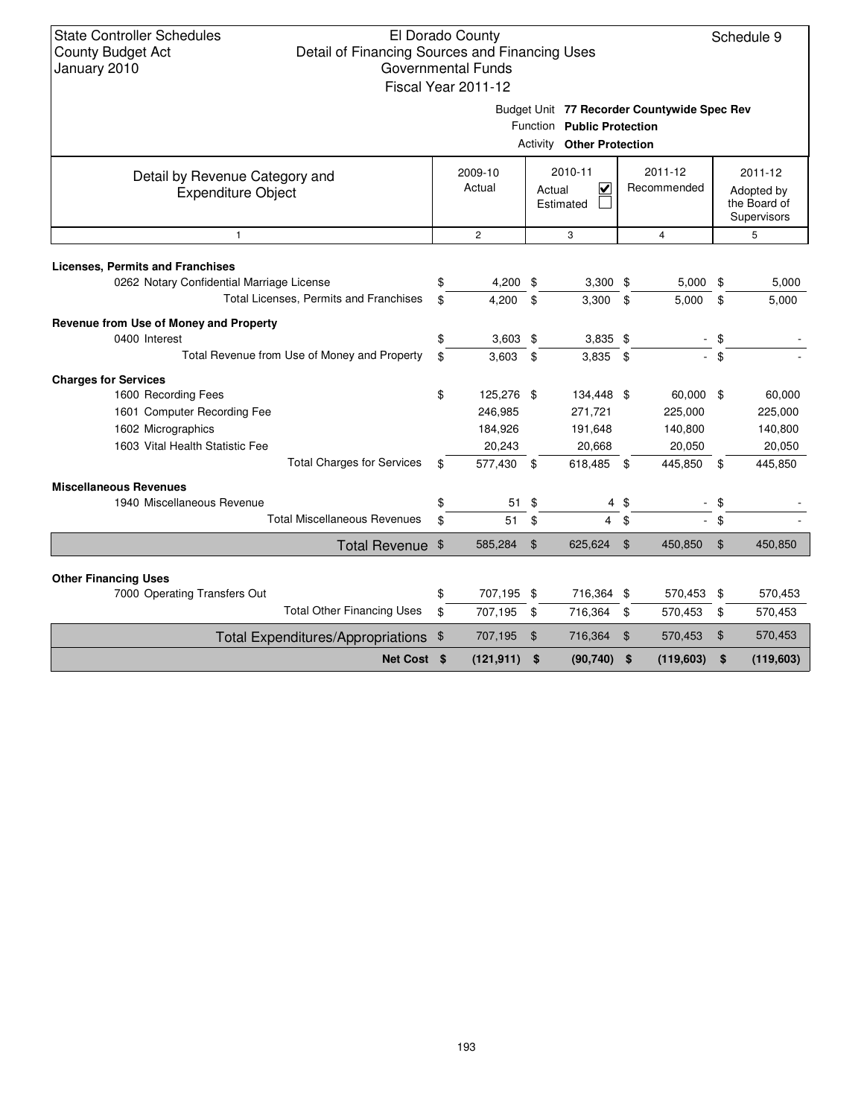### El Dorado County Detail of Financing Sources and Financing Uses Governmental Funds Fiscal Year 2011-12

Schedule 9

Budget Unit **77 Recorder Countywide Spec Rev**

| <b>Activity Other Protection</b>                            |    |                   |      |                                     |                |                        |                |                                                      |  |  |
|-------------------------------------------------------------|----|-------------------|------|-------------------------------------|----------------|------------------------|----------------|------------------------------------------------------|--|--|
| Detail by Revenue Category and<br><b>Expenditure Object</b> |    | 2009-10<br>Actual |      | 2010-11<br>V<br>Actual<br>Estimated |                | 2011-12<br>Recommended |                | 2011-12<br>Adopted by<br>the Board of<br>Supervisors |  |  |
| $\mathbf{1}$                                                |    | $\mathbf{2}$      |      | 3                                   |                | 4                      |                | 5                                                    |  |  |
| <b>Licenses, Permits and Franchises</b>                     |    |                   |      |                                     |                |                        |                |                                                      |  |  |
| 0262 Notary Confidential Marriage License                   |    | 4,200             | \$   | $3,300$ \$                          |                | $5,000$ \$             |                | 5,000                                                |  |  |
| Total Licenses, Permits and Franchises                      | \$ | 4,200             | \$   | 3,300                               | \$             | 5,000                  | \$             | 5,000                                                |  |  |
| Revenue from Use of Money and Property                      |    |                   |      |                                     |                |                        |                |                                                      |  |  |
| 0400 Interest                                               | \$ | $3,603$ \$        |      | $3,835$ \$                          |                |                        | $-$ \$         |                                                      |  |  |
| Total Revenue from Use of Money and Property                | \$ | 3,603             | \$   | $3,835$ \$                          |                | $\sim$                 | \$             |                                                      |  |  |
| <b>Charges for Services</b>                                 |    |                   |      |                                     |                |                        |                |                                                      |  |  |
| 1600 Recording Fees                                         | \$ | 125,276 \$        |      | 134,448 \$                          |                | 60,000 \$              |                | 60,000                                               |  |  |
| 1601 Computer Recording Fee                                 |    | 246,985           |      | 271,721                             |                | 225,000                |                | 225,000                                              |  |  |
| 1602 Micrographics                                          |    | 184,926           |      | 191,648                             |                | 140,800                |                | 140,800                                              |  |  |
| 1603 Vital Health Statistic Fee                             |    | 20,243            |      | 20,668                              |                | 20,050                 |                | 20,050                                               |  |  |
| <b>Total Charges for Services</b>                           | \$ | 577,430           | - \$ | 618,485                             | \$             | 445,850                | \$             | 445,850                                              |  |  |
| <b>Miscellaneous Revenues</b>                               |    |                   |      |                                     |                |                        |                |                                                      |  |  |
| 1940 Miscellaneous Revenue                                  | \$ | 51                | \$   | 4                                   | \$             |                        | \$             |                                                      |  |  |
| <b>Total Miscellaneous Revenues</b>                         | \$ | 51                | \$   | $\overline{4}$                      | \$             |                        | \$             |                                                      |  |  |
| Total Revenue \$                                            |    | 585,284           | \$   | 625,624                             | $\mathfrak{L}$ | 450,850                | $\mathfrak{F}$ | 450,850                                              |  |  |
| <b>Other Financing Uses</b>                                 |    |                   |      |                                     |                |                        |                |                                                      |  |  |
| 7000 Operating Transfers Out                                | \$ | 707,195 \$        |      | 716,364 \$                          |                | 570,453 \$             |                | 570,453                                              |  |  |
| <b>Total Other Financing Uses</b>                           | \$ | 707,195           | \$   | 716,364                             | \$             | 570,453                | \$             | 570,453                                              |  |  |
| Total Expenditures/Appropriations \$                        |    | 707,195           | \$   | 716,364                             | $\mathfrak{F}$ | 570,453                | \$             | 570,453                                              |  |  |
| Net Cost \$                                                 |    | (121, 911)        | \$   | (90, 740)                           | \$             | (119, 603)             | \$             | (119, 603)                                           |  |  |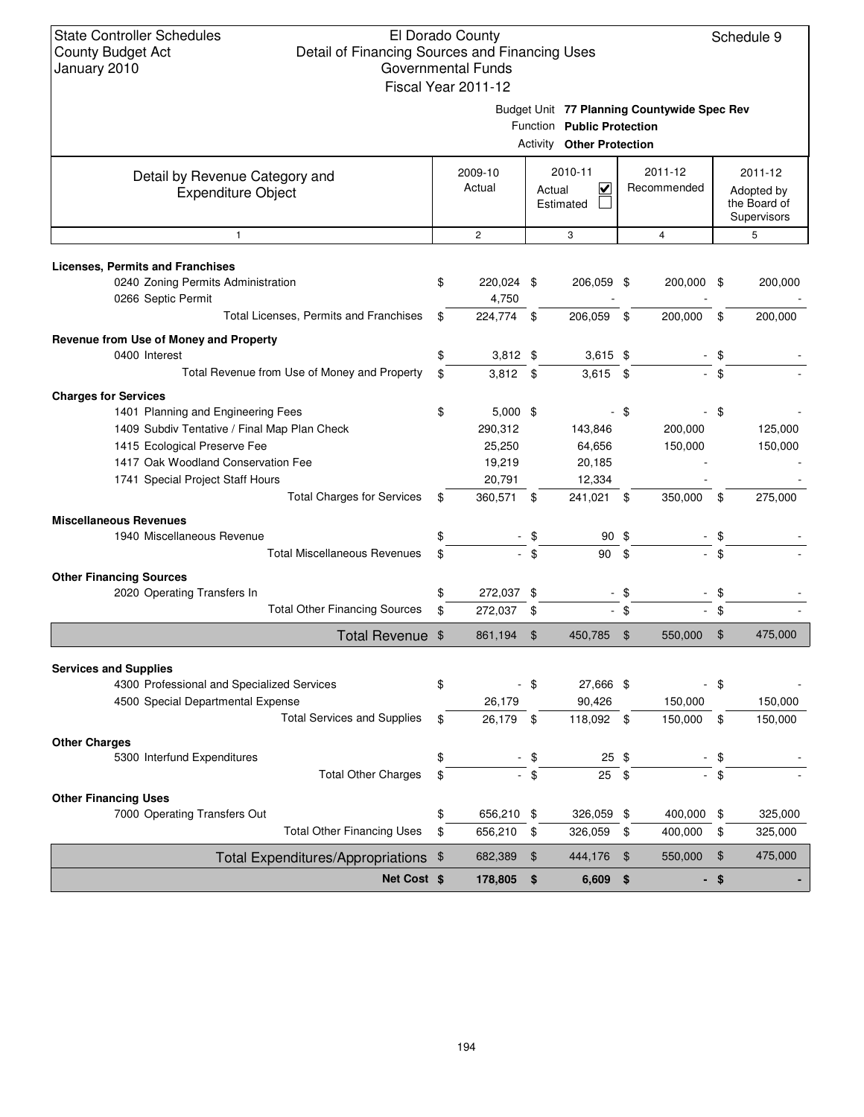Schedule 9

| January 2010                                                                  | Governmental Funds  |                |                                                                |               |                                             |      |                            |
|-------------------------------------------------------------------------------|---------------------|----------------|----------------------------------------------------------------|---------------|---------------------------------------------|------|----------------------------|
|                                                                               | Fiscal Year 2011-12 |                |                                                                |               |                                             |      |                            |
|                                                                               |                     |                |                                                                |               | Budget Unit 77 Planning Countywide Spec Rev |      |                            |
|                                                                               |                     |                | Function Public Protection<br><b>Activity Other Protection</b> |               |                                             |      |                            |
|                                                                               |                     |                |                                                                |               |                                             |      |                            |
| Detail by Revenue Category and                                                | 2009-10             |                | 2010-11                                                        |               | 2011-12                                     |      | 2011-12                    |
| <b>Expenditure Object</b>                                                     | Actual              | Actual         | $\overline{\mathsf{v}}$<br>Estimated                           |               | Recommended                                 |      | Adopted by<br>the Board of |
|                                                                               |                     |                |                                                                |               |                                             |      | Supervisors                |
| $\mathbf{1}$                                                                  | $\mathbf{2}$        |                | 3                                                              |               | 4                                           |      | 5                          |
|                                                                               |                     |                |                                                                |               |                                             |      |                            |
| <b>Licenses, Permits and Franchises</b><br>0240 Zoning Permits Administration | \$<br>220,024 \$    |                | 206,059 \$                                                     |               | 200,000 \$                                  |      | 200,000                    |
| 0266 Septic Permit                                                            | 4,750               |                |                                                                |               |                                             |      |                            |
| Total Licenses, Permits and Franchises                                        | \$<br>224,774       | -\$            | 206,059                                                        | \$            | 200,000                                     | \$   | 200,000                    |
| Revenue from Use of Money and Property                                        |                     |                |                                                                |               |                                             |      |                            |
| 0400 Interest                                                                 | \$<br>$3,812$ \$    |                | $3,615$ \$                                                     |               |                                             | \$   |                            |
| Total Revenue from Use of Money and Property                                  | \$<br>$3,812$ \$    |                | $3,615$ \$                                                     |               |                                             | \$   |                            |
| <b>Charges for Services</b>                                                   |                     |                |                                                                |               |                                             |      |                            |
| 1401 Planning and Engineering Fees                                            | \$<br>$5,000$ \$    |                |                                                                | - \$          |                                             | \$   |                            |
| 1409 Subdiv Tentative / Final Map Plan Check                                  | 290,312             |                | 143,846                                                        |               | 200,000                                     |      | 125,000                    |
| 1415 Ecological Preserve Fee                                                  | 25,250              |                | 64,656                                                         |               | 150,000                                     |      | 150,000                    |
| 1417 Oak Woodland Conservation Fee                                            | 19,219              |                | 20,185                                                         |               |                                             |      |                            |
| 1741 Special Project Staff Hours                                              | 20,791              |                | 12,334                                                         |               |                                             |      |                            |
| <b>Total Charges for Services</b>                                             | \$<br>360,571 \$    |                | 241,021 \$                                                     |               | 350,000                                     | \$   | 275,000                    |
| <b>Miscellaneous Revenues</b>                                                 |                     |                |                                                                |               |                                             |      |                            |
| 1940 Miscellaneous Revenue                                                    | \$                  |                | 90 \$                                                          |               |                                             | \$   |                            |
| <b>Total Miscellaneous Revenues</b>                                           | \$                  | \$             | 90                                                             | \$            |                                             | \$   |                            |
| <b>Other Financing Sources</b>                                                |                     |                |                                                                |               |                                             |      |                            |
| 2020 Operating Transfers In                                                   | \$<br>272,037       | \$             | $\blacksquare$                                                 | \$            |                                             | \$   |                            |
| <b>Total Other Financing Sources</b>                                          | \$<br>272,037       | \$             |                                                                | $-$ \$        |                                             | \$   |                            |
| Total Revenue \$                                                              | 861,194             | $\mathfrak{F}$ | 450,785                                                        | $\frac{1}{2}$ | 550,000                                     | \$   | 475,000                    |
|                                                                               |                     |                |                                                                |               |                                             |      |                            |
| <b>Services and Supplies</b><br>4300 Professional and Specialized Services    | \$                  | \$             | 27,666 \$                                                      |               |                                             | - \$ |                            |
| 4500 Special Departmental Expense                                             | 26,179              |                | 90,426                                                         |               | 150,000                                     |      | 150,000                    |
| <b>Total Services and Supplies</b>                                            | \$<br>26,179 \$     |                | 118,092 \$                                                     |               | 150,000                                     | \$   | 150,000                    |
| <b>Other Charges</b>                                                          |                     |                |                                                                |               |                                             |      |                            |
| 5300 Interfund Expenditures                                                   | \$                  | \$             | $25$ \$                                                        |               |                                             | \$   |                            |
| <b>Total Other Charges</b>                                                    | \$                  | $-$ \$         | 25                                                             | \$            |                                             | \$   |                            |
| <b>Other Financing Uses</b>                                                   |                     |                |                                                                |               |                                             |      |                            |
| 7000 Operating Transfers Out                                                  | \$<br>656,210 \$    |                | 326,059 \$                                                     |               | 400,000                                     | \$   | 325,000                    |
| <b>Total Other Financing Uses</b>                                             | \$<br>656,210       | \$             | 326,059                                                        | - \$          | 400,000                                     | \$   | 325,000                    |
| Total Expenditures/Appropriations \$                                          | 682,389             | \$             | 444,176                                                        | $\sqrt[6]{3}$ | 550,000                                     | \$   | 475,000                    |

**Net Cost**  $\ \ $$  **178,805**  $\ \ $$  6,609  $\ \ $$  -  $\ \ $$  -  $\ \ $$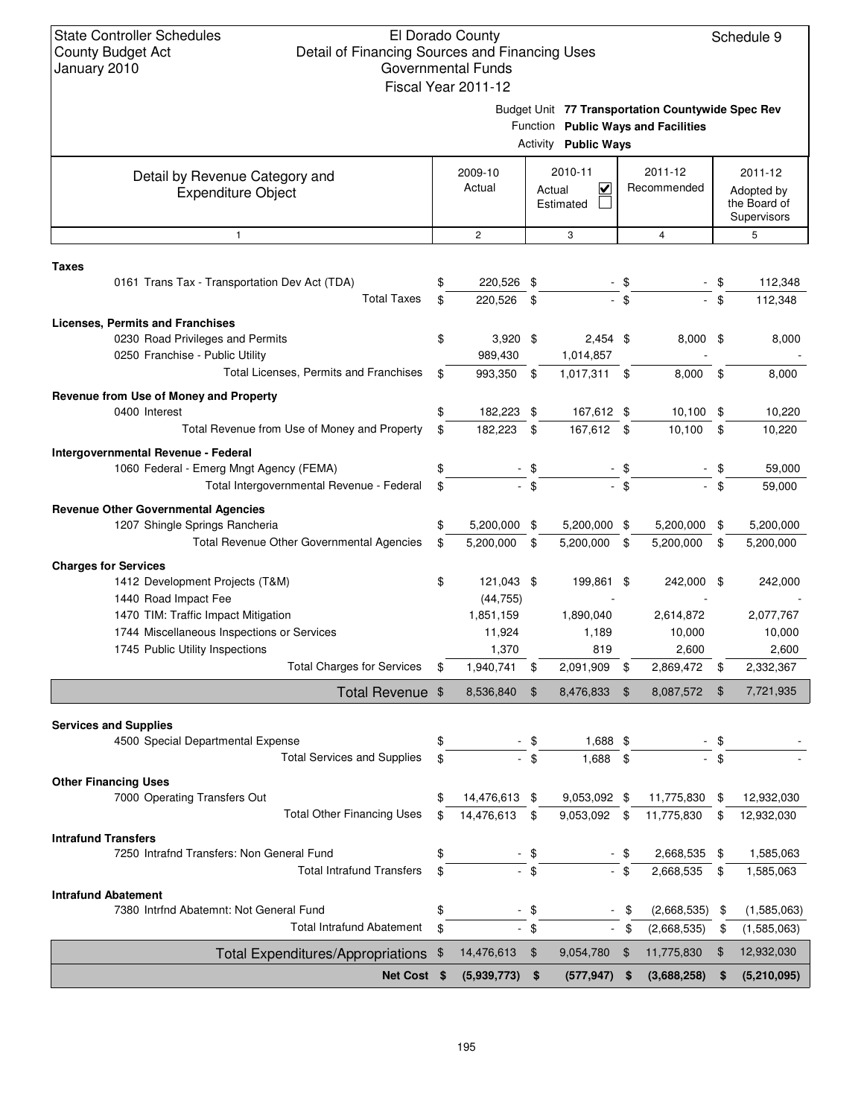Budget Unit **77 Transportation Countywide Spec Rev**

|                                                                      |                             |        | Function Public Ways and Facilities<br><b>Activity Public Ways</b> |      |                        |     |                                                      |
|----------------------------------------------------------------------|-----------------------------|--------|--------------------------------------------------------------------|------|------------------------|-----|------------------------------------------------------|
| Detail by Revenue Category and<br><b>Expenditure Object</b>          | 2009-10<br>Actual           |        | 2010-11<br>$\checkmark$<br>Actual<br>Estimated                     |      | 2011-12<br>Recommended |     | 2011-12<br>Adopted by<br>the Board of<br>Supervisors |
| $\mathbf{1}$                                                         | $\overline{2}$              |        | 3                                                                  |      | $\overline{4}$         |     | 5                                                    |
| <b>Taxes</b><br>0161 Trans Tax - Transportation Dev Act (TDA)        | 220,526 \$                  |        |                                                                    | - \$ |                        | \$  | 112,348                                              |
| <b>Total Taxes</b>                                                   | \$<br>220.526               | -\$    |                                                                    | - \$ |                        | \$  | 112,348                                              |
| <b>Licenses, Permits and Franchises</b>                              |                             |        |                                                                    |      |                        |     |                                                      |
| 0230 Road Privileges and Permits<br>0250 Franchise - Public Utility  | \$<br>$3,920$ \$<br>989,430 |        | $2,454$ \$<br>1,014,857                                            |      | $8,000$ \$             |     | 8,000                                                |
| Total Licenses, Permits and Franchises                               | 993,350 \$                  |        | 1,017,311                                                          | \$   | 8,000                  | \$  | 8,000                                                |
| Revenue from Use of Money and Property<br>0400 Interest              | \$<br>182,223 \$            |        | 167,612 \$                                                         |      | 10,100                 | \$  | 10,220                                               |
| Total Revenue from Use of Money and Property                         | \$<br>182,223               | \$     | 167,612                                                            | \$   | 10.100                 | \$  | 10,220                                               |
| Intergovernmental Revenue - Federal                                  |                             |        |                                                                    |      |                        |     |                                                      |
| 1060 Federal - Emerg Mngt Agency (FEMA)                              | \$                          | - \$   |                                                                    | - \$ |                        | \$  | 59,000                                               |
| Total Intergovernmental Revenue - Federal                            | \$                          | $-$ \$ |                                                                    | - \$ |                        | \$  | 59,000                                               |
| <b>Revenue Other Governmental Agencies</b>                           |                             |        |                                                                    |      |                        |     |                                                      |
| 1207 Shingle Springs Rancheria                                       | \$<br>5,200,000 \$          |        | 5,200,000 \$                                                       |      | 5,200,000              | -\$ | 5,200,000                                            |
| Total Revenue Other Governmental Agencies                            | \$<br>5,200,000             | \$     | 5,200,000                                                          | \$   | 5,200,000              | \$  | 5,200,000                                            |
| <b>Charges for Services</b>                                          |                             |        |                                                                    |      |                        |     |                                                      |
| 1412 Development Projects (T&M)                                      | \$<br>121,043 \$            |        | 199,861                                                            | -\$  | 242,000                | \$  | 242,000                                              |
| 1440 Road Impact Fee                                                 | (44, 755)                   |        |                                                                    |      |                        |     |                                                      |
| 1470 TIM: Traffic Impact Mitigation                                  | 1,851,159                   |        | 1,890,040                                                          |      | 2,614,872              |     | 2,077,767                                            |
| 1744 Miscellaneous Inspections or Services                           | 11,924<br>1,370             |        | 1,189                                                              |      | 10,000<br>2,600        |     | 10,000                                               |
| 1745 Public Utility Inspections<br><b>Total Charges for Services</b> | \$<br>1,940,741             | \$     | 819<br>2,091,909                                                   | \$   | 2,869,472              | \$  | 2,600<br>2,332,367                                   |
|                                                                      |                             |        |                                                                    |      |                        |     |                                                      |
| Total Revenue \$                                                     | 8,536,840                   | \$     | 8,476,833                                                          | \$   | 8,087,572              | \$  | 7,721,935                                            |
| <b>Services and Supplies</b>                                         |                             |        |                                                                    |      |                        |     |                                                      |
| 4500 Special Departmental Expense                                    | \$                          | - \$   | 1,688 \$                                                           |      |                        | \$  |                                                      |
| <b>Total Services and Supplies</b>                                   | \$                          | \$     | 1,688 \$                                                           |      | $\sim$                 | \$  |                                                      |
| <b>Other Financing Uses</b>                                          |                             |        |                                                                    |      |                        |     |                                                      |
| 7000 Operating Transfers Out                                         | \$<br>14,476,613 \$         |        | $9,053,092$ \$                                                     |      | 11,775,830             | \$  | 12,932,030                                           |
| <b>Total Other Financing Uses</b>                                    | \$<br>14,476,613            | \$     | 9,053,092 \$                                                       |      | 11,775,830             | \$  | 12,932,030                                           |
| <b>Intrafund Transfers</b>                                           |                             |        |                                                                    |      |                        |     |                                                      |
| 7250 Intrafnd Transfers: Non General Fund                            |                             | \$     |                                                                    |      | 2,668,535              | \$  | 1,585,063                                            |
| <b>Total Intrafund Transfers</b>                                     | \$                          | $-$ \$ |                                                                    | - \$ | 2,668,535              | \$  | 1,585,063                                            |
| <b>Intrafund Abatement</b>                                           |                             |        |                                                                    |      |                        |     |                                                      |
| 7380 Intrfnd Abatemnt: Not General Fund                              | \$                          | - \$   |                                                                    |      | (2,668,535)            | \$  | (1,585,063)                                          |
| <b>Total Intrafund Abatement</b>                                     | \$                          | $-$ \$ | $\sim$                                                             | \$   | (2,668,535)            | \$  | (1,585,063)                                          |
| Total Expenditures/Appropriations \$                                 | 14,476,613                  | - \$   | 9,054,780                                                          | \$   | 11,775,830             | \$  | 12,932,030                                           |
| Net Cost \$                                                          | (5,939,773)                 | \$     | (577, 947)                                                         | \$   | (3,688,258)            | \$  | (5,210,095)                                          |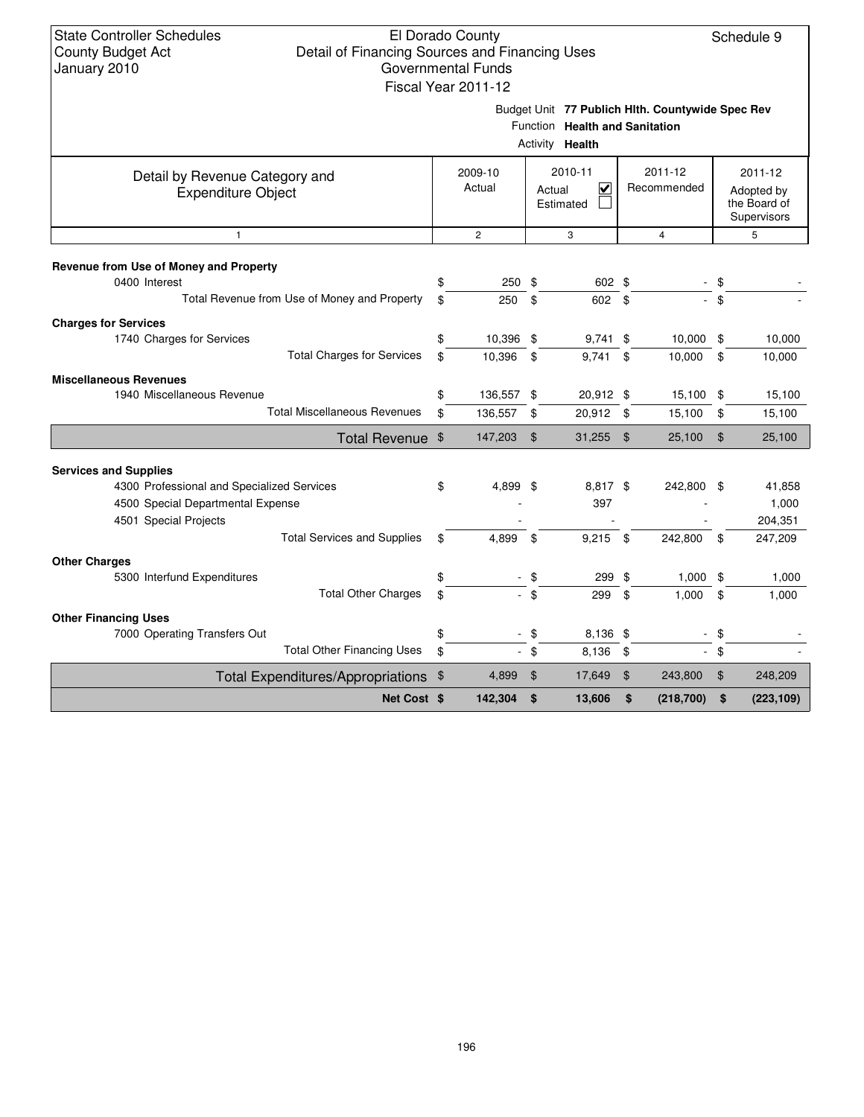Budget Unit **77 Publich Hlth. Countywide Spec Rev**

|                                                             |    |                   |                | Function Health and Sanitation<br>Activity Health         |                        |     |                                                      |
|-------------------------------------------------------------|----|-------------------|----------------|-----------------------------------------------------------|------------------------|-----|------------------------------------------------------|
| Detail by Revenue Category and<br><b>Expenditure Object</b> |    | 2009-10<br>Actual |                | 2010-11<br>$\overline{\mathbf{v}}$<br>Actual<br>Estimated | 2011-12<br>Recommended |     | 2011-12<br>Adopted by<br>the Board of<br>Supervisors |
| $\mathbf{1}$                                                |    | $\overline{2}$    |                | 3                                                         | $\overline{4}$         |     | 5                                                    |
|                                                             |    |                   |                |                                                           |                        |     |                                                      |
| Revenue from Use of Money and Property<br>0400 Interest     | \$ | 250               | \$             | 602 \$                                                    |                        | -\$ |                                                      |
| Total Revenue from Use of Money and Property                | \$ | 250               | \$             | 602 \$                                                    |                        | \$  |                                                      |
|                                                             |    |                   |                |                                                           |                        |     |                                                      |
| <b>Charges for Services</b><br>1740 Charges for Services    | \$ | 10,396 \$         |                | $9,741$ \$                                                | $10,000$ \$            |     | 10,000                                               |
| <b>Total Charges for Services</b>                           | \$ | 10,396            | \$             | 9,741                                                     | \$<br>10,000           | \$  | 10,000                                               |
|                                                             |    |                   |                |                                                           |                        |     |                                                      |
| <b>Miscellaneous Revenues</b><br>1940 Miscellaneous Revenue | \$ | 136,557           | -\$            | 20,912 \$                                                 | 15,100                 | -\$ | 15,100                                               |
| <b>Total Miscellaneous Revenues</b>                         | \$ | 136,557           | \$             | 20,912 \$                                                 | 15,100                 | \$  | 15,100                                               |
|                                                             |    |                   |                |                                                           |                        |     |                                                      |
| Total Revenue \$                                            |    | 147,203           | $\mathfrak{F}$ | 31,255                                                    | \$<br>25,100           | \$  | 25,100                                               |
| <b>Services and Supplies</b>                                |    |                   |                |                                                           |                        |     |                                                      |
| 4300 Professional and Specialized Services                  | \$ | 4,899 \$          |                | 8,817 \$                                                  | 242,800 \$             |     | 41,858                                               |
| 4500 Special Departmental Expense                           |    |                   |                | 397                                                       |                        |     | 1,000                                                |
| 4501 Special Projects                                       |    |                   |                |                                                           |                        |     | 204,351                                              |
| <b>Total Services and Supplies</b>                          | \$ | 4,899             | \$             | $9,215$ \$                                                | 242,800                | \$  | 247,209                                              |
| <b>Other Charges</b>                                        |    |                   |                |                                                           |                        |     |                                                      |
| 5300 Interfund Expenditures                                 | \$ | $\blacksquare$    | \$             | 299                                                       | \$<br>$1,000$ \$       |     | 1,000                                                |
| <b>Total Other Charges</b>                                  | \$ |                   | $-$ \$         | 299                                                       | \$<br>1,000            | \$  | 1,000                                                |
| <b>Other Financing Uses</b>                                 |    |                   |                |                                                           |                        |     |                                                      |
| 7000 Operating Transfers Out                                | \$ |                   | \$             | 8,136 \$                                                  |                        | \$  |                                                      |
| <b>Total Other Financing Uses</b>                           | \$ |                   | $-$ \$         | 8,136                                                     | \$                     | \$  |                                                      |
|                                                             |    |                   |                |                                                           |                        |     | 248,209                                              |
| Total Expenditures/Appropriations \$                        |    | 4,899             | \$             | 17,649                                                    | \$<br>243,800          | \$  |                                                      |
| Net Cost \$                                                 |    | 142,304           | \$             | 13,606                                                    | \$<br>(218, 700)       | \$  | (223, 109)                                           |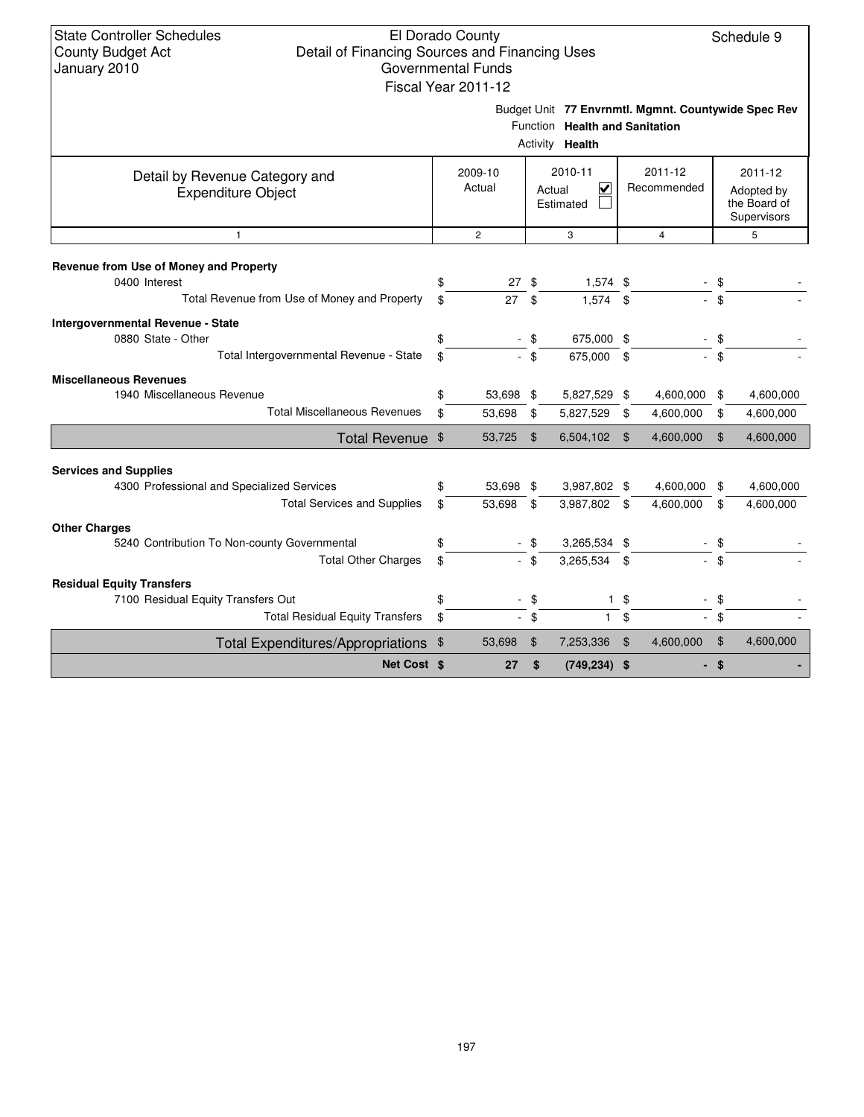## El Dorado County Detail of Financing Sources and Financing Uses Governmental Funds

Schedule 9

|                                                                                                                  |               | Fiscal Year 2011-12 |                                     |                                                   |                        |                                                     |                                                      |                        |
|------------------------------------------------------------------------------------------------------------------|---------------|---------------------|-------------------------------------|---------------------------------------------------|------------------------|-----------------------------------------------------|------------------------------------------------------|------------------------|
|                                                                                                                  |               |                     |                                     | Function Health and Sanitation<br>Activity Health |                        | Budget Unit 77 Envrnmtl. Mgmnt. Countywide Spec Rev |                                                      |                        |
| Detail by Revenue Category and<br><b>Expenditure Object</b>                                                      |               | 2009-10<br>Actual   | 2010-11<br>⊽<br>Actual<br>Estimated |                                                   | 2011-12<br>Recommended |                                                     | 2011-12<br>Adopted by<br>the Board of<br>Supervisors |                        |
| $\mathbf{1}$                                                                                                     |               | $\overline{2}$      |                                     | 3                                                 |                        | $\overline{4}$                                      |                                                      | 5                      |
| Revenue from Use of Money and Property<br>0400 Interest<br>Total Revenue from Use of Money and Property          | \$<br>\$      | $27$ \$<br>27       | \$                                  | $1,574$ \$<br>$1,574$ \$                          |                        |                                                     | \$                                                   |                        |
| Intergovernmental Revenue - State<br>0880 State - Other<br>Total Intergovernmental Revenue - State               | \$<br>\$      | $-$ \$              | - \$                                | 675,000 \$<br>675,000 \$                          |                        |                                                     | \$<br>\$                                             |                        |
| <b>Miscellaneous Revenues</b><br>1940 Miscellaneous Revenue<br><b>Total Miscellaneous Revenues</b>               | \$<br>\$      | 53,698 \$<br>53,698 | \$                                  | 5,827,529 \$<br>5,827,529                         | \$                     | 4,600,000<br>4,600,000                              | \$<br>\$                                             | 4,600,000<br>4,600,000 |
| Total Revenue \$                                                                                                 |               | 53,725              | \$                                  | 6,504,102                                         | \$                     | 4,600,000                                           | $\mathfrak{F}$                                       | 4,600,000              |
| <b>Services and Supplies</b><br>4300 Professional and Specialized Services<br><b>Total Services and Supplies</b> | \$<br>\$      | 53,698 \$<br>53,698 | \$                                  | 3,987,802 \$<br>3,987,802 \$                      |                        | 4,600,000<br>4,600,000                              | \$<br>\$                                             | 4,600,000<br>4,600,000 |
| <b>Other Charges</b><br>5240 Contribution To Non-county Governmental<br><b>Total Other Charges</b>               | \$<br>\$      |                     | - \$<br>- \$                        | 3,265,534 \$<br>3,265,534 \$                      |                        |                                                     | \$<br>\$                                             |                        |
| <b>Residual Equity Transfers</b><br>7100 Residual Equity Transfers Out<br><b>Total Residual Equity Transfers</b> | \$<br>\$      |                     | - \$<br>$-$ \$                      | $\mathbf{1}$<br>$\mathbf{1}$                      | \$<br>\$               | $\sim$                                              | \$<br>\$                                             |                        |
| <b>Total Expenditures/Appropriations</b>                                                                         | $\frac{1}{2}$ | 53,698              | \$                                  | 7,253,336                                         | \$                     | 4,600,000                                           | \$                                                   | 4,600,000              |
| Net Cost \$                                                                                                      |               | 27                  | \$                                  | $(749, 234)$ \$                                   |                        |                                                     | \$                                                   |                        |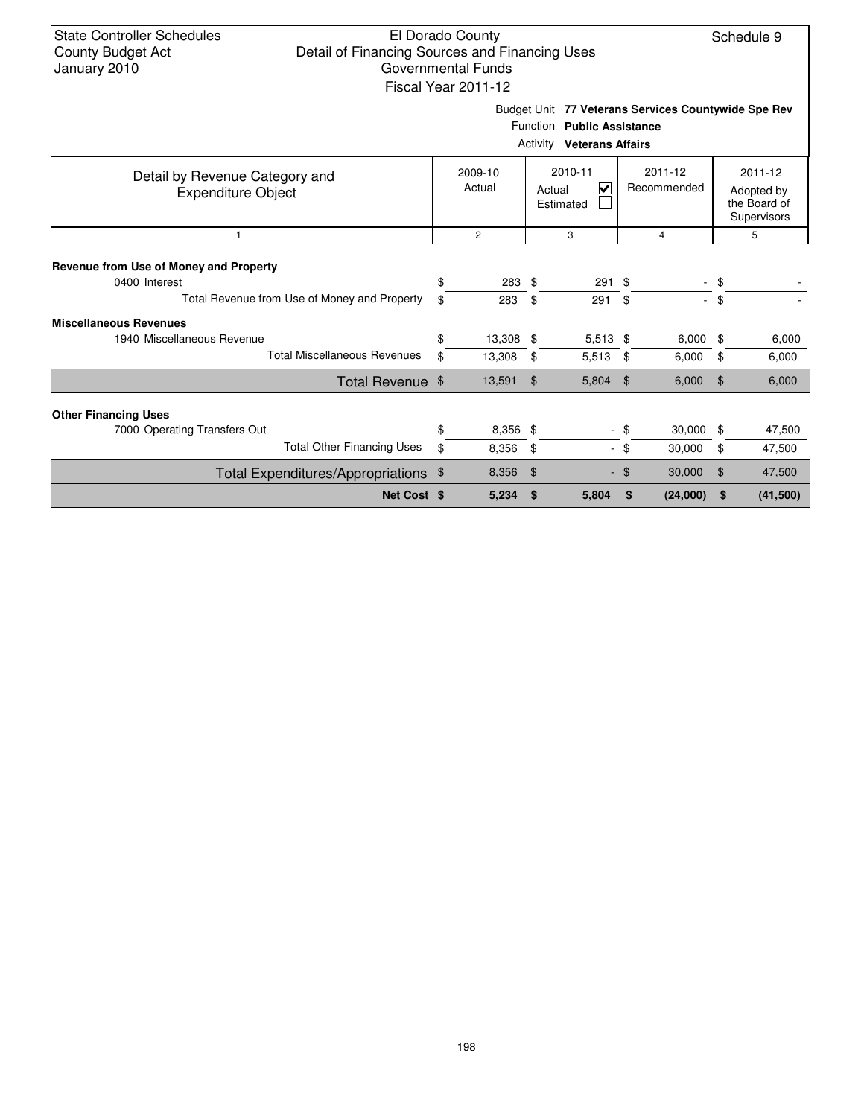| <b>State Controller Schedules</b> |
|-----------------------------------|
| <b>County Budget Act</b>          |
| January 2010                      |

Budget Unit **77 Veterans Services Countywide Spe Rev**

| Function Public Assistance<br><b>Activity Veterans Affairs</b> |    |                   |      |                                                           |                        |             |        |                                                      |  |  |  |  |  |
|----------------------------------------------------------------|----|-------------------|------|-----------------------------------------------------------|------------------------|-------------|--------|------------------------------------------------------|--|--|--|--|--|
| Detail by Revenue Category and<br><b>Expenditure Object</b>    |    | 2009-10<br>Actual |      | 2010-11<br>$\overline{\mathsf{v}}$<br>Actual<br>Estimated | 2011-12<br>Recommended |             |        | 2011-12<br>Adopted by<br>the Board of<br>Supervisors |  |  |  |  |  |
|                                                                |    | $\overline{c}$    |      | 3                                                         |                        | 4           |        | 5                                                    |  |  |  |  |  |
| Revenue from Use of Money and Property                         |    |                   |      |                                                           |                        |             |        |                                                      |  |  |  |  |  |
| 0400 Interest                                                  | \$ | 283 \$            |      | $291$ \$                                                  |                        |             | - \$   |                                                      |  |  |  |  |  |
| Total Revenue from Use of Money and Property                   | \$ | 283               | \$   | 291                                                       | \$                     |             | $-$ \$ |                                                      |  |  |  |  |  |
| <b>Miscellaneous Revenues</b>                                  |    |                   |      |                                                           |                        |             |        |                                                      |  |  |  |  |  |
| 1940 Miscellaneous Revenue                                     | \$ | 13,308 \$         |      | $5,513$ \$                                                |                        | $6,000$ \$  |        | 6,000                                                |  |  |  |  |  |
| <b>Total Miscellaneous Revenues</b>                            | \$ | 13,308            | \$   | 5,513                                                     | \$                     | 6,000       | \$     | 6,000                                                |  |  |  |  |  |
| Total Revenue \$                                               |    | 13,591            | \$   | 5,804                                                     | \$                     | 6,000       | \$     | 6,000                                                |  |  |  |  |  |
| <b>Other Financing Uses</b>                                    |    |                   |      |                                                           |                        |             |        |                                                      |  |  |  |  |  |
| 7000 Operating Transfers Out                                   | \$ | $8,356$ \$        |      |                                                           | - \$                   | $30,000$ \$ |        | 47,500                                               |  |  |  |  |  |
| <b>Total Other Financing Uses</b>                              | \$ | 8,356             | - \$ | $\blacksquare$                                            | $\frac{1}{2}$          | 30,000      | \$     | 47,500                                               |  |  |  |  |  |
| Total Expenditures/Appropriations \$                           |    | 8,356             | \$   |                                                           | - \$                   | 30,000      | \$     | 47,500                                               |  |  |  |  |  |
| Net Cost \$                                                    |    | 5,234             | \$   | 5,804                                                     | \$                     | (24,000)    | \$     | (41, 500)                                            |  |  |  |  |  |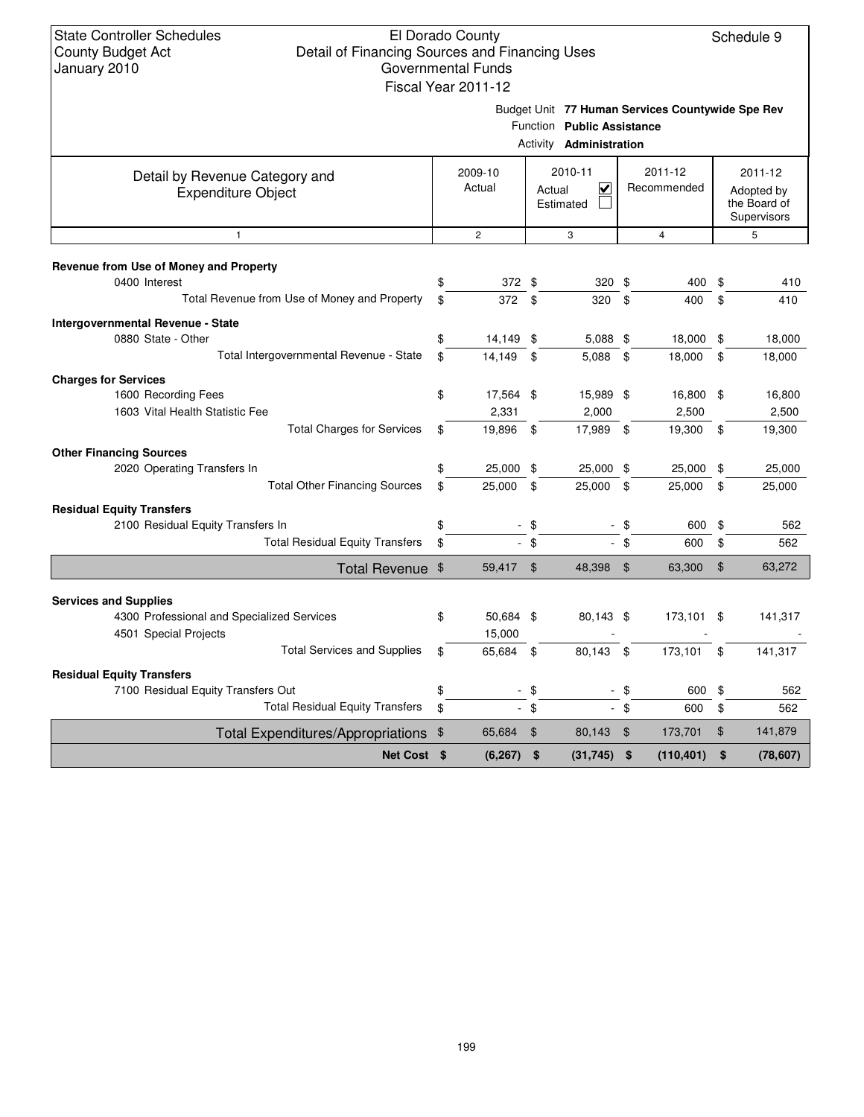Budget Unit **77 Human Services Countywide Spe Rev**

|                                                                                                                                           |            |                               |                  | Function Public Assistance<br>Activity <b>Administration</b> |                |                           |                                                      |                           |  |
|-------------------------------------------------------------------------------------------------------------------------------------------|------------|-------------------------------|------------------|--------------------------------------------------------------|----------------|---------------------------|------------------------------------------------------|---------------------------|--|
| Detail by Revenue Category and<br><b>Expenditure Object</b>                                                                               |            | 2009-10<br>Actual             |                  | 2010-11<br>$\overline{\mathsf{v}}$<br>Actual<br>Estimated    |                | 2011-12<br>Recommended    | 2011-12<br>Adopted by<br>the Board of<br>Supervisors |                           |  |
| $\mathbf{1}$                                                                                                                              |            | $\overline{2}$                |                  | 3                                                            |                | $\overline{4}$            |                                                      | 5                         |  |
| Revenue from Use of Money and Property<br>0400 Interest<br>Total Revenue from Use of Money and Property                                   | \$<br>\$   | 372 \$<br>372 \$              |                  | 320 \$<br>320                                                | \$             | 400<br>400                | \$<br>\$                                             | 410<br>410                |  |
| Intergovernmental Revenue - State<br>0880 State - Other<br>Total Intergovernmental Revenue - State                                        | \$<br>\$   | 14,149<br>14.149              | \$<br>\$         | 5,088 \$<br>5.088                                            | \$             | 18,000<br>18,000          | \$<br>\$                                             | 18,000<br>18,000          |  |
| <b>Charges for Services</b><br>1600 Recording Fees<br>1603 Vital Health Statistic Fee<br><b>Total Charges for Services</b>                | \$<br>\$   | 17,564 \$<br>2,331<br>19,896  | \$               | 15,989 \$<br>2,000<br>17,989 \$                              |                | 16,800<br>2,500<br>19,300 | \$<br>\$                                             | 16,800<br>2,500<br>19,300 |  |
| <b>Other Financing Sources</b><br>2020 Operating Transfers In<br><b>Total Other Financing Sources</b>                                     | \$<br>\$   | 25,000 \$<br>25,000           | \$               | 25,000 \$<br>25,000                                          | \$             | 25,000<br>25,000          | \$<br>\$                                             | 25,000<br>25,000          |  |
| <b>Residual Equity Transfers</b><br>2100 Residual Equity Transfers In<br><b>Total Residual Equity Transfers</b>                           | \$<br>\$   |                               | $-$ \$<br>$-$ \$ |                                                              | \$<br>\$       | 600<br>600                | \$<br>\$                                             | 562<br>562                |  |
| Total Revenue \$                                                                                                                          |            | 59,417                        | - \$             | 48,398                                                       | $\mathfrak{F}$ | 63,300                    | $\frac{1}{2}$                                        | 63,272                    |  |
| <b>Services and Supplies</b><br>4300 Professional and Specialized Services<br>4501 Special Projects<br><b>Total Services and Supplies</b> | \$<br>\$   | 50,684 \$<br>15,000<br>65,684 | \$               | 80,143 \$<br>80,143                                          | \$             | 173,101<br>173,101        | \$<br>\$                                             | 141,317<br>141,317        |  |
| <b>Residual Equity Transfers</b><br>7100 Residual Equity Transfers Out<br><b>Total Residual Equity Transfers</b>                          | \$<br>\$   |                               | $-$ \$<br>$-$ \$ | $\sim$<br>$\sim$                                             | \$<br>\$       | 600<br>600                | \$<br>\$                                             | 562<br>562                |  |
| <b>Total Expenditures/Appropriations</b><br>Net Cost \$                                                                                   | $\sqrt{3}$ | 65,684<br>(6, 267)            | \$<br>\$         | 80,143<br>(31, 745)                                          | \$<br>\$       | 173,701<br>(110, 401)     | \$<br>\$                                             | 141,879<br>(78, 607)      |  |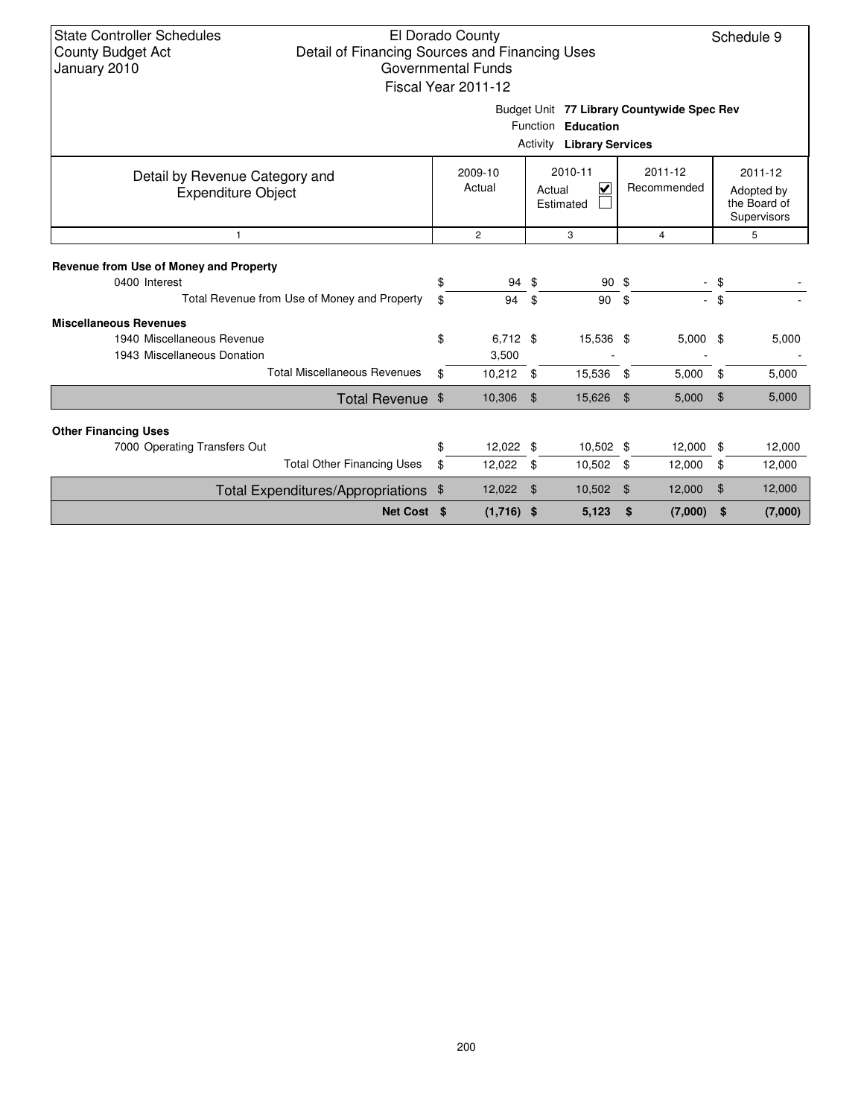| <b>State Controller Schedules</b><br>El Dorado County<br>Schedule 9<br>Detail of Financing Sources and Financing Uses<br><b>County Budget Act</b><br>January 2010<br>Governmental Funds<br>Fiscal Year 2011-12 |          |                     |                |                                                           |                        |            |                |                                                      |  |  |  |  |
|----------------------------------------------------------------------------------------------------------------------------------------------------------------------------------------------------------------|----------|---------------------|----------------|-----------------------------------------------------------|------------------------|------------|----------------|------------------------------------------------------|--|--|--|--|
| Budget Unit 77 Library Countywide Spec Rev<br>Function Education<br><b>Activity Library Services</b>                                                                                                           |          |                     |                |                                                           |                        |            |                |                                                      |  |  |  |  |
| Detail by Revenue Category and<br><b>Expenditure Object</b>                                                                                                                                                    |          | 2009-10<br>Actual   |                | 2010-11<br>$\overline{\mathbf{v}}$<br>Actual<br>Estimated | 2011-12<br>Recommended |            |                | 2011-12<br>Adopted by<br>the Board of<br>Supervisors |  |  |  |  |
| $\mathbf{1}$                                                                                                                                                                                                   |          | $\overline{c}$      |                | 3                                                         |                        | 4          |                | 5                                                    |  |  |  |  |
| Revenue from Use of Money and Property<br>0400 Interest<br>Total Revenue from Use of Money and Property                                                                                                        | \$<br>\$ | 94<br>94            | - \$<br>\$     | 90 <sup>5</sup><br>90                                     | \$                     | a.         | \$<br>\$       |                                                      |  |  |  |  |
| <b>Miscellaneous Revenues</b><br>1940 Miscellaneous Revenue<br>1943 Miscellaneous Donation                                                                                                                     | \$       | $6,712$ \$<br>3,500 |                | 15,536 \$                                                 |                        | $5,000$ \$ |                | 5,000                                                |  |  |  |  |
| <b>Total Miscellaneous Revenues</b>                                                                                                                                                                            | \$       | 10,212              | \$             | 15,536                                                    | \$                     | 5,000      | \$             | 5,000                                                |  |  |  |  |
| Total Revenue \$                                                                                                                                                                                               |          | 10,306              | $\mathfrak{F}$ | 15,626                                                    | \$                     | 5,000      | $\mathfrak{L}$ | 5,000                                                |  |  |  |  |
| <b>Other Financing Uses</b>                                                                                                                                                                                    |          |                     |                |                                                           |                        |            |                |                                                      |  |  |  |  |
| 7000 Operating Transfers Out                                                                                                                                                                                   | \$       | 12,022 \$           |                | 10,502 \$                                                 |                        | 12,000     | \$             | 12,000                                               |  |  |  |  |
| <b>Total Other Financing Uses</b>                                                                                                                                                                              | \$       | 12,022              | \$             | 10,502                                                    | \$                     | 12,000     | \$             | 12,000                                               |  |  |  |  |
| Total Expenditures/Appropriations \$                                                                                                                                                                           | 12,022   |                     | \$             | 10,502                                                    | \$                     | 12,000     | \$             | 12,000                                               |  |  |  |  |
| Net Cost \$                                                                                                                                                                                                    |          | $(1,716)$ \$        |                | 5,123                                                     | \$                     | (7,000)    | \$             | (7,000)                                              |  |  |  |  |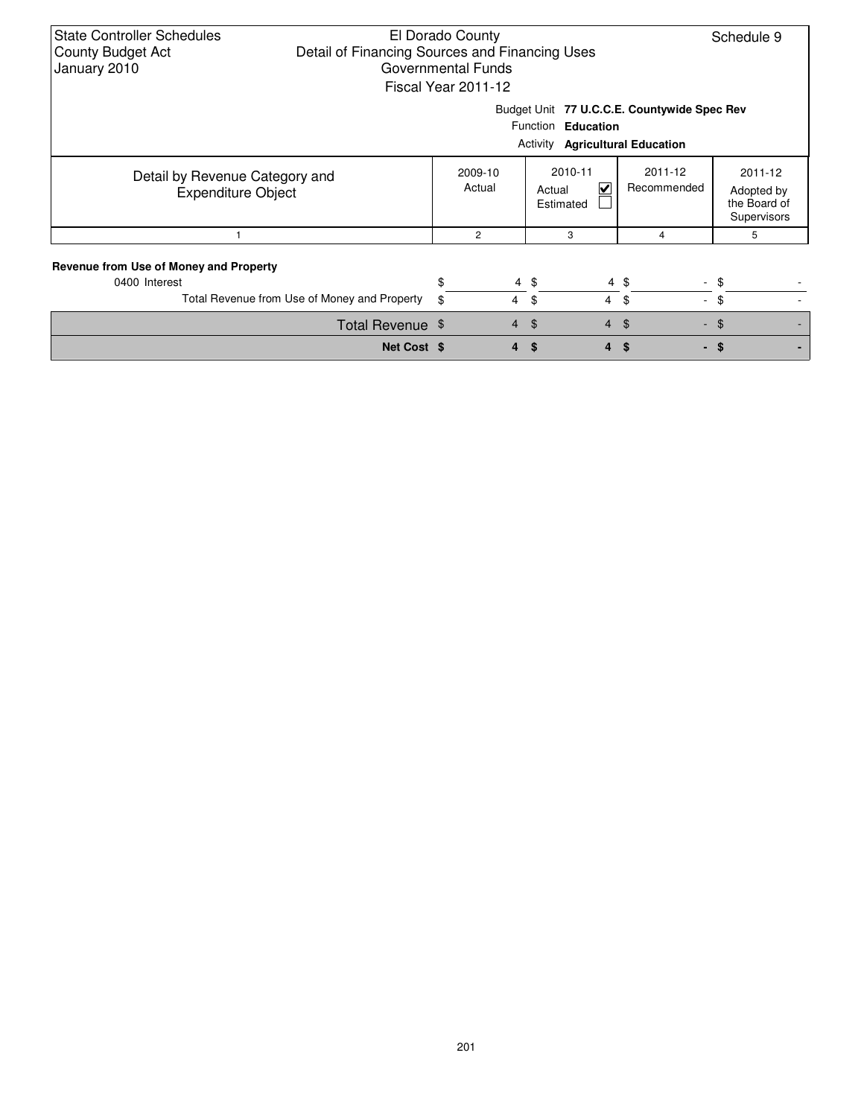| <b>State Controller Schedules</b><br>El Dorado County<br>Schedule 9<br>Detail of Financing Sources and Financing Uses<br><b>County Budget Act</b><br>January 2010<br>Governmental Funds<br>Fiscal Year 2011-12 |             |                   |                |                                |              |                                        |                                                      |  |  |  |  |  |
|----------------------------------------------------------------------------------------------------------------------------------------------------------------------------------------------------------------|-------------|-------------------|----------------|--------------------------------|--------------|----------------------------------------|------------------------------------------------------|--|--|--|--|--|
| Budget Unit 77 U.C.C.E. Countywide Spec Rev                                                                                                                                                                    |             |                   |                |                                |              |                                        |                                                      |  |  |  |  |  |
|                                                                                                                                                                                                                |             |                   |                | Function Education             |              |                                        |                                                      |  |  |  |  |  |
|                                                                                                                                                                                                                |             |                   |                |                                |              | <b>Activity Agricultural Education</b> |                                                      |  |  |  |  |  |
| Detail by Revenue Category and<br><b>Expenditure Object</b>                                                                                                                                                    |             | 2009-10<br>Actual |                | 2010-11<br>Actual<br>Estimated | $\checkmark$ | 2011-12<br>Recommended                 | 2011-12<br>Adopted by<br>the Board of<br>Supervisors |  |  |  |  |  |
|                                                                                                                                                                                                                |             | $\overline{c}$    |                | 3                              |              | 4                                      | 5                                                    |  |  |  |  |  |
| Revenue from Use of Money and Property<br>0400 Interest<br>Total Revenue from Use of Money and Property                                                                                                        |             | \$<br>\$          | $\overline{4}$ | $4 \text{ } $$<br>\$           |              | 4 \$<br>4 \$                           | - \$<br>$-$ \$                                       |  |  |  |  |  |
| Total Revenue \$                                                                                                                                                                                               |             |                   | $\overline{4}$ | $\mathbf{\$}$                  | 4            | \$                                     | $-$ \$                                               |  |  |  |  |  |
|                                                                                                                                                                                                                | Net Cost \$ |                   |                | \$.                            | 4            | \$                                     | - \$                                                 |  |  |  |  |  |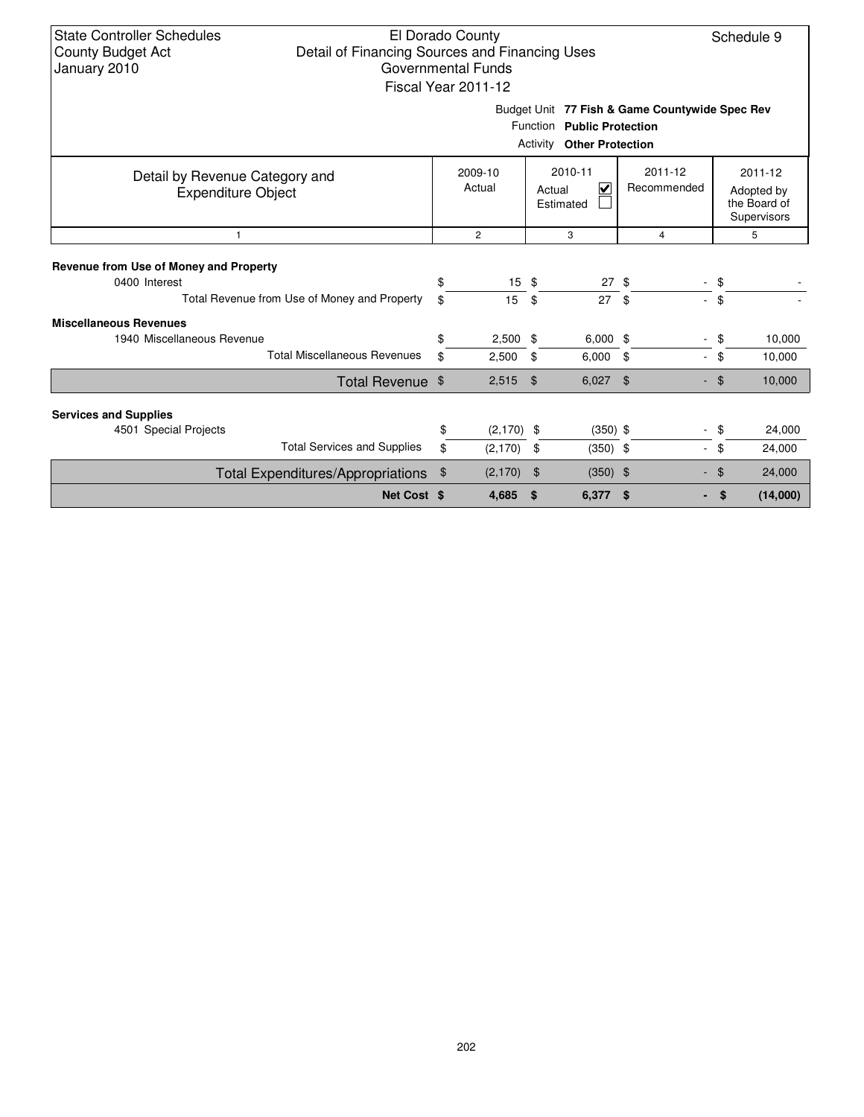| <b>State Controller Schedules</b><br>El Dorado County<br>Schedule 9<br>Detail of Financing Sources and Financing Uses<br><b>County Budget Act</b><br>January 2010<br>Governmental Funds<br>Fiscal Year 2011-12 |                   |                     |                             |                                     |                            |          |                                                      |  |  |  |  |  |  |
|----------------------------------------------------------------------------------------------------------------------------------------------------------------------------------------------------------------|-------------------|---------------------|-----------------------------|-------------------------------------|----------------------------|----------|------------------------------------------------------|--|--|--|--|--|--|
| Budget Unit 77 Fish & Game Countywide Spec Rev<br>Function Public Protection<br><b>Activity Other Protection</b>                                                                                               |                   |                     |                             |                                     |                            |          |                                                      |  |  |  |  |  |  |
| Detail by Revenue Category and<br><b>Expenditure Object</b>                                                                                                                                                    | 2009-10<br>Actual |                     |                             | 2010-11<br>V<br>Actual<br>Estimated | $2011 - 12$<br>Recommended |          | 2011-12<br>Adopted by<br>the Board of<br>Supervisors |  |  |  |  |  |  |
| $\mathbf{1}$                                                                                                                                                                                                   |                   | $\overline{2}$      |                             | 3                                   | $\overline{4}$             |          | 5                                                    |  |  |  |  |  |  |
| Revenue from Use of Money and Property<br>0400 Interest                                                                                                                                                        | \$                | $15 \text{ }$ \$    |                             | $27 \text{ }$ \$                    |                            | \$       |                                                      |  |  |  |  |  |  |
| Total Revenue from Use of Money and Property                                                                                                                                                                   | \$                | 15                  | \$                          | 27                                  | - \$                       | \$       |                                                      |  |  |  |  |  |  |
| <b>Miscellaneous Revenues</b><br>1940 Miscellaneous Revenue<br><b>Total Miscellaneous Revenues</b>                                                                                                             | \$<br>\$          | $2,500$ \$<br>2,500 | \$                          | $6,000$ \$<br>6,000                 | \$<br>$\sim$               | \$<br>\$ | 10.000<br>10,000                                     |  |  |  |  |  |  |
| Total Revenue \$                                                                                                                                                                                               |                   | 2,515               | \$                          | 6,027                               | \$                         | ්        | 10,000                                               |  |  |  |  |  |  |
| <b>Services and Supplies</b>                                                                                                                                                                                   |                   |                     |                             |                                     |                            |          |                                                      |  |  |  |  |  |  |
| 4501 Special Projects                                                                                                                                                                                          | \$                | $(2,170)$ \$        |                             | $(350)$ \$                          |                            | \$       | 24,000                                               |  |  |  |  |  |  |
| <b>Total Services and Supplies</b>                                                                                                                                                                             | \$<br>(2, 170)    |                     | \$<br>$(350)$ \$            |                                     | $\sim$                     | \$       | 24,000                                               |  |  |  |  |  |  |
| <b>Total Expenditures/Appropriations</b>                                                                                                                                                                       | (2, 170)<br>\$    |                     | $\frac{1}{2}$<br>$(350)$ \$ |                                     |                            | \$       | 24,000                                               |  |  |  |  |  |  |
| Net Cost \$                                                                                                                                                                                                    |                   | 4,685               | \$                          | $6,377$ \$                          |                            | \$       | (14,000)                                             |  |  |  |  |  |  |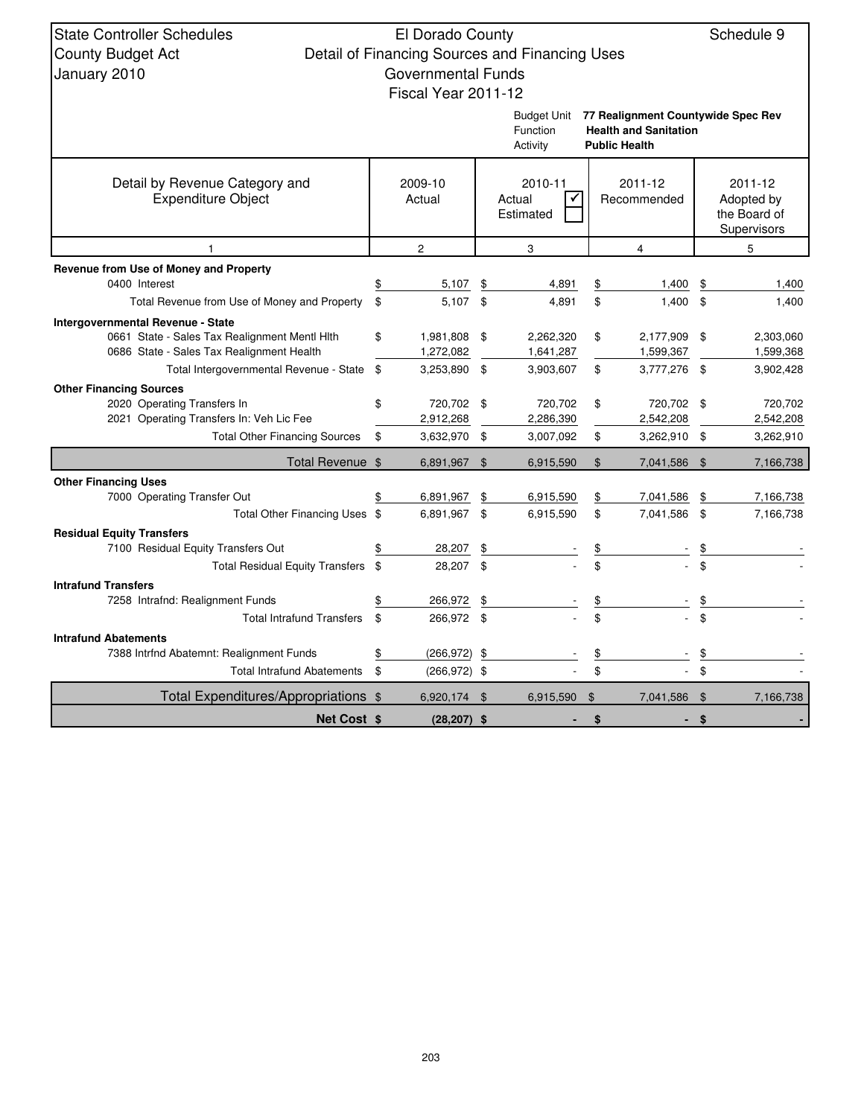| <b>State Controller Schedules</b>                                                          | El Dorado County                |                |                                                |                |                                                                    |                | Schedule 9             |
|--------------------------------------------------------------------------------------------|---------------------------------|----------------|------------------------------------------------|----------------|--------------------------------------------------------------------|----------------|------------------------|
| <b>County Budget Act</b>                                                                   |                                 |                | Detail of Financing Sources and Financing Uses |                |                                                                    |                |                        |
| January 2010                                                                               | <b>Governmental Funds</b>       |                |                                                |                |                                                                    |                |                        |
|                                                                                            | Fiscal Year 2011-12             |                |                                                |                |                                                                    |                |                        |
|                                                                                            |                                 |                |                                                |                |                                                                    |                |                        |
|                                                                                            |                                 |                | Budget Unit<br>Function                        |                | 77 Realignment Countywide Spec Rev<br><b>Health and Sanitation</b> |                |                        |
|                                                                                            |                                 |                | Activity                                       |                | <b>Public Health</b>                                               |                |                        |
| Detail by Revenue Category and                                                             | 2009-10                         |                | 2010-11                                        |                | 2011-12                                                            |                | 2011-12                |
| <b>Expenditure Object</b>                                                                  | Actual                          |                | $\checkmark$<br>Actual                         |                | Recommended                                                        |                | Adopted by             |
|                                                                                            |                                 |                | Estimated                                      |                |                                                                    |                | the Board of           |
|                                                                                            |                                 |                |                                                |                |                                                                    |                | Supervisors            |
| $\mathbf{1}$                                                                               | $\mathbf{2}$                    |                | 3                                              |                | 4                                                                  |                | 5                      |
| Revenue from Use of Money and Property                                                     |                                 |                |                                                |                |                                                                    |                |                        |
| 0400 Interest                                                                              | \$<br>5,107                     | \$             | 4,891                                          | \$             | 1,400                                                              | \$             | 1,400                  |
| Total Revenue from Use of Money and Property                                               | \$<br>5,107 \$                  |                | 4,891                                          | \$             | 1,400                                                              | \$             | 1,400                  |
| <b>Intergovernmental Revenue - State</b>                                                   |                                 |                |                                                |                |                                                                    |                |                        |
| 0661 State - Sales Tax Realignment Mentl Hith<br>0686 State - Sales Tax Realignment Health | \$<br>1,981,808 \$<br>1,272,082 |                | 2,262,320<br>1,641,287                         | \$             | 2,177,909<br>1,599,367                                             | - \$           | 2,303,060<br>1,599,368 |
| Total Intergovernmental Revenue - State \$                                                 | 3,253,890 \$                    |                | 3,903,607                                      | \$             | 3,777,276 \$                                                       |                | 3,902,428              |
| <b>Other Financing Sources</b>                                                             |                                 |                |                                                |                |                                                                    |                |                        |
| 2020 Operating Transfers In                                                                | \$<br>720,702 \$                |                | 720,702                                        | \$             | 720,702 \$                                                         |                | 720,702                |
| 2021 Operating Transfers In: Veh Lic Fee                                                   | 2,912,268                       |                | 2,286,390                                      |                | 2,542,208                                                          |                | 2,542,208              |
| <b>Total Other Financing Sources</b>                                                       | \$<br>3,632,970 \$              |                | 3,007,092                                      | \$             | 3,262,910                                                          | -\$            | 3,262,910              |
| Total Revenue \$                                                                           | 6,891,967 \$                    |                | 6,915,590                                      | $\mathfrak{L}$ | 7,041,586 \$                                                       |                | 7,166,738              |
| <b>Other Financing Uses</b>                                                                |                                 |                |                                                |                |                                                                    |                |                        |
| 7000 Operating Transfer Out                                                                | 6,891,967                       | \$             | 6,915,590                                      | \$             | 7,041,586                                                          | \$             | 7,166,738              |
| Total Other Financing Uses \$                                                              | 6.891.967                       | $\mathfrak{S}$ | 6,915,590                                      | \$             | 7,041,586                                                          | \$             | 7,166,738              |
| <b>Residual Equity Transfers</b>                                                           |                                 |                |                                                |                |                                                                    |                |                        |
| 7100 Residual Equity Transfers Out<br>Total Residual Equity Transfers \$                   | 28,207<br>28,207 \$             |                |                                                | $\mathfrak{L}$ |                                                                    | $\mathfrak{L}$ |                        |
| <b>Intrafund Transfers</b>                                                                 |                                 |                |                                                |                |                                                                    |                |                        |
| 7258 Intrafnd: Realignment Funds                                                           | \$<br>266,972                   | \$             |                                                | \$             |                                                                    | \$             |                        |
| <b>Total Intrafund Transfers</b>                                                           | \$<br>266,972 \$                |                |                                                | \$             |                                                                    | $\mathfrak{L}$ |                        |
| <b>Intrafund Abatements</b>                                                                |                                 |                |                                                |                |                                                                    |                |                        |
| 7388 Intrind Abatemnt: Realignment Funds                                                   | \$<br>(266, 972)                | \$             |                                                |                |                                                                    | \$             |                        |
| <b>Total Intrafund Abatements</b>                                                          | \$<br>$(266, 972)$ \$           |                |                                                | \$             |                                                                    | $\mathfrak{L}$ |                        |
| Total Expenditures/Appropriations \$                                                       | 6,920,174 \$                    |                | 6,915,590                                      | $\mathfrak{S}$ | 7,041,586 \$                                                       |                | 7,166,738              |
| <b>Net Cost \$</b>                                                                         | $(28, 207)$ \$                  |                |                                                | \$             | ٠                                                                  | \$             |                        |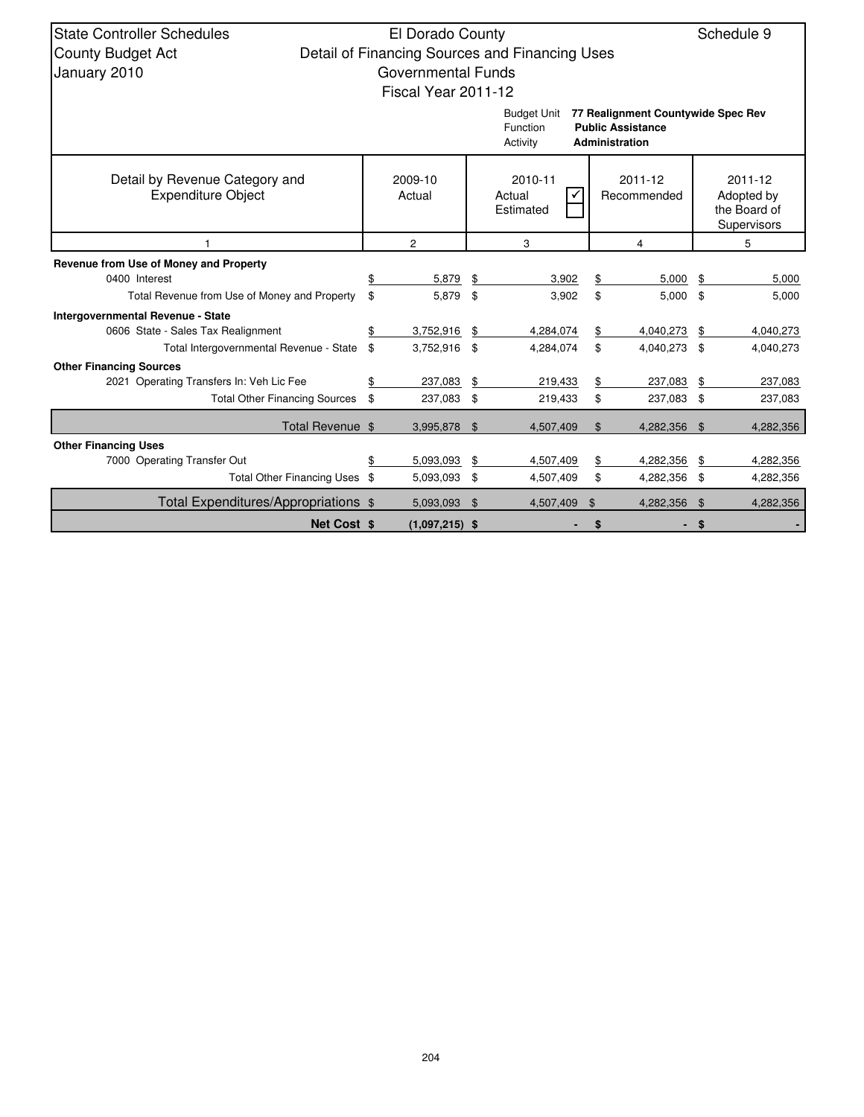| <b>State Controller Schedules</b>                           | El Dorado County    |                |                                                |                        |                                                                                  |    | Schedule 9 |  |  |                                                             |
|-------------------------------------------------------------|---------------------|----------------|------------------------------------------------|------------------------|----------------------------------------------------------------------------------|----|------------|--|--|-------------------------------------------------------------|
| <b>County Budget Act</b>                                    |                     |                | Detail of Financing Sources and Financing Uses |                        |                                                                                  |    |            |  |  |                                                             |
|                                                             | Governmental Funds  |                |                                                |                        |                                                                                  |    |            |  |  |                                                             |
| January 2010                                                |                     |                |                                                |                        |                                                                                  |    |            |  |  |                                                             |
|                                                             | Fiscal Year 2011-12 |                |                                                |                        |                                                                                  |    |            |  |  |                                                             |
|                                                             |                     |                | <b>Budget Unit</b><br>Function<br>Activity     |                        | 77 Realignment Countywide Spec Rev<br><b>Public Assistance</b><br>Administration |    |            |  |  |                                                             |
|                                                             |                     |                |                                                |                        |                                                                                  |    |            |  |  |                                                             |
| Detail by Revenue Category and<br><b>Expenditure Object</b> | 2009-10<br>Actual   |                | 2010-11<br>Actual<br>Estimated                 | 2011-12<br>Recommended |                                                                                  |    |            |  |  | 2011-12<br>Adopted by<br>the Board of<br><b>Supervisors</b> |
|                                                             | 2                   |                | 3                                              |                        | 4                                                                                |    | 5          |  |  |                                                             |
| Revenue from Use of Money and Property                      |                     |                |                                                |                        |                                                                                  |    |            |  |  |                                                             |
| 0400 Interest                                               | \$<br>5,879         | \$             | 3,902                                          | \$                     | 5,000                                                                            | \$ | 5,000      |  |  |                                                             |
| Total Revenue from Use of Money and Property                | \$<br>5,879         | \$             | 3,902                                          | \$                     | 5,000                                                                            | \$ | 5,000      |  |  |                                                             |
| Intergovernmental Revenue - State                           |                     |                |                                                |                        |                                                                                  |    |            |  |  |                                                             |
| 0606 State - Sales Tax Realignment                          | \$<br>3,752,916     | \$             | 4,284,074                                      | \$                     | 4,040,273                                                                        | \$ | 4,040,273  |  |  |                                                             |
| Total Intergovernmental Revenue - State                     | \$<br>3,752,916     | \$             | 4,284,074                                      | \$                     | 4,040,273                                                                        | \$ | 4,040,273  |  |  |                                                             |
| <b>Other Financing Sources</b>                              |                     |                |                                                |                        |                                                                                  |    |            |  |  |                                                             |
| 2021 Operating Transfers In: Veh Lic Fee                    | \$<br>237,083       | \$             | 219,433                                        | \$                     | 237,083                                                                          | \$ | 237,083    |  |  |                                                             |
| <b>Total Other Financing Sources</b>                        | \$<br>237,083 \$    |                | 219,433                                        | \$                     | 237,083                                                                          | \$ | 237,083    |  |  |                                                             |
| Total Revenue \$                                            | 3,995,878 \$        |                | 4,507,409                                      | $\$\$                  | 4,282,356                                                                        | \$ | 4,282,356  |  |  |                                                             |
| <b>Other Financing Uses</b>                                 |                     |                |                                                |                        |                                                                                  |    |            |  |  |                                                             |
| 7000 Operating Transfer Out                                 | \$<br>5,093,093     | \$             | 4,507,409                                      | \$                     | 4,282,356                                                                        | \$ | 4,282,356  |  |  |                                                             |
| Total Other Financing Uses \$                               | 5,093,093 \$        |                | 4,507,409                                      | \$                     | 4,282,356                                                                        | \$ | 4,282,356  |  |  |                                                             |
| Total Expenditures/Appropriations \$                        | 5,093,093           | $\mathfrak{L}$ | 4,507,409                                      | \$                     | 4,282,356                                                                        | \$ | 4,282,356  |  |  |                                                             |
| <b>Net Cost \$</b>                                          | $(1,097,215)$ \$    |                |                                                |                        |                                                                                  |    |            |  |  |                                                             |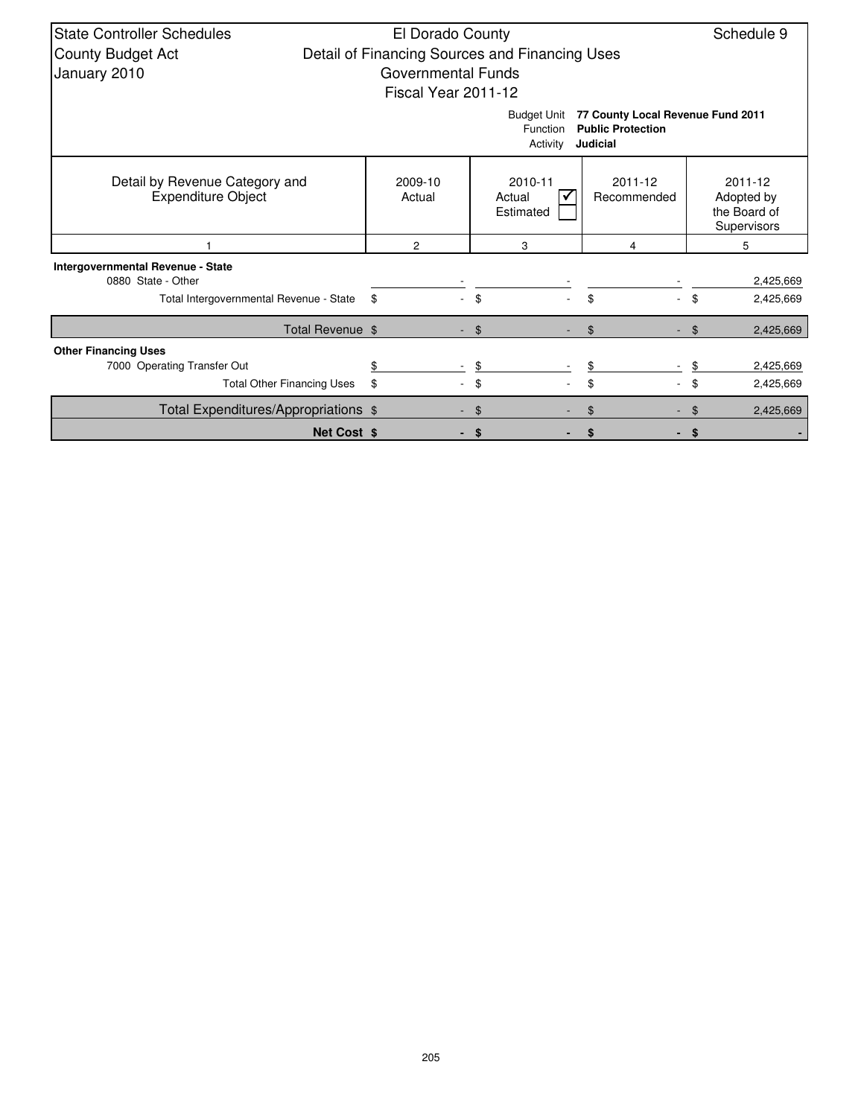| <b>State Controller Schedules</b>                           | El Dorado County    |                                                |                                                                           | Schedule 9                                           |
|-------------------------------------------------------------|---------------------|------------------------------------------------|---------------------------------------------------------------------------|------------------------------------------------------|
| <b>County Budget Act</b>                                    |                     | Detail of Financing Sources and Financing Uses |                                                                           |                                                      |
| January 2010                                                | Governmental Funds  |                                                |                                                                           |                                                      |
|                                                             | Fiscal Year 2011-12 |                                                |                                                                           |                                                      |
|                                                             |                     | <b>Budget Unit</b><br>Function<br>Activity     | 77 County Local Revenue Fund 2011<br><b>Public Protection</b><br>Judicial |                                                      |
| Detail by Revenue Category and<br><b>Expenditure Object</b> | 2009-10<br>Actual   | 2010-11<br>Actual<br>Estimated                 | 2011-12<br>Recommended                                                    | 2011-12<br>Adopted by<br>the Board of<br>Supervisors |
|                                                             | $\overline{2}$      | 3                                              | 4                                                                         | 5                                                    |
| Intergovernmental Revenue - State                           |                     |                                                |                                                                           |                                                      |
| 0880 State - Other                                          |                     |                                                |                                                                           | 2,425,669                                            |
| Total Intergovernmental Revenue - State                     | -\$                 | \$                                             | \$                                                                        | \$<br>2,425,669                                      |
| Total Revenue \$                                            |                     | $-$ \$                                         | $\mathfrak{L}$                                                            | 2,425,669<br>\$                                      |
| <b>Other Financing Uses</b>                                 |                     |                                                |                                                                           |                                                      |
| 7000 Operating Transfer Out                                 |                     | \$                                             |                                                                           | 2,425,669                                            |
| <b>Total Other Financing Uses</b>                           | \$                  | \$                                             | \$                                                                        | \$<br>2,425,669                                      |
| Total Expenditures/Appropriations \$                        |                     | \$                                             | \$                                                                        | 2,425,669                                            |
| <b>Net Cost \$</b>                                          |                     | \$                                             | \$                                                                        | \$                                                   |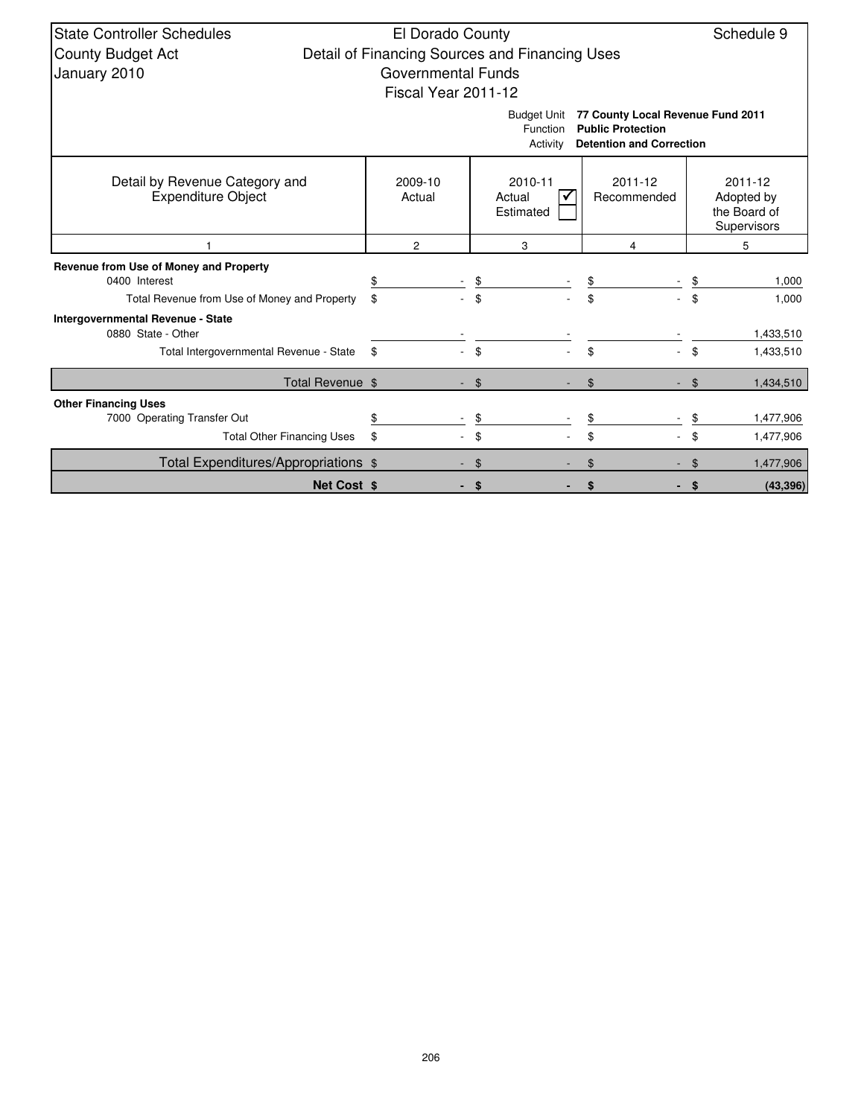| <b>State Controller Schedules</b>            | El Dorado County                               |                                |                                                               | Schedule 9      |  |  |  |  |  |  |  |  |  |
|----------------------------------------------|------------------------------------------------|--------------------------------|---------------------------------------------------------------|-----------------|--|--|--|--|--|--|--|--|--|
| <b>County Budget Act</b>                     | Detail of Financing Sources and Financing Uses |                                |                                                               |                 |  |  |  |  |  |  |  |  |  |
| January 2010                                 | <b>Governmental Funds</b>                      |                                |                                                               |                 |  |  |  |  |  |  |  |  |  |
|                                              | Fiscal Year 2011-12                            |                                |                                                               |                 |  |  |  |  |  |  |  |  |  |
|                                              |                                                |                                |                                                               |                 |  |  |  |  |  |  |  |  |  |
|                                              |                                                | <b>Budget Unit</b><br>Function | 77 County Local Revenue Fund 2011<br><b>Public Protection</b> |                 |  |  |  |  |  |  |  |  |  |
|                                              |                                                | Activity                       | <b>Detention and Correction</b>                               |                 |  |  |  |  |  |  |  |  |  |
|                                              |                                                |                                |                                                               |                 |  |  |  |  |  |  |  |  |  |
| Detail by Revenue Category and               | 2009-10                                        | 2010-11                        | 2011-12                                                       | 2011-12         |  |  |  |  |  |  |  |  |  |
| <b>Expenditure Object</b>                    | Actual                                         | Actual                         | Recommended                                                   | Adopted by      |  |  |  |  |  |  |  |  |  |
|                                              |                                                | Estimated                      |                                                               | the Board of    |  |  |  |  |  |  |  |  |  |
|                                              |                                                |                                |                                                               | Supervisors     |  |  |  |  |  |  |  |  |  |
|                                              | $\overline{2}$                                 | 3                              | 4                                                             | 5               |  |  |  |  |  |  |  |  |  |
| Revenue from Use of Money and Property       |                                                |                                |                                                               |                 |  |  |  |  |  |  |  |  |  |
| 0400 Interest                                | \$                                             | \$                             |                                                               | 1,000           |  |  |  |  |  |  |  |  |  |
| Total Revenue from Use of Money and Property | \$                                             | \$                             | \$                                                            | \$<br>1,000     |  |  |  |  |  |  |  |  |  |
| Intergovernmental Revenue - State            |                                                |                                |                                                               |                 |  |  |  |  |  |  |  |  |  |
| 0880 State - Other                           |                                                |                                |                                                               | 1,433,510       |  |  |  |  |  |  |  |  |  |
| Total Intergovernmental Revenue - State      | \$                                             | \$                             | \$                                                            | \$<br>1,433,510 |  |  |  |  |  |  |  |  |  |
| Total Revenue \$                             |                                                | \$                             | \$                                                            | 1,434,510<br>\$ |  |  |  |  |  |  |  |  |  |
| <b>Other Financing Uses</b>                  |                                                |                                |                                                               |                 |  |  |  |  |  |  |  |  |  |
| 7000 Operating Transfer Out                  | \$                                             | \$                             |                                                               | 1,477,906       |  |  |  |  |  |  |  |  |  |
| <b>Total Other Financing Uses</b>            | \$                                             | \$                             | \$                                                            | \$<br>1,477,906 |  |  |  |  |  |  |  |  |  |
| Total Expenditures/Appropriations \$         |                                                | \$                             |                                                               | 1,477,906       |  |  |  |  |  |  |  |  |  |
| <b>Net Cost \$</b>                           |                                                | \$                             |                                                               | (43, 396)<br>\$ |  |  |  |  |  |  |  |  |  |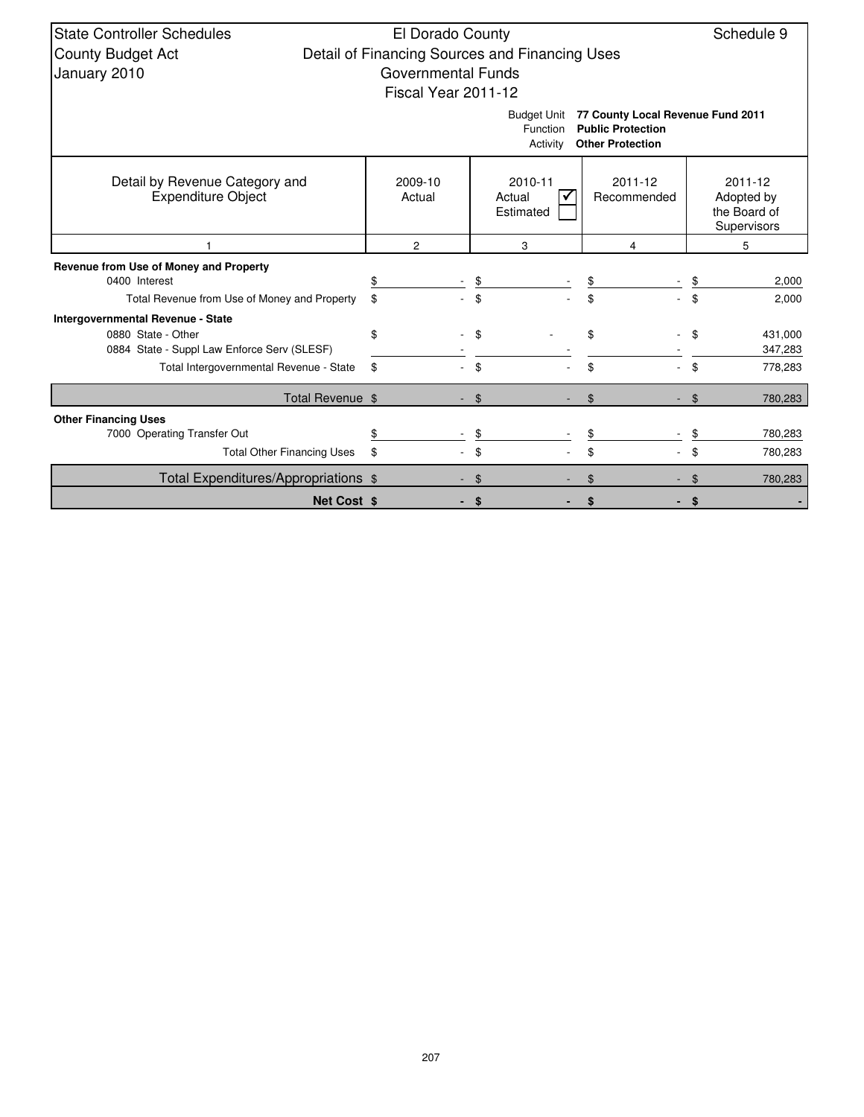| <b>State Controller Schedules</b>                           | El Dorado County<br>Schedule 9 |                                                |                                                               |                                                      |  |  |  |  |  |
|-------------------------------------------------------------|--------------------------------|------------------------------------------------|---------------------------------------------------------------|------------------------------------------------------|--|--|--|--|--|
| <b>County Budget Act</b>                                    |                                | Detail of Financing Sources and Financing Uses |                                                               |                                                      |  |  |  |  |  |
| January 2010                                                | <b>Governmental Funds</b>      |                                                |                                                               |                                                      |  |  |  |  |  |
|                                                             | Fiscal Year 2011-12            |                                                |                                                               |                                                      |  |  |  |  |  |
|                                                             |                                | <b>Budget Unit</b><br>Function                 | 77 County Local Revenue Fund 2011<br><b>Public Protection</b> |                                                      |  |  |  |  |  |
|                                                             |                                | Activity                                       | <b>Other Protection</b>                                       |                                                      |  |  |  |  |  |
| Detail by Revenue Category and<br><b>Expenditure Object</b> | 2009-10<br>Actual              | 2010-11<br>Actual<br>Estimated                 | 2011-12<br>Recommended                                        | 2011-12<br>Adopted by<br>the Board of<br>Supervisors |  |  |  |  |  |
|                                                             | $\overline{c}$                 | 3                                              | 4                                                             | 5                                                    |  |  |  |  |  |
| Revenue from Use of Money and Property                      |                                |                                                |                                                               |                                                      |  |  |  |  |  |
| 0400 Interest                                               | \$                             | \$                                             | \$                                                            | 2,000                                                |  |  |  |  |  |
| Total Revenue from Use of Money and Property                | \$                             | \$                                             | \$                                                            | \$<br>2,000                                          |  |  |  |  |  |
| Intergovernmental Revenue - State                           |                                |                                                |                                                               |                                                      |  |  |  |  |  |
| 0880 State - Other                                          | \$                             | \$                                             | \$                                                            | 431,000                                              |  |  |  |  |  |
| 0884 State - Suppl Law Enforce Serv (SLESF)                 |                                |                                                |                                                               | 347,283                                              |  |  |  |  |  |
| Total Intergovernmental Revenue - State                     | \$                             | \$                                             | \$                                                            | \$<br>778,283                                        |  |  |  |  |  |
| Total Revenue \$                                            |                                | $\mathfrak{L}$                                 | \$                                                            | \$<br>780,283                                        |  |  |  |  |  |
| <b>Other Financing Uses</b>                                 |                                |                                                |                                                               |                                                      |  |  |  |  |  |
| 7000 Operating Transfer Out                                 | \$                             | \$                                             | \$                                                            | 780,283                                              |  |  |  |  |  |
| <b>Total Other Financing Uses</b>                           | \$                             | \$                                             | \$                                                            | \$<br>780,283                                        |  |  |  |  |  |
| Total Expenditures/Appropriations \$                        |                                | \$                                             | \$                                                            | 780,283<br>\$                                        |  |  |  |  |  |
| <b>Net Cost \$</b>                                          |                                |                                                | \$                                                            | \$                                                   |  |  |  |  |  |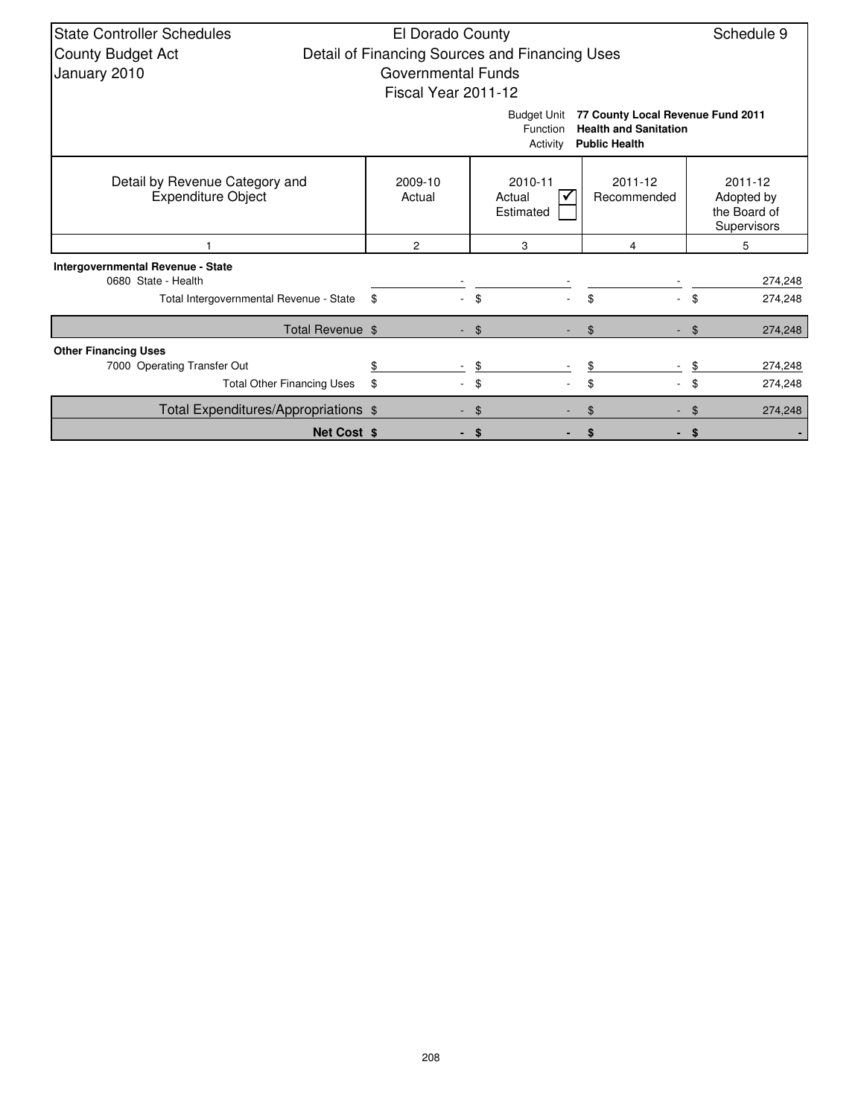| <b>State Controller Schedules</b>                           | El Dorado County                               |                                            |                                                                                           |                                                      |  |  |  |  |  |  |  |
|-------------------------------------------------------------|------------------------------------------------|--------------------------------------------|-------------------------------------------------------------------------------------------|------------------------------------------------------|--|--|--|--|--|--|--|
| <b>County Budget Act</b>                                    | Detail of Financing Sources and Financing Uses |                                            |                                                                                           |                                                      |  |  |  |  |  |  |  |
| January 2010                                                | <b>Governmental Funds</b>                      |                                            |                                                                                           |                                                      |  |  |  |  |  |  |  |
|                                                             | Fiscal Year 2011-12                            |                                            |                                                                                           |                                                      |  |  |  |  |  |  |  |
|                                                             |                                                | <b>Budget Unit</b><br>Function<br>Activity | 77 County Local Revenue Fund 2011<br><b>Health and Sanitation</b><br><b>Public Health</b> |                                                      |  |  |  |  |  |  |  |
| Detail by Revenue Category and<br><b>Expenditure Object</b> | 2009-10<br>Actual                              | 2010-11<br>Actual<br>Estimated             | 2011-12<br>Recommended                                                                    | 2011-12<br>Adopted by<br>the Board of<br>Supervisors |  |  |  |  |  |  |  |
|                                                             | $\overline{2}$                                 | 3                                          | 4                                                                                         | 5                                                    |  |  |  |  |  |  |  |
| Intergovernmental Revenue - State                           |                                                |                                            |                                                                                           |                                                      |  |  |  |  |  |  |  |
| 0680 State - Health                                         |                                                |                                            |                                                                                           | 274,248                                              |  |  |  |  |  |  |  |
| Total Intergovernmental Revenue - State                     | \$                                             | \$                                         | \$                                                                                        | 274,248<br>\$                                        |  |  |  |  |  |  |  |
| Total Revenue \$                                            |                                                | $-$ \$                                     | \$                                                                                        | 274,248<br>\$                                        |  |  |  |  |  |  |  |
| <b>Other Financing Uses</b>                                 |                                                |                                            |                                                                                           |                                                      |  |  |  |  |  |  |  |
| 7000 Operating Transfer Out                                 | \$                                             | \$                                         |                                                                                           | 274,248                                              |  |  |  |  |  |  |  |
| <b>Total Other Financing Uses</b>                           | \$                                             | \$                                         | \$                                                                                        | \$<br>274,248                                        |  |  |  |  |  |  |  |
| Total Expenditures/Appropriations \$                        |                                                | \$                                         | \$                                                                                        | 274,248                                              |  |  |  |  |  |  |  |
| <b>Net Cost \$</b>                                          |                                                | \$                                         | \$                                                                                        | \$                                                   |  |  |  |  |  |  |  |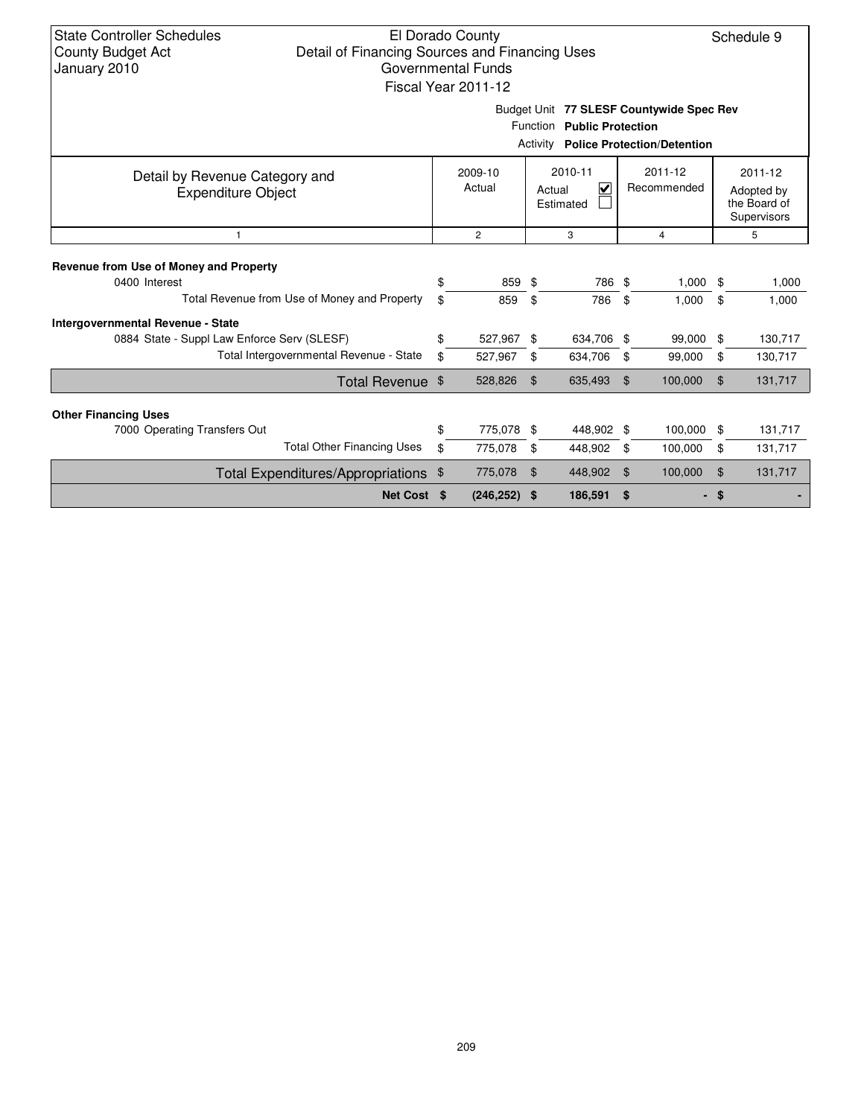| <b>State Controller Schedules</b><br>El Dorado County<br>Detail of Financing Sources and Financing Uses<br><b>County Budget Act</b><br>January 2010<br>Governmental Funds<br>Fiscal Year 2011-12 |          |                       | Schedule 9            |                            |                |                                                                                         |                        |                                                      |  |
|--------------------------------------------------------------------------------------------------------------------------------------------------------------------------------------------------|----------|-----------------------|-----------------------|----------------------------|----------------|-----------------------------------------------------------------------------------------|------------------------|------------------------------------------------------|--|
|                                                                                                                                                                                                  |          |                       |                       | Function Public Protection |                | Budget Unit 77 SLESF Countywide Spec Rev<br><b>Activity Police Protection/Detention</b> |                        |                                                      |  |
| 2010-11<br>2011-12<br>2009-10<br>Detail by Revenue Category and<br>$\overline{\mathbf{v}}$<br>Actual<br>Recommended<br>Actual<br><b>Expenditure Object</b><br>Estimated                          |          |                       |                       |                            |                |                                                                                         |                        | 2011-12<br>Adopted by<br>the Board of<br>Supervisors |  |
| $\mathbf{1}$                                                                                                                                                                                     |          | $\overline{2}$        |                       | 3                          |                | $\overline{4}$                                                                          |                        | 5                                                    |  |
| Revenue from Use of Money and Property<br>0400 Interest<br>Total Revenue from Use of Money and Property                                                                                          | \$<br>\$ | 859<br>859            | \$<br>\$              | 786 \$<br>786              | \$             | 1,000<br>1,000                                                                          | -\$<br>\$              | 1,000<br>1,000                                       |  |
| <b>Intergovernmental Revenue - State</b><br>0884 State - Suppl Law Enforce Serv (SLESF)<br>Total Intergovernmental Revenue - State                                                               | \$<br>\$ | 527,967<br>527,967    | \$<br>\$              | 634,706 \$<br>634,706      | \$             | 99,000<br>99,000                                                                        | \$<br>\$               | 130,717<br>130,717                                   |  |
| Total Revenue \$                                                                                                                                                                                 |          | 528,826               | $\mathfrak{L}$        | 635,493                    | $\mathfrak{L}$ | 100,000                                                                                 | $\mathfrak{L}$         | 131,717                                              |  |
| <b>Other Financing Uses</b><br>7000 Operating Transfers Out                                                                                                                                      | \$       | 775,078 \$            |                       | 448,902 \$                 |                | 100,000                                                                                 | \$                     | 131,717                                              |  |
| <b>Total Other Financing Uses</b>                                                                                                                                                                | \$       | 775,078               | \$                    | 448,902                    | \$             | 100,000                                                                                 | \$                     | 131,717                                              |  |
| Total Expenditures/Appropriations<br>Net Cost \$                                                                                                                                                 | \$       | 775,078<br>(246, 252) | $\mathfrak{L}$<br>-\$ | 448,902<br>186,591         | \$<br>\$       | 100,000                                                                                 | $\mathfrak{L}$<br>- \$ | 131,717                                              |  |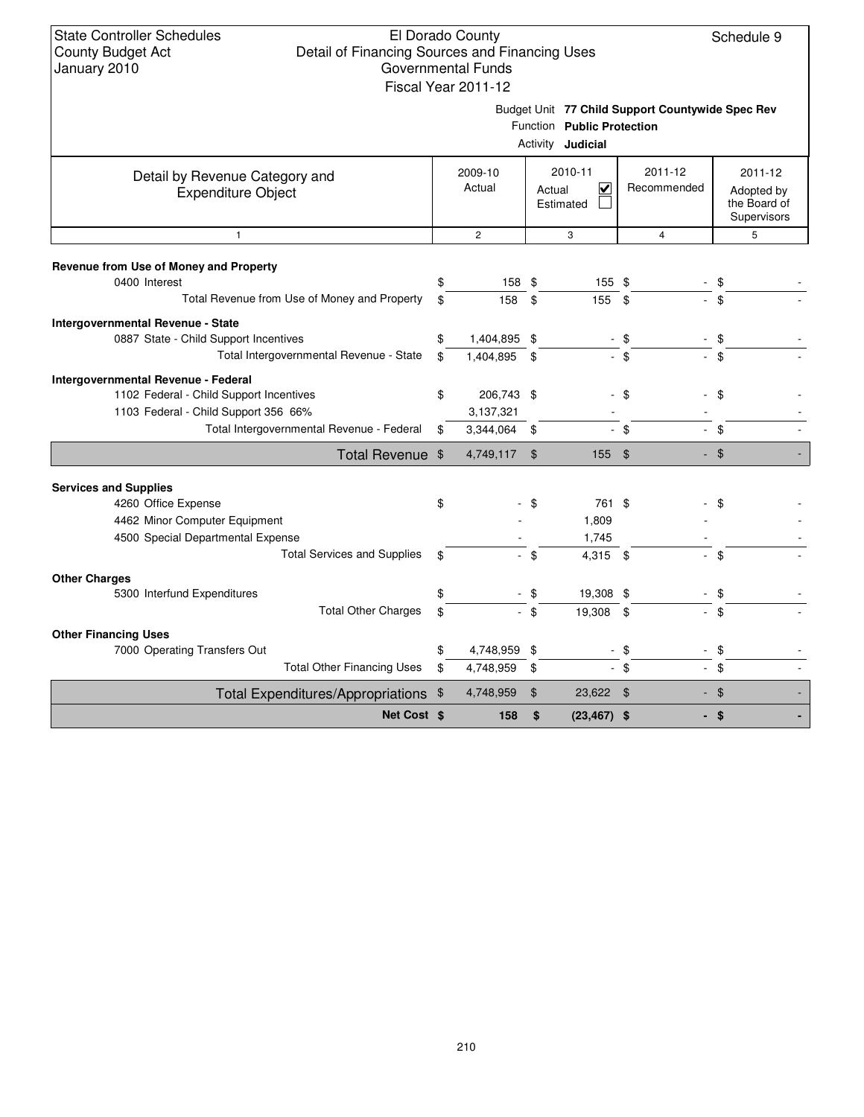## El Dorado County Detail of Financing Sources and Financing Uses Governmental Funds

Schedule 9

|                                                         |             | Fiscal Year 2011-12 |                          |                                                                                                            |             |                |                |                                           |  |
|---------------------------------------------------------|-------------|---------------------|--------------------------|------------------------------------------------------------------------------------------------------------|-------------|----------------|----------------|-------------------------------------------|--|
|                                                         |             |                     |                          | Budget Unit 77 Child Support Countywide Spec Rev<br>Function Public Protection<br>Activity <b>Judicial</b> |             |                |                |                                           |  |
| Detail by Revenue Category and                          |             | 2009-10             |                          | 2010-11                                                                                                    |             | 2011-12        | 2011-12        |                                           |  |
| <b>Expenditure Object</b>                               |             | Actual              | V<br>Actual<br>Estimated |                                                                                                            | Recommended |                |                | Adopted by<br>the Board of<br>Supervisors |  |
| $\mathbf{1}$                                            |             | $\overline{2}$      |                          | 3                                                                                                          |             | $\overline{4}$ | 5              |                                           |  |
| Revenue from Use of Money and Property<br>0400 Interest | \$          | 158 \$              |                          | 155 \$                                                                                                     |             |                | \$             |                                           |  |
| Total Revenue from Use of Money and Property            | \$          | 158                 | \$                       | 155                                                                                                        | \$          |                | $\mathfrak{L}$ |                                           |  |
| Intergovernmental Revenue - State                       |             |                     |                          |                                                                                                            |             |                |                |                                           |  |
| 0887 State - Child Support Incentives                   | \$          | 1,404,895 \$        |                          |                                                                                                            | \$          |                | \$             |                                           |  |
| Total Intergovernmental Revenue - State                 | \$          | 1,404,895           | \$                       | $\mathbf{r}$                                                                                               | \$          |                | \$             |                                           |  |
| Intergovernmental Revenue - Federal                     |             |                     |                          |                                                                                                            |             |                |                |                                           |  |
| 1102 Federal - Child Support Incentives                 | \$          | 206,743 \$          |                          |                                                                                                            | $-$ \$      |                | \$             |                                           |  |
| 1103 Federal - Child Support 356 66%                    |             | 3,137,321           |                          |                                                                                                            |             |                |                |                                           |  |
| Total Intergovernmental Revenue - Federal               | \$          | 3,344,064 \$        |                          | $\overline{\phantom{0}}$                                                                                   | \$          |                | \$             |                                           |  |
| Total Revenue \$                                        |             | 4,749,117           | $\mathbf{\hat{s}}$       | 155 \$                                                                                                     |             |                | $-$ \$         |                                           |  |
| <b>Services and Supplies</b>                            |             |                     |                          |                                                                                                            |             |                |                |                                           |  |
| 4260 Office Expense                                     | \$          |                     | \$                       | 761 \$                                                                                                     |             |                | \$             |                                           |  |
| 4462 Minor Computer Equipment                           |             |                     |                          | 1,809                                                                                                      |             |                |                |                                           |  |
| 4500 Special Departmental Expense                       |             |                     |                          | 1,745                                                                                                      |             |                |                |                                           |  |
| <b>Total Services and Supplies</b>                      | \$          |                     | - \$                     | 4,315 \$                                                                                                   |             |                | - \$           |                                           |  |
| <b>Other Charges</b>                                    |             |                     |                          |                                                                                                            |             |                |                |                                           |  |
| 5300 Interfund Expenditures                             | \$          |                     | $-$ \$                   | 19,308 \$                                                                                                  |             |                | \$             |                                           |  |
| <b>Total Other Charges</b>                              | \$          |                     | $-$ \$                   | 19,308 \$                                                                                                  |             |                | $-$ \$         |                                           |  |
| <b>Other Financing Uses</b>                             |             |                     |                          |                                                                                                            |             |                |                |                                           |  |
| 7000 Operating Transfers Out                            | \$          | 4,748,959           | \$                       |                                                                                                            | \$          |                | \$             |                                           |  |
| <b>Total Other Financing Uses</b>                       | \$          | 4,748,959           | \$                       |                                                                                                            | - \$        |                | - \$           |                                           |  |
| Total Expenditures/Appropriations \$                    |             | 4,748,959           | $\mathfrak{F}$           | 23,622 \$                                                                                                  |             |                | - \$           |                                           |  |
|                                                         | Net Cost \$ | 158                 | \$                       | $(23, 467)$ \$                                                                                             |             |                | - \$           |                                           |  |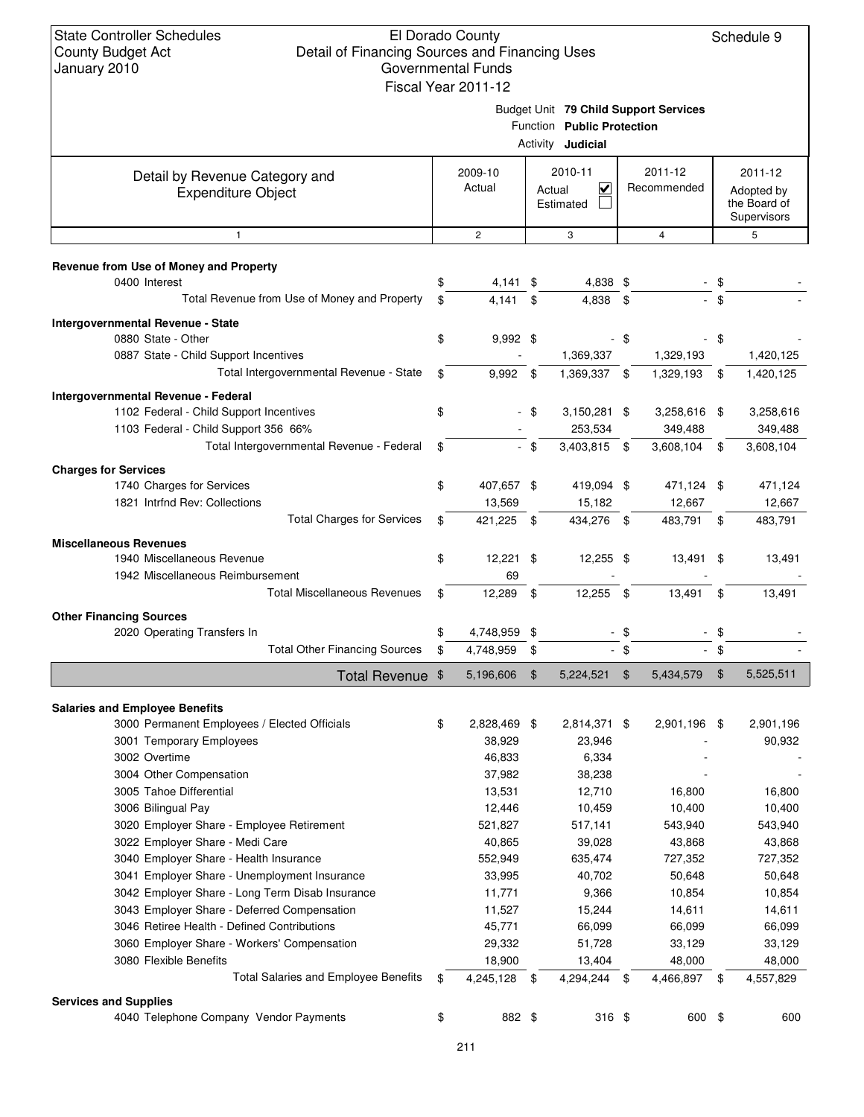| Budget Unit 79 Child Support Services |
|---------------------------------------|

|                                                                       |          |                        |                | I UNGONI <b>FUDIIG FIULCOLIUII</b><br>Activity <b>Judicial</b> |                |                        |          |                                                      |
|-----------------------------------------------------------------------|----------|------------------------|----------------|----------------------------------------------------------------|----------------|------------------------|----------|------------------------------------------------------|
| Detail by Revenue Category and<br><b>Expenditure Object</b>           |          | 2009-10<br>Actual      |                | 2010-11<br>$\overline{\mathbf{v}}$<br>Actual<br>Estimated      |                | 2011-12<br>Recommended |          | 2011-12<br>Adopted by<br>the Board of<br>Supervisors |
| $\mathbf{1}$                                                          |          | $\overline{2}$         |                | 3                                                              |                | $\overline{4}$         |          | 5                                                    |
| Revenue from Use of Money and Property                                |          |                        |                |                                                                |                |                        |          |                                                      |
| 0400 Interest                                                         | \$       | 4,141 \$               |                | 4,838 \$                                                       |                |                        | \$       |                                                      |
| Total Revenue from Use of Money and Property                          | \$       | 4,141                  | \$             | 4,838                                                          | \$             |                        | $-$ \$   |                                                      |
| Intergovernmental Revenue - State                                     |          |                        |                |                                                                |                |                        |          |                                                      |
| 0880 State - Other                                                    | \$       | $9,992$ \$             |                |                                                                | \$             |                        | \$       |                                                      |
| 0887 State - Child Support Incentives                                 |          |                        |                | 1,369,337                                                      |                | 1,329,193              |          | 1,420,125                                            |
| Total Intergovernmental Revenue - State                               | \$       | 9,992                  | - \$           | 1,369,337                                                      | \$             | 1,329,193              | \$       | 1,420,125                                            |
| Intergovernmental Revenue - Federal                                   |          |                        |                |                                                                |                |                        |          |                                                      |
| 1102 Federal - Child Support Incentives                               | \$       |                        | - \$           | 3,150,281 \$                                                   |                | 3,258,616 \$           |          | 3,258,616                                            |
| 1103 Federal - Child Support 356 66%                                  |          |                        |                | 253,534                                                        |                | 349,488                |          | 349,488                                              |
| Total Intergovernmental Revenue - Federal                             | \$       |                        | $-$ \$         | 3,403,815 \$                                                   |                | 3,608,104              | \$       | 3,608,104                                            |
| <b>Charges for Services</b>                                           |          |                        |                |                                                                |                |                        |          |                                                      |
| 1740 Charges for Services                                             | \$       | 407,657 \$             |                | 419,094 \$                                                     |                | 471,124 \$             |          | 471,124                                              |
| 1821 Intrfnd Rev: Collections                                         |          | 13,569                 |                | 15,182                                                         |                | 12,667                 |          | 12,667                                               |
| <b>Total Charges for Services</b>                                     | \$       | 421,225                | - \$           | 434,276 \$                                                     |                | 483,791                | \$       | 483,791                                              |
| <b>Miscellaneous Revenues</b>                                         |          |                        |                |                                                                |                |                        |          |                                                      |
| 1940 Miscellaneous Revenue                                            | \$       | $12,221$ \$            |                | 12,255 \$                                                      |                | 13,491 \$              |          | 13,491                                               |
| 1942 Miscellaneous Reimbursement                                      |          | 69                     |                |                                                                |                |                        |          |                                                      |
| <b>Total Miscellaneous Revenues</b>                                   | \$       | 12,289                 | \$             | 12,255                                                         | \$             | 13,491                 | \$       | 13,491                                               |
|                                                                       |          |                        |                |                                                                |                |                        |          |                                                      |
| <b>Other Financing Sources</b>                                        |          |                        |                |                                                                |                |                        |          |                                                      |
| 2020 Operating Transfers In<br><b>Total Other Financing Sources</b>   | \$<br>\$ | 4,748,959<br>4,748,959 | \$<br>\$       |                                                                | \$<br>$-$ \$   |                        | \$<br>\$ |                                                      |
|                                                                       |          |                        |                |                                                                |                |                        |          |                                                      |
| Total Revenue \$                                                      |          | 5,196,606              | $\mathfrak{F}$ | 5,224,521                                                      | $\mathfrak{F}$ | 5,434,579              | \$       | 5,525,511                                            |
| <b>Salaries and Employee Benefits</b>                                 |          |                        |                |                                                                |                |                        |          |                                                      |
| 3000 Permanent Employees / Elected Officials                          | \$       | 2,828,469 \$           |                | 2,814,371 \$                                                   |                | 2,901,196 \$           |          | 2,901,196                                            |
| 3001 Temporary Employees                                              |          | 38,929                 |                | 23,946                                                         |                |                        |          | 90,932                                               |
| 3002 Overtime                                                         |          | 46,833                 |                | 6,334                                                          |                |                        |          |                                                      |
| 3004 Other Compensation                                               |          | 37,982                 |                | 38,238                                                         |                |                        |          |                                                      |
| 3005 Tahoe Differential                                               |          | 13,531                 |                | 12,710                                                         |                | 16,800                 |          | 16,800                                               |
| 3006 Bilingual Pay                                                    |          | 12,446                 |                | 10,459                                                         |                | 10,400                 |          | 10,400                                               |
| 3020 Employer Share - Employee Retirement                             |          | 521,827                |                | 517,141                                                        |                | 543,940                |          | 543,940                                              |
| 3022 Employer Share - Medi Care                                       |          | 40,865                 |                | 39,028                                                         |                | 43,868                 |          | 43,868                                               |
| 3040 Employer Share - Health Insurance                                |          | 552,949                |                | 635,474                                                        |                | 727,352                |          | 727,352                                              |
| 3041 Employer Share - Unemployment Insurance                          |          | 33,995                 |                | 40,702                                                         |                | 50,648                 |          | 50,648                                               |
| 3042 Employer Share - Long Term Disab Insurance                       |          | 11,771                 |                | 9,366                                                          |                | 10,854                 |          | 10,854                                               |
| 3043 Employer Share - Deferred Compensation                           |          | 11,527                 |                | 15,244                                                         |                | 14,611                 |          | 14,611                                               |
| 3046 Retiree Health - Defined Contributions                           |          | 45,771                 |                | 66,099                                                         |                | 66,099                 |          | 66,099                                               |
| 3060 Employer Share - Workers' Compensation                           |          | 29,332                 |                | 51,728                                                         |                | 33,129                 |          | 33,129                                               |
| 3080 Flexible Benefits<br><b>Total Salaries and Employee Benefits</b> | \$       | 18,900<br>4,245,128 \$ |                | 13,404<br>4,294,244 \$                                         |                | 48,000                 |          | 48,000                                               |
|                                                                       |          |                        |                |                                                                |                | 4,466,897 \$           |          | 4,557,829                                            |
| <b>Services and Supplies</b>                                          |          |                        |                |                                                                |                |                        |          |                                                      |
| 4040 Telephone Company Vendor Payments                                | \$       | 882 \$                 |                | $316$ \$                                                       |                | 600 \$                 |          | 600                                                  |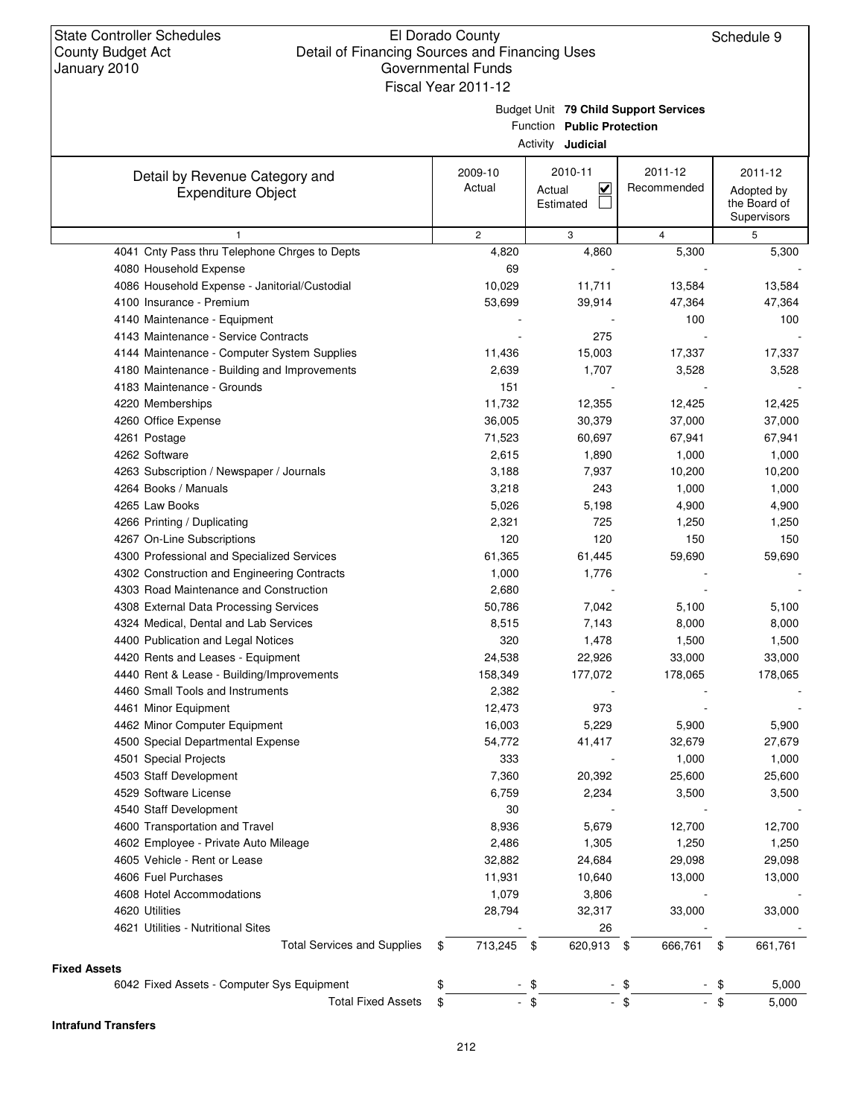Budget Unit **79 Child Support Services**

Function **Public Protection**

|                                               |                | Activity <b>Judicial</b>                       |                |                                           |
|-----------------------------------------------|----------------|------------------------------------------------|----------------|-------------------------------------------|
| Detail by Revenue Category and                | 2009-10        | 2010-11                                        | 2011-12        | 2011-12                                   |
| <b>Expenditure Object</b>                     | Actual         | $\overline{\mathbf{v}}$<br>Actual<br>Estimated | Recommended    | Adopted by<br>the Board of<br>Supervisors |
| 1                                             | $\overline{c}$ | 3                                              | $\overline{4}$ | 5                                         |
| 4041 Cnty Pass thru Telephone Chrges to Depts | 4,820          | 4,860                                          | 5,300          | 5,300                                     |
| 4080 Household Expense                        | 69             |                                                |                |                                           |
| 4086 Household Expense - Janitorial/Custodial | 10,029         | 11,711                                         | 13,584         | 13,584                                    |
| 4100 Insurance - Premium                      | 53,699         | 39,914                                         | 47,364         | 47,364                                    |
| 4140 Maintenance - Equipment                  |                |                                                | 100            | 100                                       |
| 4143 Maintenance - Service Contracts          |                | 275                                            |                |                                           |
| 4144 Maintenance - Computer System Supplies   | 11,436         | 15,003                                         | 17,337         | 17,337                                    |
| 4180 Maintenance - Building and Improvements  | 2,639          | 1,707                                          | 3,528          | 3,528                                     |
| 4183 Maintenance - Grounds                    | 151            |                                                |                |                                           |
| 4220 Memberships                              | 11,732         | 12,355                                         | 12,425         | 12,425                                    |
| 4260 Office Expense                           | 36,005         | 30,379                                         | 37,000         | 37,000                                    |
| 4261 Postage                                  | 71,523         | 60,697                                         | 67,941         | 67,941                                    |
| 4262 Software                                 | 2,615          | 1,890                                          | 1,000          | 1,000                                     |
| 4263 Subscription / Newspaper / Journals      | 3,188          | 7,937                                          | 10,200         | 10,200                                    |
| 4264 Books / Manuals                          | 3,218          | 243                                            | 1,000          | 1,000                                     |
| 4265 Law Books                                | 5,026          | 5,198                                          | 4,900          | 4,900                                     |
| 4266 Printing / Duplicating                   | 2,321          | 725                                            | 1,250          | 1,250                                     |
| 4267 On-Line Subscriptions                    | 120            | 120                                            | 150            | 150                                       |
| 4300 Professional and Specialized Services    | 61,365         | 61,445                                         | 59,690         | 59,690                                    |
| 4302 Construction and Engineering Contracts   | 1,000          | 1,776                                          |                |                                           |
| 4303 Road Maintenance and Construction        | 2,680          |                                                |                |                                           |
| 4308 External Data Processing Services        | 50,786         | 7,042                                          | 5,100          | 5,100                                     |
| 4324 Medical, Dental and Lab Services         | 8,515          | 7,143                                          | 8,000          | 8,000                                     |
| 4400 Publication and Legal Notices            | 320            | 1,478                                          | 1,500          | 1,500                                     |
| 4420 Rents and Leases - Equipment             | 24,538         | 22,926                                         | 33,000         | 33,000                                    |
| 4440 Rent & Lease - Building/Improvements     | 158,349        | 177,072                                        | 178,065        | 178,065                                   |
| 4460 Small Tools and Instruments              | 2,382          |                                                |                |                                           |
| 4461 Minor Equipment                          | 12,473         | 973                                            |                |                                           |
| 4462 Minor Computer Equipment                 | 16,003         | 5,229                                          | 5,900          | 5,900                                     |
| 4500 Special Departmental Expense             | 54,772         | 41,417                                         | 32,679         | 27,679                                    |
| 4501 Special Projects                         | 333            |                                                | 1,000          | 1,000                                     |
| 4503 Staff Development                        | 7,360          | 20,392                                         | 25,600         | 25,600                                    |
| 4529 Software License                         | 6,759          | 2,234                                          | 3,500          | 3,500                                     |
| 4540 Staff Development                        | 30             |                                                |                |                                           |
| 4600 Transportation and Travel                | 8,936          | 5,679                                          | 12,700         | 12,700                                    |
| 4602 Employee - Private Auto Mileage          | 2,486          | 1,305                                          | 1,250          | 1,250                                     |
| 4605 Vehicle - Rent or Lease                  | 32,882         | 24,684                                         | 29,098         | 29,098                                    |
| 4606 Fuel Purchases                           | 11,931         | 10,640                                         | 13,000         | 13,000                                    |
| 4608 Hotel Accommodations                     | 1,079          | 3,806                                          |                |                                           |
| 4620 Utilities                                | 28,794         | 32,317                                         | 33,000         | 33,000                                    |
| 4621 Utilities - Nutritional Sites            |                | 26                                             |                |                                           |
| <b>Total Services and Supplies</b>            | \$<br>713,245  | 620,913<br>- \$                                | 666,761        | \$<br>661,761                             |
|                                               |                |                                                | \$             |                                           |
| <b>Fixed Assets</b>                           |                |                                                |                |                                           |
| 6042 Fixed Assets - Computer Sys Equipment    | \$             | \$                                             | - \$           | \$<br>5,000                               |
| <b>Total Fixed Assets</b>                     | \$             | \$                                             | \$             | \$<br>5,000                               |

**Intrafund Transfers**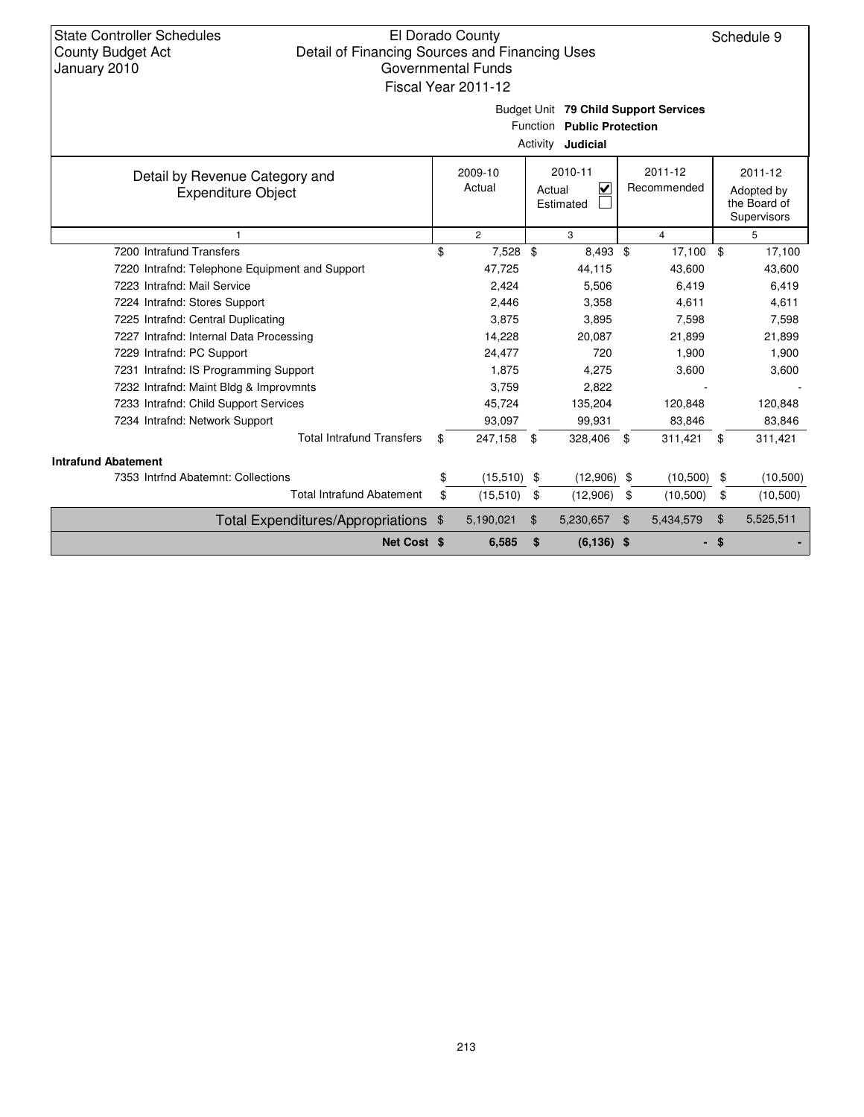| <b>State Controller Schedules</b><br><b>County Budget Act</b><br>January 2010                   | El Dorado County<br>Detail of Financing Sources and Financing Uses<br><b>Governmental Funds</b><br>Fiscal Year 2011-12 |                                                                                |    |               |                        |                |                                                      | Schedule 9 |
|-------------------------------------------------------------------------------------------------|------------------------------------------------------------------------------------------------------------------------|--------------------------------------------------------------------------------|----|---------------|------------------------|----------------|------------------------------------------------------|------------|
| Budget Unit 79 Child Support Services<br>Function Public Protection<br>Activity <b>Judicial</b> |                                                                                                                        |                                                                                |    |               |                        |                |                                                      |            |
| Detail by Revenue Category and<br><b>Expenditure Object</b>                                     |                                                                                                                        | 2010-11<br>2009-10<br>Actual<br>$\overline{\mathbf{v}}$<br>Actual<br>Estimated |    |               | 2011-12<br>Recommended |                | 2011-12<br>Adopted by<br>the Board of<br>Supervisors |            |
| 1                                                                                               |                                                                                                                        | $\overline{c}$                                                                 |    | 3             |                        | $\overline{4}$ |                                                      | 5          |
| 7200 Intrafund Transfers                                                                        | \$                                                                                                                     | 7,528 \$                                                                       |    | 8,493 \$      |                        | 17,100 \$      |                                                      | 17,100     |
| 7220 Intrafnd: Telephone Equipment and Support                                                  |                                                                                                                        | 47,725                                                                         |    | 44,115        |                        | 43,600         |                                                      | 43,600     |
| 7223 Intrafnd: Mail Service                                                                     |                                                                                                                        | 2,424                                                                          |    | 5,506         |                        | 6,419          |                                                      | 6,419      |
| 7224 Intrafnd: Stores Support                                                                   |                                                                                                                        | 2,446                                                                          |    | 3,358         |                        | 4,611          |                                                      | 4,611      |
| 7225 Intrafnd: Central Duplicating                                                              |                                                                                                                        | 3,875                                                                          |    | 3,895         |                        | 7,598          |                                                      | 7,598      |
| 7227 Intrafnd: Internal Data Processing                                                         |                                                                                                                        | 14,228                                                                         |    | 20,087        |                        | 21,899         |                                                      | 21,899     |
| 7229 Intrafnd: PC Support                                                                       |                                                                                                                        | 24,477                                                                         |    | 720           |                        | 1,900          |                                                      | 1,900      |
| 7231 Intrafnd: IS Programming Support                                                           |                                                                                                                        | 1,875                                                                          |    | 4,275         |                        | 3,600          |                                                      | 3,600      |
| 7232 Intrafnd: Maint Bldg & Improvmnts                                                          |                                                                                                                        | 3,759                                                                          |    | 2,822         |                        |                |                                                      |            |
| 7233 Intrafnd: Child Support Services                                                           |                                                                                                                        | 45,724                                                                         |    | 135,204       |                        | 120,848        |                                                      | 120,848    |
| 7234 Intrafnd: Network Support                                                                  |                                                                                                                        | 93,097                                                                         |    | 99,931        |                        | 83,846         |                                                      | 83,846     |
| <b>Total Intrafund Transfers</b>                                                                | \$                                                                                                                     | 247,158 \$                                                                     |    | 328,406       | \$                     | 311,421        | \$                                                   | 311,421    |
| <b>Intrafund Abatement</b>                                                                      |                                                                                                                        |                                                                                |    |               |                        |                |                                                      |            |
| 7353 Intrfnd Abatemnt: Collections                                                              | \$                                                                                                                     | $(15,510)$ \$                                                                  |    | $(12,906)$ \$ |                        | (10, 500)      | \$                                                   | (10,500)   |
| <b>Total Intrafund Abatement</b>                                                                | \$                                                                                                                     | (15, 510)                                                                      | \$ | (12,906)      | \$                     | (10, 500)      | \$                                                   | (10, 500)  |
| Total Expenditures/Appropriations \$                                                            |                                                                                                                        | 5,190,021                                                                      | \$ | 5,230,657     | \$                     | 5,434,579      | $\mathfrak{F}$                                       | 5,525,511  |
| Net Cost \$                                                                                     |                                                                                                                        | 6,585                                                                          | \$ | $(6, 136)$ \$ |                        |                | - \$                                                 |            |